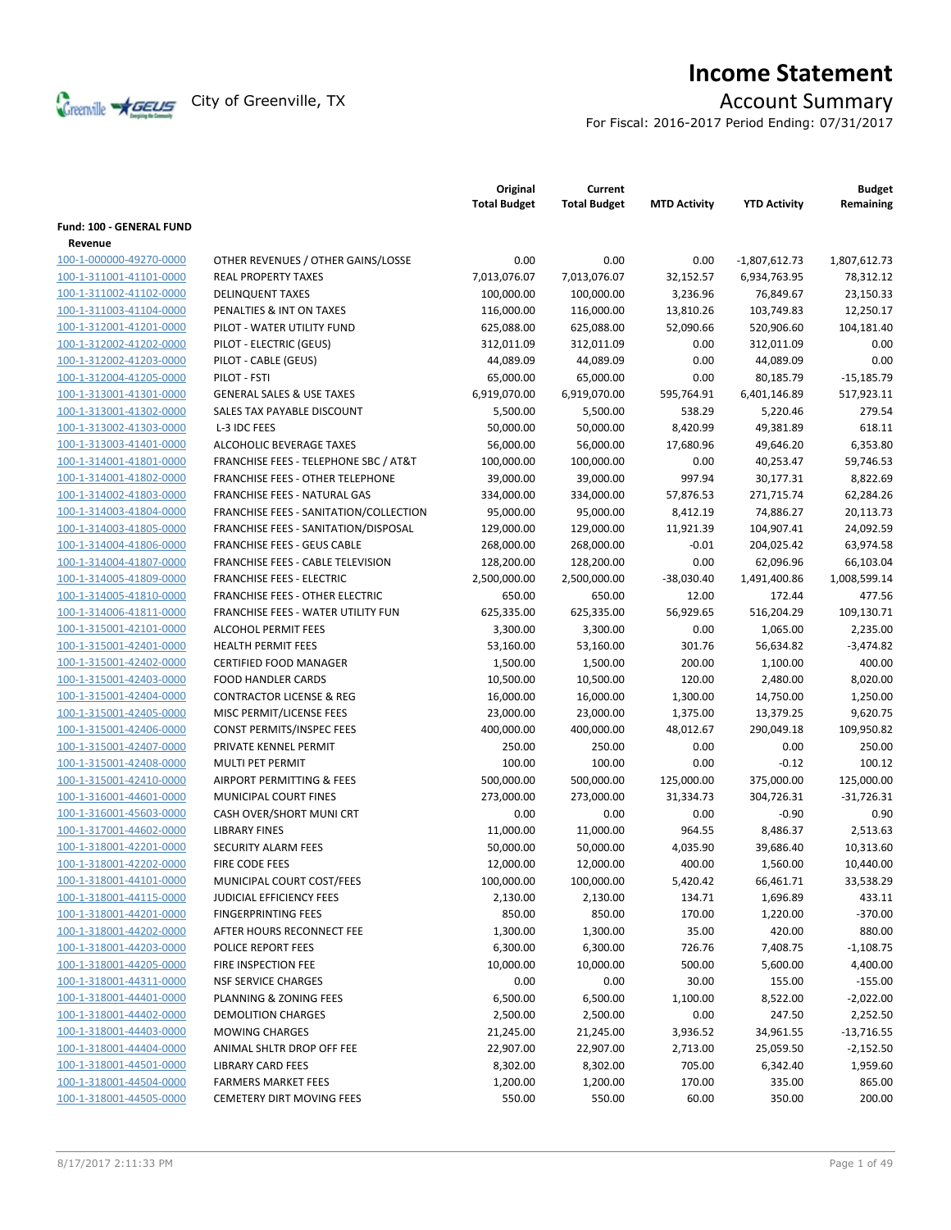

# **Income Statement**

For Fiscal: 2016-2017 Period Ending: 07/31/2017

|                          |                                        | Original<br><b>Total Budget</b> | Current<br><b>Total Budget</b> | <b>MTD Activity</b> | <b>YTD Activity</b> | <b>Budget</b><br>Remaining |
|--------------------------|----------------------------------------|---------------------------------|--------------------------------|---------------------|---------------------|----------------------------|
| Fund: 100 - GENERAL FUND |                                        |                                 |                                |                     |                     |                            |
| Revenue                  |                                        |                                 |                                |                     |                     |                            |
| 100-1-000000-49270-0000  | OTHER REVENUES / OTHER GAINS/LOSSE     | 0.00                            | 0.00                           | 0.00                | $-1,807,612.73$     | 1,807,612.73               |
| 100-1-311001-41101-0000  | <b>REAL PROPERTY TAXES</b>             | 7,013,076.07                    | 7,013,076.07                   | 32,152.57           | 6,934,763.95        | 78,312.12                  |
| 100-1-311002-41102-0000  | <b>DELINQUENT TAXES</b>                | 100,000.00                      | 100,000.00                     | 3,236.96            | 76,849.67           | 23,150.33                  |
| 100-1-311003-41104-0000  | PENALTIES & INT ON TAXES               | 116,000.00                      | 116,000.00                     | 13,810.26           | 103,749.83          | 12,250.17                  |
| 100-1-312001-41201-0000  | PILOT - WATER UTILITY FUND             | 625,088.00                      | 625,088.00                     | 52,090.66           | 520,906.60          | 104,181.40                 |
| 100-1-312002-41202-0000  | PILOT - ELECTRIC (GEUS)                | 312,011.09                      | 312,011.09                     | 0.00                | 312,011.09          | 0.00                       |
| 100-1-312002-41203-0000  | PILOT - CABLE (GEUS)                   | 44,089.09                       | 44,089.09                      | 0.00                | 44,089.09           | 0.00                       |
| 100-1-312004-41205-0000  | PILOT - FSTI                           | 65,000.00                       | 65,000.00                      | 0.00                | 80,185.79           | $-15,185.79$               |
| 100-1-313001-41301-0000  | <b>GENERAL SALES &amp; USE TAXES</b>   | 6,919,070.00                    | 6,919,070.00                   | 595,764.91          | 6,401,146.89        | 517,923.11                 |
| 100-1-313001-41302-0000  | SALES TAX PAYABLE DISCOUNT             | 5,500.00                        | 5,500.00                       | 538.29              | 5,220.46            | 279.54                     |
| 100-1-313002-41303-0000  | L-3 IDC FEES                           | 50,000.00                       | 50,000.00                      | 8,420.99            | 49,381.89           | 618.11                     |
| 100-1-313003-41401-0000  | ALCOHOLIC BEVERAGE TAXES               | 56,000.00                       | 56,000.00                      | 17,680.96           | 49,646.20           | 6,353.80                   |
| 100-1-314001-41801-0000  | FRANCHISE FEES - TELEPHONE SBC / AT&T  | 100,000.00                      | 100,000.00                     | 0.00                | 40,253.47           | 59,746.53                  |
| 100-1-314001-41802-0000  | FRANCHISE FEES - OTHER TELEPHONE       | 39,000.00                       | 39,000.00                      | 997.94              | 30,177.31           | 8,822.69                   |
| 100-1-314002-41803-0000  | FRANCHISE FEES - NATURAL GAS           | 334,000.00                      | 334,000.00                     | 57,876.53           | 271,715.74          | 62,284.26                  |
| 100-1-314003-41804-0000  | FRANCHISE FEES - SANITATION/COLLECTION | 95,000.00                       | 95,000.00                      | 8,412.19            | 74,886.27           | 20,113.73                  |
| 100-1-314003-41805-0000  | FRANCHISE FEES - SANITATION/DISPOSAL   | 129,000.00                      | 129,000.00                     | 11,921.39           | 104,907.41          | 24,092.59                  |
| 100-1-314004-41806-0000  | <b>FRANCHISE FEES - GEUS CABLE</b>     | 268,000.00                      | 268,000.00                     | $-0.01$             | 204,025.42          | 63,974.58                  |
| 100-1-314004-41807-0000  | FRANCHISE FEES - CABLE TELEVISION      | 128,200.00                      | 128,200.00                     | 0.00                | 62,096.96           | 66,103.04                  |
| 100-1-314005-41809-0000  | <b>FRANCHISE FEES - ELECTRIC</b>       | 2,500,000.00                    | 2,500,000.00                   | $-38,030.40$        | 1,491,400.86        | 1,008,599.14               |
| 100-1-314005-41810-0000  | <b>FRANCHISE FEES - OTHER ELECTRIC</b> | 650.00                          | 650.00                         | 12.00               | 172.44              | 477.56                     |
| 100-1-314006-41811-0000  | FRANCHISE FEES - WATER UTILITY FUN     | 625,335.00                      | 625,335.00                     | 56,929.65           | 516,204.29          | 109,130.71                 |
| 100-1-315001-42101-0000  | <b>ALCOHOL PERMIT FEES</b>             | 3,300.00                        | 3,300.00                       | 0.00                | 1,065.00            | 2,235.00                   |
| 100-1-315001-42401-0000  | <b>HEALTH PERMIT FEES</b>              | 53,160.00                       | 53,160.00                      | 301.76              | 56,634.82           | $-3,474.82$                |
| 100-1-315001-42402-0000  | <b>CERTIFIED FOOD MANAGER</b>          | 1,500.00                        | 1,500.00                       | 200.00              | 1,100.00            | 400.00                     |
| 100-1-315001-42403-0000  | <b>FOOD HANDLER CARDS</b>              | 10,500.00                       | 10,500.00                      | 120.00              | 2,480.00            | 8,020.00                   |
| 100-1-315001-42404-0000  | <b>CONTRACTOR LICENSE &amp; REG</b>    | 16,000.00                       | 16,000.00                      | 1,300.00            | 14,750.00           | 1,250.00                   |
| 100-1-315001-42405-0000  | MISC PERMIT/LICENSE FEES               | 23,000.00                       | 23,000.00                      | 1,375.00            | 13,379.25           | 9,620.75                   |
| 100-1-315001-42406-0000  | <b>CONST PERMITS/INSPEC FEES</b>       | 400,000.00                      | 400,000.00                     | 48,012.67           | 290,049.18          | 109,950.82                 |
| 100-1-315001-42407-0000  | PRIVATE KENNEL PERMIT                  | 250.00                          | 250.00                         | 0.00                | 0.00                | 250.00                     |
| 100-1-315001-42408-0000  | MULTI PET PERMIT                       | 100.00                          | 100.00                         | 0.00                | $-0.12$             | 100.12                     |
| 100-1-315001-42410-0000  | <b>AIRPORT PERMITTING &amp; FEES</b>   | 500,000.00                      | 500,000.00                     | 125,000.00          | 375,000.00          | 125,000.00                 |
| 100-1-316001-44601-0000  | MUNICIPAL COURT FINES                  | 273,000.00                      | 273,000.00                     | 31,334.73           | 304,726.31          | $-31,726.31$               |
| 100-1-316001-45603-0000  | CASH OVER/SHORT MUNI CRT               | 0.00                            | 0.00                           | 0.00                | $-0.90$             | 0.90                       |
| 100-1-317001-44602-0000  | <b>LIBRARY FINES</b>                   | 11,000.00                       | 11,000.00                      | 964.55              | 8,486.37            | 2,513.63                   |
| 100-1-318001-42201-0000  | <b>SECURITY ALARM FEES</b>             | 50,000.00                       | 50,000.00                      | 4,035.90            | 39,686.40           | 10,313.60                  |
| 100-1-318001-42202-0000  | FIRE CODE FEES                         | 12,000.00                       | 12,000.00                      | 400.00              | 1,560.00            | 10,440.00                  |
| 100-1-318001-44101-0000  | MUNICIPAL COURT COST/FEES              | 100,000.00                      | 100,000.00                     | 5,420.42            | 66,461.71           | 33,538.29                  |
| 100-1-318001-44115-0000  | JUDICIAL EFFICIENCY FEES               | 2,130.00                        | 2,130.00                       | 134.71              | 1,696.89            | 433.11                     |
| 100-1-318001-44201-0000  | <b>FINGERPRINTING FEES</b>             | 850.00                          | 850.00                         | 170.00              | 1,220.00            | $-370.00$                  |
| 100-1-318001-44202-0000  | AFTER HOURS RECONNECT FEE              | 1,300.00                        | 1,300.00                       | 35.00               | 420.00              | 880.00                     |
| 100-1-318001-44203-0000  | POLICE REPORT FEES                     | 6,300.00                        | 6,300.00                       | 726.76              | 7,408.75            | $-1,108.75$                |
| 100-1-318001-44205-0000  | FIRE INSPECTION FEE                    | 10,000.00                       | 10,000.00                      | 500.00              | 5,600.00            | 4,400.00                   |
| 100-1-318001-44311-0000  | <b>NSF SERVICE CHARGES</b>             | 0.00                            | 0.00                           | 30.00               | 155.00              | $-155.00$                  |
| 100-1-318001-44401-0000  | PLANNING & ZONING FEES                 | 6,500.00                        | 6,500.00                       | 1,100.00            | 8,522.00            | $-2,022.00$                |
| 100-1-318001-44402-0000  | <b>DEMOLITION CHARGES</b>              | 2,500.00                        | 2,500.00                       | 0.00                | 247.50              | 2,252.50                   |
| 100-1-318001-44403-0000  | <b>MOWING CHARGES</b>                  | 21,245.00                       | 21,245.00                      | 3,936.52            | 34,961.55           | $-13,716.55$               |
| 100-1-318001-44404-0000  | ANIMAL SHLTR DROP OFF FEE              | 22,907.00                       | 22,907.00                      | 2,713.00            | 25,059.50           | $-2,152.50$                |
| 100-1-318001-44501-0000  | <b>LIBRARY CARD FEES</b>               | 8,302.00                        | 8,302.00                       | 705.00              | 6,342.40            | 1,959.60                   |
| 100-1-318001-44504-0000  | <b>FARMERS MARKET FEES</b>             | 1,200.00                        | 1,200.00                       | 170.00              | 335.00              | 865.00                     |
| 100-1-318001-44505-0000  | <b>CEMETERY DIRT MOVING FEES</b>       | 550.00                          | 550.00                         | 60.00               | 350.00              | 200.00                     |
|                          |                                        |                                 |                                |                     |                     |                            |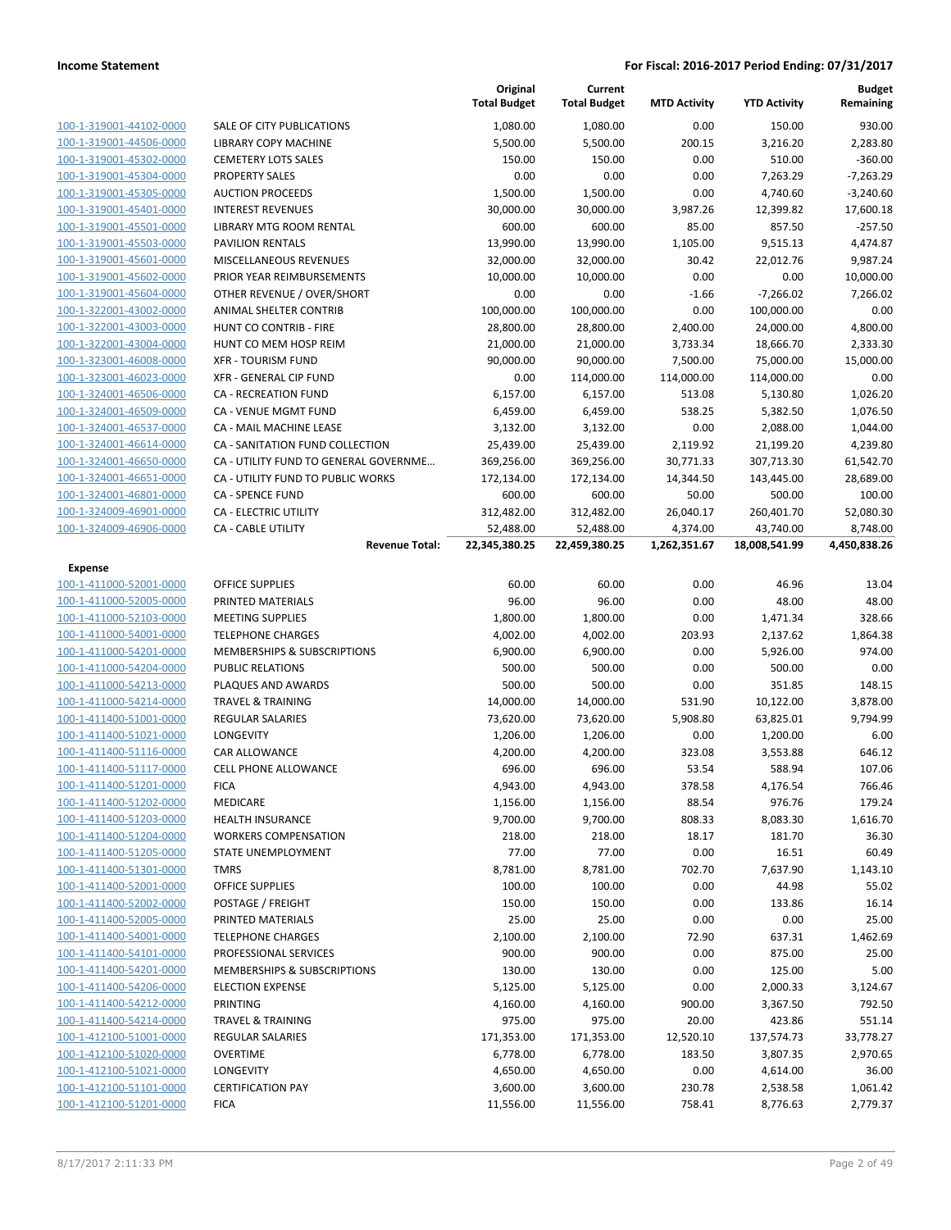|                                                    |                                       | Original<br><b>Total Budget</b> | Current<br><b>Total Budget</b> | <b>MTD Activity</b> | <b>YTD Activity</b>  | Budget<br>Remaining |
|----------------------------------------------------|---------------------------------------|---------------------------------|--------------------------------|---------------------|----------------------|---------------------|
| 100-1-319001-44102-0000                            | SALE OF CITY PUBLICATIONS             | 1,080.00                        | 1,080.00                       | 0.00                | 150.00               | 930.00              |
| 100-1-319001-44506-0000                            | LIBRARY COPY MACHINE                  | 5,500.00                        | 5,500.00                       | 200.15              | 3,216.20             | 2,283.80            |
| 100-1-319001-45302-0000                            | <b>CEMETERY LOTS SALES</b>            | 150.00                          | 150.00                         | 0.00                | 510.00               | $-360.00$           |
| 100-1-319001-45304-0000                            | <b>PROPERTY SALES</b>                 | 0.00                            | 0.00                           | 0.00                | 7,263.29             | $-7,263.29$         |
| 100-1-319001-45305-0000                            | <b>AUCTION PROCEEDS</b>               | 1,500.00                        | 1,500.00                       | 0.00                | 4,740.60             | $-3,240.60$         |
| 100-1-319001-45401-0000                            | <b>INTEREST REVENUES</b>              | 30,000.00                       | 30,000.00                      | 3,987.26            | 12,399.82            | 17,600.18           |
| 100-1-319001-45501-0000                            | LIBRARY MTG ROOM RENTAL               | 600.00                          | 600.00                         | 85.00               | 857.50               | $-257.50$           |
| 100-1-319001-45503-0000                            | <b>PAVILION RENTALS</b>               | 13,990.00                       | 13,990.00                      | 1,105.00            | 9,515.13             | 4,474.87            |
| 100-1-319001-45601-0000                            | MISCELLANEOUS REVENUES                | 32,000.00                       | 32,000.00                      | 30.42               | 22,012.76            | 9,987.24            |
| 100-1-319001-45602-0000                            | PRIOR YEAR REIMBURSEMENTS             | 10,000.00                       | 10,000.00                      | 0.00                | 0.00                 | 10,000.00           |
| 100-1-319001-45604-0000                            | OTHER REVENUE / OVER/SHORT            | 0.00                            | 0.00                           | $-1.66$             | $-7,266.02$          | 7,266.02            |
| 100-1-322001-43002-0000                            | <b>ANIMAL SHELTER CONTRIB</b>         | 100,000.00                      | 100,000.00                     | 0.00                | 100,000.00           | 0.00                |
| 100-1-322001-43003-0000                            | HUNT CO CONTRIB - FIRE                | 28,800.00                       | 28,800.00                      | 2,400.00            | 24,000.00            | 4,800.00            |
| 100-1-322001-43004-0000                            | HUNT CO MEM HOSP REIM                 | 21,000.00                       | 21,000.00                      | 3,733.34            | 18,666.70            | 2,333.30            |
| 100-1-323001-46008-0000                            | <b>XFR - TOURISM FUND</b>             | 90,000.00                       | 90,000.00                      | 7,500.00            | 75,000.00            | 15,000.00           |
| 100-1-323001-46023-0000                            | <b>XFR - GENERAL CIP FUND</b>         | 0.00                            | 114,000.00                     | 114,000.00          | 114,000.00           | 0.00                |
| 100-1-324001-46506-0000                            | <b>CA - RECREATION FUND</b>           | 6,157.00                        | 6,157.00                       | 513.08              | 5,130.80             | 1,026.20            |
| 100-1-324001-46509-0000                            | <b>CA - VENUE MGMT FUND</b>           | 6,459.00                        | 6,459.00                       | 538.25              | 5,382.50             | 1,076.50            |
| 100-1-324001-46537-0000                            | <b>CA - MAIL MACHINE LEASE</b>        | 3,132.00                        | 3,132.00                       | 0.00                | 2,088.00             | 1,044.00            |
| 100-1-324001-46614-0000                            | CA - SANITATION FUND COLLECTION       | 25,439.00                       | 25,439.00                      | 2,119.92            | 21,199.20            | 4,239.80            |
| 100-1-324001-46650-0000                            | CA - UTILITY FUND TO GENERAL GOVERNME | 369,256.00                      | 369,256.00                     | 30,771.33           | 307,713.30           | 61,542.70           |
| 100-1-324001-46651-0000                            | CA - UTILITY FUND TO PUBLIC WORKS     | 172,134.00                      | 172,134.00                     | 14,344.50           | 143,445.00           | 28,689.00           |
| 100-1-324001-46801-0000                            | <b>CA - SPENCE FUND</b>               | 600.00                          | 600.00                         | 50.00               | 500.00               | 100.00              |
| 100-1-324009-46901-0000                            | <b>CA - ELECTRIC UTILITY</b>          | 312,482.00                      | 312,482.00                     | 26,040.17           | 260,401.70           | 52,080.30           |
| 100-1-324009-46906-0000                            | CA - CABLE UTILITY                    | 52,488.00                       | 52,488.00                      | 4,374.00            | 43,740.00            | 8,748.00            |
|                                                    | <b>Revenue Total:</b>                 | 22,345,380.25                   | 22,459,380.25                  | 1,262,351.67        | 18,008,541.99        | 4,450,838.26        |
| Expense                                            |                                       |                                 |                                |                     |                      |                     |
| 100-1-411000-52001-0000                            | OFFICE SUPPLIES                       | 60.00                           | 60.00                          | 0.00                | 46.96                | 13.04               |
| 100-1-411000-52005-0000                            | PRINTED MATERIALS                     | 96.00                           | 96.00                          | 0.00                | 48.00                | 48.00               |
| 100-1-411000-52103-0000                            | <b>MEETING SUPPLIES</b>               | 1,800.00                        | 1,800.00                       | 0.00                | 1,471.34             | 328.66              |
| 100-1-411000-54001-0000                            | <b>TELEPHONE CHARGES</b>              | 4,002.00                        | 4,002.00                       | 203.93              | 2,137.62             | 1,864.38            |
| 100-1-411000-54201-0000                            | MEMBERSHIPS & SUBSCRIPTIONS           | 6,900.00                        | 6,900.00                       | 0.00                | 5,926.00             | 974.00              |
| 100-1-411000-54204-0000                            | <b>PUBLIC RELATIONS</b>               | 500.00                          | 500.00                         | 0.00                | 500.00               | 0.00                |
| 100-1-411000-54213-0000                            | PLAQUES AND AWARDS                    | 500.00                          | 500.00                         | 0.00                | 351.85               | 148.15              |
| 100-1-411000-54214-0000                            | <b>TRAVEL &amp; TRAINING</b>          | 14,000.00                       | 14,000.00                      | 531.90              | 10,122.00            | 3,878.00            |
| 100-1-411400-51001-0000<br>100-1-411400-51021-0000 | <b>REGULAR SALARIES</b><br>LONGEVITY  | 73,620.00<br>1,206.00           | 73,620.00<br>1,206.00          | 5,908.80            | 63,825.01            | 9,794.99            |
| 100-1-411400-51116-0000                            | CAR ALLOWANCE                         | 4,200.00                        | 4,200.00                       | 0.00<br>323.08      | 1,200.00<br>3,553.88 | 6.00<br>646.12      |
| 100-1-411400-51117-0000                            | <b>CELL PHONE ALLOWANCE</b>           | 696.00                          | 696.00                         | 53.54               | 588.94               | 107.06              |
| 100-1-411400-51201-0000                            | <b>FICA</b>                           | 4,943.00                        | 4,943.00                       | 378.58              | 4,176.54             | 766.46              |
| 100-1-411400-51202-0000                            | MEDICARE                              | 1,156.00                        | 1,156.00                       | 88.54               | 976.76               | 179.24              |
| 100-1-411400-51203-0000                            | <b>HEALTH INSURANCE</b>               | 9,700.00                        | 9,700.00                       | 808.33              | 8,083.30             | 1,616.70            |
| 100-1-411400-51204-0000                            | <b>WORKERS COMPENSATION</b>           | 218.00                          | 218.00                         | 18.17               | 181.70               | 36.30               |
| 100-1-411400-51205-0000                            | STATE UNEMPLOYMENT                    | 77.00                           | 77.00                          | 0.00                | 16.51                | 60.49               |
| 100-1-411400-51301-0000                            | <b>TMRS</b>                           | 8,781.00                        | 8,781.00                       | 702.70              | 7,637.90             | 1,143.10            |
| 100-1-411400-52001-0000                            | <b>OFFICE SUPPLIES</b>                | 100.00                          | 100.00                         | 0.00                | 44.98                | 55.02               |
| 100-1-411400-52002-0000                            | POSTAGE / FREIGHT                     | 150.00                          | 150.00                         | 0.00                | 133.86               | 16.14               |
| 100-1-411400-52005-0000                            | PRINTED MATERIALS                     | 25.00                           | 25.00                          | 0.00                | 0.00                 | 25.00               |
| 100-1-411400-54001-0000                            | <b>TELEPHONE CHARGES</b>              | 2,100.00                        | 2,100.00                       | 72.90               | 637.31               | 1,462.69            |
| 100-1-411400-54101-0000                            | PROFESSIONAL SERVICES                 | 900.00                          | 900.00                         | 0.00                | 875.00               | 25.00               |
| 100-1-411400-54201-0000                            | MEMBERSHIPS & SUBSCRIPTIONS           | 130.00                          | 130.00                         | 0.00                | 125.00               | 5.00                |
| 100-1-411400-54206-0000                            | <b>ELECTION EXPENSE</b>               | 5,125.00                        | 5,125.00                       | 0.00                | 2,000.33             | 3,124.67            |
| 100-1-411400-54212-0000                            | PRINTING                              | 4,160.00                        | 4,160.00                       | 900.00              | 3,367.50             | 792.50              |
| 100-1-411400-54214-0000                            | <b>TRAVEL &amp; TRAINING</b>          | 975.00                          | 975.00                         | 20.00               | 423.86               | 551.14              |
| 100-1-412100-51001-0000                            | <b>REGULAR SALARIES</b>               | 171,353.00                      | 171,353.00                     | 12,520.10           | 137,574.73           | 33,778.27           |
| 100-1-412100-51020-0000                            | <b>OVERTIME</b>                       | 6,778.00                        | 6,778.00                       | 183.50              | 3,807.35             | 2,970.65            |
| 100-1-412100-51021-0000                            | LONGEVITY                             | 4,650.00                        | 4,650.00                       | 0.00                | 4,614.00             | 36.00               |
| 100-1-412100-51101-0000                            | <b>CERTIFICATION PAY</b>              | 3,600.00                        | 3,600.00                       | 230.78              | 2,538.58             | 1,061.42            |
| 100-1-412100-51201-0000                            | <b>FICA</b>                           | 11,556.00                       | 11,556.00                      | 758.41              | 8,776.63             | 2,779.37            |
|                                                    |                                       |                                 |                                |                     |                      |                     |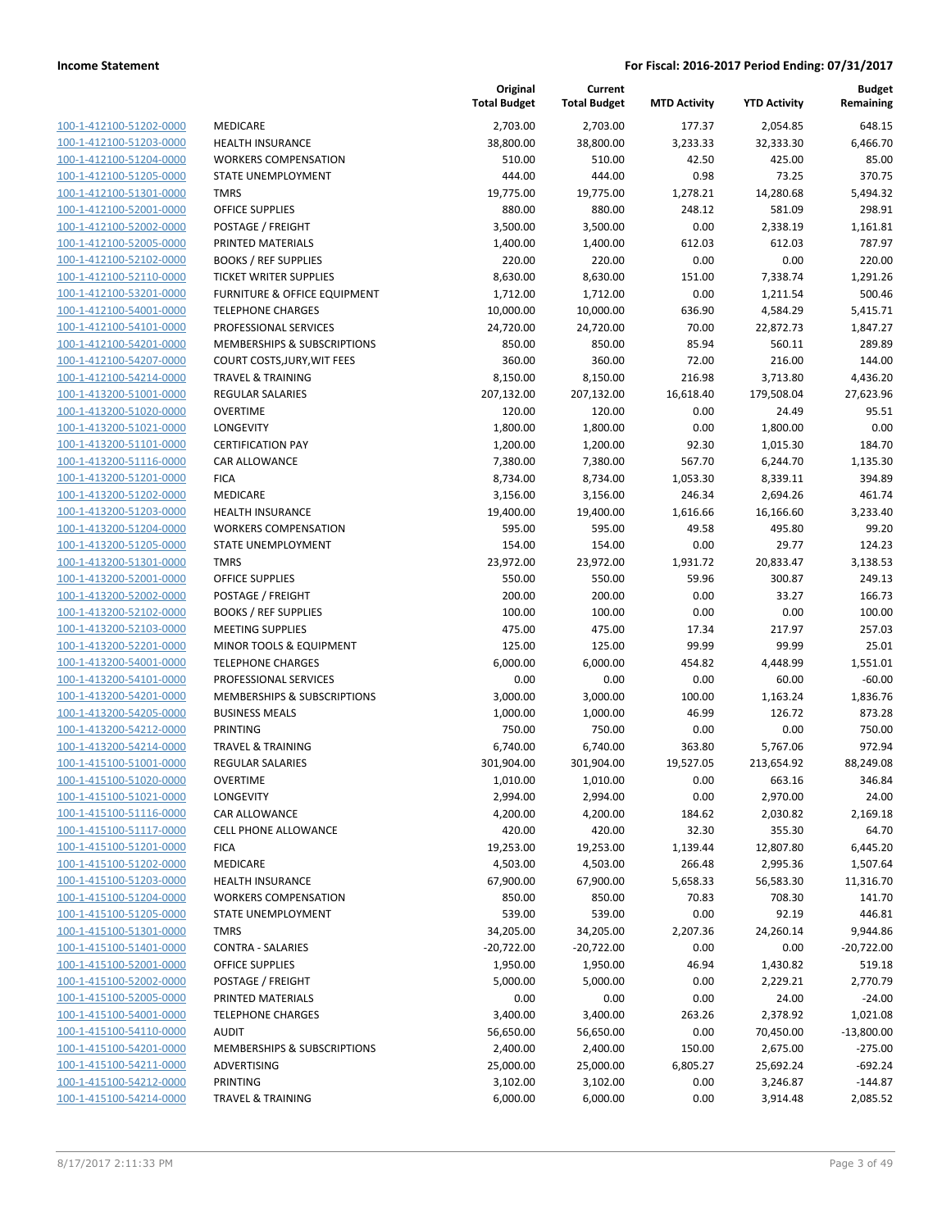| 100-1-412100-51202-0000        | MEDICARE                   |
|--------------------------------|----------------------------|
| 100-1-412100-51203-0000        | <b>HEALTH INSUR/</b>       |
| <u>100-1-412100-51204-0000</u> | <b>WORKERS CON</b>         |
| 100-1-412100-51205-0000        | <b>STATE UNEMPL</b>        |
| 100-1-412100-51301-0000        | <b>TMRS</b>                |
| 100-1-412100-52001-0000        | <b>OFFICE SUPPLIE</b>      |
| 100-1-412100-52002-0000        | POSTAGE / FRE              |
| <u>100-1-412100-52005-0000</u> | PRINTED MATE               |
| 100-1-412100-52102-0000        | <b>BOOKS / REF SL</b>      |
| 100-1-412100-52110-0000        | TICKET WRITER              |
| 100-1-412100-53201-0000        | <b>FURNITURE &amp; C</b>   |
| 100-1-412100-54001-0000        | <b>TELEPHONE CH</b>        |
| 100-1-412100-54101-0000        | PROFESSIONAL               |
| 100-1-412100-54201-0000        | <b>MEMBERSHIPS</b>         |
| 100-1-412100-54207-0000        | COURT COSTS, J             |
| 100-1-412100-54214-0000        | TRAVEL & TRAII             |
| 100-1-413200-51001-0000        | <b>REGULAR SALA</b>        |
|                                | <b>OVERTIME</b>            |
| 100-1-413200-51020-0000        |                            |
| 100-1-413200-51021-0000        | LONGEVITY                  |
| 100-1-413200-51101-0000        | <b>CERTIFICATION</b>       |
| 100-1-413200-51116-0000        | CAR ALLOWAN                |
| 100-1-413200-51201-0000        | <b>FICA</b>                |
| <u>100-1-413200-51202-0000</u> | MEDICARE                   |
| 100-1-413200-51203-0000        | <b>HEALTH INSUR/</b>       |
| 100-1-413200-51204-0000        | <b>WORKERS COM</b>         |
| 100-1-413200-51205-0000        | <b>STATE UNEMPL</b>        |
| 100-1-413200-51301-0000        | TMRS                       |
| <u>100-1-413200-52001-0000</u> | <b>OFFICE SUPPLIE</b>      |
| 100-1-413200-52002-0000        | POSTAGE / FRE              |
| 100-1-413200-52102-0000        | <b>BOOKS / REF SL</b>      |
| 100-1-413200-52103-0000        | <b>MEETING SUPP</b>        |
| 100-1-413200-52201-0000        | <b>MINOR TOOLS</b>         |
| <u>100-1-413200-54001-0000</u> | <b>TELEPHONE CH</b>        |
| 100-1-413200-54101-0000        | PROFESSIONAL               |
| 100-1-413200-54201-0000        | <b>MEMBERSHIPS</b>         |
| 100-1-413200-54205-0000        | <b>BUSINESS MEA</b>        |
| 100-1-413200-54212-0000        | PRINTING                   |
| <u>100-1-413200-54214-0000</u> | <b>TRAVEL &amp; TRAI</b> I |
| 100-1-415100-51001-0000        | <b>REGULAR SALA</b>        |
| 100-1-415100-51020-0000        | OVERTIME                   |
| 100-1-415100-51021-0000        | LONGEVITY                  |
| 100-1-415100-51116-0000        | CAR ALLOWAN                |
| 100-1-415100-51117-0000        | <b>CELL PHONE AL</b>       |
| 100-1-415100-51201-0000        | <b>FICA</b>                |
| 100-1-415100-51202-0000        | MEDICARE                   |
| 100-1-415100-51203-0000        | <b>HEALTH INSURA</b>       |
| 100-1-415100-51204-0000        | <b>WORKERS CON</b>         |
| 100-1-415100-51205-0000        | <b>STATE UNEMPL</b>        |
| 100-1-415100-51301-0000        | TMRS                       |
| 100-1-415100-51401-0000        | CONTRA - SALA              |
| 100-1-415100-52001-0000        | <b>OFFICE SUPPLIE</b>      |
| 100-1-415100-52002-0000        | POSTAGE / FRE              |
| 100-1-415100-52005-0000        | PRINTED MATE               |
| 100-1-415100-54001-0000        | <b>TELEPHONE CH</b>        |
| 100-1-415100-54110-0000        | <b>AUDIT</b>               |
| 100-1-415100-54201-0000        | <b>MEMBERSHIPS</b>         |
| 100-1-415100-54211-0000        | ADVERTISING                |
| 100-1-415100-54212-0000        | PRINTING                   |
| 100-1-415100-54214-0000        | <b>TRAVEL &amp; TRAI</b>   |
|                                |                            |

|                         |                                         | Original<br><b>Total Budget</b> | Current<br><b>Total Budget</b> | <b>MTD Activity</b> | <b>YTD Activity</b> | <b>Budget</b><br>Remaining |
|-------------------------|-----------------------------------------|---------------------------------|--------------------------------|---------------------|---------------------|----------------------------|
| 100-1-412100-51202-0000 | MEDICARE                                | 2,703.00                        | 2,703.00                       | 177.37              | 2,054.85            | 648.15                     |
| 100-1-412100-51203-0000 | <b>HEALTH INSURANCE</b>                 | 38,800.00                       | 38,800.00                      | 3,233.33            | 32,333.30           | 6,466.70                   |
| 100-1-412100-51204-0000 | <b>WORKERS COMPENSATION</b>             | 510.00                          | 510.00                         | 42.50               | 425.00              | 85.00                      |
| 100-1-412100-51205-0000 | STATE UNEMPLOYMENT                      | 444.00                          | 444.00                         | 0.98                | 73.25               | 370.75                     |
| 100-1-412100-51301-0000 | <b>TMRS</b>                             | 19,775.00                       | 19,775.00                      | 1,278.21            | 14,280.68           | 5,494.32                   |
| 100-1-412100-52001-0000 | <b>OFFICE SUPPLIES</b>                  | 880.00                          | 880.00                         | 248.12              | 581.09              | 298.91                     |
| 100-1-412100-52002-0000 | POSTAGE / FREIGHT                       | 3,500.00                        | 3,500.00                       | 0.00                | 2,338.19            | 1,161.81                   |
| 100-1-412100-52005-0000 | PRINTED MATERIALS                       | 1,400.00                        | 1,400.00                       | 612.03              | 612.03              | 787.97                     |
| 100-1-412100-52102-0000 | <b>BOOKS / REF SUPPLIES</b>             | 220.00                          | 220.00                         | 0.00                | 0.00                | 220.00                     |
| 100-1-412100-52110-0000 | <b>TICKET WRITER SUPPLIES</b>           | 8,630.00                        | 8,630.00                       | 151.00              | 7,338.74            | 1,291.26                   |
| 100-1-412100-53201-0000 | <b>FURNITURE &amp; OFFICE EQUIPMENT</b> | 1,712.00                        | 1,712.00                       | 0.00                | 1,211.54            | 500.46                     |
| 100-1-412100-54001-0000 | <b>TELEPHONE CHARGES</b>                | 10,000.00                       | 10,000.00                      | 636.90              | 4,584.29            | 5,415.71                   |
| 100-1-412100-54101-0000 | PROFESSIONAL SERVICES                   | 24,720.00                       | 24,720.00                      | 70.00               | 22,872.73           | 1,847.27                   |
| 100-1-412100-54201-0000 | MEMBERSHIPS & SUBSCRIPTIONS             | 850.00                          | 850.00                         | 85.94               | 560.11              | 289.89                     |
| 100-1-412100-54207-0000 | COURT COSTS, JURY, WIT FEES             | 360.00                          | 360.00                         | 72.00               | 216.00              | 144.00                     |
| 100-1-412100-54214-0000 | <b>TRAVEL &amp; TRAINING</b>            | 8,150.00                        | 8,150.00                       | 216.98              | 3,713.80            | 4,436.20                   |
| 100-1-413200-51001-0000 | <b>REGULAR SALARIES</b>                 | 207,132.00                      | 207,132.00                     | 16,618.40           | 179,508.04          | 27,623.96                  |
| 100-1-413200-51020-0000 | <b>OVERTIME</b>                         | 120.00                          | 120.00                         | 0.00                | 24.49               | 95.51                      |
| 100-1-413200-51021-0000 | <b>LONGEVITY</b>                        | 1,800.00                        | 1,800.00                       | 0.00                | 1,800.00            | 0.00                       |
| 100-1-413200-51101-0000 | <b>CERTIFICATION PAY</b>                | 1,200.00                        | 1,200.00                       | 92.30               | 1,015.30            | 184.70                     |
| 100-1-413200-51116-0000 | CAR ALLOWANCE                           | 7,380.00                        | 7,380.00                       | 567.70              | 6,244.70            | 1,135.30                   |
| 100-1-413200-51201-0000 | <b>FICA</b>                             | 8,734.00                        | 8,734.00                       | 1,053.30            | 8,339.11            | 394.89                     |
| 100-1-413200-51202-0000 | MEDICARE                                | 3,156.00                        | 3,156.00                       | 246.34              | 2,694.26            | 461.74                     |
| 100-1-413200-51203-0000 | <b>HEALTH INSURANCE</b>                 | 19,400.00                       | 19,400.00                      | 1,616.66            | 16,166.60           | 3,233.40                   |
| 100-1-413200-51204-0000 | <b>WORKERS COMPENSATION</b>             | 595.00                          | 595.00                         | 49.58               | 495.80              | 99.20                      |
| 100-1-413200-51205-0000 | STATE UNEMPLOYMENT                      | 154.00                          | 154.00                         | 0.00                | 29.77               | 124.23                     |
| 100-1-413200-51301-0000 | <b>TMRS</b>                             | 23,972.00                       | 23,972.00                      | 1,931.72            | 20,833.47           | 3,138.53                   |
| 100-1-413200-52001-0000 | <b>OFFICE SUPPLIES</b>                  | 550.00                          | 550.00                         | 59.96               | 300.87              | 249.13                     |
| 100-1-413200-52002-0000 | POSTAGE / FREIGHT                       | 200.00                          | 200.00                         | 0.00                | 33.27               | 166.73                     |
| 100-1-413200-52102-0000 | <b>BOOKS / REF SUPPLIES</b>             | 100.00                          | 100.00                         | 0.00                | 0.00                | 100.00                     |
| 100-1-413200-52103-0000 | <b>MEETING SUPPLIES</b>                 | 475.00                          | 475.00                         | 17.34               | 217.97              | 257.03                     |
| 100-1-413200-52201-0000 | MINOR TOOLS & EQUIPMENT                 | 125.00                          | 125.00                         | 99.99               | 99.99               | 25.01                      |
| 100-1-413200-54001-0000 | <b>TELEPHONE CHARGES</b>                | 6,000.00                        | 6,000.00                       | 454.82              | 4,448.99            | 1,551.01                   |
| 100-1-413200-54101-0000 | PROFESSIONAL SERVICES                   | 0.00                            | 0.00                           | 0.00                | 60.00               | $-60.00$                   |
| 100-1-413200-54201-0000 | MEMBERSHIPS & SUBSCRIPTIONS             | 3,000.00                        | 3,000.00                       | 100.00              | 1,163.24            | 1,836.76                   |
| 100-1-413200-54205-0000 | <b>BUSINESS MEALS</b>                   | 1,000.00                        | 1,000.00                       | 46.99               | 126.72              | 873.28                     |
| 100-1-413200-54212-0000 | PRINTING                                | 750.00                          | 750.00                         | 0.00                | 0.00                | 750.00                     |
| 100-1-413200-54214-0000 | <b>TRAVEL &amp; TRAINING</b>            | 6,740.00                        | 6,740.00                       | 363.80              | 5,767.06            | 972.94                     |
| 100-1-415100-51001-0000 | <b>REGULAR SALARIES</b>                 | 301,904.00                      | 301,904.00                     | 19,527.05           | 213,654.92          | 88,249.08                  |
| 100-1-415100-51020-0000 | <b>OVERTIME</b>                         | 1,010.00                        | 1,010.00                       | 0.00                | 663.16              | 346.84                     |
| 100-1-415100-51021-0000 | LONGEVITY                               | 2,994.00                        | 2,994.00                       | 0.00                | 2,970.00            | 24.00                      |
| 100-1-415100-51116-0000 | CAR ALLOWANCE                           | 4,200.00                        | 4,200.00                       | 184.62              | 2,030.82            | 2,169.18                   |
| 100-1-415100-51117-0000 | CELL PHONE ALLOWANCE                    | 420.00                          | 420.00                         | 32.30               | 355.30              | 64.70                      |
| 100-1-415100-51201-0000 | <b>FICA</b>                             | 19,253.00                       | 19,253.00                      | 1,139.44            | 12,807.80           | 6,445.20                   |
| 100-1-415100-51202-0000 | MEDICARE                                | 4,503.00                        | 4,503.00                       | 266.48              | 2,995.36            | 1,507.64                   |
| 100-1-415100-51203-0000 | <b>HEALTH INSURANCE</b>                 | 67,900.00                       | 67,900.00                      | 5,658.33            | 56,583.30           | 11,316.70                  |
| 100-1-415100-51204-0000 | <b>WORKERS COMPENSATION</b>             | 850.00                          | 850.00                         | 70.83               | 708.30              | 141.70                     |
| 100-1-415100-51205-0000 | STATE UNEMPLOYMENT                      | 539.00                          | 539.00                         | 0.00                | 92.19               | 446.81                     |
| 100-1-415100-51301-0000 | <b>TMRS</b>                             | 34,205.00                       | 34,205.00                      | 2,207.36            | 24,260.14           | 9,944.86                   |
| 100-1-415100-51401-0000 | <b>CONTRA - SALARIES</b>                | $-20,722.00$                    | $-20,722.00$                   | 0.00                | 0.00                | $-20,722.00$               |
| 100-1-415100-52001-0000 | <b>OFFICE SUPPLIES</b>                  | 1,950.00                        | 1,950.00                       | 46.94               | 1,430.82            | 519.18                     |
| 100-1-415100-52002-0000 | POSTAGE / FREIGHT                       | 5,000.00                        | 5,000.00                       | 0.00                | 2,229.21            | 2,770.79                   |
| 100-1-415100-52005-0000 | PRINTED MATERIALS                       | 0.00                            | 0.00                           | 0.00                | 24.00               | $-24.00$                   |
| 100-1-415100-54001-0000 | <b>TELEPHONE CHARGES</b>                | 3,400.00                        | 3,400.00                       | 263.26              | 2,378.92            | 1,021.08                   |
| 100-1-415100-54110-0000 | <b>AUDIT</b>                            | 56,650.00                       | 56,650.00                      | 0.00                | 70,450.00           | $-13,800.00$               |
| 100-1-415100-54201-0000 | MEMBERSHIPS & SUBSCRIPTIONS             | 2,400.00                        | 2,400.00                       | 150.00              | 2,675.00            | $-275.00$                  |
| 100-1-415100-54211-0000 | ADVERTISING                             | 25,000.00                       | 25,000.00                      | 6,805.27            | 25,692.24           | $-692.24$                  |
| 100-1-415100-54212-0000 | PRINTING                                | 3,102.00                        | 3,102.00                       | 0.00                | 3,246.87            | $-144.87$                  |
| 100-1-415100-54214-0000 | <b>TRAVEL &amp; TRAINING</b>            | 6,000.00                        | 6,000.00                       | 0.00                | 3,914.48            | 2,085.52                   |
|                         |                                         |                                 |                                |                     |                     |                            |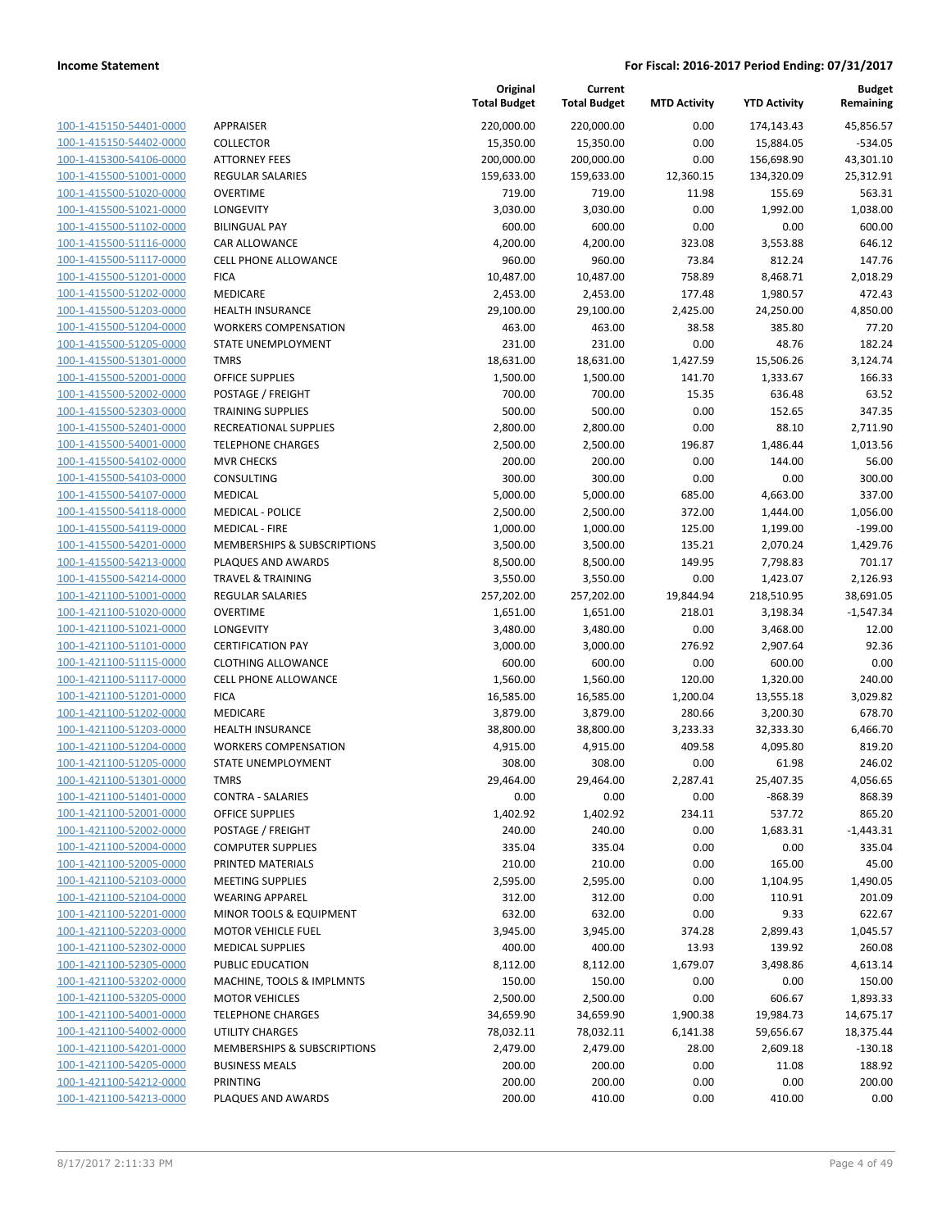| 100-1-415150-54401-0000        |
|--------------------------------|
| 100-1-415150-54402-0000        |
| 100-1-415300-54106-0000        |
| 100-1-415500-51001-0000        |
| 100-1-415500-51020-0000        |
| 100-1-415500-51021-0000        |
| 100-1-415500-51102-0000        |
| 100-1-415500-51116-0000        |
| 100-1-415500-51117-0000        |
| 100-1-415500-51201-0000        |
| 100-1-415500-51202-0000        |
| 100-1-415500-51203-0000        |
| <u>100-1-415500-51204-0000</u> |
| 100-1-415500-51205-0000        |
|                                |
| 100-1-415500-51301-0000        |
| 100-1-415500-52001-0000        |
| 100-1-415500-52002-0000        |
| 100-1-415500-52303-0000        |
| 100-1-415500-52401-0000        |
| 100-1-415500-54001-0000        |
| 100-1-415500-54102-0000        |
| 100-1-415500-54103-0000        |
| 100-1-415500-54107-0000        |
| 100-1-415500-54118-0000        |
| 100-1-415500-54119-0000        |
| 100-1-415500-54201-0000        |
| 100-1-415500-54213-0000        |
| 100-1-415500-54214-0000        |
| 100-1-421100-51001-0000        |
| 100-1-421100-51020-0000        |
| 100-1-421100-51021-0000        |
| 100-1-421100-51101-0000        |
| <u>100-1-421100-51115-0000</u> |
| 100-1-421100-51117-0000        |
| 100-1-421100-51201-0000        |
| 100-1-421100-51202-0000        |
| 100-1-421100-51203-0000        |
| 100-1-421100-51204-0000        |
| 100-1-421100-51205-0000        |
| 100-1-421100-51301-0000        |
|                                |
| 100-1-421100-51401-0000        |
| 100-1-421100-52001-0000        |
|                                |
| <u>100-1-421100-52002-0000</u> |
| 100-1-421100-52004-0000        |
| 100-1-421100-52005-0000        |
| 100-1-421100-52103-0000        |
| 100-1-421100-52104-0000        |
| <u>100-1-421100-52201-0000</u> |
| 100-1-421100-52203-0000        |
| 100-1-421100-52302-0000        |
| 100-1-421100-52305-0000        |
| 100-1-421100-53202-0000        |
| 100-1-421100-53205-0000        |
| 100-1-421100-54001-0000        |
| 100-1-421100-54002-0000        |
| 100-1-421100-54201-0000        |
| 100-1-421100-54205-0000        |
| <u>100-1-421100-54212-0000</u> |
| 100-1-421100-54213-0000        |

|                         |                                    | Original<br><b>Total Budget</b> | Current<br><b>Total Budget</b> | <b>MTD Activity</b> | <b>YTD Activity</b> | <b>Budget</b><br>Remaining |
|-------------------------|------------------------------------|---------------------------------|--------------------------------|---------------------|---------------------|----------------------------|
| 100-1-415150-54401-0000 | APPRAISER                          | 220,000.00                      | 220,000.00                     | 0.00                | 174,143.43          | 45,856.57                  |
| 100-1-415150-54402-0000 | <b>COLLECTOR</b>                   | 15,350.00                       | 15,350.00                      | 0.00                | 15,884.05           | $-534.05$                  |
| 100-1-415300-54106-0000 | <b>ATTORNEY FEES</b>               | 200,000.00                      | 200,000.00                     | 0.00                | 156,698.90          | 43,301.10                  |
| 100-1-415500-51001-0000 | <b>REGULAR SALARIES</b>            | 159,633.00                      | 159,633.00                     | 12,360.15           | 134,320.09          | 25,312.91                  |
| 100-1-415500-51020-0000 | <b>OVERTIME</b>                    | 719.00                          | 719.00                         | 11.98               | 155.69              | 563.31                     |
| 100-1-415500-51021-0000 | LONGEVITY                          | 3,030.00                        | 3,030.00                       | 0.00                | 1,992.00            | 1,038.00                   |
| 100-1-415500-51102-0000 | <b>BILINGUAL PAY</b>               | 600.00                          | 600.00                         | 0.00                | 0.00                | 600.00                     |
| 100-1-415500-51116-0000 | CAR ALLOWANCE                      | 4,200.00                        | 4,200.00                       | 323.08              | 3,553.88            | 646.12                     |
| 100-1-415500-51117-0000 | <b>CELL PHONE ALLOWANCE</b>        | 960.00                          | 960.00                         | 73.84               | 812.24              | 147.76                     |
| 100-1-415500-51201-0000 | <b>FICA</b>                        | 10,487.00                       | 10,487.00                      | 758.89              | 8,468.71            | 2,018.29                   |
| 100-1-415500-51202-0000 | MEDICARE                           | 2,453.00                        | 2,453.00                       | 177.48              | 1,980.57            | 472.43                     |
| 100-1-415500-51203-0000 | <b>HEALTH INSURANCE</b>            | 29,100.00                       | 29,100.00                      | 2,425.00            | 24,250.00           | 4,850.00                   |
| 100-1-415500-51204-0000 | <b>WORKERS COMPENSATION</b>        | 463.00                          | 463.00                         | 38.58               | 385.80              | 77.20                      |
| 100-1-415500-51205-0000 | <b>STATE UNEMPLOYMENT</b>          | 231.00                          | 231.00                         | 0.00                | 48.76               | 182.24                     |
| 100-1-415500-51301-0000 | <b>TMRS</b>                        | 18,631.00                       | 18,631.00                      | 1,427.59            | 15,506.26           | 3,124.74                   |
| 100-1-415500-52001-0000 | <b>OFFICE SUPPLIES</b>             | 1,500.00                        | 1,500.00                       | 141.70              | 1,333.67            | 166.33                     |
| 100-1-415500-52002-0000 | POSTAGE / FREIGHT                  | 700.00                          | 700.00                         | 15.35               | 636.48              | 63.52                      |
| 100-1-415500-52303-0000 | <b>TRAINING SUPPLIES</b>           | 500.00                          | 500.00                         | 0.00                | 152.65              | 347.35                     |
| 100-1-415500-52401-0000 | <b>RECREATIONAL SUPPLIES</b>       | 2,800.00                        | 2,800.00                       | 0.00                | 88.10               | 2,711.90                   |
| 100-1-415500-54001-0000 | <b>TELEPHONE CHARGES</b>           | 2,500.00                        | 2,500.00                       | 196.87              | 1,486.44            | 1,013.56                   |
| 100-1-415500-54102-0000 | <b>MVR CHECKS</b>                  | 200.00                          | 200.00                         | 0.00                | 144.00              | 56.00                      |
| 100-1-415500-54103-0000 | CONSULTING                         | 300.00                          | 300.00                         | 0.00                | 0.00                | 300.00                     |
| 100-1-415500-54107-0000 | <b>MEDICAL</b>                     | 5,000.00                        | 5,000.00                       | 685.00              | 4,663.00            | 337.00                     |
| 100-1-415500-54118-0000 | <b>MEDICAL - POLICE</b>            | 2,500.00                        | 2,500.00                       | 372.00              | 1,444.00            | 1,056.00                   |
| 100-1-415500-54119-0000 | <b>MEDICAL - FIRE</b>              | 1,000.00                        | 1,000.00                       | 125.00              | 1,199.00            | $-199.00$                  |
| 100-1-415500-54201-0000 | MEMBERSHIPS & SUBSCRIPTIONS        | 3,500.00                        | 3,500.00                       | 135.21              | 2,070.24            | 1,429.76                   |
| 100-1-415500-54213-0000 | PLAQUES AND AWARDS                 | 8,500.00                        | 8,500.00                       | 149.95              | 7,798.83            | 701.17                     |
| 100-1-415500-54214-0000 | <b>TRAVEL &amp; TRAINING</b>       | 3,550.00                        | 3,550.00                       | 0.00                | 1,423.07            | 2,126.93                   |
| 100-1-421100-51001-0000 | <b>REGULAR SALARIES</b>            | 257,202.00                      | 257,202.00                     | 19,844.94           | 218,510.95          | 38,691.05                  |
| 100-1-421100-51020-0000 | <b>OVERTIME</b>                    | 1,651.00                        | 1,651.00                       | 218.01              | 3,198.34            | $-1,547.34$                |
| 100-1-421100-51021-0000 | LONGEVITY                          | 3,480.00                        | 3,480.00                       | 0.00                | 3,468.00            | 12.00                      |
| 100-1-421100-51101-0000 | <b>CERTIFICATION PAY</b>           | 3,000.00                        | 3,000.00                       | 276.92              | 2,907.64            | 92.36                      |
| 100-1-421100-51115-0000 | <b>CLOTHING ALLOWANCE</b>          | 600.00                          | 600.00                         | 0.00                | 600.00              | 0.00                       |
| 100-1-421100-51117-0000 | <b>CELL PHONE ALLOWANCE</b>        | 1,560.00                        | 1,560.00                       | 120.00              | 1,320.00            | 240.00                     |
| 100-1-421100-51201-0000 | <b>FICA</b>                        | 16,585.00                       | 16,585.00                      | 1,200.04            | 13,555.18           | 3,029.82                   |
| 100-1-421100-51202-0000 | MEDICARE                           | 3,879.00                        | 3,879.00                       | 280.66              | 3,200.30            | 678.70                     |
| 100-1-421100-51203-0000 | <b>HEALTH INSURANCE</b>            | 38,800.00                       | 38,800.00                      | 3,233.33            | 32,333.30           | 6,466.70                   |
| 100-1-421100-51204-0000 | <b>WORKERS COMPENSATION</b>        | 4,915.00                        | 4,915.00                       | 409.58              | 4,095.80            | 819.20                     |
| 100-1-421100-51205-0000 | STATE UNEMPLOYMENT                 | 308.00                          | 308.00                         | 0.00                | 61.98               | 246.02                     |
| 100-1-421100-51301-0000 | TMRS                               | 29,464.00                       | 29,464.00                      | 2,287.41            | 25,407.35           | 4,056.65                   |
| 100-1-421100-51401-0000 | CONTRA - SALARIES                  | 0.00                            | 0.00                           | 0.00                | -868.39             | 868.39                     |
| 100-1-421100-52001-0000 | OFFICE SUPPLIES                    | 1,402.92                        | 1,402.92                       | 234.11              | 537.72              | 865.20                     |
| 100-1-421100-52002-0000 | POSTAGE / FREIGHT                  | 240.00                          | 240.00                         | 0.00                | 1,683.31            | $-1,443.31$                |
| 100-1-421100-52004-0000 | <b>COMPUTER SUPPLIES</b>           | 335.04                          | 335.04                         | 0.00                | 0.00                | 335.04                     |
| 100-1-421100-52005-0000 | PRINTED MATERIALS                  | 210.00                          | 210.00                         | 0.00                | 165.00              | 45.00                      |
| 100-1-421100-52103-0000 | <b>MEETING SUPPLIES</b>            | 2,595.00                        | 2,595.00                       | 0.00                | 1,104.95            | 1,490.05                   |
| 100-1-421100-52104-0000 | <b>WEARING APPAREL</b>             | 312.00                          | 312.00                         | 0.00                | 110.91              | 201.09                     |
| 100-1-421100-52201-0000 | <b>MINOR TOOLS &amp; EQUIPMENT</b> | 632.00                          | 632.00                         | 0.00                | 9.33                | 622.67                     |
| 100-1-421100-52203-0000 | <b>MOTOR VEHICLE FUEL</b>          | 3,945.00                        | 3,945.00                       | 374.28              | 2,899.43            | 1,045.57                   |
| 100-1-421100-52302-0000 | <b>MEDICAL SUPPLIES</b>            | 400.00                          | 400.00                         | 13.93               | 139.92              | 260.08                     |
| 100-1-421100-52305-0000 | PUBLIC EDUCATION                   | 8,112.00                        | 8,112.00                       | 1,679.07            | 3,498.86            | 4,613.14                   |
| 100-1-421100-53202-0000 | MACHINE, TOOLS & IMPLMNTS          | 150.00                          | 150.00                         | 0.00                | 0.00                | 150.00                     |
| 100-1-421100-53205-0000 | <b>MOTOR VEHICLES</b>              | 2,500.00                        | 2,500.00                       | 0.00                | 606.67              | 1,893.33                   |
| 100-1-421100-54001-0000 | <b>TELEPHONE CHARGES</b>           | 34,659.90                       | 34,659.90                      | 1,900.38            | 19,984.73           | 14,675.17                  |
| 100-1-421100-54002-0000 | UTILITY CHARGES                    | 78,032.11                       | 78,032.11                      | 6,141.38            | 59,656.67           | 18,375.44                  |
| 100-1-421100-54201-0000 | MEMBERSHIPS & SUBSCRIPTIONS        | 2,479.00                        | 2,479.00                       | 28.00               | 2,609.18            | $-130.18$                  |
| 100-1-421100-54205-0000 | <b>BUSINESS MEALS</b>              | 200.00                          | 200.00                         | 0.00                | 11.08               | 188.92                     |
| 100-1-421100-54212-0000 | PRINTING                           | 200.00                          | 200.00                         | 0.00                | 0.00                | 200.00                     |
| 100-1-421100-54213-0000 | PLAQUES AND AWARDS                 | 200.00                          | 410.00                         | 0.00                | 410.00              | 0.00                       |
|                         |                                    |                                 |                                |                     |                     |                            |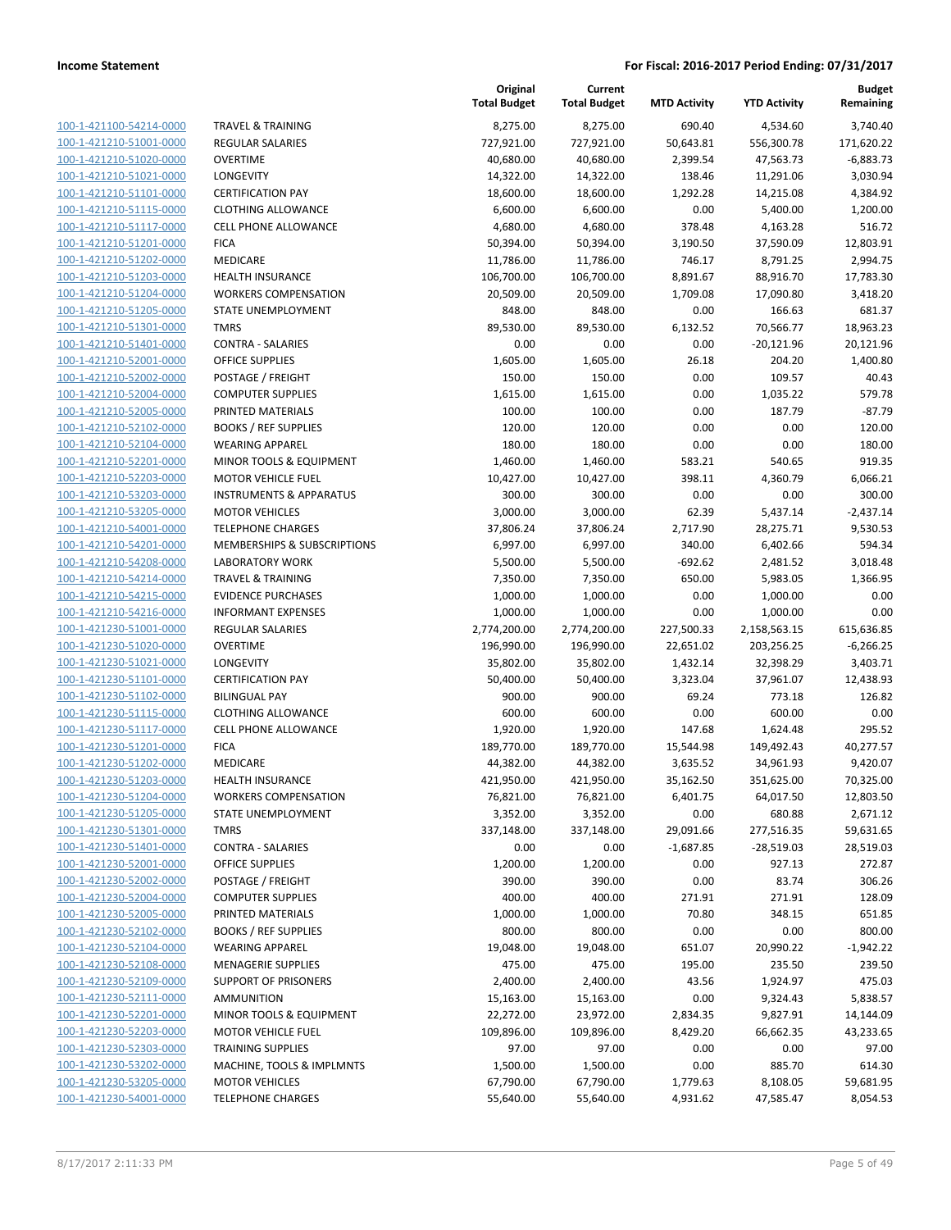| 100-1-421100-54214-0000                                   |
|-----------------------------------------------------------|
| 100-1-421210-51001-0000                                   |
| 100-1-421210-51020-0000                                   |
| 100-1-421210-51021-0000                                   |
| 100-1-421210-51101-0000                                   |
| 100-1-421210-51115-0000                                   |
| 100-1-421210-51117-0000                                   |
| 100-1-421210-51201-0000                                   |
| <u>100-1-421210-51202-0000</u>                            |
| 100-1-421210-51203-0000                                   |
| -421210-51204-0000<br>$100 - 1$                           |
| 100-1-421210-51205-0000                                   |
| 100-1-421210-51301-0000                                   |
| <u>100-1-421210-51401-0000</u>                            |
| 100-1-421210-52001-0000                                   |
| -421210-52002-0000<br>$100 - 1$                           |
| 100-1-421210-52004-0000                                   |
| 100-1-421210-52005-0000                                   |
| 100-1-421210-52102-0000                                   |
| 100-1-421210-52104-0000                                   |
| -421210-52201-0000<br>$100 - 1$                           |
| 100-1-421210-52203-0000                                   |
| 100-1-421210-53203-0000                                   |
|                                                           |
| <u>100-1-421210-53205-0000</u><br>100-1-421210-54001-0000 |
| $100 - 1$                                                 |
| -421210-54201-0000                                        |
| 100-1-421210-54208-0000                                   |
| 100-1-421210-54214-0000                                   |
| 100-1-421210-54215-0000                                   |
| 100-1-421210-54216-0000                                   |
| -421230-51001-0000<br>$100 - 1$                           |
| 100-1-421230-51020-0000                                   |
| 100-1-421230-51021-0000                                   |
| <u>100-1-421230-51101-0000</u>                            |
| 100-1-421230-51102-0000                                   |
| 100-1-421230-51115-0000                                   |
| 100-1-421230-51117-0000                                   |
| 100-1-421230-51201-0000                                   |
| 100-1-421230-51202-0000                                   |
| 100-1-421230-51203-0000                                   |
| 100-1-421230-51204-0000                                   |
| 100-1-421230-51205-0000                                   |
| 100-1-421230-51301-0000                                   |
| <u>100-1-421230-51401-0000</u>                            |
| <u>100-1-421230-52001-0000</u>                            |
| 100-1-421230-52002-0000                                   |
| 100-1-421230-52004-0000                                   |
| 100-1-421230-52005-0000                                   |
| <u>100-1-421230-52102-0000</u>                            |
| 100-1-421230-52104-0000                                   |
| 100-1-421230-52108-0000                                   |
| 100-1-421230-52109-0000                                   |
| 100-1-421230-52111-0000                                   |
| <u>100-1-421230-52201-0000</u>                            |
| <u>100-1-421230-52203-0000</u>                            |
| 100-1-421230-52303-0000                                   |
| 100-1-421230-53202-0000                                   |
| 100-1-421230-53205-0000                                   |
| <u>100-1-421230-54001-0000</u>                            |
|                                                           |

|                                                    |                                                        | Original<br><b>Total Budget</b> | Current<br><b>Total Budget</b> | <b>MTD Activity</b> | <b>YTD Activity</b>  | <b>Budget</b><br>Remaining |
|----------------------------------------------------|--------------------------------------------------------|---------------------------------|--------------------------------|---------------------|----------------------|----------------------------|
| 100-1-421100-54214-0000                            | <b>TRAVEL &amp; TRAINING</b>                           | 8,275.00                        | 8,275.00                       | 690.40              | 4,534.60             | 3,740.40                   |
| 100-1-421210-51001-0000                            | <b>REGULAR SALARIES</b>                                | 727,921.00                      | 727,921.00                     | 50,643.81           | 556,300.78           | 171,620.22                 |
| 100-1-421210-51020-0000                            | <b>OVERTIME</b>                                        | 40,680.00                       | 40,680.00                      | 2,399.54            | 47,563.73            | $-6,883.73$                |
| 100-1-421210-51021-0000                            | <b>LONGEVITY</b>                                       | 14,322.00                       | 14,322.00                      | 138.46              | 11,291.06            | 3,030.94                   |
| 100-1-421210-51101-0000                            | <b>CERTIFICATION PAY</b>                               | 18,600.00                       | 18,600.00                      | 1,292.28            | 14,215.08            | 4,384.92                   |
| 100-1-421210-51115-0000                            | <b>CLOTHING ALLOWANCE</b>                              | 6,600.00                        | 6,600.00                       | 0.00                | 5,400.00             | 1,200.00                   |
| 100-1-421210-51117-0000                            | CELL PHONE ALLOWANCE                                   | 4,680.00                        | 4,680.00                       | 378.48              | 4,163.28             | 516.72                     |
| 100-1-421210-51201-0000                            | <b>FICA</b>                                            | 50,394.00                       | 50,394.00                      | 3,190.50            | 37,590.09            | 12,803.91                  |
| 100-1-421210-51202-0000                            | <b>MEDICARE</b>                                        | 11,786.00                       | 11,786.00                      | 746.17              | 8,791.25             | 2,994.75                   |
| 100-1-421210-51203-0000                            | <b>HEALTH INSURANCE</b>                                | 106,700.00                      | 106,700.00                     | 8,891.67            | 88,916.70            | 17,783.30                  |
| 100-1-421210-51204-0000                            | <b>WORKERS COMPENSATION</b>                            | 20,509.00                       | 20,509.00                      | 1,709.08            | 17,090.80            | 3,418.20                   |
| 100-1-421210-51205-0000                            | STATE UNEMPLOYMENT                                     | 848.00                          | 848.00                         | 0.00                | 166.63               | 681.37                     |
| 100-1-421210-51301-0000                            | <b>TMRS</b>                                            | 89,530.00                       | 89,530.00                      | 6,132.52            | 70,566.77            | 18,963.23                  |
| 100-1-421210-51401-0000                            | <b>CONTRA - SALARIES</b>                               | 0.00                            | 0.00                           | 0.00                | $-20,121.96$         | 20,121.96                  |
| 100-1-421210-52001-0000                            | <b>OFFICE SUPPLIES</b>                                 | 1,605.00                        | 1,605.00                       | 26.18               | 204.20               | 1,400.80                   |
| 100-1-421210-52002-0000                            | POSTAGE / FREIGHT                                      | 150.00                          | 150.00                         | 0.00                | 109.57               | 40.43                      |
| 100-1-421210-52004-0000                            | <b>COMPUTER SUPPLIES</b>                               | 1,615.00                        | 1,615.00                       | 0.00                | 1,035.22             | 579.78                     |
| 100-1-421210-52005-0000                            | PRINTED MATERIALS                                      | 100.00                          | 100.00                         | 0.00                | 187.79               | $-87.79$                   |
| 100-1-421210-52102-0000                            | <b>BOOKS / REF SUPPLIES</b>                            | 120.00                          | 120.00                         | 0.00                | 0.00                 | 120.00                     |
| 100-1-421210-52104-0000                            | <b>WEARING APPAREL</b>                                 | 180.00                          | 180.00                         | 0.00                | 0.00                 | 180.00                     |
| 100-1-421210-52201-0000                            | MINOR TOOLS & EQUIPMENT                                | 1,460.00                        | 1,460.00                       | 583.21              | 540.65               | 919.35                     |
| 100-1-421210-52203-0000                            | <b>MOTOR VEHICLE FUEL</b>                              | 10,427.00                       | 10,427.00                      | 398.11              | 4,360.79             | 6,066.21                   |
| 100-1-421210-53203-0000                            | <b>INSTRUMENTS &amp; APPARATUS</b>                     | 300.00                          | 300.00                         | 0.00                | 0.00                 | 300.00                     |
| 100-1-421210-53205-0000                            | <b>MOTOR VEHICLES</b>                                  | 3,000.00                        | 3,000.00                       | 62.39               | 5,437.14             | $-2,437.14$                |
| 100-1-421210-54001-0000                            | <b>TELEPHONE CHARGES</b>                               | 37,806.24                       | 37,806.24                      | 2,717.90            | 28,275.71            | 9,530.53                   |
| 100-1-421210-54201-0000                            | MEMBERSHIPS & SUBSCRIPTIONS                            | 6,997.00                        | 6,997.00                       | 340.00              | 6,402.66             | 594.34                     |
| 100-1-421210-54208-0000                            | <b>LABORATORY WORK</b>                                 | 5,500.00                        | 5,500.00                       | $-692.62$           | 2,481.52             | 3,018.48                   |
| 100-1-421210-54214-0000                            | <b>TRAVEL &amp; TRAINING</b>                           | 7,350.00                        | 7,350.00                       | 650.00              | 5,983.05             | 1,366.95                   |
| 100-1-421210-54215-0000<br>100-1-421210-54216-0000 | <b>EVIDENCE PURCHASES</b><br><b>INFORMANT EXPENSES</b> | 1,000.00<br>1,000.00            | 1,000.00                       | 0.00<br>0.00        | 1,000.00<br>1,000.00 | 0.00<br>0.00               |
| 100-1-421230-51001-0000                            | <b>REGULAR SALARIES</b>                                | 2,774,200.00                    | 1,000.00<br>2,774,200.00       | 227,500.33          | 2,158,563.15         | 615,636.85                 |
| 100-1-421230-51020-0000                            | <b>OVERTIME</b>                                        | 196,990.00                      | 196,990.00                     | 22,651.02           | 203,256.25           | $-6,266.25$                |
| 100-1-421230-51021-0000                            | LONGEVITY                                              | 35,802.00                       | 35,802.00                      | 1,432.14            | 32,398.29            | 3,403.71                   |
| 100-1-421230-51101-0000                            | <b>CERTIFICATION PAY</b>                               | 50,400.00                       | 50,400.00                      | 3,323.04            | 37,961.07            | 12,438.93                  |
| 100-1-421230-51102-0000                            | <b>BILINGUAL PAY</b>                                   | 900.00                          | 900.00                         | 69.24               | 773.18               | 126.82                     |
| 100-1-421230-51115-0000                            | <b>CLOTHING ALLOWANCE</b>                              | 600.00                          | 600.00                         | 0.00                | 600.00               | 0.00                       |
| 100-1-421230-51117-0000                            | CELL PHONE ALLOWANCE                                   | 1,920.00                        | 1,920.00                       | 147.68              | 1,624.48             | 295.52                     |
| 100-1-421230-51201-0000                            | <b>FICA</b>                                            | 189,770.00                      | 189,770.00                     | 15,544.98           | 149,492.43           | 40,277.57                  |
| 100-1-421230-51202-0000                            | MEDICARE                                               | 44,382.00                       | 44,382.00                      | 3,635.52            | 34,961.93            | 9,420.07                   |
| 100-1-421230-51203-0000                            | <b>HEALTH INSURANCE</b>                                | 421,950.00                      | 421,950.00                     | 35,162.50           | 351,625.00           | 70,325.00                  |
| 100-1-421230-51204-0000                            | <b>WORKERS COMPENSATION</b>                            | 76,821.00                       | 76,821.00                      | 6,401.75            | 64,017.50            | 12,803.50                  |
| 100-1-421230-51205-0000                            | STATE UNEMPLOYMENT                                     | 3,352.00                        | 3,352.00                       | 0.00                | 680.88               | 2,671.12                   |
| 100-1-421230-51301-0000                            | <b>TMRS</b>                                            | 337,148.00                      | 337,148.00                     | 29,091.66           | 277,516.35           | 59,631.65                  |
| 100-1-421230-51401-0000                            | <b>CONTRA - SALARIES</b>                               | 0.00                            | 0.00                           | $-1,687.85$         | $-28,519.03$         | 28,519.03                  |
| 100-1-421230-52001-0000                            | OFFICE SUPPLIES                                        | 1,200.00                        | 1,200.00                       | 0.00                | 927.13               | 272.87                     |
| 100-1-421230-52002-0000                            | POSTAGE / FREIGHT                                      | 390.00                          | 390.00                         | 0.00                | 83.74                | 306.26                     |
| 100-1-421230-52004-0000                            | <b>COMPUTER SUPPLIES</b>                               | 400.00                          | 400.00                         | 271.91              | 271.91               | 128.09                     |
| 100-1-421230-52005-0000                            | PRINTED MATERIALS                                      | 1,000.00                        | 1,000.00                       | 70.80               | 348.15               | 651.85                     |
| 100-1-421230-52102-0000                            | <b>BOOKS / REF SUPPLIES</b>                            | 800.00                          | 800.00                         | 0.00                | 0.00                 | 800.00                     |
| 100-1-421230-52104-0000                            | <b>WEARING APPAREL</b>                                 | 19,048.00                       | 19,048.00                      | 651.07              | 20,990.22            | $-1,942.22$                |
| 100-1-421230-52108-0000                            | <b>MENAGERIE SUPPLIES</b>                              | 475.00                          | 475.00                         | 195.00              | 235.50               | 239.50                     |
| 100-1-421230-52109-0000                            | SUPPORT OF PRISONERS                                   | 2,400.00                        | 2,400.00                       | 43.56               | 1,924.97             | 475.03                     |
| 100-1-421230-52111-0000                            | <b>AMMUNITION</b>                                      | 15,163.00                       | 15,163.00                      | 0.00                | 9,324.43             | 5,838.57                   |
| 100-1-421230-52201-0000                            | MINOR TOOLS & EQUIPMENT                                | 22,272.00                       | 23,972.00                      | 2,834.35            | 9,827.91             | 14,144.09                  |
| 100-1-421230-52203-0000                            | <b>MOTOR VEHICLE FUEL</b>                              | 109,896.00                      | 109,896.00                     | 8,429.20            | 66,662.35            | 43,233.65                  |
| 100-1-421230-52303-0000                            | <b>TRAINING SUPPLIES</b>                               | 97.00                           | 97.00                          | 0.00                | 0.00                 | 97.00                      |
| 100-1-421230-53202-0000                            | MACHINE, TOOLS & IMPLMNTS                              | 1,500.00                        | 1,500.00                       | 0.00                | 885.70               | 614.30                     |
| 100-1-421230-53205-0000                            | <b>MOTOR VEHICLES</b>                                  | 67,790.00                       | 67,790.00                      | 1,779.63            | 8,108.05             | 59,681.95                  |
| 100-1-421230-54001-0000                            | <b>TELEPHONE CHARGES</b>                               | 55,640.00                       | 55,640.00                      | 4,931.62            | 47,585.47            | 8,054.53                   |
|                                                    |                                                        |                                 |                                |                     |                      |                            |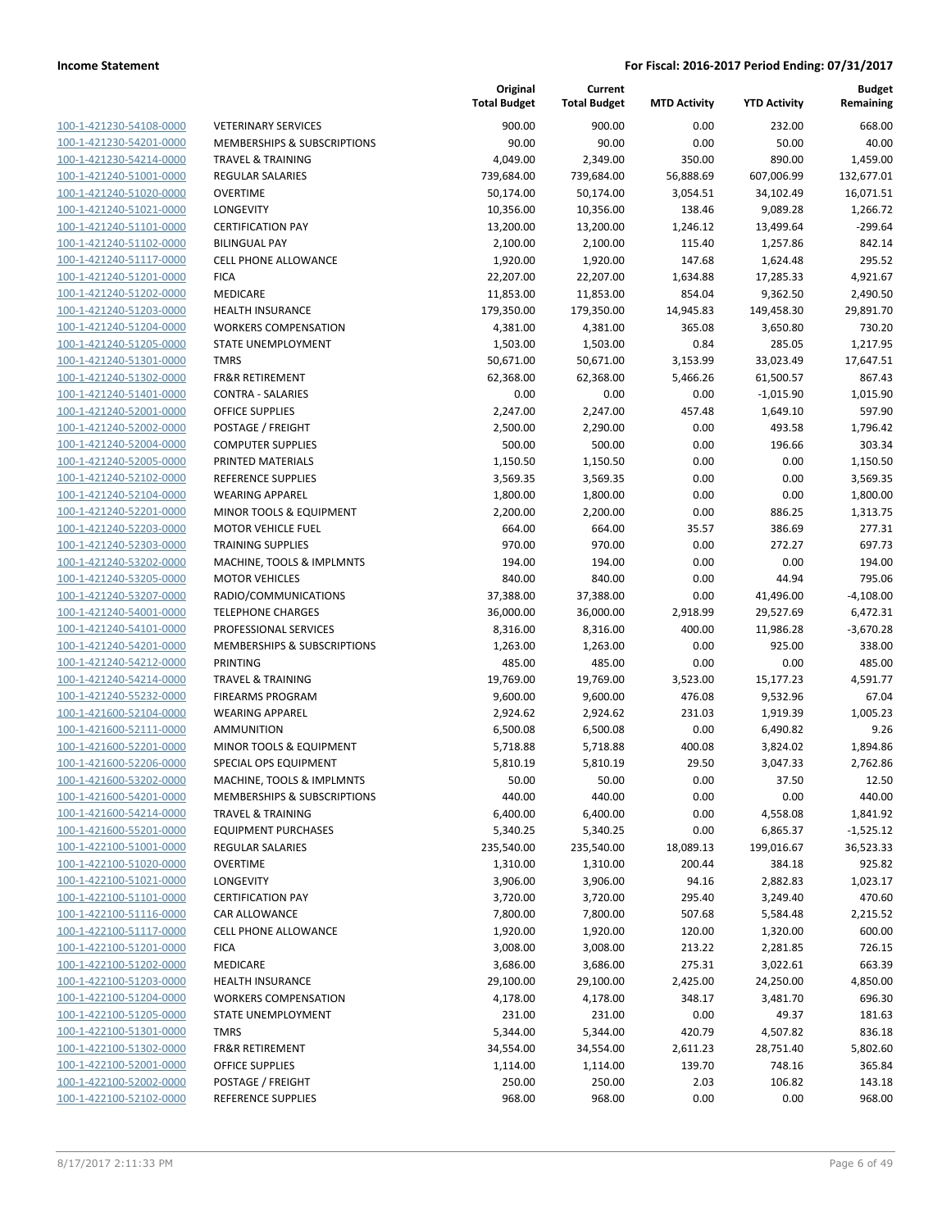| 100-1-421230-54108-0000                                   |
|-----------------------------------------------------------|
| 100-1-421230-54201-0000                                   |
| 100-1-421230-54214-0000                                   |
| <u>100-1-421240-51001-0000</u>                            |
| 100-1-421240-51020-0000                                   |
| 100-1-421240-51021-0000                                   |
| 100-1-421240-51101-0000                                   |
| 100-1-421240-51102-0000                                   |
| <u>100-1-421240-51117-0000</u>                            |
| 100-1-421240-51201-0000                                   |
| 421240-51202-0000<br>$100 - 1$                            |
| 100-1-421240-51203-0000                                   |
|                                                           |
| 100-1-421240-51204-0000                                   |
| <u>100-1-421240-51205-0000</u>                            |
| 100-1-421240-51301-0000                                   |
| 100-1-421240-51302-0000                                   |
| 100-1-421240-51401-0000                                   |
| 100-1-421240-52001-0000                                   |
| 100-1-421240-52002-0000                                   |
| 100-1-421240-52004-0000                                   |
| 421240-52005-0000<br>$100 - 1$                            |
| 100-1-421240-52102-0000                                   |
| 100-1-421240-52104-0000                                   |
| <u>100-1-421240-52201-0000</u>                            |
| 100-1-421240-52203-0000                                   |
| 100-1-421240-52303-0000                                   |
| 100-1-421240-53202-0000                                   |
|                                                           |
| 100-1-421240-53205-0000                                   |
| <u>100-1-421240-53207-0000</u>                            |
| 100-1-421240-54001-0000                                   |
| 421240-54101-0000<br>$100 - 1$                            |
| 100-1-421240-54201-0000                                   |
| 100-1-421240-54212-0000                                   |
| <u>100-1-421240-54214-0000</u>                            |
| 100-1-421240-55232-0000                                   |
| 100-1-421600-52104-0000                                   |
| 100-1-421600-52111-0000                                   |
| 100-1-421600-52201-0000                                   |
| 100-1-421600-52206-0000                                   |
| 100-1-421600-53202-0000                                   |
| 100-1-421600-54201-0000                                   |
| <u>100-1-421600-54214-0000</u>                            |
| <u>100-1-421600-55201-0000</u>                            |
|                                                           |
| 100-1-422100-51001-0000                                   |
| <u>100-1-422100-51020-0000</u>                            |
|                                                           |
| 100-1-422100-51021-0000                                   |
| 100-1-422100-51101-0000                                   |
| <u>100-1-422100-51116-0000</u>                            |
| <u>100-1-422100-51117-0000</u>                            |
| 100-1-422100-51201-0000                                   |
| 100-1-422100-51202-0000                                   |
| 100-1-422100-51203-0000                                   |
| <u>100-1-422100-51204-0000</u>                            |
|                                                           |
| 100-1-422100-51205-0000<br><u>100-1-422100-51301-0000</u> |
|                                                           |
| <u>100-1-422100-51302-0000</u>                            |
| <u>100-1-422100-52001-0000</u>                            |
| 100-1-422100-52002-0000<br><u>100-1-422100-52102-0000</u> |

|                                                    |                                                   | Original<br><b>Total Budget</b> | Current<br><b>Total Budget</b> | <b>MTD Activity</b> | <b>YTD Activity</b> | <b>Budget</b><br>Remaining |
|----------------------------------------------------|---------------------------------------------------|---------------------------------|--------------------------------|---------------------|---------------------|----------------------------|
| 100-1-421230-54108-0000                            | <b>VETERINARY SERVICES</b>                        | 900.00                          | 900.00                         | 0.00                | 232.00              | 668.00                     |
| 100-1-421230-54201-0000                            | MEMBERSHIPS & SUBSCRIPTIONS                       | 90.00                           | 90.00                          | 0.00                | 50.00               | 40.00                      |
| 100-1-421230-54214-0000                            | <b>TRAVEL &amp; TRAINING</b>                      | 4,049.00                        | 2,349.00                       | 350.00              | 890.00              | 1,459.00                   |
| 100-1-421240-51001-0000                            | <b>REGULAR SALARIES</b>                           | 739,684.00                      | 739,684.00                     | 56,888.69           | 607,006.99          | 132,677.01                 |
| 100-1-421240-51020-0000                            | <b>OVERTIME</b>                                   | 50,174.00                       | 50,174.00                      | 3,054.51            | 34,102.49           | 16,071.51                  |
| 100-1-421240-51021-0000                            | LONGEVITY                                         | 10,356.00                       | 10,356.00                      | 138.46              | 9,089.28            | 1,266.72                   |
| 100-1-421240-51101-0000                            | <b>CERTIFICATION PAY</b>                          | 13,200.00                       | 13,200.00                      | 1,246.12            | 13,499.64           | $-299.64$                  |
| 100-1-421240-51102-0000                            | <b>BILINGUAL PAY</b>                              | 2,100.00                        | 2,100.00                       | 115.40              | 1,257.86            | 842.14                     |
| 100-1-421240-51117-0000                            | <b>CELL PHONE ALLOWANCE</b>                       | 1,920.00                        | 1,920.00                       | 147.68              | 1,624.48            | 295.52                     |
| 100-1-421240-51201-0000                            | <b>FICA</b>                                       | 22,207.00                       | 22,207.00                      | 1,634.88            | 17,285.33           | 4,921.67                   |
| 100-1-421240-51202-0000                            | MEDICARE                                          | 11,853.00                       | 11,853.00                      | 854.04              | 9,362.50            | 2,490.50                   |
| 100-1-421240-51203-0000                            | <b>HEALTH INSURANCE</b>                           | 179,350.00                      | 179,350.00                     | 14,945.83           | 149,458.30          | 29,891.70                  |
| 100-1-421240-51204-0000                            | <b>WORKERS COMPENSATION</b>                       | 4,381.00                        | 4,381.00                       | 365.08              | 3,650.80            | 730.20                     |
| 100-1-421240-51205-0000                            | STATE UNEMPLOYMENT                                | 1,503.00                        | 1,503.00                       | 0.84                | 285.05              | 1,217.95                   |
| 100-1-421240-51301-0000                            | <b>TMRS</b>                                       | 50,671.00                       | 50,671.00                      | 3,153.99            | 33,023.49           | 17,647.51                  |
| 100-1-421240-51302-0000                            | <b>FR&amp;R RETIREMENT</b>                        | 62,368.00                       | 62,368.00                      | 5,466.26            | 61,500.57           | 867.43                     |
| 100-1-421240-51401-0000                            | <b>CONTRA - SALARIES</b>                          | 0.00                            | 0.00                           | 0.00                | $-1,015.90$         | 1,015.90                   |
| 100-1-421240-52001-0000                            | <b>OFFICE SUPPLIES</b>                            | 2,247.00                        | 2,247.00                       | 457.48              | 1,649.10            | 597.90                     |
| 100-1-421240-52002-0000                            | POSTAGE / FREIGHT                                 | 2,500.00                        | 2,290.00                       | 0.00                | 493.58              | 1,796.42                   |
| 100-1-421240-52004-0000                            | <b>COMPUTER SUPPLIES</b>                          | 500.00                          | 500.00                         | 0.00                | 196.66              | 303.34                     |
| 100-1-421240-52005-0000                            | PRINTED MATERIALS<br><b>REFERENCE SUPPLIES</b>    | 1,150.50                        | 1,150.50                       | 0.00                | 0.00                | 1,150.50                   |
| 100-1-421240-52102-0000                            |                                                   | 3,569.35                        | 3,569.35                       | 0.00                | 0.00                | 3,569.35                   |
| 100-1-421240-52104-0000<br>100-1-421240-52201-0000 | <b>WEARING APPAREL</b><br>MINOR TOOLS & EQUIPMENT | 1,800.00                        | 1,800.00                       | 0.00<br>0.00        | 0.00                | 1,800.00                   |
| 100-1-421240-52203-0000                            | <b>MOTOR VEHICLE FUEL</b>                         | 2,200.00<br>664.00              | 2,200.00<br>664.00             | 35.57               | 886.25<br>386.69    | 1,313.75<br>277.31         |
| 100-1-421240-52303-0000                            | <b>TRAINING SUPPLIES</b>                          | 970.00                          | 970.00                         | 0.00                | 272.27              | 697.73                     |
| 100-1-421240-53202-0000                            | MACHINE, TOOLS & IMPLMNTS                         | 194.00                          | 194.00                         | 0.00                | 0.00                | 194.00                     |
| 100-1-421240-53205-0000                            | <b>MOTOR VEHICLES</b>                             | 840.00                          | 840.00                         | 0.00                | 44.94               | 795.06                     |
| 100-1-421240-53207-0000                            | RADIO/COMMUNICATIONS                              | 37,388.00                       | 37,388.00                      | 0.00                | 41,496.00           | $-4,108.00$                |
| 100-1-421240-54001-0000                            | <b>TELEPHONE CHARGES</b>                          | 36,000.00                       | 36,000.00                      | 2,918.99            | 29,527.69           | 6,472.31                   |
| 100-1-421240-54101-0000                            | PROFESSIONAL SERVICES                             | 8,316.00                        | 8,316.00                       | 400.00              | 11,986.28           | $-3,670.28$                |
| 100-1-421240-54201-0000                            | MEMBERSHIPS & SUBSCRIPTIONS                       | 1,263.00                        | 1,263.00                       | 0.00                | 925.00              | 338.00                     |
| 100-1-421240-54212-0000                            | <b>PRINTING</b>                                   | 485.00                          | 485.00                         | 0.00                | 0.00                | 485.00                     |
| 100-1-421240-54214-0000                            | <b>TRAVEL &amp; TRAINING</b>                      | 19,769.00                       | 19,769.00                      | 3,523.00            | 15,177.23           | 4,591.77                   |
| 100-1-421240-55232-0000                            | <b>FIREARMS PROGRAM</b>                           | 9,600.00                        | 9,600.00                       | 476.08              | 9,532.96            | 67.04                      |
| 100-1-421600-52104-0000                            | <b>WEARING APPAREL</b>                            | 2,924.62                        | 2,924.62                       | 231.03              | 1,919.39            | 1,005.23                   |
| 100-1-421600-52111-0000                            | <b>AMMUNITION</b>                                 | 6,500.08                        | 6,500.08                       | 0.00                | 6,490.82            | 9.26                       |
| 100-1-421600-52201-0000                            | MINOR TOOLS & EQUIPMENT                           | 5,718.88                        | 5,718.88                       | 400.08              | 3,824.02            | 1,894.86                   |
| 100-1-421600-52206-0000                            | SPECIAL OPS EQUIPMENT                             | 5,810.19                        | 5,810.19                       | 29.50               | 3,047.33            | 2,762.86                   |
| 100-1-421600-53202-0000                            | MACHINE, TOOLS & IMPLMNTS                         | 50.00                           | 50.00                          | 0.00                | 37.50               | 12.50                      |
| 100-1-421600-54201-0000                            | MEMBERSHIPS & SUBSCRIPTIONS                       | 440.00                          | 440.00                         | 0.00                | 0.00                | 440.00                     |
| 100-1-421600-54214-0000                            | <b>TRAVEL &amp; TRAINING</b>                      | 6,400.00                        | 6,400.00                       | 0.00                | 4,558.08            | 1,841.92                   |
| 100-1-421600-55201-0000                            | <b>EQUIPMENT PURCHASES</b>                        | 5,340.25                        | 5,340.25                       | 0.00                | 6,865.37            | $-1,525.12$                |
| 100-1-422100-51001-0000                            | <b>REGULAR SALARIES</b>                           | 235,540.00                      | 235,540.00                     | 18,089.13           | 199,016.67          | 36,523.33                  |
| 100-1-422100-51020-0000                            | <b>OVERTIME</b>                                   | 1,310.00                        | 1,310.00                       | 200.44              | 384.18              | 925.82                     |
| 100-1-422100-51021-0000                            | LONGEVITY                                         | 3,906.00                        | 3,906.00                       | 94.16               | 2,882.83            | 1,023.17                   |
| 100-1-422100-51101-0000                            | <b>CERTIFICATION PAY</b>                          | 3,720.00                        | 3,720.00                       | 295.40              | 3,249.40            | 470.60                     |
| 100-1-422100-51116-0000                            | CAR ALLOWANCE                                     | 7,800.00                        | 7,800.00                       | 507.68              | 5,584.48            | 2,215.52                   |
| 100-1-422100-51117-0000                            | CELL PHONE ALLOWANCE                              | 1,920.00                        | 1,920.00                       | 120.00              | 1,320.00            | 600.00                     |
| 100-1-422100-51201-0000                            | <b>FICA</b>                                       | 3,008.00                        | 3,008.00                       | 213.22              | 2,281.85            | 726.15                     |
| 100-1-422100-51202-0000                            | MEDICARE                                          | 3,686.00                        | 3,686.00                       | 275.31              | 3,022.61            | 663.39                     |
| 100-1-422100-51203-0000                            | <b>HEALTH INSURANCE</b>                           | 29,100.00                       | 29,100.00                      | 2,425.00            | 24,250.00           | 4,850.00                   |
| 100-1-422100-51204-0000                            | <b>WORKERS COMPENSATION</b>                       | 4,178.00                        | 4,178.00                       | 348.17              | 3,481.70            | 696.30                     |
| 100-1-422100-51205-0000                            | STATE UNEMPLOYMENT                                | 231.00                          | 231.00                         | 0.00                | 49.37               | 181.63                     |
| 100-1-422100-51301-0000                            | TMRS                                              | 5,344.00                        | 5,344.00                       | 420.79              | 4,507.82            | 836.18                     |
| 100-1-422100-51302-0000                            | <b>FR&amp;R RETIREMENT</b>                        | 34,554.00                       | 34,554.00                      | 2,611.23            | 28,751.40           | 5,802.60                   |
| 100-1-422100-52001-0000                            | OFFICE SUPPLIES                                   | 1,114.00                        | 1,114.00                       | 139.70              | 748.16              | 365.84                     |
| 100-1-422100-52002-0000                            | POSTAGE / FREIGHT                                 | 250.00                          | 250.00                         | 2.03                | 106.82              | 143.18                     |
| 100-1-422100-52102-0000                            | REFERENCE SUPPLIES                                | 968.00                          | 968.00                         | 0.00                | 0.00                | 968.00                     |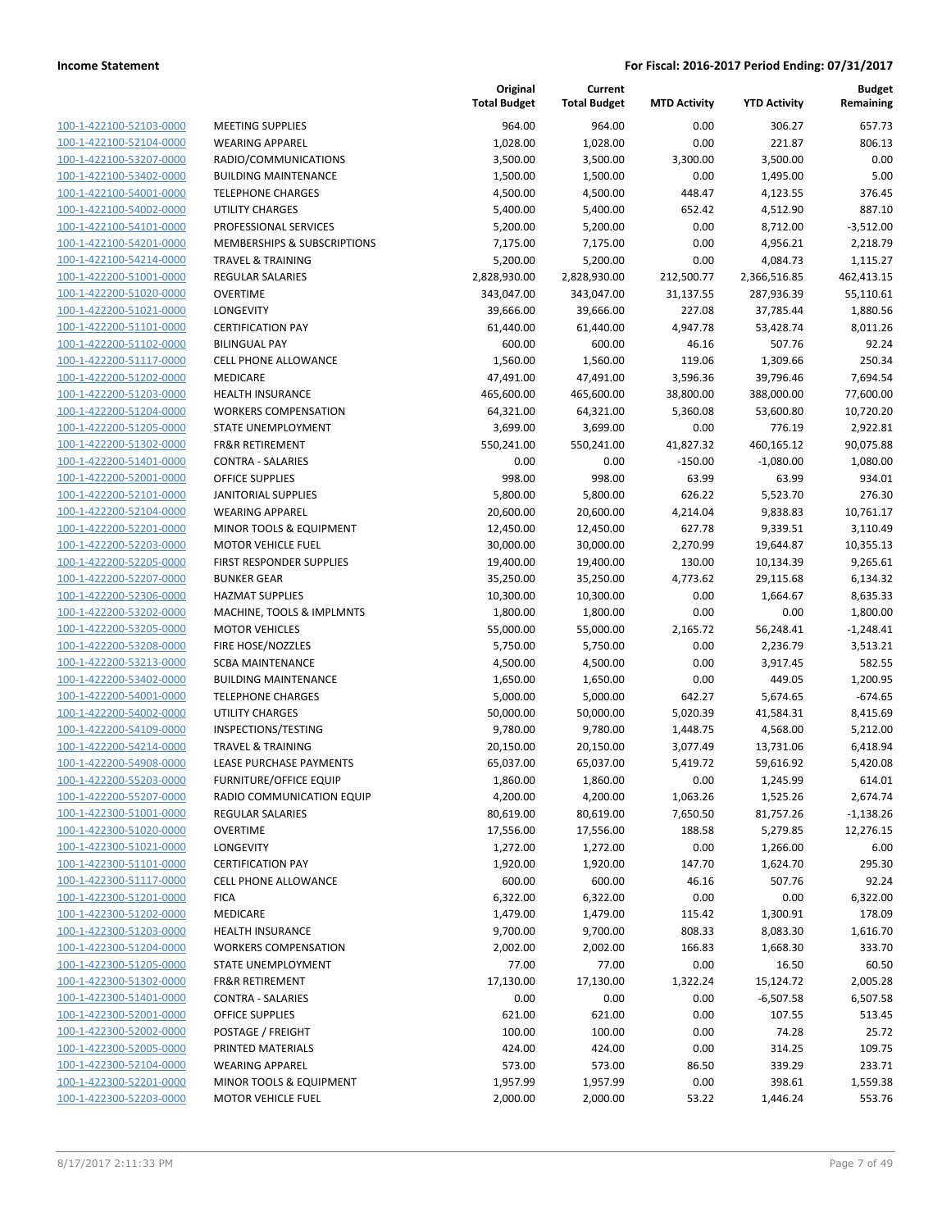| 100-1-422100-52103-0000                                   |
|-----------------------------------------------------------|
| 100-1-422100-52104-0000                                   |
| 100-1-422100-53207-0000                                   |
| <u>100-1-422100-53402-0000</u>                            |
| 100-1-422100-54001-0000                                   |
| 100-1-422100-54002-0000                                   |
| 100-1-422100-54101-0000                                   |
| 100-1-422100-54201-0000                                   |
| <u>100-1-422100-54214-0000</u>                            |
| 100-1-422200-51001-0000                                   |
| 100-1-422200-51020-0000                                   |
| 100-1-422200-51021-0000                                   |
| 100-1-422200-51101-0000                                   |
| 100-1-422200-51102-0000                                   |
| 100-1-422200-51117-0000                                   |
| 100-1-422200-51202-0000                                   |
| 100-1-422200-51203-0000                                   |
| 100-1-422200-51204-0000                                   |
| 100-1-422200-51205-0000                                   |
| 100-1-422200-51302-0000                                   |
| 100-1-422200-51401-0000                                   |
| 100-1-422200-52001-0000                                   |
| 100-1-422200-52101-0000                                   |
| <u>100-1-422200-52104-0000</u>                            |
| 100-1-422200-52201-0000                                   |
| <u>100-1-422200-52203-0000</u>                            |
| 100-1-422200-52205-0000                                   |
| 100-1-422200-52207-0000                                   |
| <u>100-1-422200-52306-0000</u>                            |
| 100-1-422200-53202-0000                                   |
| 100-1-422200-53205-0000                                   |
| 100-1-422200-53208-0000                                   |
| 100-1-422200-53213-0000                                   |
| <u>100-1-422200-53402-0000</u>                            |
| 100-1-422200-54001-0000                                   |
| 100-1-422200-54002-0000                                   |
| 100-1-422200-54109-0000                                   |
| 100-1-422200-54214-0000                                   |
| 100-1-422200-54908-0000                                   |
| 100-1-422200-55203-0000                                   |
| 100-1-422200-55207-0000                                   |
| <u>100-1-422300-51001-0000</u>                            |
| 100-1-422300-51020-0000                                   |
| 100-1-422300-51021-0000                                   |
| <u>100-1-422300-51101-0000</u>                            |
| <u>100-1-422300-51117-0000</u>                            |
| <u>100-1-422300-51201-0000</u>                            |
| 100-1-422300-51202-0000                                   |
| 100-1-422300-51203-0000                                   |
| <u>100-1-422300-51204-0000</u><br>100-1-422300-51205-0000 |
|                                                           |
| 100-1-422300-51302-0000                                   |
| 100-1-422300-51401-0000                                   |
| 100-1-422300-52001-0000                                   |
| <u>100-1-422300-52002-0000</u>                            |
| <u>100-1-422300-52005-0000</u>                            |
| <u>100-1-422300-52104-0000</u><br>100-1-422300-52201-0000 |
|                                                           |
| <u>100-1-422300-52203-0000</u>                            |

|                                                    |                                                  | Original<br><b>Total Budget</b> | Current<br><b>Total Budget</b> | <b>MTD Activity</b> | <b>YTD Activity</b>  | <b>Budget</b><br>Remaining |
|----------------------------------------------------|--------------------------------------------------|---------------------------------|--------------------------------|---------------------|----------------------|----------------------------|
| 100-1-422100-52103-0000                            | <b>MEETING SUPPLIES</b>                          | 964.00                          | 964.00                         | 0.00                | 306.27               | 657.73                     |
| 100-1-422100-52104-0000                            | <b>WEARING APPAREL</b>                           | 1,028.00                        | 1,028.00                       | 0.00                | 221.87               | 806.13                     |
| 100-1-422100-53207-0000                            | RADIO/COMMUNICATIONS                             | 3,500.00                        | 3,500.00                       | 3,300.00            | 3,500.00             | 0.00                       |
| 100-1-422100-53402-0000                            | <b>BUILDING MAINTENANCE</b>                      | 1,500.00                        | 1,500.00                       | 0.00                | 1,495.00             | 5.00                       |
| 100-1-422100-54001-0000                            | <b>TELEPHONE CHARGES</b>                         | 4,500.00                        | 4,500.00                       | 448.47              | 4,123.55             | 376.45                     |
| 100-1-422100-54002-0000                            | <b>UTILITY CHARGES</b>                           | 5,400.00                        | 5,400.00                       | 652.42              | 4,512.90             | 887.10                     |
| 100-1-422100-54101-0000                            | PROFESSIONAL SERVICES                            | 5,200.00                        | 5,200.00                       | 0.00                | 8,712.00             | $-3,512.00$                |
| 100-1-422100-54201-0000                            | MEMBERSHIPS & SUBSCRIPTIONS                      | 7,175.00                        | 7,175.00                       | 0.00                | 4,956.21             | 2,218.79                   |
| 100-1-422100-54214-0000                            | <b>TRAVEL &amp; TRAINING</b>                     | 5,200.00                        | 5,200.00                       | 0.00                | 4,084.73             | 1,115.27                   |
| 100-1-422200-51001-0000                            | REGULAR SALARIES                                 | 2,828,930.00                    | 2,828,930.00                   | 212,500.77          | 2,366,516.85         | 462,413.15                 |
| 100-1-422200-51020-0000                            | <b>OVERTIME</b>                                  | 343,047.00                      | 343,047.00                     | 31,137.55           | 287,936.39           | 55,110.61                  |
| 100-1-422200-51021-0000                            | LONGEVITY                                        | 39,666.00                       | 39,666.00                      | 227.08              | 37,785.44            | 1,880.56                   |
| 100-1-422200-51101-0000                            | <b>CERTIFICATION PAY</b>                         | 61,440.00                       | 61,440.00                      | 4,947.78            | 53,428.74            | 8,011.26                   |
| 100-1-422200-51102-0000                            | <b>BILINGUAL PAY</b>                             | 600.00                          | 600.00                         | 46.16               | 507.76               | 92.24                      |
| 100-1-422200-51117-0000                            | CELL PHONE ALLOWANCE                             | 1,560.00                        | 1,560.00                       | 119.06              | 1,309.66             | 250.34                     |
| 100-1-422200-51202-0000                            | MEDICARE                                         | 47,491.00                       | 47,491.00                      | 3,596.36            | 39,796.46            | 7,694.54                   |
| 100-1-422200-51203-0000                            | <b>HEALTH INSURANCE</b>                          | 465,600.00                      | 465,600.00                     | 38,800.00           | 388,000.00           | 77,600.00                  |
| 100-1-422200-51204-0000                            | <b>WORKERS COMPENSATION</b>                      | 64,321.00                       | 64,321.00                      | 5,360.08            | 53,600.80            | 10,720.20                  |
| 100-1-422200-51205-0000                            | STATE UNEMPLOYMENT                               | 3,699.00                        | 3,699.00                       | 0.00                | 776.19               | 2,922.81                   |
| 100-1-422200-51302-0000                            | <b>FR&amp;R RETIREMENT</b>                       | 550,241.00                      | 550,241.00                     | 41,827.32           | 460,165.12           | 90,075.88                  |
| 100-1-422200-51401-0000                            | <b>CONTRA - SALARIES</b>                         | 0.00                            | 0.00                           | $-150.00$           | $-1,080.00$          | 1,080.00                   |
| 100-1-422200-52001-0000                            | <b>OFFICE SUPPLIES</b>                           | 998.00                          | 998.00                         | 63.99               | 63.99                | 934.01                     |
| 100-1-422200-52101-0000                            | <b>JANITORIAL SUPPLIES</b>                       | 5,800.00                        | 5,800.00                       | 626.22              | 5,523.70             | 276.30                     |
| 100-1-422200-52104-0000                            | <b>WEARING APPAREL</b>                           | 20,600.00                       | 20,600.00                      | 4,214.04            | 9,838.83             | 10,761.17                  |
| 100-1-422200-52201-0000                            | MINOR TOOLS & EQUIPMENT                          | 12,450.00                       | 12,450.00                      | 627.78              | 9,339.51             | 3,110.49                   |
| 100-1-422200-52203-0000                            | <b>MOTOR VEHICLE FUEL</b>                        | 30,000.00                       | 30,000.00                      | 2,270.99            | 19,644.87            | 10,355.13                  |
| 100-1-422200-52205-0000                            | FIRST RESPONDER SUPPLIES                         | 19,400.00                       | 19,400.00                      | 130.00              | 10,134.39            | 9,265.61                   |
| 100-1-422200-52207-0000                            | <b>BUNKER GEAR</b>                               | 35,250.00                       | 35,250.00                      | 4,773.62            | 29,115.68            | 6,134.32                   |
| 100-1-422200-52306-0000                            | <b>HAZMAT SUPPLIES</b>                           | 10,300.00                       | 10,300.00                      | 0.00                | 1,664.67             | 8,635.33                   |
| 100-1-422200-53202-0000                            | MACHINE, TOOLS & IMPLMNTS                        | 1,800.00                        | 1,800.00                       | 0.00                | 0.00                 | 1,800.00                   |
| 100-1-422200-53205-0000                            | <b>MOTOR VEHICLES</b>                            | 55,000.00                       | 55,000.00                      | 2,165.72            | 56,248.41            | $-1,248.41$                |
| 100-1-422200-53208-0000                            | FIRE HOSE/NOZZLES                                | 5,750.00                        | 5,750.00                       | 0.00                | 2,236.79             | 3,513.21                   |
| 100-1-422200-53213-0000                            | <b>SCBA MAINTENANCE</b>                          | 4,500.00                        | 4,500.00                       | 0.00                | 3,917.45             | 582.55                     |
| 100-1-422200-53402-0000                            | <b>BUILDING MAINTENANCE</b>                      | 1,650.00                        | 1,650.00                       | 0.00                | 449.05               | 1,200.95                   |
| 100-1-422200-54001-0000                            | <b>TELEPHONE CHARGES</b>                         | 5,000.00                        | 5,000.00                       | 642.27              | 5,674.65             | $-674.65$                  |
| 100-1-422200-54002-0000                            | UTILITY CHARGES                                  | 50,000.00                       | 50,000.00                      | 5,020.39            | 41,584.31            | 8,415.69                   |
| 100-1-422200-54109-0000                            | INSPECTIONS/TESTING                              | 9,780.00                        | 9,780.00                       | 1,448.75            | 4,568.00             | 5,212.00                   |
| 100-1-422200-54214-0000                            | <b>TRAVEL &amp; TRAINING</b>                     | 20,150.00                       | 20,150.00                      | 3,077.49            | 13,731.06            | 6,418.94                   |
| 100-1-422200-54908-0000                            | LEASE PURCHASE PAYMENTS                          | 65,037.00                       | 65,037.00                      | 5,419.72            | 59,616.92            | 5,420.08                   |
| 100-1-422200-55203-0000                            | FURNITURE/OFFICE EQUIP                           | 1,860.00                        | 1,860.00                       | 0.00                | 1,245.99             | 614.01                     |
| 100-1-422200-55207-0000                            | RADIO COMMUNICATION EQUIP                        | 4,200.00                        | 4,200.00                       | 1,063.26            | 1,525.26             | 2,674.74                   |
| 100-1-422300-51001-0000                            | <b>REGULAR SALARIES</b>                          | 80,619.00                       | 80,619.00                      | 7,650.50            | 81,757.26            | $-1,138.26$                |
| 100-1-422300-51020-0000<br>100-1-422300-51021-0000 | <b>OVERTIME</b>                                  | 17,556.00                       | 17,556.00                      | 188.58              | 5,279.85             | 12,276.15                  |
|                                                    | LONGEVITY                                        | 1,272.00                        | 1,272.00                       | 0.00                | 1,266.00             | 6.00                       |
| 100-1-422300-51101-0000                            | <b>CERTIFICATION PAY</b>                         | 1,920.00                        | 1,920.00                       | 147.70              | 1,624.70             | 295.30                     |
| 100-1-422300-51117-0000                            | CELL PHONE ALLOWANCE<br><b>FICA</b>              | 600.00                          | 600.00                         | 46.16               | 507.76               | 92.24                      |
| 100-1-422300-51201-0000                            |                                                  | 6,322.00<br>1,479.00            | 6,322.00                       | 0.00                | 0.00                 | 6,322.00                   |
| 100-1-422300-51202-0000<br>100-1-422300-51203-0000 | MEDICARE                                         |                                 | 1,479.00                       | 115.42              | 1,300.91             | 178.09                     |
| 100-1-422300-51204-0000                            | HEALTH INSURANCE                                 | 9,700.00<br>2,002.00            | 9,700.00                       | 808.33              | 8,083.30<br>1,668.30 | 1,616.70                   |
|                                                    | <b>WORKERS COMPENSATION</b>                      |                                 | 2,002.00                       | 166.83              |                      | 333.70                     |
| 100-1-422300-51205-0000<br>100-1-422300-51302-0000 | STATE UNEMPLOYMENT<br><b>FR&amp;R RETIREMENT</b> | 77.00<br>17,130.00              | 77.00<br>17,130.00             | 0.00<br>1,322.24    | 16.50                | 60.50<br>2,005.28          |
|                                                    |                                                  |                                 |                                |                     | 15,124.72            |                            |
| 100-1-422300-51401-0000                            | <b>CONTRA - SALARIES</b>                         | 0.00                            | 0.00                           | 0.00                | $-6,507.58$          | 6,507.58                   |
| 100-1-422300-52001-0000                            | OFFICE SUPPLIES                                  | 621.00                          | 621.00                         | 0.00                | 107.55               | 513.45                     |
| 100-1-422300-52002-0000                            | POSTAGE / FREIGHT                                | 100.00                          | 100.00                         | 0.00                | 74.28                | 25.72                      |
| 100-1-422300-52005-0000<br>100-1-422300-52104-0000 | PRINTED MATERIALS                                | 424.00                          | 424.00                         | 0.00                | 314.25               | 109.75                     |
|                                                    | <b>WEARING APPAREL</b>                           | 573.00                          | 573.00                         | 86.50               | 339.29               | 233.71                     |
| 100-1-422300-52201-0000                            | MINOR TOOLS & EQUIPMENT                          | 1,957.99                        | 1,957.99                       | 0.00                | 398.61               | 1,559.38                   |
| 100-1-422300-52203-0000                            | <b>MOTOR VEHICLE FUEL</b>                        | 2,000.00                        | 2,000.00                       | 53.22               | 1,446.24             | 553.76                     |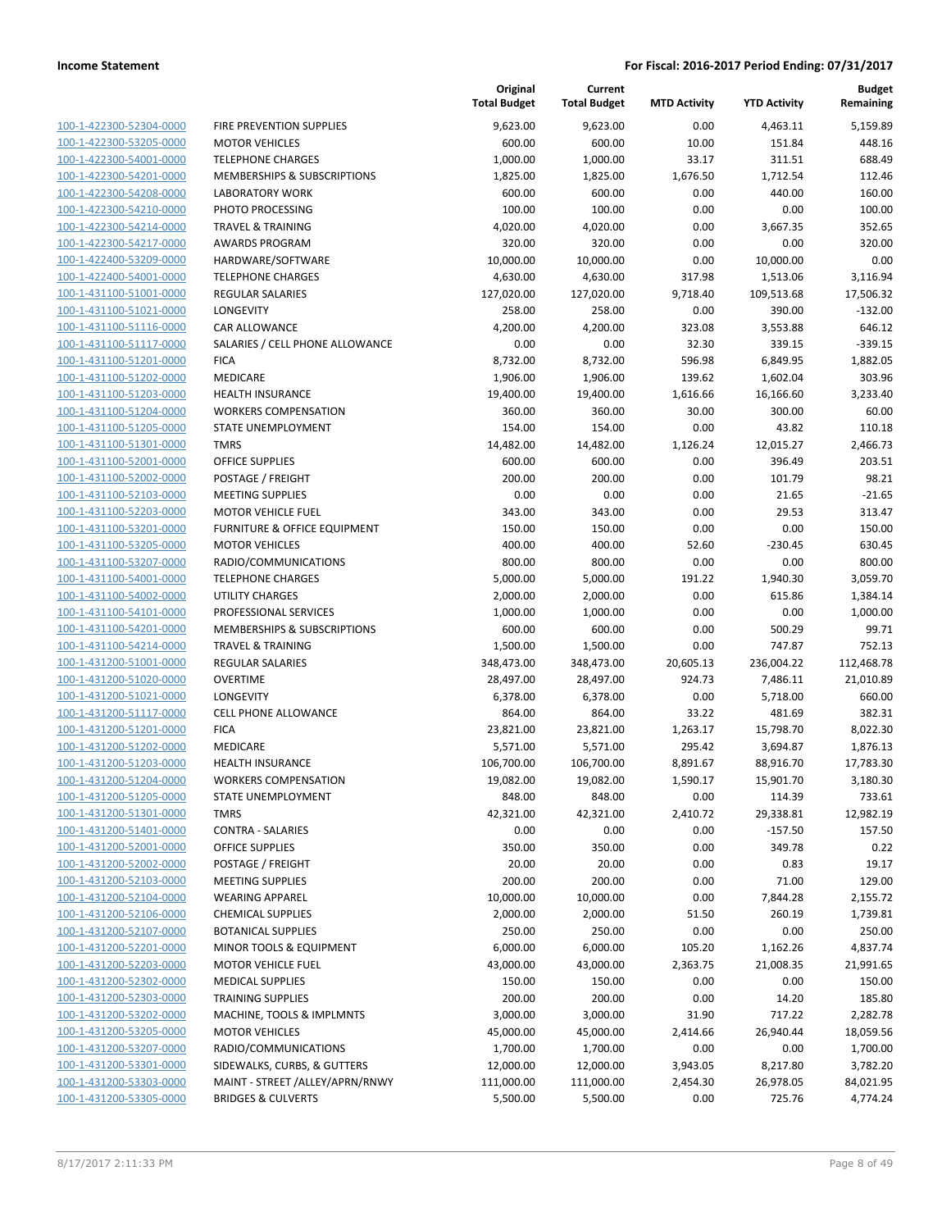| 100-1-422300-52304-0000         |
|---------------------------------|
| 100-1-422300-53205-0000         |
| 100-1-422300-54001-0000         |
| <u>100-1-422300-54201-0000</u>  |
| 100-1-422300-54208-0000         |
| 100-1-422300-54210-0000         |
| 100-1-422300-54214-0000         |
| 100-1-422300-54217-0000         |
| <u>100-1-422400-53209-0000</u>  |
| 100-1-422400-54001-0000         |
| 100-1-431100-51001-0000         |
| 100-1-431100-51021-0000         |
| 100-1-431100-51116-0000         |
| <u>100-1-431100-51117-0000</u>  |
| 100-1-431100-51201-0000         |
| 100-1-431100-51202-0000         |
|                                 |
| 100-1-431100-51203-0000         |
| 100-1-431100-51204-0000         |
| <u>100-1-431100-51205-0000</u>  |
| 100-1-431100-51301-0000         |
| -431100-52001-0000<br>$100 - 1$ |
| 100-1-431100-52002-0000         |
| 100-1-431100-52103-0000         |
| 100-1-431100-52203-0000         |
| 100-1-431100-53201-0000         |
| 100-1-431100-53205-0000         |
| 100-1-431100-53207-0000         |
| 100-1-431100-54001-0000         |
| <u>100-1-431100-54002-0000</u>  |
| 100-1-431100-54101-0000         |
| 100-1-431100-54201-0000         |
| 100-1-431100-54214-0000         |
| 100-1-431200-51001-0000         |
|                                 |
| <u>100-1-431200-51020-0000</u>  |
| 100-1-431200-51021-0000         |
| 100-1-431200-51117-0000         |
| 100-1-431200-51201-0000         |
| 100-1-431200-51202-0000         |
| 100-1-431200-51203-0000         |
| 100-1-431200-51204-0000         |
| 100-1-431200-51205-0000         |
| <u>100-1-431200-51301-0000</u>  |
| <u>100-1-431200-51401-0000</u>  |
| <u>100-1-431200-52001-0000</u>  |
| <u>100-1-431200-52002-0000</u>  |
| <u>100-1-431200-52103-0000</u>  |
| 100-1-431200-52104-0000         |
| 100-1-431200-52106-0000         |
| <u>100-1-431200-52107-0000</u>  |
| 100-1-431200-52201-0000         |
| 100-1-431200-52203-0000         |
| 100-1-431200-52302-0000         |
|                                 |
| <u>100-1-431200-52303-0000</u>  |
| <u>100-1-431200-53202-0000</u>  |
| <u>100-1-431200-53205-0000</u>  |
| <u>100-1-431200-53207-0000</u>  |
| 100-1-431200-53301-0000         |
| <u>100-1-431200-53303-0000</u>  |
| <u>100-1-431200-53305-0000</u>  |

|                         |                                 | Original<br><b>Total Budget</b> | Current<br><b>Total Budget</b> | <b>MTD Activity</b> | <b>YTD Activity</b> | <b>Budget</b><br>Remaining |
|-------------------------|---------------------------------|---------------------------------|--------------------------------|---------------------|---------------------|----------------------------|
| 100-1-422300-52304-0000 | FIRE PREVENTION SUPPLIES        | 9,623.00                        | 9,623.00                       | 0.00                | 4,463.11            | 5,159.89                   |
| 100-1-422300-53205-0000 | <b>MOTOR VEHICLES</b>           | 600.00                          | 600.00                         | 10.00               | 151.84              | 448.16                     |
| 100-1-422300-54001-0000 | <b>TELEPHONE CHARGES</b>        | 1,000.00                        | 1,000.00                       | 33.17               | 311.51              | 688.49                     |
| 100-1-422300-54201-0000 | MEMBERSHIPS & SUBSCRIPTIONS     | 1,825.00                        | 1,825.00                       | 1,676.50            | 1,712.54            | 112.46                     |
| 100-1-422300-54208-0000 | <b>LABORATORY WORK</b>          | 600.00                          | 600.00                         | 0.00                | 440.00              | 160.00                     |
| 100-1-422300-54210-0000 | PHOTO PROCESSING                | 100.00                          | 100.00                         | 0.00                | 0.00                | 100.00                     |
| 100-1-422300-54214-0000 | <b>TRAVEL &amp; TRAINING</b>    | 4,020.00                        | 4,020.00                       | 0.00                | 3,667.35            | 352.65                     |
| 100-1-422300-54217-0000 | <b>AWARDS PROGRAM</b>           | 320.00                          | 320.00                         | 0.00                | 0.00                | 320.00                     |
| 100-1-422400-53209-0000 | HARDWARE/SOFTWARE               | 10,000.00                       | 10,000.00                      | 0.00                | 10,000.00           | 0.00                       |
| 100-1-422400-54001-0000 | <b>TELEPHONE CHARGES</b>        | 4,630.00                        | 4,630.00                       | 317.98              | 1,513.06            | 3,116.94                   |
| 100-1-431100-51001-0000 | <b>REGULAR SALARIES</b>         | 127,020.00                      | 127,020.00                     | 9,718.40            | 109,513.68          | 17,506.32                  |
| 100-1-431100-51021-0000 | LONGEVITY                       | 258.00                          | 258.00                         | 0.00                | 390.00              | $-132.00$                  |
| 100-1-431100-51116-0000 | CAR ALLOWANCE                   | 4,200.00                        | 4,200.00                       | 323.08              | 3,553.88            | 646.12                     |
| 100-1-431100-51117-0000 | SALARIES / CELL PHONE ALLOWANCE | 0.00                            | 0.00                           | 32.30               | 339.15              | $-339.15$                  |
| 100-1-431100-51201-0000 | <b>FICA</b>                     | 8,732.00                        | 8,732.00                       | 596.98              | 6,849.95            | 1,882.05                   |
| 100-1-431100-51202-0000 | MEDICARE                        | 1,906.00                        | 1,906.00                       | 139.62              | 1,602.04            | 303.96                     |
| 100-1-431100-51203-0000 | <b>HEALTH INSURANCE</b>         | 19,400.00                       | 19,400.00                      | 1,616.66            | 16,166.60           | 3,233.40                   |
| 100-1-431100-51204-0000 | <b>WORKERS COMPENSATION</b>     | 360.00                          | 360.00                         | 30.00               | 300.00              | 60.00                      |
| 100-1-431100-51205-0000 | <b>STATE UNEMPLOYMENT</b>       | 154.00                          | 154.00                         | 0.00                | 43.82               | 110.18                     |
| 100-1-431100-51301-0000 | <b>TMRS</b>                     | 14,482.00                       | 14,482.00                      | 1,126.24            | 12,015.27           | 2,466.73                   |
| 100-1-431100-52001-0000 | <b>OFFICE SUPPLIES</b>          | 600.00                          | 600.00                         | 0.00                | 396.49              | 203.51                     |
| 100-1-431100-52002-0000 | POSTAGE / FREIGHT               | 200.00                          | 200.00                         | 0.00                | 101.79              | 98.21                      |
| 100-1-431100-52103-0000 | <b>MEETING SUPPLIES</b>         | 0.00                            | 0.00                           | 0.00                | 21.65               | $-21.65$                   |
| 100-1-431100-52203-0000 | <b>MOTOR VEHICLE FUEL</b>       | 343.00                          | 343.00                         | 0.00                | 29.53               | 313.47                     |
| 100-1-431100-53201-0000 | FURNITURE & OFFICE EQUIPMENT    | 150.00                          | 150.00                         | 0.00                | 0.00                | 150.00                     |
| 100-1-431100-53205-0000 | <b>MOTOR VEHICLES</b>           | 400.00                          | 400.00                         | 52.60               | $-230.45$           | 630.45                     |
| 100-1-431100-53207-0000 | RADIO/COMMUNICATIONS            | 800.00                          | 800.00                         | 0.00                | 0.00                | 800.00                     |
| 100-1-431100-54001-0000 | <b>TELEPHONE CHARGES</b>        | 5,000.00                        | 5,000.00                       | 191.22              | 1,940.30            | 3,059.70                   |
| 100-1-431100-54002-0000 | UTILITY CHARGES                 | 2,000.00                        | 2,000.00                       | 0.00                | 615.86              | 1,384.14                   |
| 100-1-431100-54101-0000 | PROFESSIONAL SERVICES           | 1,000.00                        | 1,000.00                       | 0.00                | 0.00                | 1,000.00                   |
| 100-1-431100-54201-0000 | MEMBERSHIPS & SUBSCRIPTIONS     | 600.00                          | 600.00                         | 0.00                | 500.29              | 99.71                      |
| 100-1-431100-54214-0000 | <b>TRAVEL &amp; TRAINING</b>    | 1,500.00                        | 1,500.00                       | 0.00                | 747.87              | 752.13                     |
| 100-1-431200-51001-0000 | REGULAR SALARIES                | 348,473.00                      | 348,473.00                     | 20,605.13           | 236,004.22          | 112,468.78                 |
| 100-1-431200-51020-0000 | <b>OVERTIME</b>                 | 28,497.00                       | 28,497.00                      | 924.73              | 7,486.11            | 21,010.89                  |
| 100-1-431200-51021-0000 | LONGEVITY                       | 6,378.00                        | 6,378.00                       | 0.00                | 5,718.00            | 660.00                     |
| 100-1-431200-51117-0000 | <b>CELL PHONE ALLOWANCE</b>     | 864.00                          | 864.00                         | 33.22               | 481.69              | 382.31                     |
| 100-1-431200-51201-0000 | <b>FICA</b>                     | 23,821.00                       | 23,821.00                      | 1,263.17            | 15,798.70           | 8,022.30                   |
| 100-1-431200-51202-0000 | MEDICARE                        | 5,571.00                        | 5,571.00                       | 295.42              | 3,694.87            | 1,876.13                   |
| 100-1-431200-51203-0000 | <b>HEALTH INSURANCE</b>         | 106,700.00                      | 106,700.00                     | 8,891.67            | 88,916.70           | 17,783.30                  |
| 100-1-431200-51204-0000 | <b>WORKERS COMPENSATION</b>     | 19,082.00                       | 19,082.00                      | 1,590.17            | 15,901.70           | 3,180.30                   |
| 100-1-431200-51205-0000 | STATE UNEMPLOYMENT              | 848.00                          | 848.00                         | 0.00                | 114.39              | 733.61                     |
| 100-1-431200-51301-0000 | <b>TMRS</b>                     | 42,321.00                       | 42,321.00                      | 2,410.72            | 29,338.81           | 12,982.19                  |
| 100-1-431200-51401-0000 | <b>CONTRA - SALARIES</b>        | 0.00                            | 0.00                           | 0.00                | $-157.50$           | 157.50                     |
| 100-1-431200-52001-0000 | <b>OFFICE SUPPLIES</b>          | 350.00                          | 350.00                         | 0.00                | 349.78              | 0.22                       |
| 100-1-431200-52002-0000 | POSTAGE / FREIGHT               | 20.00                           | 20.00                          | 0.00                | 0.83                | 19.17                      |
| 100-1-431200-52103-0000 | <b>MEETING SUPPLIES</b>         | 200.00                          | 200.00                         | 0.00                | 71.00               | 129.00                     |
| 100-1-431200-52104-0000 | <b>WEARING APPAREL</b>          | 10,000.00                       | 10,000.00                      | 0.00                | 7,844.28            | 2,155.72                   |
| 100-1-431200-52106-0000 | <b>CHEMICAL SUPPLIES</b>        | 2,000.00                        | 2,000.00                       | 51.50               | 260.19              | 1,739.81                   |
| 100-1-431200-52107-0000 | <b>BOTANICAL SUPPLIES</b>       | 250.00                          | 250.00                         | 0.00                | 0.00                | 250.00                     |
| 100-1-431200-52201-0000 | MINOR TOOLS & EQUIPMENT         | 6,000.00                        | 6,000.00                       | 105.20              | 1,162.26            | 4,837.74                   |
| 100-1-431200-52203-0000 | <b>MOTOR VEHICLE FUEL</b>       | 43,000.00                       | 43,000.00                      | 2,363.75            | 21,008.35           | 21,991.65                  |
| 100-1-431200-52302-0000 | <b>MEDICAL SUPPLIES</b>         | 150.00                          | 150.00                         | 0.00                | 0.00                | 150.00                     |
| 100-1-431200-52303-0000 | <b>TRAINING SUPPLIES</b>        | 200.00                          | 200.00                         | 0.00                | 14.20               | 185.80                     |
| 100-1-431200-53202-0000 | MACHINE, TOOLS & IMPLMNTS       | 3,000.00                        | 3,000.00                       | 31.90               | 717.22              | 2,282.78                   |
| 100-1-431200-53205-0000 | <b>MOTOR VEHICLES</b>           | 45,000.00                       | 45,000.00                      | 2,414.66            | 26,940.44           | 18,059.56                  |
| 100-1-431200-53207-0000 | RADIO/COMMUNICATIONS            | 1,700.00                        | 1,700.00                       | 0.00                | 0.00                | 1,700.00                   |
| 100-1-431200-53301-0000 | SIDEWALKS, CURBS, & GUTTERS     | 12,000.00                       | 12,000.00                      | 3,943.05            | 8,217.80            | 3,782.20                   |
| 100-1-431200-53303-0000 | MAINT - STREET /ALLEY/APRN/RNWY | 111,000.00                      | 111,000.00                     | 2,454.30            | 26,978.05           | 84,021.95                  |
| 100-1-431200-53305-0000 | <b>BRIDGES &amp; CULVERTS</b>   | 5,500.00                        | 5,500.00                       | 0.00                | 725.76              | 4,774.24                   |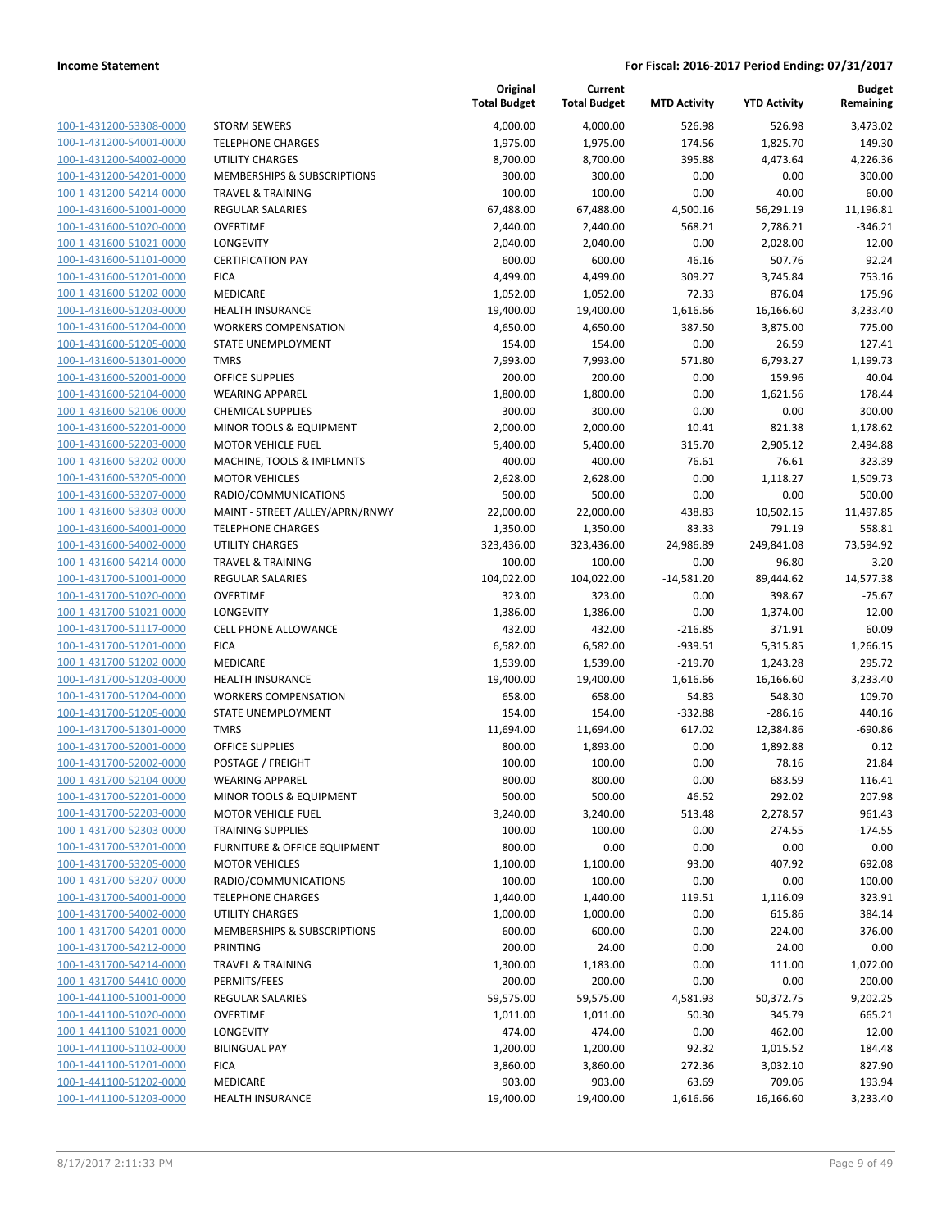| 100-1-431200-53308-0000             |
|-------------------------------------|
| 100-1-431200-54001-0000             |
| 100-1-431200-54002-0000             |
| <u>100-1-431200-54201-0000</u>      |
| 100-1-431200-54214-0000             |
| 100-1-431600-51001-0000             |
| 100-1-431600-51020-0000             |
| 100-1-431600-51021-0000             |
| <u>100-1-431600-51101-0000</u>      |
| 100-1-431600-51201-0000             |
| 100-1-431600-51202-0000             |
| 100-1-431600-51203-0000             |
| 100-1-431600-51204-0000             |
| <u>100-1-431600-51205-0000</u>      |
| 100-1-431600-51301-0000             |
| 100-1-431600-52001-0000             |
| 100-1-431600-52104-0000             |
| 100-1-431600-52106-0000             |
| <u>100-1-431600-52201-0000</u>      |
| 100-1-431600-52203-0000             |
| 100-1-431600-53202-0000             |
| 100-1-431600-53205-0000             |
| 100-1-431600-53207-0000             |
| <u>100-1-431600-53303-0000</u>      |
| 100-1-431600-54001-0000             |
| 100-1-431600-54002-0000             |
| 100-1-431600-54214-0000             |
| 100-1-431700-51001-0000             |
| <u>100-1-431700-51020-0000</u>      |
| 100-1-431700-51021-0000             |
| 100-1-431700-51117-0000             |
| 100-1-431700-51201-0000             |
| 100-1-431700-51202-0000             |
| <u>100-1-431700-51203-0000</u>      |
| 100-1-431700-51204-0000             |
| 100-1-431700-51205-0000             |
| 100-1-431700-51301-0000             |
| 100-1-431700-52001-0000             |
| 100-1-431700-52002-0000             |
| 100-1-431700-52104-0000             |
| 100-1-431700-52201-0000             |
| 100-1-431700-52203-0000             |
| 100-1-431700-52303-0000             |
| <u>100-1-431700-53201-0000</u>      |
| 100-1-431700-53205-0000             |
| <u>100-1-431700-53207-0000</u>      |
| 100-1-431700-54001-0000             |
| 100-1-431700-54002-0000             |
| <u>100-1-431700-54201-0000</u>      |
| 100-1-431700-54212-0000             |
| 100-1-431700-54214-0000             |
| 100-1-431700-54410-0000             |
| <u>100-1-441100-51001-0000</u>      |
| <u>100-1-441100-51020-0000</u>      |
| 100-1-441100-51021-0000             |
| 1-441100-51102-0000<br><u> 100-</u> |
| 100-1-441100-51201-0000             |
| <u>100-1-441100-51202-0000</u>      |
| <u>100-1-441100-51203-0000</u>      |
|                                     |

|                                                    |                                            | Original<br><b>Total Budget</b> | Current<br><b>Total Budget</b> | <b>MTD Activity</b>  | <b>YTD Activity</b> | <b>Budget</b><br>Remaining |
|----------------------------------------------------|--------------------------------------------|---------------------------------|--------------------------------|----------------------|---------------------|----------------------------|
| 100-1-431200-53308-0000                            | <b>STORM SEWERS</b>                        | 4,000.00                        | 4,000.00                       | 526.98               | 526.98              | 3,473.02                   |
| 100-1-431200-54001-0000                            | <b>TELEPHONE CHARGES</b>                   | 1,975.00                        | 1,975.00                       | 174.56               | 1,825.70            | 149.30                     |
| 100-1-431200-54002-0000                            | <b>UTILITY CHARGES</b>                     | 8,700.00                        | 8,700.00                       | 395.88               | 4,473.64            | 4,226.36                   |
| 100-1-431200-54201-0000                            | <b>MEMBERSHIPS &amp; SUBSCRIPTIONS</b>     | 300.00                          | 300.00                         | 0.00                 | 0.00                | 300.00                     |
| 100-1-431200-54214-0000                            | <b>TRAVEL &amp; TRAINING</b>               | 100.00                          | 100.00                         | 0.00                 | 40.00               | 60.00                      |
| 100-1-431600-51001-0000                            | REGULAR SALARIES                           | 67,488.00                       | 67,488.00                      | 4,500.16             | 56,291.19           | 11,196.81                  |
| 100-1-431600-51020-0000                            | <b>OVERTIME</b>                            | 2,440.00                        | 2,440.00                       | 568.21               | 2,786.21            | $-346.21$                  |
| 100-1-431600-51021-0000                            | LONGEVITY                                  | 2,040.00                        | 2,040.00                       | 0.00                 | 2,028.00            | 12.00                      |
| 100-1-431600-51101-0000                            | <b>CERTIFICATION PAY</b>                   | 600.00                          | 600.00                         | 46.16                | 507.76              | 92.24                      |
| 100-1-431600-51201-0000                            | <b>FICA</b>                                | 4,499.00                        | 4,499.00                       | 309.27               | 3,745.84            | 753.16                     |
| 100-1-431600-51202-0000                            | <b>MEDICARE</b>                            | 1,052.00                        | 1,052.00                       | 72.33                | 876.04              | 175.96                     |
| 100-1-431600-51203-0000                            | <b>HEALTH INSURANCE</b>                    | 19,400.00                       | 19,400.00                      | 1,616.66             | 16,166.60           | 3,233.40                   |
| 100-1-431600-51204-0000                            | <b>WORKERS COMPENSATION</b>                | 4,650.00                        | 4,650.00                       | 387.50               | 3,875.00            | 775.00                     |
| 100-1-431600-51205-0000                            | STATE UNEMPLOYMENT                         | 154.00                          | 154.00                         | 0.00                 | 26.59               | 127.41                     |
| 100-1-431600-51301-0000                            | <b>TMRS</b>                                | 7,993.00                        | 7,993.00                       | 571.80               | 6,793.27            | 1,199.73                   |
| 100-1-431600-52001-0000                            | <b>OFFICE SUPPLIES</b>                     | 200.00                          | 200.00                         | 0.00                 | 159.96              | 40.04                      |
| 100-1-431600-52104-0000                            | <b>WEARING APPAREL</b>                     | 1,800.00                        | 1,800.00                       | 0.00                 | 1,621.56            | 178.44                     |
| 100-1-431600-52106-0000                            | <b>CHEMICAL SUPPLIES</b>                   | 300.00                          | 300.00                         | 0.00                 | 0.00                | 300.00                     |
| 100-1-431600-52201-0000                            | MINOR TOOLS & EQUIPMENT                    | 2,000.00                        | 2,000.00                       | 10.41                | 821.38              | 1,178.62                   |
| 100-1-431600-52203-0000                            | <b>MOTOR VEHICLE FUEL</b>                  | 5,400.00                        | 5,400.00                       | 315.70               | 2,905.12            | 2,494.88                   |
| 100-1-431600-53202-0000                            | MACHINE, TOOLS & IMPLMNTS                  | 400.00                          | 400.00                         | 76.61                | 76.61               | 323.39                     |
| 100-1-431600-53205-0000                            | <b>MOTOR VEHICLES</b>                      | 2,628.00                        | 2,628.00                       | 0.00                 | 1,118.27            | 1,509.73                   |
| 100-1-431600-53207-0000                            | RADIO/COMMUNICATIONS                       | 500.00                          | 500.00                         | 0.00                 | 0.00                | 500.00                     |
| 100-1-431600-53303-0000                            | MAINT - STREET /ALLEY/APRN/RNWY            | 22,000.00                       | 22,000.00                      | 438.83               | 10,502.15           | 11,497.85                  |
| 100-1-431600-54001-0000                            | <b>TELEPHONE CHARGES</b>                   | 1,350.00                        | 1,350.00                       | 83.33                | 791.19              | 558.81                     |
| 100-1-431600-54002-0000                            | <b>UTILITY CHARGES</b>                     | 323,436.00                      | 323,436.00                     | 24,986.89            | 249,841.08          | 73,594.92                  |
| 100-1-431600-54214-0000                            | <b>TRAVEL &amp; TRAINING</b>               | 100.00                          | 100.00                         | 0.00                 | 96.80               | 3.20                       |
| 100-1-431700-51001-0000<br>100-1-431700-51020-0000 | <b>REGULAR SALARIES</b><br><b>OVERTIME</b> | 104,022.00<br>323.00            | 104,022.00<br>323.00           | $-14,581.20$<br>0.00 | 89,444.62<br>398.67 | 14,577.38<br>$-75.67$      |
| 100-1-431700-51021-0000                            | LONGEVITY                                  | 1,386.00                        | 1,386.00                       | 0.00                 | 1,374.00            | 12.00                      |
| 100-1-431700-51117-0000                            | <b>CELL PHONE ALLOWANCE</b>                | 432.00                          | 432.00                         | $-216.85$            | 371.91              | 60.09                      |
| 100-1-431700-51201-0000                            | <b>FICA</b>                                | 6,582.00                        | 6,582.00                       | $-939.51$            | 5,315.85            | 1,266.15                   |
| 100-1-431700-51202-0000                            | MEDICARE                                   | 1,539.00                        | 1,539.00                       | $-219.70$            | 1,243.28            | 295.72                     |
| 100-1-431700-51203-0000                            | <b>HEALTH INSURANCE</b>                    | 19,400.00                       | 19,400.00                      | 1,616.66             | 16,166.60           | 3,233.40                   |
| 100-1-431700-51204-0000                            | <b>WORKERS COMPENSATION</b>                | 658.00                          | 658.00                         | 54.83                | 548.30              | 109.70                     |
| 100-1-431700-51205-0000                            | <b>STATE UNEMPLOYMENT</b>                  | 154.00                          | 154.00                         | $-332.88$            | $-286.16$           | 440.16                     |
| 100-1-431700-51301-0000                            | <b>TMRS</b>                                | 11,694.00                       | 11,694.00                      | 617.02               | 12,384.86           | -690.86                    |
| 100-1-431700-52001-0000                            | <b>OFFICE SUPPLIES</b>                     | 800.00                          | 1,893.00                       | 0.00                 | 1,892.88            | 0.12                       |
| 100-1-431700-52002-0000                            | POSTAGE / FREIGHT                          | 100.00                          | 100.00                         | 0.00                 | 78.16               | 21.84                      |
| 100-1-431700-52104-0000                            | <b>WEARING APPAREL</b>                     | 800.00                          | 800.00                         | 0.00                 | 683.59              | 116.41                     |
| 100-1-431700-52201-0000                            | MINOR TOOLS & EQUIPMENT                    | 500.00                          | 500.00                         | 46.52                | 292.02              | 207.98                     |
| 100-1-431700-52203-0000                            | MOTOR VEHICLE FUEL                         | 3,240.00                        | 3,240.00                       | 513.48               | 2,278.57            | 961.43                     |
| 100-1-431700-52303-0000                            | <b>TRAINING SUPPLIES</b>                   | 100.00                          | 100.00                         | 0.00                 | 274.55              | $-174.55$                  |
| 100-1-431700-53201-0000                            | <b>FURNITURE &amp; OFFICE EQUIPMENT</b>    | 800.00                          | 0.00                           | 0.00                 | 0.00                | 0.00                       |
| 100-1-431700-53205-0000                            | <b>MOTOR VEHICLES</b>                      | 1,100.00                        | 1,100.00                       | 93.00                | 407.92              | 692.08                     |
| 100-1-431700-53207-0000                            | RADIO/COMMUNICATIONS                       | 100.00                          | 100.00                         | 0.00                 | 0.00                | 100.00                     |
| 100-1-431700-54001-0000                            | <b>TELEPHONE CHARGES</b>                   | 1,440.00                        | 1,440.00                       | 119.51               | 1,116.09            | 323.91                     |
| 100-1-431700-54002-0000                            | <b>UTILITY CHARGES</b>                     | 1,000.00                        | 1,000.00                       | 0.00                 | 615.86              | 384.14                     |
| 100-1-431700-54201-0000                            | <b>MEMBERSHIPS &amp; SUBSCRIPTIONS</b>     | 600.00                          | 600.00                         | 0.00                 | 224.00              | 376.00                     |
| 100-1-431700-54212-0000                            | PRINTING                                   | 200.00                          | 24.00                          | 0.00                 | 24.00               | 0.00                       |
| 100-1-431700-54214-0000                            | <b>TRAVEL &amp; TRAINING</b>               | 1,300.00                        | 1,183.00                       | 0.00                 | 111.00              | 1,072.00                   |
| 100-1-431700-54410-0000                            | PERMITS/FEES                               | 200.00                          | 200.00                         | 0.00                 | 0.00                | 200.00                     |
| 100-1-441100-51001-0000                            | <b>REGULAR SALARIES</b>                    | 59,575.00                       | 59,575.00                      | 4,581.93             | 50,372.75           | 9,202.25                   |
| 100-1-441100-51020-0000                            | <b>OVERTIME</b>                            | 1,011.00                        | 1,011.00                       | 50.30                | 345.79              | 665.21                     |
| 100-1-441100-51021-0000                            | <b>LONGEVITY</b>                           | 474.00                          | 474.00                         | 0.00                 | 462.00              | 12.00                      |
| 100-1-441100-51102-0000                            | <b>BILINGUAL PAY</b>                       | 1,200.00                        | 1,200.00                       | 92.32                | 1,015.52            | 184.48                     |
| 100-1-441100-51201-0000                            | <b>FICA</b>                                | 3,860.00                        | 3,860.00                       | 272.36               | 3,032.10            | 827.90                     |
| 100-1-441100-51202-0000                            | MEDICARE                                   | 903.00                          | 903.00                         | 63.69                | 709.06              | 193.94                     |
| 100-1-441100-51203-0000                            | <b>HEALTH INSURANCE</b>                    | 19,400.00                       | 19,400.00                      | 1,616.66             | 16,166.60           | 3,233.40                   |
|                                                    |                                            |                                 |                                |                      |                     |                            |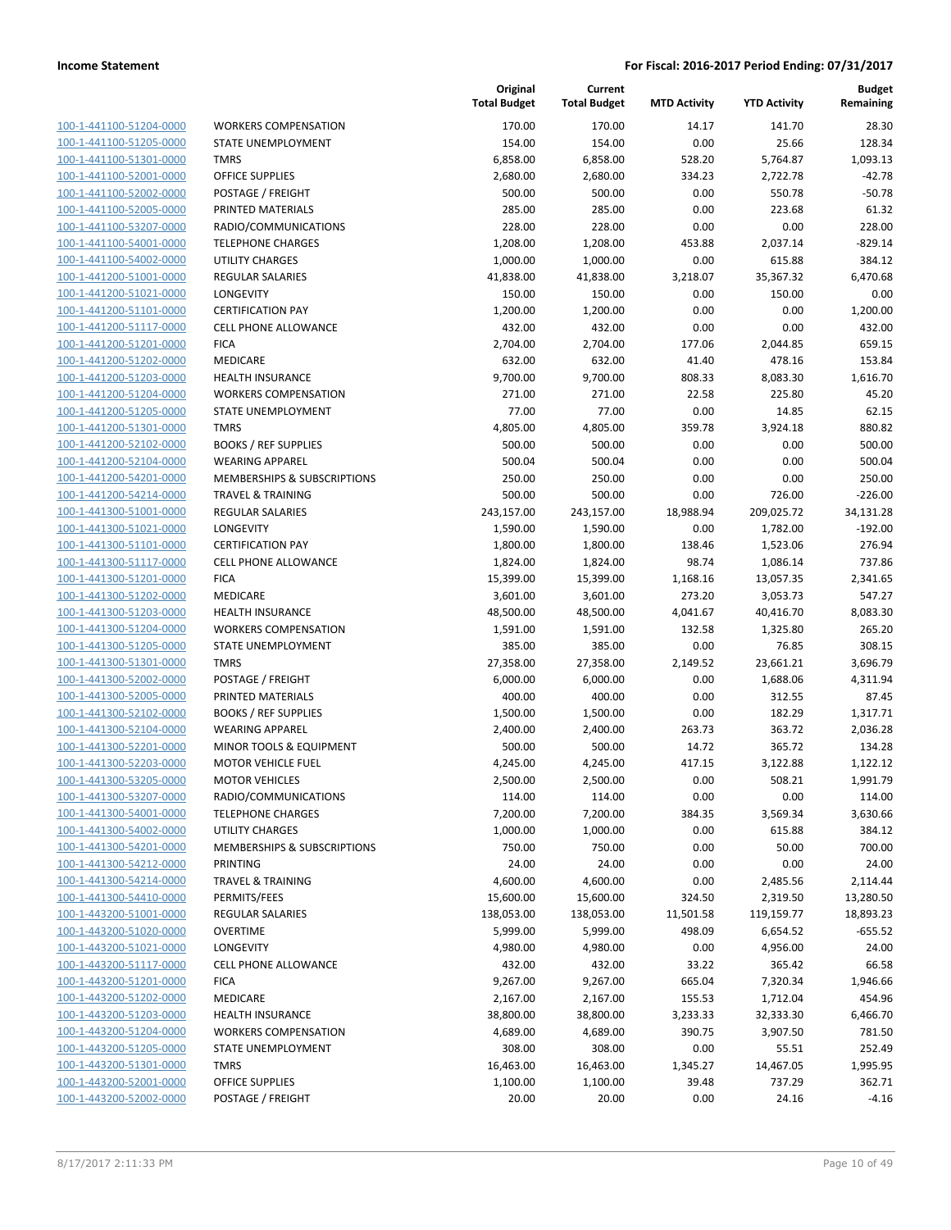100-1-441100-51204-0000 100-1-441100-51205-0000 100-1-441100-51301-0000 100-1-441100-52001-0000 100-1-441100-52002-0000 100-1-441100-52005-0000 PRINTED MATERIALS 285.00 285.00 0.00 223.68 61.32 100-1-441100-53207-0000 100-1-441100-54001-0000 100-1-441100-54002-0000 100-1-441200-51001-0000 100-1-441200-51021-0000 100-1-441200-51101-0000 100-1-441200-51117-0000 100-1-441200-51201-0000 100-1-441200-51202-0000 100-1-441200-51203-0000 100-1-441200-51204-0000 100-1-441200-51205-0000 100-1-441200-51301-0000 100-1-441200-52102-0000 100-1-441200-52104-0000 100-1-441200-54201-0000 100-1-441200-54214-0000 100-1-441300-51001-0000 100-1-441300-51021-0000 100-1-441300-51101-0000 100-1-441300-51117-0000 100-1-441300-51201-0000 100-1-441300-51202-0000 100-1-441300-51203-0000 100-1-441300-51204-0000 100-1-441300-51205-0000 100-1-441300-51301-0000 100-1-441300-52002-0000 100-1-441300-52005-0000 PRINTED MATERIALS 400.00 400.00 0.00 312.55 87.45 100-1-441300-52102-0000 100-1-441300-52104-0000 100-1-441300-52201-0000 100-1-441300-52203-0000 100-1-441300-53205-0000 100-1-441300-53207-0000 100-1-441300-54001-0000 100-1-441300-54002-0000 100-1-441300-54201-0000 100-1-441300-54212-0000 100-1-441300-54214-0000 100-1-441300-54410-0000 100-1-443200-51001-0000 100-1-443200-51020-0000 100-1-443200-51021-0000 100-1-443200-51117-0000 100-1-443200-51201-0000 100-1-443200-51202-0000 100-1-443200-51203-0000 100-1-443200-51204-0000 100-1-443200-51205-0000 100-1-443200-51301-0000 100-1-443200-52001-0000 100-1-443200-52002-0000

|                              | Original<br><b>Total Budget</b> | Current<br><b>Total Budget</b> | <b>MTD Activity</b> | <b>YTD Activity</b> | <b>Budget</b><br>Remaining |
|------------------------------|---------------------------------|--------------------------------|---------------------|---------------------|----------------------------|
| <b>WORKERS COMPENSATION</b>  | 170.00                          | 170.00                         | 14.17               | 141.70              | 28.30                      |
| STATE UNEMPLOYMENT           | 154.00                          | 154.00                         | 0.00                | 25.66               | 128.34                     |
| <b>TMRS</b>                  | 6,858.00                        | 6,858.00                       | 528.20              | 5,764.87            | 1,093.13                   |
| <b>OFFICE SUPPLIES</b>       | 2,680.00                        | 2,680.00                       | 334.23              | 2,722.78            | $-42.78$                   |
| POSTAGE / FREIGHT            | 500.00                          | 500.00                         | 0.00                | 550.78              | $-50.78$                   |
| PRINTED MATERIALS            | 285.00                          | 285.00                         | 0.00                | 223.68              | 61.32                      |
| RADIO/COMMUNICATIONS         | 228.00                          | 228.00                         | 0.00                | 0.00                | 228.00                     |
| <b>TELEPHONE CHARGES</b>     | 1,208.00                        | 1,208.00                       | 453.88              | 2,037.14            | $-829.14$                  |
| <b>UTILITY CHARGES</b>       | 1,000.00                        | 1,000.00                       | 0.00                | 615.88              | 384.12                     |
| <b>REGULAR SALARIES</b>      | 41,838.00                       | 41,838.00                      | 3,218.07            | 35,367.32           | 6,470.68                   |
| LONGEVITY                    | 150.00                          | 150.00                         | 0.00                | 150.00              | 0.00                       |
| <b>CERTIFICATION PAY</b>     | 1,200.00                        | 1,200.00                       | 0.00                | 0.00                | 1,200.00                   |
| <b>CELL PHONE ALLOWANCE</b>  | 432.00                          | 432.00                         | 0.00                | 0.00                | 432.00                     |
| <b>FICA</b>                  | 2,704.00                        | 2,704.00                       | 177.06              | 2,044.85            | 659.15                     |
| MEDICARE                     | 632.00                          | 632.00                         | 41.40               | 478.16              | 153.84                     |
| <b>HEALTH INSURANCE</b>      | 9,700.00                        | 9,700.00                       | 808.33              | 8,083.30            | 1,616.70                   |
| <b>WORKERS COMPENSATION</b>  | 271.00                          | 271.00                         | 22.58               | 225.80              | 45.20                      |
| STATE UNEMPLOYMENT           | 77.00                           | 77.00                          | 0.00                | 14.85               | 62.15                      |
| <b>TMRS</b>                  | 4,805.00                        | 4,805.00                       | 359.78              | 3,924.18            | 880.82                     |
| <b>BOOKS / REF SUPPLIES</b>  | 500.00                          | 500.00                         | 0.00                | 0.00                | 500.00                     |
| <b>WEARING APPAREL</b>       | 500.04                          | 500.04                         | 0.00                | 0.00                | 500.04                     |
| MEMBERSHIPS & SUBSCRIPTIONS  | 250.00                          | 250.00                         | 0.00                | 0.00                | 250.00                     |
| <b>TRAVEL &amp; TRAINING</b> | 500.00                          | 500.00                         | 0.00                | 726.00              | $-226.00$                  |
| <b>REGULAR SALARIES</b>      | 243,157.00                      | 243,157.00                     | 18,988.94           | 209,025.72          | 34,131.28                  |
| <b>LONGEVITY</b>             | 1,590.00                        | 1,590.00                       | 0.00                | 1,782.00            | $-192.00$                  |
| <b>CERTIFICATION PAY</b>     | 1,800.00                        | 1,800.00                       | 138.46              | 1,523.06            | 276.94                     |
| <b>CELL PHONE ALLOWANCE</b>  | 1,824.00                        | 1,824.00                       | 98.74               | 1,086.14            | 737.86                     |
| <b>FICA</b>                  | 15,399.00                       | 15,399.00                      | 1,168.16            | 13,057.35           | 2,341.65                   |
| MEDICARE                     | 3,601.00                        | 3,601.00                       | 273.20              | 3,053.73            | 547.27                     |
| <b>HEALTH INSURANCE</b>      | 48,500.00                       | 48,500.00                      | 4,041.67            | 40,416.70           | 8,083.30                   |
| <b>WORKERS COMPENSATION</b>  | 1,591.00                        | 1,591.00                       | 132.58              | 1,325.80            | 265.20                     |
| STATE UNEMPLOYMENT           | 385.00                          | 385.00                         | 0.00                | 76.85               | 308.15                     |
| <b>TMRS</b>                  | 27,358.00                       | 27,358.00                      | 2,149.52            | 23,661.21           | 3,696.79                   |
| POSTAGE / FREIGHT            | 6,000.00                        | 6,000.00                       | 0.00                | 1,688.06            | 4,311.94                   |
| PRINTED MATERIALS            | 400.00                          | 400.00                         | 0.00                | 312.55              | 87.45                      |
| <b>BOOKS / REF SUPPLIES</b>  | 1,500.00                        | 1,500.00                       | 0.00                | 182.29              | 1,317.71                   |
| <b>WEARING APPAREL</b>       | 2,400.00                        | 2,400.00                       | 263.73              | 363.72              | 2,036.28                   |
| MINOR TOOLS & EQUIPMENT      | 500.00                          | 500.00                         | 14.72               | 365.72              | 134.28                     |
| <b>MOTOR VEHICLE FUEL</b>    | 4,245.00                        | 4,245.00                       | 417.15              | 3,122.88            | 1,122.12                   |
| <b>MOTOR VEHICLES</b>        | 2,500.00                        | 2,500.00                       | 0.00                | 508.21              | 1,991.79                   |
| RADIO/COMMUNICATIONS         | 114.00                          | 114.00                         | 0.00                | 0.00                | 114.00                     |
| <b>TELEPHONE CHARGES</b>     | 7,200.00                        | 7,200.00                       | 384.35              | 3,569.34            | 3,630.66                   |
| UTILITY CHARGES              | 1,000.00                        | 1,000.00                       | 0.00                | 615.88              | 384.12                     |
| MEMBERSHIPS & SUBSCRIPTIONS  | 750.00                          | 750.00                         | 0.00                | 50.00               | 700.00                     |
| <b>PRINTING</b>              | 24.00                           | 24.00                          | 0.00                | 0.00                | 24.00                      |
| <b>TRAVEL &amp; TRAINING</b> | 4,600.00                        | 4,600.00                       | 0.00                | 2,485.56            | 2,114.44                   |
| PERMITS/FEES                 | 15,600.00                       | 15,600.00                      | 324.50              | 2,319.50            | 13,280.50                  |
| REGULAR SALARIES             | 138,053.00                      | 138,053.00                     | 11,501.58           | 119,159.77          | 18,893.23                  |
| <b>OVERTIME</b>              | 5,999.00                        | 5,999.00                       | 498.09              | 6,654.52            | $-655.52$                  |
| LONGEVITY                    | 4,980.00                        | 4,980.00                       | 0.00                | 4,956.00            | 24.00                      |
| <b>CELL PHONE ALLOWANCE</b>  | 432.00                          | 432.00                         | 33.22               | 365.42              | 66.58                      |
| <b>FICA</b>                  | 9,267.00                        | 9,267.00                       | 665.04              | 7,320.34            | 1,946.66                   |
| MEDICARE                     | 2,167.00                        | 2,167.00                       | 155.53              | 1,712.04            | 454.96                     |
| HEALTH INSURANCE             | 38,800.00                       | 38,800.00                      | 3,233.33            | 32,333.30           | 6,466.70                   |
| <b>WORKERS COMPENSATION</b>  | 4,689.00                        | 4,689.00                       | 390.75              | 3,907.50            | 781.50                     |
| STATE UNEMPLOYMENT           | 308.00                          | 308.00                         | 0.00                | 55.51               | 252.49                     |
| <b>TMRS</b>                  | 16,463.00                       | 16,463.00                      | 1,345.27            | 14,467.05           | 1,995.95                   |
| OFFICE SUPPLIES              | 1,100.00                        | 1,100.00                       | 39.48               | 737.29              | 362.71                     |
| POSTAGE / FREIGHT            | 20.00                           | 20.00                          | 0.00                | 24.16               | $-4.16$                    |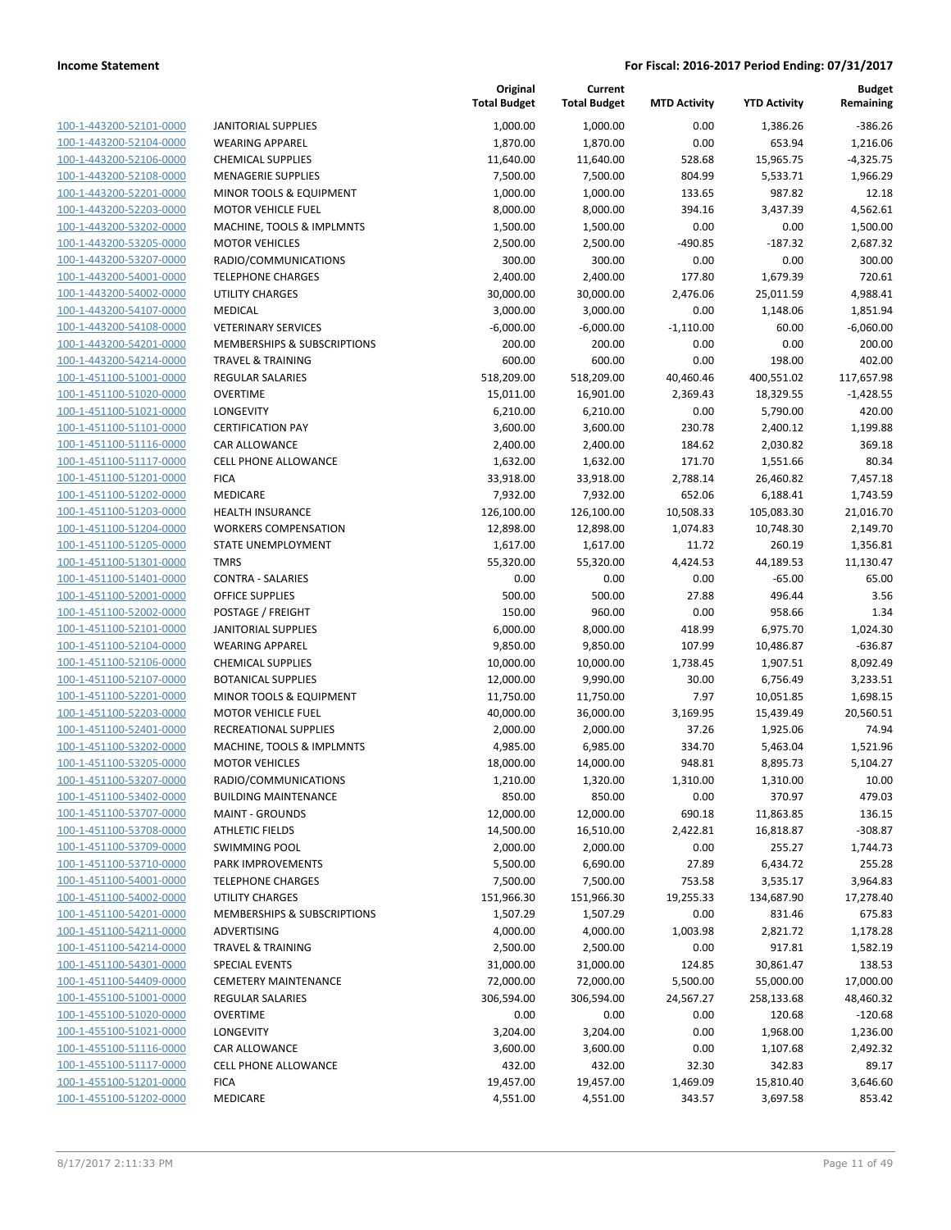| 100-1-443200-52101-0000                                   |
|-----------------------------------------------------------|
| 100-1-443200-52104-0000                                   |
| 100-1-443200-52106-0000                                   |
| 100-1-443200-52108-0000                                   |
| 100-1-443200-52201-0000                                   |
|                                                           |
| 100-1-443200-52203-0000                                   |
| 100-1-443200-53202-0000                                   |
| 100-1-443200-53205-0000                                   |
| 100-1-443200-53207-0000                                   |
| 100-1-443200-54001-0000                                   |
| 100-1-443200-54002-0000                                   |
| 100-1-443200-54107-0000                                   |
| <u>100-1-443200-54108-0000</u>                            |
| 100-1-443200-54201-0000                                   |
| 100-1-443200-54214-0000                                   |
| 100-1-451100-51001-0000                                   |
|                                                           |
| 100-1-451100-51020-0000                                   |
| 100-1-451100-51021-0000                                   |
| 100-1-451100-51101-0000                                   |
| 100-1-451100-51116-0000                                   |
| 100-1-451100-51117-0000                                   |
| 100-1-451100-51201-0000                                   |
| 100-1-451100-51202-0000                                   |
| 100-1-451100-51203-0000                                   |
| 100-1-451100-51204-0000                                   |
| 100-1-451100-51205-0000                                   |
|                                                           |
| 100-1-451100-51301-0000                                   |
| 100-1-451100-51401-0000                                   |
| 100-1-451100-52001-0000                                   |
| 100-1-451100-52002-0000                                   |
| 100-1-451100-52101-0000                                   |
| 100-1-451100-52104-0000                                   |
| <u>100-1-451100-52106-0000</u>                            |
| 100-1-451100-52107-0000                                   |
| 100-1-451100-52201-0000                                   |
| 100-1-451100-52203-0000                                   |
| 100-1-451100-52401-0000                                   |
|                                                           |
| 100-1-451100-53202-0000                                   |
| 100-1-451100-53205-0000                                   |
| 100-1-451100-53207-0000                                   |
| 100-1-451100-53402-0000                                   |
| 100-1-451100-53707-0000                                   |
|                                                           |
| <u>100-1-451100-53708-0000</u>                            |
|                                                           |
| 100-1-451100-53709-0000                                   |
| 100-1-451100-53710-0000                                   |
| 100-1-451100-54001-0000                                   |
| <u>100-1-451100-54002-0000</u>                            |
| 100-1-451100-54201-0000                                   |
| 100-1-451100-54211-0000                                   |
| 100-1-451100-54214-0000                                   |
| 100-1-451100-54301-0000                                   |
| <u>100-1-451100-54409-0000</u>                            |
| <u>100-1-455100-51001-0000</u>                            |
| <u>100-1-455100-51020-0000</u>                            |
| 100-1-455100-51021-0000                                   |
| 100-1-455100-51116-0000                                   |
|                                                           |
| <u>100-1-455100-51117-0000</u>                            |
| 100-1-455100-51201-0000<br><u>100-1-455100-51202-0000</u> |

|                         |                              | Original<br><b>Total Budget</b> | Current<br><b>Total Budget</b> | <b>MTD Activity</b> | <b>YTD Activity</b> | <b>Budget</b><br>Remaining |
|-------------------------|------------------------------|---------------------------------|--------------------------------|---------------------|---------------------|----------------------------|
| 100-1-443200-52101-0000 | <b>JANITORIAL SUPPLIES</b>   | 1,000.00                        | 1,000.00                       | 0.00                | 1,386.26            | $-386.26$                  |
| 100-1-443200-52104-0000 | <b>WEARING APPAREL</b>       | 1,870.00                        | 1,870.00                       | 0.00                | 653.94              | 1,216.06                   |
| 100-1-443200-52106-0000 | <b>CHEMICAL SUPPLIES</b>     | 11,640.00                       | 11,640.00                      | 528.68              | 15,965.75           | $-4,325.75$                |
| 100-1-443200-52108-0000 | <b>MENAGERIE SUPPLIES</b>    | 7,500.00                        | 7,500.00                       | 804.99              | 5,533.71            | 1,966.29                   |
| 100-1-443200-52201-0000 | MINOR TOOLS & EQUIPMENT      | 1,000.00                        | 1,000.00                       | 133.65              | 987.82              | 12.18                      |
| 100-1-443200-52203-0000 | <b>MOTOR VEHICLE FUEL</b>    | 8,000.00                        | 8,000.00                       | 394.16              | 3,437.39            | 4,562.61                   |
| 100-1-443200-53202-0000 | MACHINE, TOOLS & IMPLMNTS    | 1,500.00                        | 1,500.00                       | 0.00                | 0.00                | 1,500.00                   |
| 100-1-443200-53205-0000 | <b>MOTOR VEHICLES</b>        | 2,500.00                        | 2,500.00                       | $-490.85$           | $-187.32$           | 2,687.32                   |
| 100-1-443200-53207-0000 | RADIO/COMMUNICATIONS         | 300.00                          | 300.00                         | 0.00                | 0.00                | 300.00                     |
| 100-1-443200-54001-0000 | <b>TELEPHONE CHARGES</b>     | 2,400.00                        | 2,400.00                       | 177.80              | 1,679.39            | 720.61                     |
| 100-1-443200-54002-0000 | <b>UTILITY CHARGES</b>       | 30,000.00                       | 30,000.00                      | 2,476.06            | 25,011.59           | 4,988.41                   |
| 100-1-443200-54107-0000 | <b>MEDICAL</b>               | 3,000.00                        | 3,000.00                       | 0.00                | 1,148.06            | 1,851.94                   |
| 100-1-443200-54108-0000 | <b>VETERINARY SERVICES</b>   | $-6,000.00$                     | $-6,000.00$                    | $-1,110.00$         | 60.00               | $-6,060.00$                |
| 100-1-443200-54201-0000 | MEMBERSHIPS & SUBSCRIPTIONS  | 200.00                          | 200.00                         | 0.00                | 0.00                | 200.00                     |
| 100-1-443200-54214-0000 | <b>TRAVEL &amp; TRAINING</b> | 600.00                          | 600.00                         | 0.00                | 198.00              | 402.00                     |
| 100-1-451100-51001-0000 | REGULAR SALARIES             | 518,209.00                      | 518,209.00                     | 40,460.46           | 400,551.02          | 117,657.98                 |
| 100-1-451100-51020-0000 | <b>OVERTIME</b>              | 15,011.00                       | 16,901.00                      | 2,369.43            | 18,329.55           | $-1,428.55$                |
| 100-1-451100-51021-0000 | LONGEVITY                    | 6,210.00                        | 6,210.00                       | 0.00                | 5,790.00            | 420.00                     |
| 100-1-451100-51101-0000 | <b>CERTIFICATION PAY</b>     | 3,600.00                        | 3,600.00                       | 230.78              | 2,400.12            | 1,199.88                   |
| 100-1-451100-51116-0000 | CAR ALLOWANCE                | 2,400.00                        | 2,400.00                       | 184.62              | 2,030.82            | 369.18                     |
| 100-1-451100-51117-0000 | <b>CELL PHONE ALLOWANCE</b>  | 1,632.00                        | 1,632.00                       | 171.70              | 1,551.66            | 80.34                      |
| 100-1-451100-51201-0000 | <b>FICA</b>                  | 33,918.00                       | 33,918.00                      | 2,788.14            | 26,460.82           | 7,457.18                   |
| 100-1-451100-51202-0000 | MEDICARE                     | 7,932.00                        | 7,932.00                       | 652.06              | 6,188.41            | 1,743.59                   |
| 100-1-451100-51203-0000 | <b>HEALTH INSURANCE</b>      | 126,100.00                      | 126,100.00                     | 10,508.33           | 105,083.30          | 21,016.70                  |
| 100-1-451100-51204-0000 | <b>WORKERS COMPENSATION</b>  | 12,898.00                       | 12,898.00                      | 1,074.83            | 10,748.30           | 2,149.70                   |
| 100-1-451100-51205-0000 | STATE UNEMPLOYMENT           | 1,617.00                        | 1,617.00                       | 11.72               | 260.19              | 1,356.81                   |
| 100-1-451100-51301-0000 | <b>TMRS</b>                  | 55,320.00                       | 55,320.00                      | 4,424.53            | 44,189.53           | 11,130.47                  |
| 100-1-451100-51401-0000 | <b>CONTRA - SALARIES</b>     | 0.00                            | 0.00                           | 0.00                | $-65.00$            | 65.00                      |
| 100-1-451100-52001-0000 | <b>OFFICE SUPPLIES</b>       | 500.00                          | 500.00                         | 27.88               | 496.44              | 3.56                       |
| 100-1-451100-52002-0000 | POSTAGE / FREIGHT            | 150.00                          | 960.00                         | 0.00                | 958.66              | 1.34                       |
| 100-1-451100-52101-0000 | <b>JANITORIAL SUPPLIES</b>   | 6,000.00                        | 8,000.00                       | 418.99              | 6,975.70            | 1,024.30                   |
| 100-1-451100-52104-0000 | <b>WEARING APPAREL</b>       | 9,850.00                        | 9,850.00                       | 107.99              | 10,486.87           | $-636.87$                  |
| 100-1-451100-52106-0000 | <b>CHEMICAL SUPPLIES</b>     | 10,000.00                       | 10,000.00                      | 1,738.45            | 1,907.51            | 8,092.49                   |
| 100-1-451100-52107-0000 | <b>BOTANICAL SUPPLIES</b>    | 12,000.00                       | 9,990.00                       | 30.00               | 6,756.49            | 3,233.51                   |
| 100-1-451100-52201-0000 | MINOR TOOLS & EQUIPMENT      | 11,750.00                       | 11,750.00                      | 7.97                | 10,051.85           | 1,698.15                   |
| 100-1-451100-52203-0000 | <b>MOTOR VEHICLE FUEL</b>    | 40,000.00                       | 36,000.00                      | 3,169.95            | 15,439.49           | 20,560.51                  |
| 100-1-451100-52401-0000 | RECREATIONAL SUPPLIES        | 2,000.00                        | 2,000.00                       | 37.26               | 1,925.06            | 74.94                      |
| 100-1-451100-53202-0000 | MACHINE, TOOLS & IMPLMNTS    | 4,985.00                        | 6,985.00                       | 334.70              | 5,463.04            | 1,521.96                   |
| 100-1-451100-53205-0000 | <b>MOTOR VEHICLES</b>        | 18,000.00                       | 14,000.00                      | 948.81              | 8,895.73            | 5,104.27                   |
| 100-1-451100-53207-0000 | RADIO/COMMUNICATIONS         | 1,210.00                        | 1,320.00                       | 1,310.00            | 1,310.00            | 10.00                      |
| 100-1-451100-53402-0000 | <b>BUILDING MAINTENANCE</b>  | 850.00                          | 850.00                         | 0.00                | 370.97              | 479.03                     |
| 100-1-451100-53707-0000 | <b>MAINT - GROUNDS</b>       | 12,000.00                       | 12,000.00                      | 690.18              | 11,863.85           | 136.15                     |
| 100-1-451100-53708-0000 | <b>ATHLETIC FIELDS</b>       | 14,500.00                       | 16,510.00                      | 2,422.81            | 16,818.87           | $-308.87$                  |
| 100-1-451100-53709-0000 | <b>SWIMMING POOL</b>         | 2,000.00                        | 2,000.00                       | 0.00                | 255.27              | 1,744.73                   |
| 100-1-451100-53710-0000 | PARK IMPROVEMENTS            | 5,500.00                        | 6,690.00                       | 27.89               | 6,434.72            | 255.28                     |
| 100-1-451100-54001-0000 | <b>TELEPHONE CHARGES</b>     | 7,500.00                        | 7,500.00                       | 753.58              | 3,535.17            | 3,964.83                   |
| 100-1-451100-54002-0000 | <b>UTILITY CHARGES</b>       | 151,966.30                      | 151,966.30                     | 19,255.33           | 134,687.90          | 17,278.40                  |
| 100-1-451100-54201-0000 | MEMBERSHIPS & SUBSCRIPTIONS  | 1,507.29                        | 1,507.29                       | 0.00                | 831.46              | 675.83                     |
| 100-1-451100-54211-0000 | ADVERTISING                  | 4,000.00                        | 4,000.00                       | 1,003.98            | 2,821.72            | 1,178.28                   |
| 100-1-451100-54214-0000 | <b>TRAVEL &amp; TRAINING</b> | 2,500.00                        | 2,500.00                       | 0.00                | 917.81              | 1,582.19                   |
| 100-1-451100-54301-0000 | <b>SPECIAL EVENTS</b>        | 31,000.00                       | 31,000.00                      | 124.85              | 30,861.47           | 138.53                     |
| 100-1-451100-54409-0000 | <b>CEMETERY MAINTENANCE</b>  | 72,000.00                       | 72,000.00                      | 5,500.00            | 55,000.00           | 17,000.00                  |
| 100-1-455100-51001-0000 | <b>REGULAR SALARIES</b>      | 306,594.00                      | 306,594.00                     | 24,567.27           | 258,133.68          | 48,460.32                  |
| 100-1-455100-51020-0000 | <b>OVERTIME</b>              | 0.00                            | 0.00                           | 0.00                | 120.68              | $-120.68$                  |
| 100-1-455100-51021-0000 | LONGEVITY                    | 3,204.00                        | 3,204.00                       | 0.00                | 1,968.00            | 1,236.00                   |
| 100-1-455100-51116-0000 | CAR ALLOWANCE                | 3,600.00                        | 3,600.00                       | 0.00                | 1,107.68            | 2,492.32                   |
| 100-1-455100-51117-0000 | CELL PHONE ALLOWANCE         | 432.00                          | 432.00                         | 32.30               | 342.83              | 89.17                      |
| 100-1-455100-51201-0000 | <b>FICA</b>                  | 19,457.00                       | 19,457.00                      | 1,469.09            | 15,810.40           | 3,646.60                   |
| 100-1-455100-51202-0000 | MEDICARE                     | 4,551.00                        | 4,551.00                       | 343.57              | 3,697.58            | 853.42                     |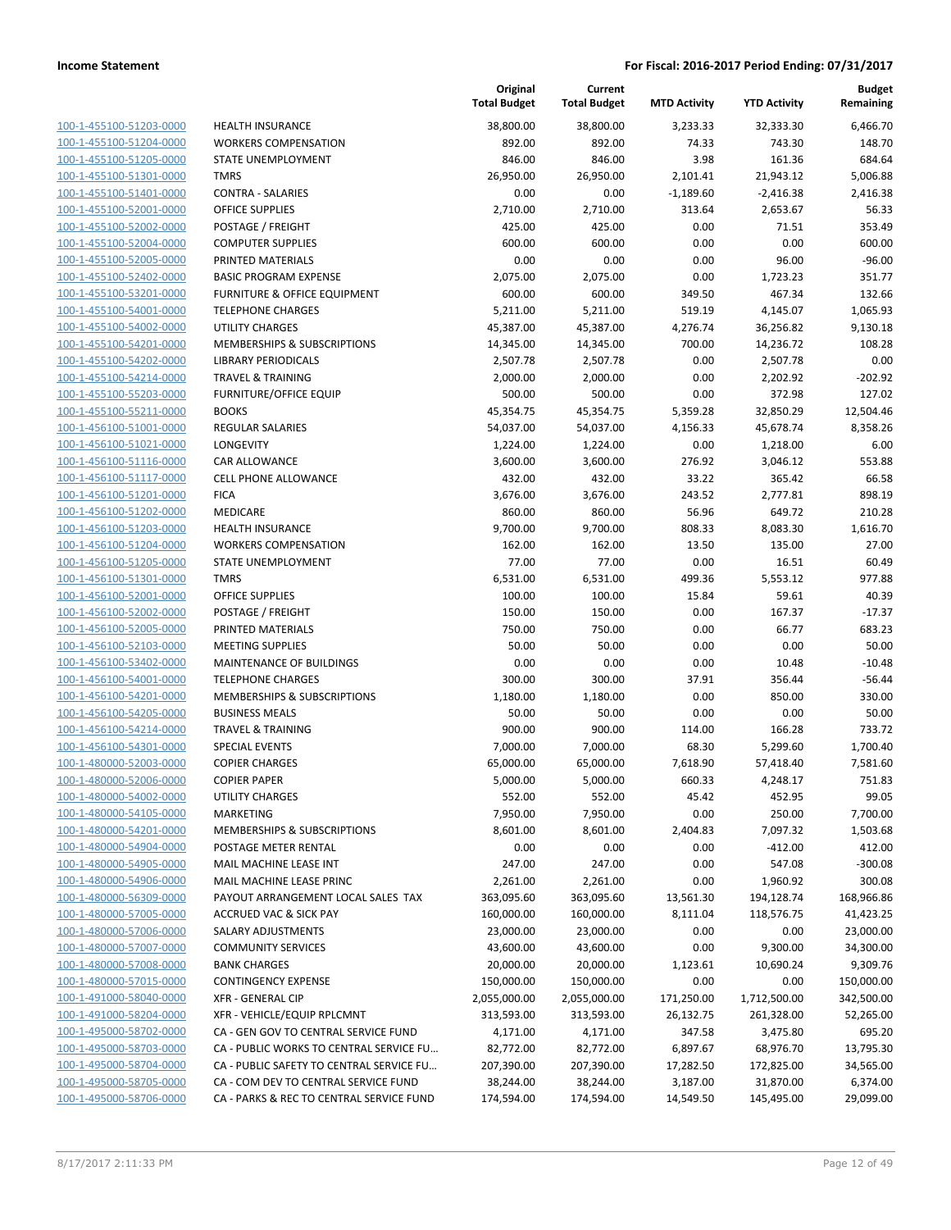| 100-1-455100-51203-0000        |
|--------------------------------|
| 100-1-455100-51204-0000        |
| 100-1-455100-51205-0000        |
| 100-1-455100-51301-0000        |
| 100-1-455100-51401-0000        |
| 100-1-455100-52001-0000        |
| 100-1-455100-52002-0000        |
| 100-1-455100-52004-0000        |
| 100-1-455100-52005-0000        |
| 100-1-455100-52402-0000        |
| 100-1-455100-53201-0000        |
| 100-1-455100-54001-0000        |
| 100-1-455100-54002-0000        |
| 100-1-455100-54201-0000        |
| 100-1-455100-54202-0000        |
| 100-1-455100-54214-0000        |
| 100-1-455100-55203-0000        |
|                                |
| 100-1-455100-55211-0000        |
| 100-1-456100-51001-0000        |
| 100-1-456100-51021-0000        |
| 100-1-456100-51116-0000        |
| 100-1-456100-51117-0000        |
| 100-1-456100-51201-0000        |
| 100-1-456100-51202-0000        |
| 100-1-456100-51203-0000        |
| 100-1-456100-51204-0000        |
| 100-1-456100-51205-0000        |
| 100-1-456100-51301-0000        |
| 100-1-456100-52001-0000        |
| 100-1-456100-52002-0000        |
| 100-1-456100-52005-0000        |
| 100-1-456100-52103-0000        |
| 100-1-456100-53402-0000        |
| 100-1-456100-54001-0000        |
| 100-1-456100-54201-0000        |
| 100-1-456100-54205-0000        |
| 100-1-456100-54214-0000        |
| 100-1-456100-54301-0000        |
| 100-1-480000-52003-0000        |
| 100-1-480000-52006-0000        |
| 100-1-480000-54002-0000        |
| <u>100-1-480000-54105-0000</u> |
|                                |
| 100-1-480000-54201-0000        |
| <u>100-1-480000-54904-0000</u> |
| <u>100-1-480000-54905-0000</u> |
| 100-1-480000-54906-0000        |
| 100-1-480000-56309-0000        |
| <u>100-1-480000-57005-0000</u> |
| <u>100-1-480000-57006-0000</u> |
| <u>100-1-480000-57007-0000</u> |
| 100-1-480000-57008-0000        |
| 100-1-480000-57015-0000        |
| 100-1-491000-58040-0000        |
| <u>100-1-491000-58204-0000</u> |
| <u>100-1-495000-58702-0000</u> |
| 100-1-495000-58703-0000        |
| 100-1-495000-58704-0000        |
| <u>100-1-495000-58705-0000</u> |
| <u>100-1-495000-58706-0000</u> |
|                                |

|                         |                                          | Original<br><b>Total Budget</b> | Current<br><b>Total Budget</b> | <b>MTD Activity</b> | <b>YTD Activity</b> | <b>Budget</b><br>Remaining |
|-------------------------|------------------------------------------|---------------------------------|--------------------------------|---------------------|---------------------|----------------------------|
| 100-1-455100-51203-0000 | <b>HEALTH INSURANCE</b>                  | 38,800.00                       | 38,800.00                      | 3,233.33            | 32,333.30           | 6,466.70                   |
| 100-1-455100-51204-0000 | <b>WORKERS COMPENSATION</b>              | 892.00                          | 892.00                         | 74.33               | 743.30              | 148.70                     |
| 100-1-455100-51205-0000 | STATE UNEMPLOYMENT                       | 846.00                          | 846.00                         | 3.98                | 161.36              | 684.64                     |
| 100-1-455100-51301-0000 | <b>TMRS</b>                              | 26,950.00                       | 26,950.00                      | 2,101.41            | 21,943.12           | 5,006.88                   |
| 100-1-455100-51401-0000 | <b>CONTRA - SALARIES</b>                 | 0.00                            | 0.00                           | $-1,189.60$         | $-2,416.38$         | 2,416.38                   |
| 100-1-455100-52001-0000 | <b>OFFICE SUPPLIES</b>                   | 2,710.00                        | 2,710.00                       | 313.64              | 2,653.67            | 56.33                      |
| 100-1-455100-52002-0000 | POSTAGE / FREIGHT                        | 425.00                          | 425.00                         | 0.00                | 71.51               | 353.49                     |
| 100-1-455100-52004-0000 | <b>COMPUTER SUPPLIES</b>                 | 600.00                          | 600.00                         | 0.00                | 0.00                | 600.00                     |
| 100-1-455100-52005-0000 | PRINTED MATERIALS                        | 0.00                            | 0.00                           | 0.00                | 96.00               | $-96.00$                   |
| 100-1-455100-52402-0000 | <b>BASIC PROGRAM EXPENSE</b>             | 2,075.00                        | 2,075.00                       | 0.00                | 1,723.23            | 351.77                     |
| 100-1-455100-53201-0000 | FURNITURE & OFFICE EQUIPMENT             | 600.00                          | 600.00                         | 349.50              | 467.34              | 132.66                     |
| 100-1-455100-54001-0000 | <b>TELEPHONE CHARGES</b>                 | 5,211.00                        | 5,211.00                       | 519.19              | 4,145.07            | 1,065.93                   |
| 100-1-455100-54002-0000 | <b>UTILITY CHARGES</b>                   | 45,387.00                       | 45,387.00                      | 4,276.74            | 36,256.82           | 9,130.18                   |
| 100-1-455100-54201-0000 | MEMBERSHIPS & SUBSCRIPTIONS              | 14,345.00                       | 14,345.00                      | 700.00              | 14,236.72           | 108.28                     |
| 100-1-455100-54202-0000 | <b>LIBRARY PERIODICALS</b>               | 2,507.78                        | 2,507.78                       | 0.00                | 2,507.78            | 0.00                       |
| 100-1-455100-54214-0000 | <b>TRAVEL &amp; TRAINING</b>             | 2,000.00                        | 2,000.00                       | 0.00                | 2,202.92            | $-202.92$                  |
| 100-1-455100-55203-0000 | <b>FURNITURE/OFFICE EQUIP</b>            | 500.00                          | 500.00                         | 0.00                | 372.98              | 127.02                     |
| 100-1-455100-55211-0000 | <b>BOOKS</b>                             | 45,354.75                       | 45,354.75                      | 5,359.28            | 32,850.29           | 12,504.46                  |
| 100-1-456100-51001-0000 | <b>REGULAR SALARIES</b>                  | 54,037.00                       | 54,037.00                      | 4,156.33            | 45,678.74           | 8,358.26                   |
| 100-1-456100-51021-0000 | <b>LONGEVITY</b>                         | 1,224.00                        | 1,224.00                       | 0.00                | 1,218.00            | 6.00                       |
| 100-1-456100-51116-0000 | CAR ALLOWANCE                            | 3,600.00                        | 3,600.00                       | 276.92              | 3,046.12            | 553.88                     |
| 100-1-456100-51117-0000 | CELL PHONE ALLOWANCE                     | 432.00                          | 432.00                         | 33.22               | 365.42              | 66.58                      |
| 100-1-456100-51201-0000 | <b>FICA</b>                              | 3,676.00                        | 3,676.00                       | 243.52              | 2,777.81            | 898.19                     |
| 100-1-456100-51202-0000 | MEDICARE                                 | 860.00                          | 860.00                         | 56.96               | 649.72              | 210.28                     |
| 100-1-456100-51203-0000 | <b>HEALTH INSURANCE</b>                  | 9,700.00                        | 9,700.00                       | 808.33              | 8,083.30            | 1,616.70                   |
| 100-1-456100-51204-0000 | <b>WORKERS COMPENSATION</b>              | 162.00                          | 162.00                         | 13.50               | 135.00              | 27.00                      |
| 100-1-456100-51205-0000 | STATE UNEMPLOYMENT                       | 77.00                           | 77.00                          | 0.00                | 16.51               | 60.49                      |
| 100-1-456100-51301-0000 | <b>TMRS</b>                              | 6,531.00                        | 6,531.00                       | 499.36              | 5,553.12            | 977.88                     |
| 100-1-456100-52001-0000 | <b>OFFICE SUPPLIES</b>                   | 100.00                          | 100.00                         | 15.84               | 59.61               | 40.39                      |
| 100-1-456100-52002-0000 | POSTAGE / FREIGHT                        | 150.00                          | 150.00                         | 0.00                | 167.37              | $-17.37$                   |
| 100-1-456100-52005-0000 | PRINTED MATERIALS                        | 750.00                          | 750.00                         | 0.00                | 66.77               | 683.23                     |
| 100-1-456100-52103-0000 | <b>MEETING SUPPLIES</b>                  | 50.00                           | 50.00                          | 0.00                | 0.00                | 50.00                      |
| 100-1-456100-53402-0000 | MAINTENANCE OF BUILDINGS                 | 0.00                            | 0.00                           | 0.00                | 10.48               | $-10.48$                   |
| 100-1-456100-54001-0000 | <b>TELEPHONE CHARGES</b>                 | 300.00                          | 300.00                         | 37.91               | 356.44              | $-56.44$                   |
| 100-1-456100-54201-0000 | MEMBERSHIPS & SUBSCRIPTIONS              | 1,180.00                        | 1,180.00                       | 0.00                | 850.00              | 330.00                     |
| 100-1-456100-54205-0000 | <b>BUSINESS MEALS</b>                    | 50.00                           | 50.00                          | 0.00                | 0.00                | 50.00                      |
| 100-1-456100-54214-0000 | <b>TRAVEL &amp; TRAINING</b>             | 900.00                          | 900.00                         | 114.00              | 166.28              | 733.72                     |
| 100-1-456100-54301-0000 | <b>SPECIAL EVENTS</b>                    | 7,000.00                        | 7,000.00                       | 68.30               | 5,299.60            | 1,700.40                   |
| 100-1-480000-52003-0000 | <b>COPIER CHARGES</b>                    | 65,000.00                       | 65,000.00                      | 7,618.90            | 57,418.40           | 7,581.60                   |
| 100-1-480000-52006-0000 | <b>COPIER PAPER</b>                      | 5,000.00                        | 5,000.00                       | 660.33              | 4,248.17            | 751.83                     |
| 100-1-480000-54002-0000 | UTILITY CHARGES                          | 552.00                          | 552.00                         | 45.42               | 452.95              | 99.05                      |
| 100-1-480000-54105-0000 | <b>MARKETING</b>                         | 7,950.00                        | 7,950.00                       | 0.00                | 250.00              | 7,700.00                   |
| 100-1-480000-54201-0000 | MEMBERSHIPS & SUBSCRIPTIONS              | 8,601.00                        | 8,601.00                       | 2,404.83            | 7,097.32            | 1,503.68                   |
| 100-1-480000-54904-0000 | POSTAGE METER RENTAL                     | 0.00                            | 0.00                           | 0.00                | $-412.00$           | 412.00                     |
| 100-1-480000-54905-0000 | MAIL MACHINE LEASE INT                   | 247.00                          | 247.00                         | 0.00                | 547.08              | $-300.08$                  |
| 100-1-480000-54906-0000 | MAIL MACHINE LEASE PRINC                 | 2,261.00                        | 2,261.00                       | 0.00                | 1,960.92            | 300.08                     |
| 100-1-480000-56309-0000 | PAYOUT ARRANGEMENT LOCAL SALES TAX       | 363,095.60                      | 363,095.60                     | 13,561.30           | 194,128.74          | 168,966.86                 |
| 100-1-480000-57005-0000 | <b>ACCRUED VAC &amp; SICK PAY</b>        | 160,000.00                      | 160,000.00                     | 8,111.04            | 118,576.75          | 41,423.25                  |
| 100-1-480000-57006-0000 | SALARY ADJUSTMENTS                       | 23,000.00                       | 23,000.00                      | 0.00                | 0.00                | 23,000.00                  |
| 100-1-480000-57007-0000 | <b>COMMUNITY SERVICES</b>                | 43,600.00                       | 43,600.00                      | 0.00                | 9,300.00            | 34,300.00                  |
| 100-1-480000-57008-0000 | <b>BANK CHARGES</b>                      | 20,000.00                       | 20,000.00                      | 1,123.61            | 10,690.24           | 9,309.76                   |
| 100-1-480000-57015-0000 | <b>CONTINGENCY EXPENSE</b>               | 150,000.00                      | 150,000.00                     | 0.00                | 0.00                | 150,000.00                 |
| 100-1-491000-58040-0000 | <b>XFR - GENERAL CIP</b>                 | 2,055,000.00                    | 2,055,000.00                   | 171,250.00          | 1,712,500.00        | 342,500.00                 |
| 100-1-491000-58204-0000 | XFR - VEHICLE/EQUIP RPLCMNT              | 313,593.00                      | 313,593.00                     | 26,132.75           | 261,328.00          | 52,265.00                  |
| 100-1-495000-58702-0000 | CA - GEN GOV TO CENTRAL SERVICE FUND     | 4,171.00                        | 4,171.00                       | 347.58              | 3,475.80            | 695.20                     |
| 100-1-495000-58703-0000 | CA - PUBLIC WORKS TO CENTRAL SERVICE FU  | 82,772.00                       | 82,772.00                      | 6,897.67            | 68,976.70           | 13,795.30                  |
| 100-1-495000-58704-0000 | CA - PUBLIC SAFETY TO CENTRAL SERVICE FU | 207,390.00                      | 207,390.00                     | 17,282.50           | 172,825.00          | 34,565.00                  |
| 100-1-495000-58705-0000 | CA - COM DEV TO CENTRAL SERVICE FUND     | 38,244.00                       | 38,244.00                      | 3,187.00            | 31,870.00           | 6,374.00                   |
| 100-1-495000-58706-0000 | CA - PARKS & REC TO CENTRAL SERVICE FUND | 174,594.00                      | 174,594.00                     | 14,549.50           | 145,495.00          | 29,099.00                  |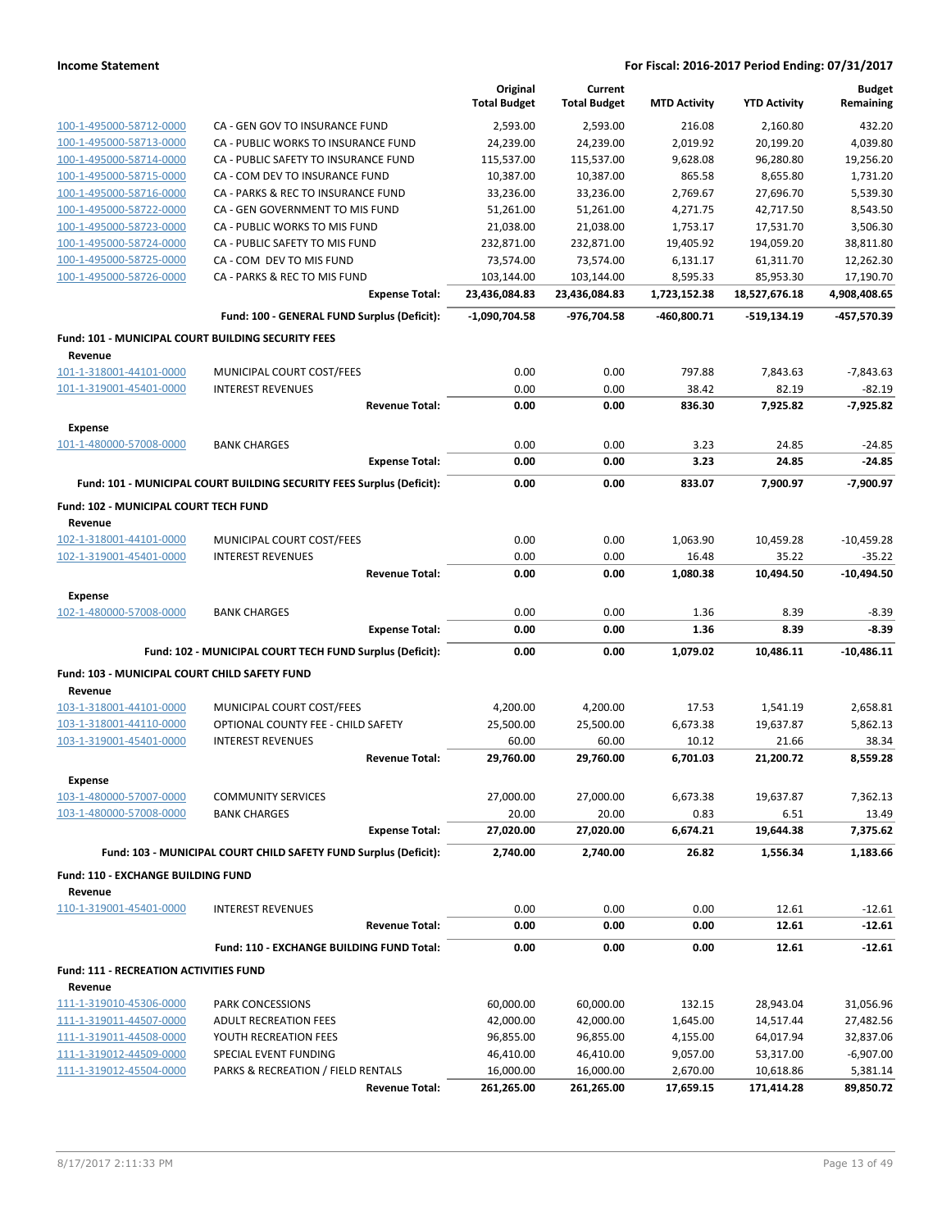|                                                               |                                                                       | Original<br><b>Total Budget</b> | Current<br><b>Total Budget</b> | <b>MTD Activity</b>   | <b>YTD Activity</b>     | <b>Budget</b><br>Remaining |
|---------------------------------------------------------------|-----------------------------------------------------------------------|---------------------------------|--------------------------------|-----------------------|-------------------------|----------------------------|
| 100-1-495000-58712-0000                                       | CA - GEN GOV TO INSURANCE FUND                                        | 2,593.00                        | 2,593.00                       | 216.08                | 2,160.80                | 432.20                     |
| 100-1-495000-58713-0000                                       | CA - PUBLIC WORKS TO INSURANCE FUND                                   | 24,239.00                       | 24,239.00                      | 2,019.92              | 20,199.20               | 4,039.80                   |
| 100-1-495000-58714-0000                                       | CA - PUBLIC SAFETY TO INSURANCE FUND                                  | 115,537.00                      | 115,537.00                     | 9,628.08              | 96,280.80               | 19,256.20                  |
| 100-1-495000-58715-0000                                       | CA - COM DEV TO INSURANCE FUND                                        | 10,387.00                       | 10,387.00                      | 865.58                | 8,655.80                | 1,731.20                   |
| 100-1-495000-58716-0000                                       | CA - PARKS & REC TO INSURANCE FUND                                    | 33,236.00                       | 33,236.00                      | 2,769.67              | 27,696.70               | 5,539.30                   |
| 100-1-495000-58722-0000                                       | CA - GEN GOVERNMENT TO MIS FUND                                       | 51,261.00                       | 51,261.00                      | 4,271.75              | 42,717.50               | 8,543.50                   |
| 100-1-495000-58723-0000                                       | CA - PUBLIC WORKS TO MIS FUND                                         | 21,038.00                       | 21,038.00                      | 1,753.17              | 17,531.70               | 3,506.30                   |
| 100-1-495000-58724-0000                                       | CA - PUBLIC SAFETY TO MIS FUND                                        | 232,871.00                      | 232,871.00                     | 19,405.92             | 194,059.20              | 38,811.80                  |
| 100-1-495000-58725-0000                                       | CA - COM DEV TO MIS FUND                                              | 73,574.00                       | 73,574.00                      | 6,131.17              | 61,311.70               | 12,262.30                  |
| 100-1-495000-58726-0000                                       | CA - PARKS & REC TO MIS FUND                                          | 103,144.00                      | 103,144.00                     | 8,595.33              | 85,953.30               | 17,190.70                  |
|                                                               | <b>Expense Total:</b>                                                 | 23,436,084.83                   | 23,436,084.83                  | 1,723,152.38          | 18,527,676.18           | 4,908,408.65               |
|                                                               | Fund: 100 - GENERAL FUND Surplus (Deficit):                           | $-1,090,704.58$                 | -976,704.58                    | -460,800.71           | -519,134.19             | -457,570.39                |
| Fund: 101 - MUNICIPAL COURT BUILDING SECURITY FEES<br>Revenue |                                                                       |                                 |                                |                       |                         |                            |
| 101-1-318001-44101-0000                                       | MUNICIPAL COURT COST/FEES                                             | 0.00                            | 0.00                           | 797.88                | 7,843.63                | $-7,843.63$                |
| 101-1-319001-45401-0000                                       | <b>INTEREST REVENUES</b>                                              | 0.00                            | 0.00                           | 38.42                 | 82.19                   | $-82.19$                   |
|                                                               | <b>Revenue Total:</b>                                                 | 0.00                            | 0.00                           | 836.30                | 7,925.82                | $-7,925.82$                |
| <b>Expense</b>                                                |                                                                       |                                 |                                |                       |                         |                            |
| 101-1-480000-57008-0000                                       | <b>BANK CHARGES</b>                                                   | 0.00                            | 0.00                           | 3.23                  | 24.85                   | $-24.85$                   |
|                                                               | <b>Expense Total:</b>                                                 | 0.00                            | 0.00                           | 3.23                  | 24.85                   | $-24.85$                   |
|                                                               | Fund: 101 - MUNICIPAL COURT BUILDING SECURITY FEES Surplus (Deficit): | 0.00                            | 0.00                           | 833.07                | 7,900.97                | $-7,900.97$                |
| Fund: 102 - MUNICIPAL COURT TECH FUND                         |                                                                       |                                 |                                |                       |                         |                            |
| Revenue<br>102-1-318001-44101-0000                            | MUNICIPAL COURT COST/FEES                                             | 0.00                            | 0.00                           | 1,063.90              | 10,459.28               | $-10,459.28$               |
| 102-1-319001-45401-0000                                       | <b>INTEREST REVENUES</b>                                              | 0.00                            | 0.00                           | 16.48                 | 35.22                   | $-35.22$                   |
|                                                               | <b>Revenue Total:</b>                                                 | 0.00                            | 0.00                           | 1,080.38              | 10,494.50               | $-10,494.50$               |
| <b>Expense</b>                                                |                                                                       |                                 |                                |                       |                         |                            |
| 102-1-480000-57008-0000                                       | <b>BANK CHARGES</b><br><b>Expense Total:</b>                          | 0.00<br>0.00                    | 0.00<br>0.00                   | 1.36<br>1.36          | 8.39<br>8.39            | $-8.39$<br>$-8.39$         |
|                                                               | Fund: 102 - MUNICIPAL COURT TECH FUND Surplus (Deficit):              | 0.00                            | 0.00                           | 1,079.02              | 10,486.11               | $-10,486.11$               |
| Fund: 103 - MUNICIPAL COURT CHILD SAFETY FUND                 |                                                                       |                                 |                                |                       |                         |                            |
| Revenue                                                       |                                                                       |                                 |                                |                       |                         |                            |
| 103-1-318001-44101-0000                                       | MUNICIPAL COURT COST/FEES                                             | 4,200.00                        | 4,200.00                       | 17.53                 | 1,541.19                | 2,658.81                   |
| 103-1-318001-44110-0000                                       | OPTIONAL COUNTY FEE - CHILD SAFETY                                    | 25,500.00                       | 25,500.00                      | 6,673.38              | 19,637.87               | 5,862.13                   |
| 103-1-319001-45401-0000                                       | <b>INTEREST REVENUES</b>                                              | 60.00                           | 60.00                          | 10.12                 | 21.66                   | 38.34                      |
|                                                               | <b>Revenue Total:</b>                                                 | 29,760.00                       | 29,760.00                      | 6,701.03              | 21,200.72               | 8,559.28                   |
| <b>Expense</b>                                                |                                                                       |                                 |                                |                       |                         |                            |
| 103-1-480000-57007-0000                                       | <b>COMMUNITY SERVICES</b>                                             | 27,000.00                       | 27,000.00                      | 6,673.38              | 19,637.87               | 7,362.13                   |
| 103-1-480000-57008-0000                                       | <b>BANK CHARGES</b>                                                   | 20.00                           | 20.00                          | 0.83                  | 6.51                    | 13.49                      |
|                                                               | <b>Expense Total:</b>                                                 | 27,020.00                       | 27,020.00                      | 6,674.21              | 19,644.38               | 7,375.62                   |
|                                                               | Fund: 103 - MUNICIPAL COURT CHILD SAFETY FUND Surplus (Deficit):      | 2,740.00                        | 2,740.00                       | 26.82                 | 1,556.34                | 1,183.66                   |
| <b>Fund: 110 - EXCHANGE BUILDING FUND</b><br>Revenue          |                                                                       |                                 |                                |                       |                         |                            |
| 110-1-319001-45401-0000                                       | <b>INTEREST REVENUES</b>                                              | 0.00                            | 0.00                           | 0.00                  | 12.61                   | $-12.61$                   |
|                                                               | <b>Revenue Total:</b>                                                 | 0.00                            | 0.00                           | 0.00                  | 12.61                   | $-12.61$                   |
|                                                               | Fund: 110 - EXCHANGE BUILDING FUND Total:                             | 0.00                            | 0.00                           | 0.00                  | 12.61                   | $-12.61$                   |
| <b>Fund: 111 - RECREATION ACTIVITIES FUND</b>                 |                                                                       |                                 |                                |                       |                         |                            |
| Revenue                                                       |                                                                       |                                 |                                |                       |                         |                            |
| 111-1-319010-45306-0000                                       | PARK CONCESSIONS<br><b>ADULT RECREATION FEES</b>                      | 60,000.00<br>42,000.00          | 60,000.00<br>42,000.00         | 132.15<br>1,645.00    | 28,943.04               | 31,056.96<br>27,482.56     |
| 111-1-319011-44507-0000                                       | YOUTH RECREATION FEES                                                 | 96,855.00                       | 96,855.00                      |                       | 14,517.44<br>64,017.94  | 32,837.06                  |
| 111-1-319011-44508-0000                                       | SPECIAL EVENT FUNDING                                                 |                                 |                                | 4,155.00              |                         |                            |
| 111-1-319012-44509-0000                                       |                                                                       | 46,410.00                       | 46,410.00                      | 9,057.00              | 53,317.00               | $-6,907.00$                |
| 111-1-319012-45504-0000                                       | PARKS & RECREATION / FIELD RENTALS<br><b>Revenue Total:</b>           | 16,000.00<br>261,265.00         | 16,000.00<br>261,265.00        | 2,670.00<br>17,659.15 | 10,618.86<br>171,414.28 | 5,381.14<br>89,850.72      |
|                                                               |                                                                       |                                 |                                |                       |                         |                            |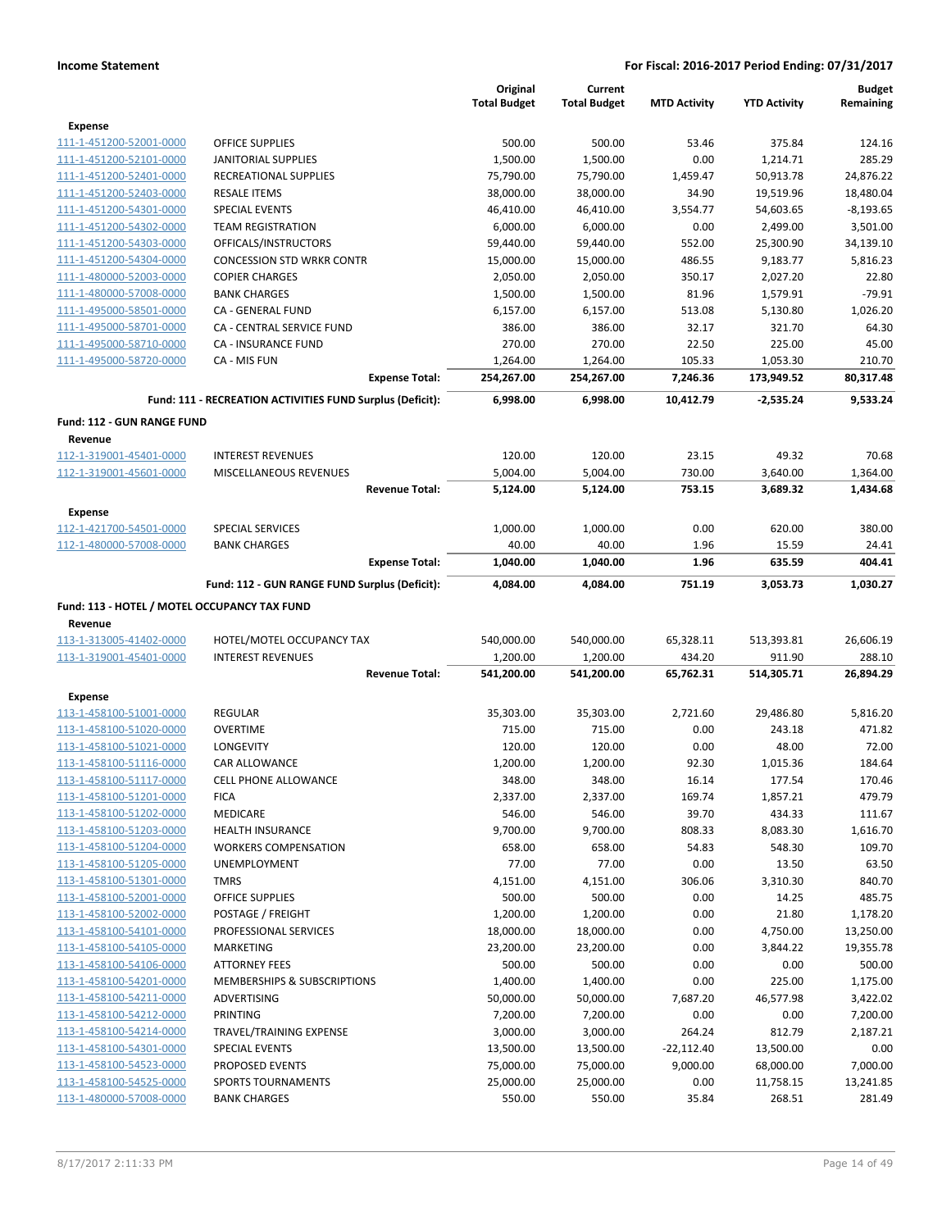|                                                    |                                                           | Original<br><b>Total Budget</b> | Current<br><b>Total Budget</b> | <b>MTD Activity</b> | <b>YTD Activity</b>  | <b>Budget</b><br>Remaining |
|----------------------------------------------------|-----------------------------------------------------------|---------------------------------|--------------------------------|---------------------|----------------------|----------------------------|
|                                                    |                                                           |                                 |                                |                     |                      |                            |
| <b>Expense</b>                                     |                                                           |                                 |                                |                     |                      |                            |
| 111-1-451200-52001-0000<br>111-1-451200-52101-0000 | <b>OFFICE SUPPLIES</b>                                    | 500.00<br>1,500.00              | 500.00<br>1,500.00             | 53.46<br>0.00       | 375.84<br>1,214.71   | 124.16<br>285.29           |
| 111-1-451200-52401-0000                            | <b>JANITORIAL SUPPLIES</b><br>RECREATIONAL SUPPLIES       | 75,790.00                       | 75,790.00                      | 1,459.47            | 50,913.78            | 24,876.22                  |
| 111-1-451200-52403-0000                            | <b>RESALE ITEMS</b>                                       | 38,000.00                       | 38,000.00                      | 34.90               | 19,519.96            | 18,480.04                  |
| 111-1-451200-54301-0000                            | <b>SPECIAL EVENTS</b>                                     | 46,410.00                       | 46,410.00                      | 3,554.77            | 54,603.65            | $-8,193.65$                |
| 111-1-451200-54302-0000                            | <b>TEAM REGISTRATION</b>                                  | 6,000.00                        | 6,000.00                       | 0.00                | 2,499.00             | 3,501.00                   |
| 111-1-451200-54303-0000                            | OFFICALS/INSTRUCTORS                                      | 59,440.00                       | 59,440.00                      | 552.00              | 25,300.90            | 34,139.10                  |
| 111-1-451200-54304-0000                            | <b>CONCESSION STD WRKR CONTR</b>                          | 15,000.00                       | 15,000.00                      | 486.55              | 9,183.77             | 5,816.23                   |
| 111-1-480000-52003-0000                            | <b>COPIER CHARGES</b>                                     | 2,050.00                        | 2,050.00                       | 350.17              | 2,027.20             | 22.80                      |
| 111-1-480000-57008-0000                            | <b>BANK CHARGES</b>                                       | 1,500.00                        | 1,500.00                       | 81.96               | 1,579.91             | $-79.91$                   |
| 111-1-495000-58501-0000                            | CA - GENERAL FUND                                         | 6,157.00                        | 6,157.00                       | 513.08              | 5,130.80             | 1,026.20                   |
| 111-1-495000-58701-0000                            | CA - CENTRAL SERVICE FUND                                 | 386.00                          | 386.00                         | 32.17               | 321.70               | 64.30                      |
| 111-1-495000-58710-0000                            | <b>CA - INSURANCE FUND</b>                                | 270.00                          | 270.00                         | 22.50               | 225.00               | 45.00                      |
| 111-1-495000-58720-0000                            | CA - MIS FUN                                              | 1,264.00                        | 1,264.00                       | 105.33              | 1,053.30             | 210.70                     |
|                                                    | <b>Expense Total:</b>                                     | 254,267.00                      | 254,267.00                     | 7,246.36            | 173,949.52           | 80,317.48                  |
|                                                    | Fund: 111 - RECREATION ACTIVITIES FUND Surplus (Deficit): | 6,998.00                        | 6,998.00                       | 10,412.79           | $-2,535.24$          | 9,533.24                   |
| <b>Fund: 112 - GUN RANGE FUND</b>                  |                                                           |                                 |                                |                     |                      |                            |
| Revenue                                            |                                                           |                                 |                                |                     |                      |                            |
| 112-1-319001-45401-0000                            | <b>INTEREST REVENUES</b>                                  | 120.00                          | 120.00                         | 23.15               | 49.32                | 70.68                      |
| 112-1-319001-45601-0000                            | <b>MISCELLANEOUS REVENUES</b>                             | 5,004.00                        | 5,004.00                       | 730.00              | 3,640.00             | 1,364.00                   |
|                                                    | <b>Revenue Total:</b>                                     | 5,124.00                        | 5,124.00                       | 753.15              | 3,689.32             | 1,434.68                   |
| <b>Expense</b>                                     |                                                           |                                 |                                |                     |                      |                            |
| 112-1-421700-54501-0000                            | SPECIAL SERVICES                                          | 1,000.00                        | 1,000.00                       | 0.00                | 620.00               | 380.00                     |
| 112-1-480000-57008-0000                            | <b>BANK CHARGES</b>                                       | 40.00                           | 40.00                          | 1.96                | 15.59                | 24.41                      |
|                                                    | <b>Expense Total:</b>                                     | 1,040.00                        | 1,040.00                       | 1.96                | 635.59               | 404.41                     |
|                                                    | Fund: 112 - GUN RANGE FUND Surplus (Deficit):             | 4,084.00                        | 4,084.00                       | 751.19              | 3,053.73             | 1,030.27                   |
|                                                    |                                                           |                                 |                                |                     |                      |                            |
| Fund: 113 - HOTEL / MOTEL OCCUPANCY TAX FUND       |                                                           |                                 |                                |                     |                      |                            |
| Revenue<br>113-1-313005-41402-0000                 | HOTEL/MOTEL OCCUPANCY TAX                                 |                                 |                                |                     | 513,393.81           | 26,606.19                  |
|                                                    | <b>INTEREST REVENUES</b>                                  | 540,000.00                      | 540,000.00                     | 65,328.11<br>434.20 |                      | 288.10                     |
| 113-1-319001-45401-0000                            | <b>Revenue Total:</b>                                     | 1,200.00<br>541,200.00          | 1,200.00<br>541,200.00         | 65,762.31           | 911.90<br>514,305.71 | 26,894.29                  |
|                                                    |                                                           |                                 |                                |                     |                      |                            |
| Expense                                            |                                                           |                                 |                                |                     |                      |                            |
| 113-1-458100-51001-0000                            | REGULAR                                                   | 35,303.00                       | 35,303.00                      | 2,721.60            | 29,486.80            | 5,816.20                   |
| 113-1-458100-51020-0000                            | <b>OVERTIME</b>                                           | 715.00                          | 715.00                         | 0.00                | 243.18               | 471.82                     |
| 113-1-458100-51021-0000                            | LONGEVITY                                                 | 120.00                          | 120.00                         | 0.00                | 48.00                | 72.00                      |
| 113-1-458100-51116-0000                            | <b>CAR ALLOWANCE</b>                                      | 1,200.00                        | 1,200.00                       | 92.30               | 1,015.36             | 184.64                     |
| 113-1-458100-51117-0000                            | CELL PHONE ALLOWANCE                                      | 348.00                          | 348.00                         | 16.14               | 177.54               | 170.46                     |
| 113-1-458100-51201-0000                            | <b>FICA</b>                                               | 2,337.00                        | 2,337.00                       | 169.74              | 1,857.21             | 479.79                     |
| 113-1-458100-51202-0000                            | MEDICARE                                                  | 546.00                          | 546.00                         | 39.70               | 434.33               | 111.67                     |
| 113-1-458100-51203-0000                            | <b>HEALTH INSURANCE</b>                                   | 9,700.00                        | 9,700.00                       | 808.33              | 8,083.30             | 1,616.70                   |
| 113-1-458100-51204-0000                            | <b>WORKERS COMPENSATION</b>                               | 658.00                          | 658.00                         | 54.83               | 548.30               | 109.70                     |
| 113-1-458100-51205-0000                            | <b>UNEMPLOYMENT</b>                                       | 77.00                           | 77.00                          | 0.00                | 13.50                | 63.50                      |
| 113-1-458100-51301-0000                            | <b>TMRS</b>                                               | 4,151.00                        | 4,151.00                       | 306.06              | 3,310.30             | 840.70                     |
| 113-1-458100-52001-0000                            | <b>OFFICE SUPPLIES</b>                                    | 500.00                          | 500.00                         | 0.00                | 14.25                | 485.75                     |
| 113-1-458100-52002-0000                            | POSTAGE / FREIGHT                                         | 1,200.00                        | 1,200.00                       | 0.00                | 21.80                | 1,178.20                   |
| 113-1-458100-54101-0000                            | PROFESSIONAL SERVICES                                     | 18,000.00                       | 18,000.00                      | 0.00                | 4,750.00             | 13,250.00                  |
| 113-1-458100-54105-0000                            | MARKETING                                                 | 23,200.00                       | 23,200.00                      | 0.00                | 3,844.22             | 19,355.78                  |
| 113-1-458100-54106-0000                            | <b>ATTORNEY FEES</b>                                      | 500.00                          | 500.00                         | 0.00                | 0.00                 | 500.00                     |
| 113-1-458100-54201-0000                            | MEMBERSHIPS & SUBSCRIPTIONS                               | 1,400.00                        | 1,400.00                       | 0.00                | 225.00               | 1,175.00                   |
| 113-1-458100-54211-0000                            | ADVERTISING                                               | 50,000.00                       | 50,000.00                      | 7,687.20            | 46,577.98            | 3,422.02                   |
| 113-1-458100-54212-0000                            | PRINTING                                                  | 7,200.00                        | 7,200.00                       | 0.00                | 0.00                 | 7,200.00                   |
| 113-1-458100-54214-0000                            | TRAVEL/TRAINING EXPENSE                                   | 3,000.00                        | 3,000.00                       | 264.24              | 812.79               | 2,187.21                   |
| 113-1-458100-54301-0000                            | SPECIAL EVENTS                                            | 13,500.00                       | 13,500.00                      | -22,112.40          | 13,500.00            | 0.00                       |
| 113-1-458100-54523-0000                            | PROPOSED EVENTS                                           | 75,000.00                       | 75,000.00                      | 9,000.00            | 68,000.00            | 7,000.00                   |
| 113-1-458100-54525-0000                            | <b>SPORTS TOURNAMENTS</b>                                 | 25,000.00                       | 25,000.00                      | 0.00                | 11,758.15            | 13,241.85                  |
| 113-1-480000-57008-0000                            | <b>BANK CHARGES</b>                                       | 550.00                          | 550.00                         | 35.84               | 268.51               | 281.49                     |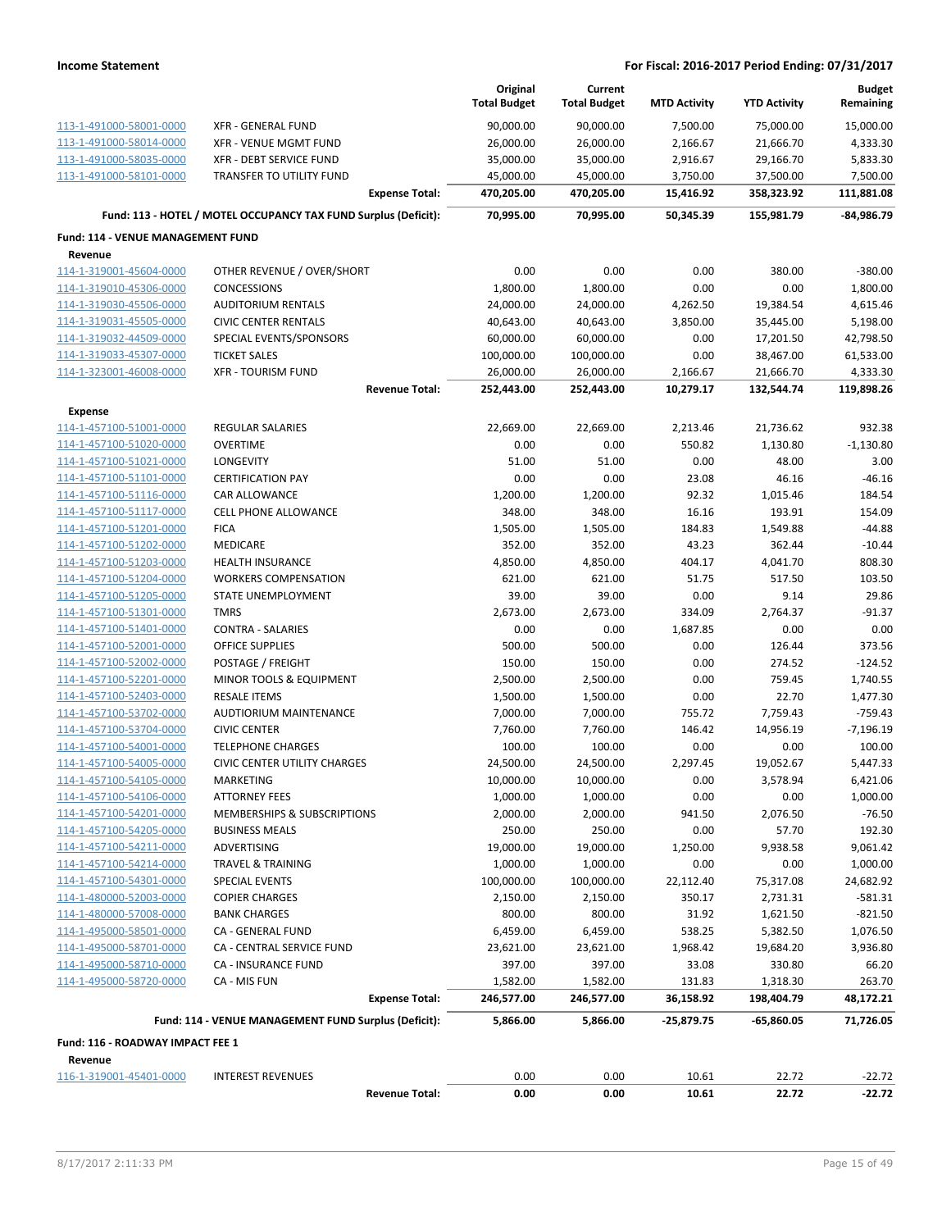|                                                    |                                                                 | Original<br><b>Total Budget</b> | Current<br><b>Total Budget</b> | <b>MTD Activity</b>  | <b>YTD Activity</b>    | <b>Budget</b><br>Remaining |
|----------------------------------------------------|-----------------------------------------------------------------|---------------------------------|--------------------------------|----------------------|------------------------|----------------------------|
|                                                    |                                                                 |                                 |                                |                      |                        |                            |
| 113-1-491000-58001-0000                            | <b>XFR - GENERAL FUND</b>                                       | 90,000.00                       | 90,000.00                      | 7,500.00             | 75,000.00              | 15,000.00                  |
| 113-1-491000-58014-0000<br>113-1-491000-58035-0000 | <b>XFR - VENUE MGMT FUND</b><br><b>XFR - DEBT SERVICE FUND</b>  | 26,000.00<br>35,000.00          | 26,000.00<br>35,000.00         | 2,166.67<br>2,916.67 | 21,666.70<br>29,166.70 | 4,333.30<br>5,833.30       |
| 113-1-491000-58101-0000                            | <b>TRANSFER TO UTILITY FUND</b>                                 | 45,000.00                       | 45,000.00                      | 3,750.00             | 37,500.00              | 7,500.00                   |
|                                                    | <b>Expense Total:</b>                                           | 470,205.00                      | 470,205.00                     | 15,416.92            | 358,323.92             | 111,881.08                 |
|                                                    | Fund: 113 - HOTEL / MOTEL OCCUPANCY TAX FUND Surplus (Deficit): | 70,995.00                       | 70,995.00                      | 50,345.39            | 155,981.79             | -84,986.79                 |
| Fund: 114 - VENUE MANAGEMENT FUND                  |                                                                 |                                 |                                |                      |                        |                            |
| Revenue                                            |                                                                 |                                 |                                |                      |                        |                            |
| 114-1-319001-45604-0000                            | OTHER REVENUE / OVER/SHORT                                      | 0.00                            | 0.00                           | 0.00                 | 380.00                 | $-380.00$                  |
| 114-1-319010-45306-0000                            | <b>CONCESSIONS</b>                                              | 1,800.00                        | 1,800.00                       | 0.00                 | 0.00                   | 1,800.00                   |
| 114-1-319030-45506-0000                            | <b>AUDITORIUM RENTALS</b>                                       | 24,000.00                       | 24,000.00                      | 4,262.50             | 19,384.54              | 4,615.46                   |
| 114-1-319031-45505-0000                            | <b>CIVIC CENTER RENTALS</b>                                     | 40,643.00                       | 40,643.00                      | 3,850.00             | 35,445.00              | 5,198.00                   |
| 114-1-319032-44509-0000                            | SPECIAL EVENTS/SPONSORS                                         | 60,000.00                       | 60,000.00                      | 0.00                 | 17,201.50              | 42,798.50                  |
| 114-1-319033-45307-0000                            | <b>TICKET SALES</b>                                             | 100,000.00                      | 100,000.00                     | 0.00                 | 38,467.00              | 61,533.00                  |
| 114-1-323001-46008-0000                            | <b>XFR - TOURISM FUND</b>                                       | 26,000.00                       | 26,000.00                      | 2,166.67             | 21,666.70              | 4,333.30                   |
|                                                    | <b>Revenue Total:</b>                                           | 252,443.00                      | 252,443.00                     | 10,279.17            | 132,544.74             | 119,898.26                 |
| <b>Expense</b>                                     |                                                                 |                                 |                                |                      |                        |                            |
| 114-1-457100-51001-0000                            | <b>REGULAR SALARIES</b>                                         | 22,669.00                       | 22,669.00                      | 2,213.46             | 21,736.62              | 932.38                     |
| 114-1-457100-51020-0000                            | <b>OVERTIME</b>                                                 | 0.00                            | 0.00                           | 550.82               | 1,130.80               | $-1,130.80$                |
| 114-1-457100-51021-0000                            | LONGEVITY                                                       | 51.00                           | 51.00                          | 0.00                 | 48.00                  | 3.00                       |
| 114-1-457100-51101-0000                            | <b>CERTIFICATION PAY</b>                                        | 0.00                            | 0.00                           | 23.08                | 46.16                  | $-46.16$                   |
| 114-1-457100-51116-0000                            | <b>CAR ALLOWANCE</b>                                            | 1,200.00                        | 1,200.00                       | 92.32                | 1,015.46               | 184.54                     |
| 114-1-457100-51117-0000                            | <b>CELL PHONE ALLOWANCE</b>                                     | 348.00                          | 348.00                         | 16.16                | 193.91                 | 154.09                     |
| 114-1-457100-51201-0000                            | <b>FICA</b>                                                     | 1,505.00                        | 1,505.00                       | 184.83               | 1,549.88               | $-44.88$                   |
| 114-1-457100-51202-0000                            | MEDICARE                                                        | 352.00                          | 352.00                         | 43.23                | 362.44                 | $-10.44$                   |
| 114-1-457100-51203-0000                            | <b>HEALTH INSURANCE</b>                                         | 4,850.00                        | 4,850.00                       | 404.17               | 4,041.70               | 808.30                     |
| 114-1-457100-51204-0000                            | <b>WORKERS COMPENSATION</b>                                     | 621.00                          | 621.00                         | 51.75                | 517.50                 | 103.50                     |
| 114-1-457100-51205-0000                            | STATE UNEMPLOYMENT                                              | 39.00                           | 39.00                          | 0.00                 | 9.14                   | 29.86                      |
| 114-1-457100-51301-0000                            | <b>TMRS</b>                                                     | 2,673.00                        | 2,673.00                       | 334.09               | 2,764.37               | $-91.37$                   |
| 114-1-457100-51401-0000                            | <b>CONTRA - SALARIES</b>                                        | 0.00                            | 0.00                           | 1,687.85             | 0.00                   | 0.00                       |
| 114-1-457100-52001-0000                            | <b>OFFICE SUPPLIES</b>                                          | 500.00                          | 500.00                         | 0.00                 | 126.44                 | 373.56                     |
| 114-1-457100-52002-0000                            | POSTAGE / FREIGHT                                               | 150.00                          | 150.00                         | 0.00                 | 274.52                 | $-124.52$                  |
| 114-1-457100-52201-0000                            | MINOR TOOLS & EQUIPMENT<br><b>RESALE ITEMS</b>                  | 2,500.00                        | 2,500.00                       | 0.00                 | 759.45                 | 1,740.55                   |
| 114-1-457100-52403-0000                            |                                                                 | 1,500.00                        | 1,500.00                       | 0.00                 | 22.70                  | 1,477.30                   |
| 114-1-457100-53702-0000<br>114-1-457100-53704-0000 | AUDTIORIUM MAINTENANCE<br><b>CIVIC CENTER</b>                   | 7,000.00                        | 7,000.00                       | 755.72<br>146.42     | 7,759.43               | $-759.43$                  |
| 114-1-457100-54001-0000                            | <b>TELEPHONE CHARGES</b>                                        | 7,760.00<br>100.00              | 7,760.00<br>100.00             | 0.00                 | 14,956.19<br>0.00      | $-7,196.19$<br>100.00      |
| 114-1-457100-54005-0000                            | <b>CIVIC CENTER UTILITY CHARGES</b>                             | 24,500.00                       | 24,500.00                      | 2,297.45             | 19,052.67              | 5,447.33                   |
| 114-1-457100-54105-0000                            | MARKETING                                                       | 10,000.00                       | 10,000.00                      | 0.00                 | 3,578.94               | 6,421.06                   |
| 114-1-457100-54106-0000                            | <b>ATTORNEY FEES</b>                                            | 1,000.00                        | 1,000.00                       | 0.00                 | 0.00                   | 1,000.00                   |
| 114-1-457100-54201-0000                            | MEMBERSHIPS & SUBSCRIPTIONS                                     | 2,000.00                        | 2,000.00                       | 941.50               | 2,076.50               | $-76.50$                   |
| 114-1-457100-54205-0000                            | <b>BUSINESS MEALS</b>                                           | 250.00                          | 250.00                         | 0.00                 | 57.70                  | 192.30                     |
| 114-1-457100-54211-0000                            | ADVERTISING                                                     | 19,000.00                       | 19,000.00                      | 1,250.00             | 9,938.58               | 9,061.42                   |
| 114-1-457100-54214-0000                            | TRAVEL & TRAINING                                               | 1,000.00                        | 1,000.00                       | 0.00                 | 0.00                   | 1,000.00                   |
| 114-1-457100-54301-0000                            | <b>SPECIAL EVENTS</b>                                           | 100,000.00                      | 100,000.00                     | 22,112.40            | 75,317.08              | 24,682.92                  |
| 114-1-480000-52003-0000                            | <b>COPIER CHARGES</b>                                           | 2,150.00                        | 2,150.00                       | 350.17               | 2,731.31               | $-581.31$                  |
| 114-1-480000-57008-0000                            | <b>BANK CHARGES</b>                                             | 800.00                          | 800.00                         | 31.92                | 1,621.50               | $-821.50$                  |
| 114-1-495000-58501-0000                            | CA - GENERAL FUND                                               | 6,459.00                        | 6,459.00                       | 538.25               | 5,382.50               | 1,076.50                   |
| 114-1-495000-58701-0000                            | CA - CENTRAL SERVICE FUND                                       | 23,621.00                       | 23,621.00                      | 1,968.42             | 19,684.20              | 3,936.80                   |
| 114-1-495000-58710-0000                            | CA - INSURANCE FUND                                             | 397.00                          | 397.00                         | 33.08                | 330.80                 | 66.20                      |
| 114-1-495000-58720-0000                            | CA - MIS FUN                                                    | 1,582.00                        | 1,582.00                       | 131.83               | 1,318.30               | 263.70                     |
|                                                    | <b>Expense Total:</b>                                           | 246,577.00                      | 246,577.00                     | 36,158.92            | 198,404.79             | 48,172.21                  |
|                                                    | Fund: 114 - VENUE MANAGEMENT FUND Surplus (Deficit):            | 5,866.00                        | 5,866.00                       | $-25,879.75$         | -65,860.05             | 71,726.05                  |
| Fund: 116 - ROADWAY IMPACT FEE 1                   |                                                                 |                                 |                                |                      |                        |                            |
| Revenue                                            |                                                                 |                                 |                                |                      |                        |                            |
| 116-1-319001-45401-0000                            | <b>INTEREST REVENUES</b>                                        | 0.00                            | 0.00                           | 10.61                | 22.72                  | $-22.72$                   |
|                                                    | <b>Revenue Total:</b>                                           | 0.00                            | 0.00                           | 10.61                | 22.72                  | $-22.72$                   |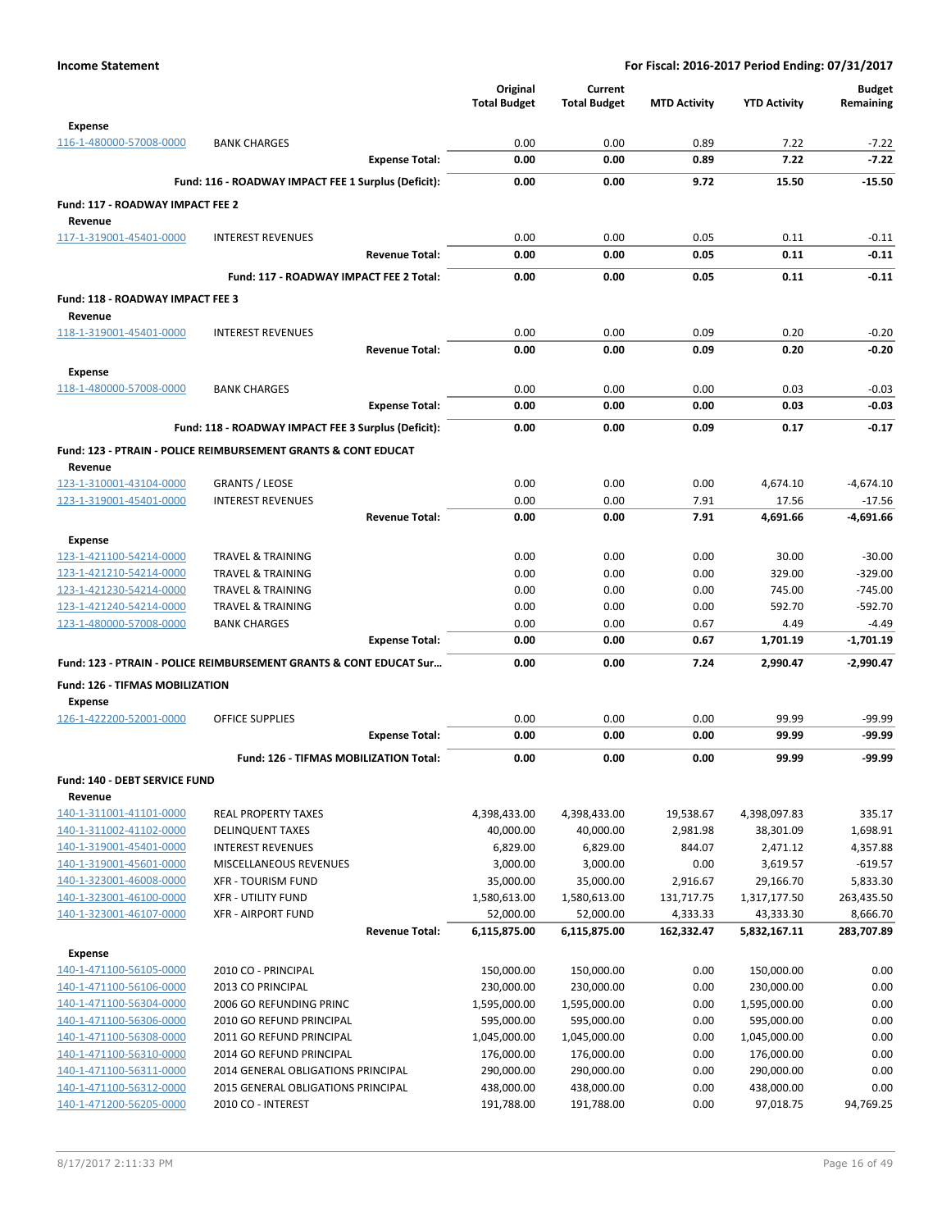|                                      |                                                                    | Original              | Current                   |                     |                           | <b>Budget</b>          |
|--------------------------------------|--------------------------------------------------------------------|-----------------------|---------------------------|---------------------|---------------------------|------------------------|
|                                      |                                                                    | <b>Total Budget</b>   | <b>Total Budget</b>       | <b>MTD Activity</b> | <b>YTD Activity</b>       | Remaining              |
| <b>Expense</b>                       |                                                                    |                       |                           |                     |                           |                        |
| 116-1-480000-57008-0000              | <b>BANK CHARGES</b>                                                | 0.00                  | 0.00                      | 0.89                | 7.22                      | $-7.22$                |
|                                      | <b>Expense Total:</b>                                              | 0.00                  | 0.00                      | 0.89                | 7.22                      | $-7.22$                |
|                                      |                                                                    |                       |                           |                     |                           |                        |
|                                      | Fund: 116 - ROADWAY IMPACT FEE 1 Surplus (Deficit):                | 0.00                  | 0.00                      | 9.72                | 15.50                     | $-15.50$               |
| Fund: 117 - ROADWAY IMPACT FEE 2     |                                                                    |                       |                           |                     |                           |                        |
| Revenue                              |                                                                    |                       |                           |                     |                           |                        |
| 117-1-319001-45401-0000              | <b>INTEREST REVENUES</b>                                           | 0.00                  | 0.00                      | 0.05                | 0.11                      | $-0.11$                |
|                                      | <b>Revenue Total:</b>                                              | 0.00                  | 0.00                      | 0.05                | 0.11                      | $-0.11$                |
|                                      | Fund: 117 - ROADWAY IMPACT FEE 2 Total:                            | 0.00                  | 0.00                      | 0.05                | 0.11                      | $-0.11$                |
| Fund: 118 - ROADWAY IMPACT FEE 3     |                                                                    |                       |                           |                     |                           |                        |
|                                      |                                                                    |                       |                           |                     |                           |                        |
| Revenue<br>118-1-319001-45401-0000   | <b>INTEREST REVENUES</b>                                           | 0.00                  | 0.00                      | 0.09                | 0.20                      | $-0.20$                |
|                                      | <b>Revenue Total:</b>                                              | 0.00                  | 0.00                      | 0.09                | 0.20                      | $-0.20$                |
|                                      |                                                                    |                       |                           |                     |                           |                        |
| <b>Expense</b>                       |                                                                    |                       |                           |                     |                           |                        |
| 118-1-480000-57008-0000              | <b>BANK CHARGES</b>                                                | 0.00                  | 0.00                      | 0.00                | 0.03                      | $-0.03$                |
|                                      | <b>Expense Total:</b>                                              | 0.00                  | 0.00                      | 0.00                | 0.03                      | $-0.03$                |
|                                      | Fund: 118 - ROADWAY IMPACT FEE 3 Surplus (Deficit):                | 0.00                  | 0.00                      | 0.09                | 0.17                      | $-0.17$                |
|                                      | Fund: 123 - PTRAIN - POLICE REIMBURSEMENT GRANTS & CONT EDUCAT     |                       |                           |                     |                           |                        |
| Revenue                              |                                                                    |                       |                           |                     |                           |                        |
| 123-1-310001-43104-0000              | <b>GRANTS / LEOSE</b>                                              | 0.00                  | 0.00                      | 0.00                | 4,674.10                  | -4,674.10              |
| 123-1-319001-45401-0000              | <b>INTEREST REVENUES</b>                                           | 0.00                  | 0.00                      | 7.91                | 17.56                     | $-17.56$               |
|                                      | <b>Revenue Total:</b>                                              | 0.00                  | 0.00                      | 7.91                | 4,691.66                  | $-4,691.66$            |
|                                      |                                                                    |                       |                           |                     |                           |                        |
| <b>Expense</b>                       |                                                                    |                       |                           |                     |                           |                        |
| 123-1-421100-54214-0000              | <b>TRAVEL &amp; TRAINING</b>                                       | 0.00                  | 0.00                      | 0.00                | 30.00                     | $-30.00$               |
| 123-1-421210-54214-0000              | <b>TRAVEL &amp; TRAINING</b>                                       | 0.00                  | 0.00                      | 0.00                | 329.00                    | $-329.00$              |
| 123-1-421230-54214-0000              | <b>TRAVEL &amp; TRAINING</b>                                       | 0.00                  | 0.00                      | 0.00                | 745.00                    | $-745.00$              |
| 123-1-421240-54214-0000              | <b>TRAVEL &amp; TRAINING</b>                                       | 0.00                  | 0.00                      | 0.00                | 592.70                    | $-592.70$              |
| 123-1-480000-57008-0000              | <b>BANK CHARGES</b>                                                | 0.00                  | 0.00                      | 0.67                | 4.49                      | $-4.49$                |
|                                      | <b>Expense Total:</b>                                              | 0.00                  | 0.00                      | 0.67                | 1,701.19                  | $-1,701.19$            |
|                                      | Fund: 123 - PTRAIN - POLICE REIMBURSEMENT GRANTS & CONT EDUCAT Sur | 0.00                  | 0.00                      | 7.24                | 2,990.47                  | $-2,990.47$            |
| Fund: 126 - TIFMAS MOBILIZATION      |                                                                    |                       |                           |                     |                           |                        |
| <b>Expense</b>                       |                                                                    |                       |                           |                     |                           |                        |
| 126-1-422200-52001-0000              | <b>OFFICE SUPPLIES</b>                                             | 0.00                  | 0.00                      | 0.00                | 99.99                     | $-99.99$               |
|                                      | <b>Expense Total:</b>                                              | 0.00                  | 0.00                      | 0.00                | 99.99                     | -99.99                 |
|                                      | Fund: 126 - TIFMAS MOBILIZATION Total:                             | 0.00                  | 0.00                      | 0.00                | 99.99                     | $-99.99$               |
|                                      |                                                                    |                       |                           |                     |                           |                        |
| <b>Fund: 140 - DEBT SERVICE FUND</b> |                                                                    |                       |                           |                     |                           |                        |
| Revenue                              |                                                                    |                       |                           |                     |                           |                        |
| 140-1-311001-41101-0000              | <b>REAL PROPERTY TAXES</b>                                         | 4,398,433.00          | 4,398,433.00              | 19,538.67           | 4,398,097.83              | 335.17                 |
| 140-1-311002-41102-0000              | <b>DELINQUENT TAXES</b>                                            | 40,000.00             | 40,000.00                 | 2,981.98            | 38,301.09                 | 1,698.91               |
| 140-1-319001-45401-0000              | <b>INTEREST REVENUES</b>                                           | 6,829.00              | 6,829.00                  | 844.07              | 2,471.12                  | 4,357.88               |
| 140-1-319001-45601-0000              | MISCELLANEOUS REVENUES                                             | 3,000.00<br>35,000.00 | 3,000.00                  | 0.00                | 3,619.57                  | $-619.57$              |
| 140-1-323001-46008-0000              | <b>XFR - TOURISM FUND</b>                                          |                       | 35,000.00                 | 2,916.67            | 29,166.70                 | 5,833.30               |
| 140-1-323001-46100-0000              | <b>XFR - UTILITY FUND</b>                                          | 1,580,613.00          | 1,580,613.00              | 131,717.75          | 1,317,177.50              | 263,435.50             |
| 140-1-323001-46107-0000              | <b>XFR - AIRPORT FUND</b><br><b>Revenue Total:</b>                 | 52,000.00             | 52,000.00<br>6,115,875.00 | 4,333.33            | 43,333.30<br>5,832,167.11 | 8,666.70<br>283,707.89 |
|                                      |                                                                    | 6,115,875.00          |                           | 162,332.47          |                           |                        |
| <b>Expense</b>                       |                                                                    |                       |                           |                     |                           |                        |
| 140-1-471100-56105-0000              | 2010 CO - PRINCIPAL                                                | 150,000.00            | 150,000.00                | 0.00                | 150,000.00                | 0.00                   |
| 140-1-471100-56106-0000              | 2013 CO PRINCIPAL                                                  | 230,000.00            | 230,000.00                | 0.00                | 230,000.00                | 0.00                   |
| 140-1-471100-56304-0000              | 2006 GO REFUNDING PRINC                                            | 1,595,000.00          | 1,595,000.00              | 0.00                | 1,595,000.00              | 0.00                   |
| 140-1-471100-56306-0000              | 2010 GO REFUND PRINCIPAL                                           | 595,000.00            | 595,000.00                | 0.00                | 595,000.00                | 0.00                   |
| 140-1-471100-56308-0000              | 2011 GO REFUND PRINCIPAL                                           | 1,045,000.00          | 1,045,000.00              | 0.00                | 1,045,000.00              | 0.00                   |
| 140-1-471100-56310-0000              | 2014 GO REFUND PRINCIPAL                                           | 176,000.00            | 176,000.00                | 0.00                | 176,000.00                | 0.00                   |
| 140-1-471100-56311-0000              | 2014 GENERAL OBLIGATIONS PRINCIPAL                                 | 290,000.00            | 290,000.00                | 0.00                | 290,000.00                | 0.00                   |
| 140-1-471100-56312-0000              | 2015 GENERAL OBLIGATIONS PRINCIPAL                                 | 438,000.00            | 438,000.00                | 0.00                | 438,000.00                | 0.00                   |
| 140-1-471200-56205-0000              | 2010 CO - INTEREST                                                 | 191,788.00            | 191,788.00                | 0.00                | 97,018.75                 | 94,769.25              |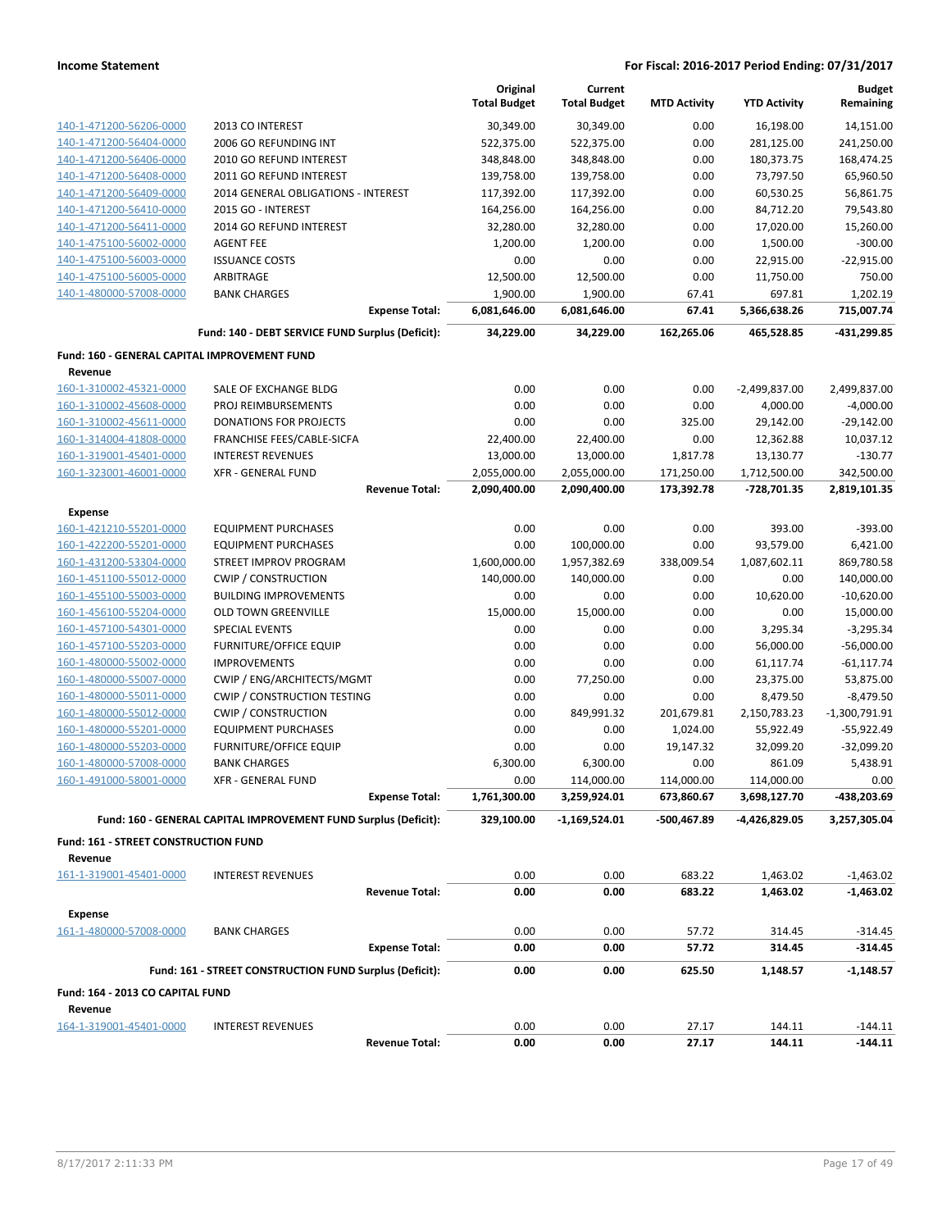|                                              |                                                                 | Original                 | Current                  |                     |                        | <b>Budget</b><br>Remaining |
|----------------------------------------------|-----------------------------------------------------------------|--------------------------|--------------------------|---------------------|------------------------|----------------------------|
|                                              |                                                                 | <b>Total Budget</b>      | <b>Total Budget</b>      | <b>MTD Activity</b> | <b>YTD Activity</b>    |                            |
| 140-1-471200-56206-0000                      | 2013 CO INTEREST                                                | 30,349.00                | 30,349.00                | 0.00                | 16,198.00              | 14,151.00                  |
| 140-1-471200-56404-0000                      | 2006 GO REFUNDING INT                                           | 522,375.00               | 522,375.00               | 0.00                | 281,125.00             | 241,250.00                 |
| 140-1-471200-56406-0000                      | 2010 GO REFUND INTEREST                                         | 348,848.00               | 348,848.00               | 0.00                | 180,373.75             | 168,474.25                 |
| 140-1-471200-56408-0000                      | 2011 GO REFUND INTEREST                                         | 139,758.00               | 139,758.00               | 0.00                | 73,797.50              | 65,960.50                  |
| 140-1-471200-56409-0000                      | 2014 GENERAL OBLIGATIONS - INTEREST                             | 117,392.00               | 117,392.00               | 0.00                | 60,530.25              | 56,861.75                  |
| 140-1-471200-56410-0000                      | 2015 GO - INTEREST                                              | 164,256.00               | 164,256.00               | 0.00                | 84,712.20              | 79,543.80                  |
| 140-1-471200-56411-0000                      | 2014 GO REFUND INTEREST                                         | 32,280.00                | 32,280.00                | 0.00                | 17,020.00              | 15,260.00                  |
| 140-1-475100-56002-0000                      | <b>AGENT FEE</b>                                                | 1,200.00                 | 1,200.00                 | 0.00                | 1,500.00               | $-300.00$                  |
| 140-1-475100-56003-0000                      | <b>ISSUANCE COSTS</b>                                           | 0.00                     | 0.00                     | 0.00                | 22,915.00              | $-22,915.00$               |
| 140-1-475100-56005-0000                      | ARBITRAGE                                                       | 12,500.00                | 12,500.00                | 0.00                | 11,750.00              | 750.00                     |
| 140-1-480000-57008-0000                      | <b>BANK CHARGES</b><br><b>Expense Total:</b>                    | 1,900.00<br>6,081,646.00 | 1,900.00<br>6,081,646.00 | 67.41<br>67.41      | 697.81<br>5,366,638.26 | 1,202.19<br>715,007.74     |
|                                              |                                                                 |                          |                          |                     |                        |                            |
|                                              | Fund: 140 - DEBT SERVICE FUND Surplus (Deficit):                | 34,229.00                | 34,229.00                | 162,265.06          | 465,528.85             | -431,299.85                |
| Fund: 160 - GENERAL CAPITAL IMPROVEMENT FUND |                                                                 |                          |                          |                     |                        |                            |
| Revenue                                      |                                                                 |                          |                          |                     |                        |                            |
| 160-1-310002-45321-0000                      | SALE OF EXCHANGE BLDG                                           | 0.00                     | 0.00                     | 0.00                | -2,499,837.00          | 2,499,837.00               |
| 160-1-310002-45608-0000                      | PROJ REIMBURSEMENTS                                             | 0.00                     | 0.00                     | 0.00                | 4,000.00               | $-4,000.00$                |
| 160-1-310002-45611-0000                      | <b>DONATIONS FOR PROJECTS</b>                                   | 0.00                     | 0.00                     | 325.00              | 29,142.00              | $-29,142.00$               |
| 160-1-314004-41808-0000                      | FRANCHISE FEES/CABLE-SICFA                                      | 22,400.00                | 22,400.00                | 0.00                | 12,362.88              | 10,037.12                  |
| 160-1-319001-45401-0000                      | <b>INTEREST REVENUES</b>                                        | 13,000.00                | 13,000.00                | 1,817.78            | 13,130.77              | $-130.77$                  |
| 160-1-323001-46001-0000                      | <b>XFR - GENERAL FUND</b>                                       | 2,055,000.00             | 2,055,000.00             | 171,250.00          | 1,712,500.00           | 342,500.00                 |
|                                              | <b>Revenue Total:</b>                                           | 2,090,400.00             | 2,090,400.00             | 173,392.78          | -728,701.35            | 2,819,101.35               |
| <b>Expense</b>                               |                                                                 |                          |                          |                     |                        |                            |
| 160-1-421210-55201-0000                      | <b>EQUIPMENT PURCHASES</b>                                      | 0.00                     | 0.00                     | 0.00                | 393.00                 | $-393.00$                  |
| 160-1-422200-55201-0000                      | <b>EQUIPMENT PURCHASES</b>                                      | 0.00                     | 100,000.00               | 0.00                | 93,579.00              | 6,421.00                   |
| 160-1-431200-53304-0000                      | STREET IMPROV PROGRAM                                           | 1,600,000.00             | 1,957,382.69             | 338,009.54          | 1,087,602.11           | 869,780.58                 |
| 160-1-451100-55012-0000                      | <b>CWIP / CONSTRUCTION</b>                                      | 140,000.00               | 140,000.00               | 0.00                | 0.00                   | 140,000.00                 |
| 160-1-455100-55003-0000                      | <b>BUILDING IMPROVEMENTS</b>                                    | 0.00                     | 0.00                     | 0.00                | 10,620.00              | $-10,620.00$               |
| 160-1-456100-55204-0000                      | <b>OLD TOWN GREENVILLE</b>                                      | 15,000.00                | 15,000.00                | 0.00                | 0.00                   | 15,000.00                  |
| 160-1-457100-54301-0000                      | <b>SPECIAL EVENTS</b>                                           | 0.00                     | 0.00                     | 0.00                | 3,295.34               | $-3,295.34$                |
| 160-1-457100-55203-0000                      | FURNITURE/OFFICE EQUIP                                          | 0.00                     | 0.00                     | 0.00                | 56,000.00              | $-56,000.00$               |
| 160-1-480000-55002-0000                      | <b>IMPROVEMENTS</b>                                             | 0.00                     | 0.00                     | 0.00                | 61,117.74              | $-61,117.74$               |
| 160-1-480000-55007-0000                      | CWIP / ENG/ARCHITECTS/MGMT                                      | 0.00                     | 77,250.00                | 0.00                | 23,375.00              | 53,875.00                  |
| 160-1-480000-55011-0000                      | <b>CWIP / CONSTRUCTION TESTING</b>                              | 0.00                     | 0.00                     | 0.00                | 8,479.50               | $-8,479.50$                |
| 160-1-480000-55012-0000                      | <b>CWIP / CONSTRUCTION</b>                                      | 0.00                     | 849,991.32               | 201,679.81          | 2,150,783.23           | $-1,300,791.91$            |
| 160-1-480000-55201-0000                      | <b>EQUIPMENT PURCHASES</b>                                      | 0.00                     | 0.00                     | 1,024.00            | 55,922.49              | $-55,922.49$               |
| 160-1-480000-55203-0000                      | FURNITURE/OFFICE EQUIP                                          | 0.00                     | 0.00                     | 19,147.32           | 32,099.20              | $-32,099.20$               |
| 160-1-480000-57008-0000                      | <b>BANK CHARGES</b>                                             | 6,300.00                 | 6,300.00                 | 0.00                | 861.09                 | 5,438.91                   |
| 160-1-491000-58001-0000                      | XFR - GENERAL FUND                                              | 0.00                     | 114,000.00               | 114,000.00          | 114,000.00             | 0.00                       |
|                                              | <b>Expense Total:</b>                                           | 1,761,300.00             | 3,259,924.01             | 673,860.67          | 3,698,127.70           | -438,203.69                |
|                                              | Fund: 160 - GENERAL CAPITAL IMPROVEMENT FUND Surplus (Deficit): | 329,100.00               | -1,169,524.01            | -500,467.89         | -4,426,829.05          | 3,257,305.04               |
| <b>Fund: 161 - STREET CONSTRUCTION FUND</b>  |                                                                 |                          |                          |                     |                        |                            |
| Revenue                                      |                                                                 |                          |                          |                     |                        |                            |
| 161-1-319001-45401-0000                      | <b>INTEREST REVENUES</b>                                        | 0.00                     | 0.00                     | 683.22              | 1,463.02               | $-1,463.02$                |
|                                              | <b>Revenue Total:</b>                                           | 0.00                     | 0.00                     | 683.22              | 1,463.02               | $-1,463.02$                |
| <b>Expense</b>                               |                                                                 |                          |                          |                     |                        |                            |
| 161-1-480000-57008-0000                      | <b>BANK CHARGES</b>                                             | 0.00                     | 0.00                     | 57.72               | 314.45                 | $-314.45$                  |
|                                              | <b>Expense Total:</b>                                           | 0.00                     | 0.00                     | 57.72               | 314.45                 | -314.45                    |
|                                              | Fund: 161 - STREET CONSTRUCTION FUND Surplus (Deficit):         | 0.00                     | 0.00                     | 625.50              | 1,148.57               | $-1,148.57$                |
|                                              |                                                                 |                          |                          |                     |                        |                            |
| Fund: 164 - 2013 CO CAPITAL FUND             |                                                                 |                          |                          |                     |                        |                            |
| Revenue                                      |                                                                 |                          |                          |                     |                        |                            |
| 164-1-319001-45401-0000                      | <b>INTEREST REVENUES</b><br><b>Revenue Total:</b>               | 0.00<br>0.00             | 0.00<br>0.00             | 27.17<br>27.17      | 144.11<br>144.11       | $-144.11$<br>$-144.11$     |
|                                              |                                                                 |                          |                          |                     |                        |                            |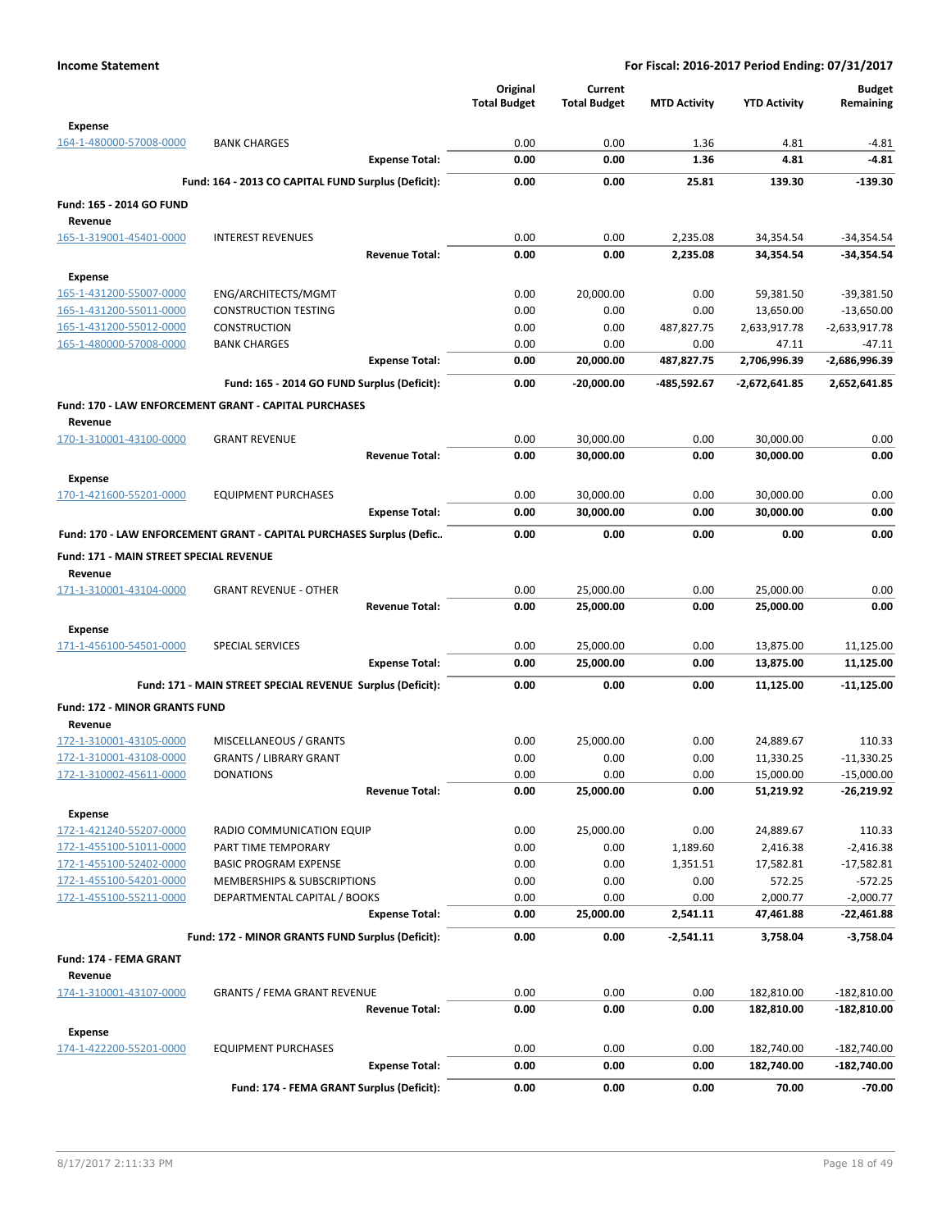|                                           |                                                                      | Original            | Current             |                     |                     | <b>Budget</b>   |
|-------------------------------------------|----------------------------------------------------------------------|---------------------|---------------------|---------------------|---------------------|-----------------|
|                                           |                                                                      | <b>Total Budget</b> | <b>Total Budget</b> | <b>MTD Activity</b> | <b>YTD Activity</b> | Remaining       |
| <b>Expense</b>                            |                                                                      |                     |                     |                     |                     |                 |
| 164-1-480000-57008-0000                   | <b>BANK CHARGES</b>                                                  | 0.00                | 0.00                | 1.36                | 4.81                | $-4.81$         |
|                                           | <b>Expense Total:</b>                                                | 0.00                | 0.00                | 1.36                | 4.81                | $-4.81$         |
|                                           | Fund: 164 - 2013 CO CAPITAL FUND Surplus (Deficit):                  | 0.00                | 0.00                | 25.81               | 139.30              | $-139.30$       |
| Fund: 165 - 2014 GO FUND                  |                                                                      |                     |                     |                     |                     |                 |
| Revenue                                   |                                                                      |                     |                     |                     |                     |                 |
| 165-1-319001-45401-0000                   | <b>INTEREST REVENUES</b>                                             | 0.00                | 0.00                | 2,235.08            | 34,354.54           | $-34,354.54$    |
|                                           | <b>Revenue Total:</b>                                                | 0.00                | 0.00                | 2,235.08            | 34,354.54           | -34,354.54      |
| <b>Expense</b>                            |                                                                      |                     |                     |                     |                     |                 |
| 165-1-431200-55007-0000                   | ENG/ARCHITECTS/MGMT                                                  | 0.00                | 20,000.00           | 0.00                | 59,381.50           | $-39,381.50$    |
| 165-1-431200-55011-0000                   | <b>CONSTRUCTION TESTING</b>                                          | 0.00                | 0.00                | 0.00                | 13,650.00           | $-13,650.00$    |
| 165-1-431200-55012-0000                   | <b>CONSTRUCTION</b>                                                  | 0.00                | 0.00                | 487,827.75          | 2,633,917.78        | $-2,633,917.78$ |
| 165-1-480000-57008-0000                   | <b>BANK CHARGES</b>                                                  | 0.00                | 0.00                | 0.00                | 47.11               | $-47.11$        |
|                                           | <b>Expense Total:</b>                                                | 0.00                | 20,000.00           | 487,827.75          | 2,706,996.39        | -2,686,996.39   |
|                                           | Fund: 165 - 2014 GO FUND Surplus (Deficit):                          | 0.00                | -20,000.00          | -485,592.67         | -2,672,641.85       | 2,652,641.85    |
|                                           | Fund: 170 - LAW ENFORCEMENT GRANT - CAPITAL PURCHASES                |                     |                     |                     |                     |                 |
| Revenue                                   |                                                                      |                     |                     |                     |                     |                 |
| 170-1-310001-43100-0000                   | <b>GRANT REVENUE</b>                                                 | 0.00                | 30,000.00           | 0.00                | 30,000.00           | 0.00            |
|                                           | <b>Revenue Total:</b>                                                | 0.00                | 30,000.00           | 0.00                | 30,000.00           | 0.00            |
|                                           |                                                                      |                     |                     |                     |                     |                 |
| <b>Expense</b>                            |                                                                      |                     |                     |                     |                     |                 |
| 170-1-421600-55201-0000                   | <b>EQUIPMENT PURCHASES</b>                                           | 0.00                | 30,000.00           | 0.00                | 30,000.00           | 0.00            |
|                                           | <b>Expense Total:</b>                                                | 0.00                | 30,000.00           | 0.00                | 30,000.00           | 0.00            |
|                                           | Fund: 170 - LAW ENFORCEMENT GRANT - CAPITAL PURCHASES Surplus (Defic | 0.00                | 0.00                | 0.00                | 0.00                | 0.00            |
| Fund: 171 - MAIN STREET SPECIAL REVENUE   |                                                                      |                     |                     |                     |                     |                 |
| Revenue                                   |                                                                      |                     |                     |                     |                     |                 |
| 171-1-310001-43104-0000                   | <b>GRANT REVENUE - OTHER</b>                                         | 0.00                | 25,000.00           | 0.00                | 25,000.00           | 0.00            |
|                                           | <b>Revenue Total:</b>                                                | 0.00                | 25,000.00           | 0.00                | 25,000.00           | 0.00            |
| <b>Expense</b>                            |                                                                      |                     |                     |                     |                     |                 |
| 171-1-456100-54501-0000                   | <b>SPECIAL SERVICES</b>                                              | 0.00                | 25,000.00           | 0.00                | 13,875.00           | 11,125.00       |
|                                           | <b>Expense Total:</b>                                                | 0.00                | 25,000.00           | 0.00                | 13,875.00           | 11,125.00       |
|                                           | Fund: 171 - MAIN STREET SPECIAL REVENUE Surplus (Deficit):           | 0.00                | 0.00                | 0.00                |                     | $-11,125.00$    |
|                                           |                                                                      |                     |                     |                     | 11,125.00           |                 |
| <b>Fund: 172 - MINOR GRANTS FUND</b>      |                                                                      |                     |                     |                     |                     |                 |
| Revenue                                   |                                                                      |                     |                     |                     |                     |                 |
| 172-1-310001-43105-0000                   | MISCELLANEOUS / GRANTS                                               | 0.00                | 25,000.00           | 0.00                | 24,889.67           | 110.33          |
| 172-1-310001-43108-0000                   | <b>GRANTS / LIBRARY GRANT</b>                                        | 0.00                | 0.00                | 0.00                | 11,330.25           | $-11,330.25$    |
| 172-1-310002-45611-0000                   | <b>DONATIONS</b>                                                     | 0.00                | 0.00                | 0.00                | 15,000.00           | $-15,000.00$    |
|                                           | <b>Revenue Total:</b>                                                | 0.00                | 25,000.00           | 0.00                | 51,219.92           | $-26,219.92$    |
| <b>Expense</b>                            |                                                                      |                     |                     |                     |                     |                 |
| 172-1-421240-55207-0000                   | RADIO COMMUNICATION EQUIP                                            | 0.00                | 25,000.00           | 0.00                | 24,889.67           | 110.33          |
| 172-1-455100-51011-0000                   | PART TIME TEMPORARY                                                  | 0.00                | 0.00                | 1,189.60            | 2,416.38            | $-2,416.38$     |
| 172-1-455100-52402-0000                   | <b>BASIC PROGRAM EXPENSE</b>                                         | 0.00                | 0.00                | 1,351.51            | 17,582.81           | $-17,582.81$    |
| 172-1-455100-54201-0000                   | MEMBERSHIPS & SUBSCRIPTIONS                                          | 0.00                | 0.00                | 0.00                | 572.25              | $-572.25$       |
| 172-1-455100-55211-0000                   | DEPARTMENTAL CAPITAL / BOOKS                                         | 0.00                | 0.00                | 0.00                | 2,000.77            | $-2,000.77$     |
|                                           | <b>Expense Total:</b>                                                | 0.00                | 25,000.00           | 2,541.11            | 47,461.88           | -22,461.88      |
|                                           | Fund: 172 - MINOR GRANTS FUND Surplus (Deficit):                     | 0.00                | 0.00                | $-2,541.11$         | 3,758.04            | $-3,758.04$     |
| Fund: 174 - FEMA GRANT                    |                                                                      |                     |                     |                     |                     |                 |
| Revenue                                   |                                                                      |                     |                     |                     |                     |                 |
| 174-1-310001-43107-0000                   | <b>GRANTS / FEMA GRANT REVENUE</b>                                   | 0.00                | 0.00                | 0.00                | 182,810.00          | $-182,810.00$   |
|                                           | <b>Revenue Total:</b>                                                | 0.00                | 0.00                | 0.00                | 182,810.00          | $-182,810.00$   |
|                                           |                                                                      |                     |                     |                     |                     |                 |
| <b>Expense</b><br>174-1-422200-55201-0000 | <b>EQUIPMENT PURCHASES</b>                                           | 0.00                | 0.00                | 0.00                | 182,740.00          | $-182,740.00$   |
|                                           | <b>Expense Total:</b>                                                | 0.00                | 0.00                | 0.00                | 182,740.00          | $-182,740.00$   |
|                                           |                                                                      |                     |                     |                     |                     |                 |
|                                           | Fund: 174 - FEMA GRANT Surplus (Deficit):                            | 0.00                | 0.00                | 0.00                | 70.00               | $-70.00$        |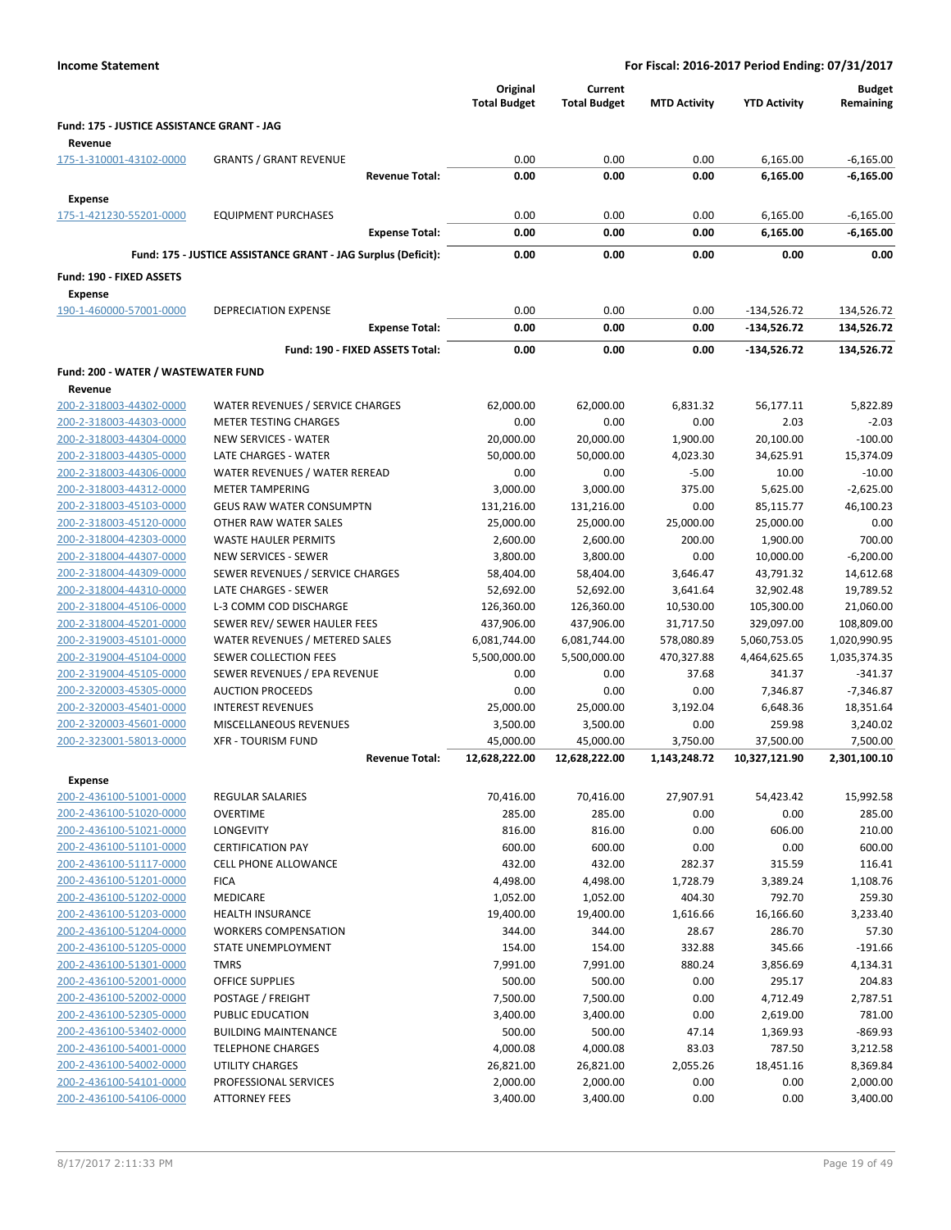|                                                       |                                                               |                                 | Original<br><b>Total Budget</b> | Current<br><b>Total Budget</b> | <b>MTD Activity</b>  | <b>YTD Activity</b>    | <b>Budget</b><br>Remaining |
|-------------------------------------------------------|---------------------------------------------------------------|---------------------------------|---------------------------------|--------------------------------|----------------------|------------------------|----------------------------|
| Fund: 175 - JUSTICE ASSISTANCE GRANT - JAG<br>Revenue |                                                               |                                 |                                 |                                |                      |                        |                            |
| 175-1-310001-43102-0000                               | <b>GRANTS / GRANT REVENUE</b>                                 |                                 | 0.00                            | 0.00                           | 0.00                 | 6,165.00               | $-6,165.00$                |
|                                                       |                                                               | <b>Revenue Total:</b>           | 0.00                            | 0.00                           | 0.00                 | 6,165.00               | $-6,165.00$                |
| <b>Expense</b>                                        |                                                               |                                 |                                 |                                |                      |                        |                            |
| 175-1-421230-55201-0000                               | <b>EQUIPMENT PURCHASES</b>                                    |                                 | 0.00                            | 0.00                           | 0.00                 | 6,165.00               | $-6,165.00$                |
|                                                       |                                                               | <b>Expense Total:</b>           | 0.00                            | 0.00                           | 0.00                 | 6,165.00               | $-6,165.00$                |
|                                                       | Fund: 175 - JUSTICE ASSISTANCE GRANT - JAG Surplus (Deficit): |                                 | 0.00                            | 0.00                           | 0.00                 | 0.00                   | 0.00                       |
| Fund: 190 - FIXED ASSETS                              |                                                               |                                 |                                 |                                |                      |                        |                            |
| <b>Expense</b>                                        |                                                               |                                 |                                 |                                |                      |                        |                            |
| 190-1-460000-57001-0000                               | <b>DEPRECIATION EXPENSE</b>                                   |                                 | 0.00                            | 0.00                           | 0.00                 | $-134,526.72$          | 134,526.72                 |
|                                                       |                                                               | <b>Expense Total:</b>           | 0.00                            | 0.00                           | 0.00                 | -134,526.72            | 134,526.72                 |
|                                                       |                                                               | Fund: 190 - FIXED ASSETS Total: | 0.00                            | 0.00                           | 0.00                 | -134,526.72            | 134,526.72                 |
|                                                       |                                                               |                                 |                                 |                                |                      |                        |                            |
| Fund: 200 - WATER / WASTEWATER FUND<br>Revenue        |                                                               |                                 |                                 |                                |                      |                        |                            |
| 200-2-318003-44302-0000                               | WATER REVENUES / SERVICE CHARGES                              |                                 | 62,000.00                       | 62,000.00                      | 6,831.32             | 56,177.11              | 5,822.89                   |
| 200-2-318003-44303-0000                               | <b>METER TESTING CHARGES</b>                                  |                                 | 0.00                            | 0.00                           | 0.00                 | 2.03                   | $-2.03$                    |
| 200-2-318003-44304-0000                               | <b>NEW SERVICES - WATER</b>                                   |                                 | 20,000.00                       | 20,000.00                      | 1,900.00             | 20,100.00              | $-100.00$                  |
| 200-2-318003-44305-0000                               | LATE CHARGES - WATER                                          |                                 | 50,000.00                       | 50,000.00                      | 4,023.30             | 34,625.91              | 15,374.09                  |
| 200-2-318003-44306-0000                               | WATER REVENUES / WATER REREAD                                 |                                 | 0.00                            | 0.00                           | $-5.00$              | 10.00                  | $-10.00$                   |
| 200-2-318003-44312-0000                               | <b>METER TAMPERING</b>                                        |                                 | 3,000.00                        | 3,000.00                       | 375.00               | 5,625.00               | $-2,625.00$                |
| 200-2-318003-45103-0000                               | <b>GEUS RAW WATER CONSUMPTN</b>                               |                                 | 131,216.00                      | 131,216.00                     | 0.00                 | 85,115.77              | 46,100.23                  |
| 200-2-318003-45120-0000                               | OTHER RAW WATER SALES                                         |                                 | 25,000.00                       | 25,000.00                      | 25,000.00            | 25,000.00              | 0.00                       |
| 200-2-318004-42303-0000                               | <b>WASTE HAULER PERMITS</b>                                   |                                 | 2,600.00                        | 2,600.00                       | 200.00               | 1,900.00               | 700.00                     |
| 200-2-318004-44307-0000                               | NEW SERVICES - SEWER                                          |                                 | 3,800.00                        | 3,800.00                       | 0.00                 | 10,000.00              | $-6,200.00$                |
| 200-2-318004-44309-0000<br>200-2-318004-44310-0000    | SEWER REVENUES / SERVICE CHARGES<br>LATE CHARGES - SEWER      |                                 | 58,404.00<br>52,692.00          | 58,404.00<br>52,692.00         | 3,646.47<br>3,641.64 | 43,791.32<br>32,902.48 | 14,612.68<br>19,789.52     |
| 200-2-318004-45106-0000                               | L-3 COMM COD DISCHARGE                                        |                                 | 126,360.00                      | 126,360.00                     | 10,530.00            | 105,300.00             | 21,060.00                  |
| 200-2-318004-45201-0000                               | SEWER REV/ SEWER HAULER FEES                                  |                                 | 437,906.00                      | 437,906.00                     | 31,717.50            | 329,097.00             | 108,809.00                 |
| 200-2-319003-45101-0000                               | WATER REVENUES / METERED SALES                                |                                 | 6,081,744.00                    | 6,081,744.00                   | 578,080.89           | 5,060,753.05           | 1,020,990.95               |
| 200-2-319004-45104-0000                               | SEWER COLLECTION FEES                                         |                                 | 5,500,000.00                    | 5,500,000.00                   | 470,327.88           | 4,464,625.65           | 1,035,374.35               |
| 200-2-319004-45105-0000                               | SEWER REVENUES / EPA REVENUE                                  |                                 | 0.00                            | 0.00                           | 37.68                | 341.37                 | $-341.37$                  |
| 200-2-320003-45305-0000                               | <b>AUCTION PROCEEDS</b>                                       |                                 | 0.00                            | 0.00                           | 0.00                 | 7,346.87               | $-7,346.87$                |
| 200-2-320003-45401-0000                               | <b>INTEREST REVENUES</b>                                      |                                 | 25,000.00                       | 25,000.00                      | 3,192.04             | 6,648.36               | 18,351.64                  |
| 200-2-320003-45601-0000                               | MISCELLANEOUS REVENUES                                        |                                 | 3,500.00                        | 3,500.00                       | 0.00                 | 259.98                 | 3,240.02                   |
| 200-2-323001-58013-0000                               | <b>XFR - TOURISM FUND</b>                                     |                                 | 45,000.00                       | 45,000.00                      | 3,750.00             | 37,500.00              | 7,500.00                   |
|                                                       |                                                               | <b>Revenue Total:</b>           | 12,628,222.00                   | 12,628,222.00                  | 1,143,248.72         | 10,327,121.90          | 2,301,100.10               |
| Expense                                               |                                                               |                                 |                                 |                                |                      |                        |                            |
| 200-2-436100-51001-0000                               | <b>REGULAR SALARIES</b>                                       |                                 | 70,416.00                       | 70,416.00                      | 27,907.91            | 54,423.42              | 15,992.58                  |
| 200-2-436100-51020-0000                               | <b>OVERTIME</b>                                               |                                 | 285.00                          | 285.00                         | 0.00                 | 0.00                   | 285.00                     |
| 200-2-436100-51021-0000<br>200-2-436100-51101-0000    | <b>LONGEVITY</b><br><b>CERTIFICATION PAY</b>                  |                                 | 816.00<br>600.00                | 816.00                         | 0.00                 | 606.00                 | 210.00<br>600.00           |
| 200-2-436100-51117-0000                               | CELL PHONE ALLOWANCE                                          |                                 | 432.00                          | 600.00<br>432.00               | 0.00<br>282.37       | 0.00<br>315.59         | 116.41                     |
| 200-2-436100-51201-0000                               | <b>FICA</b>                                                   |                                 | 4,498.00                        | 4,498.00                       | 1,728.79             | 3,389.24               | 1.108.76                   |
| 200-2-436100-51202-0000                               | <b>MEDICARE</b>                                               |                                 | 1,052.00                        | 1,052.00                       | 404.30               | 792.70                 | 259.30                     |
| 200-2-436100-51203-0000                               | <b>HEALTH INSURANCE</b>                                       |                                 | 19,400.00                       | 19,400.00                      | 1,616.66             | 16,166.60              | 3,233.40                   |
| 200-2-436100-51204-0000                               | <b>WORKERS COMPENSATION</b>                                   |                                 | 344.00                          | 344.00                         | 28.67                | 286.70                 | 57.30                      |
| 200-2-436100-51205-0000                               | STATE UNEMPLOYMENT                                            |                                 | 154.00                          | 154.00                         | 332.88               | 345.66                 | $-191.66$                  |
| 200-2-436100-51301-0000                               | <b>TMRS</b>                                                   |                                 | 7,991.00                        | 7,991.00                       | 880.24               | 3,856.69               | 4,134.31                   |
| 200-2-436100-52001-0000                               | OFFICE SUPPLIES                                               |                                 | 500.00                          | 500.00                         | 0.00                 | 295.17                 | 204.83                     |
| 200-2-436100-52002-0000                               | POSTAGE / FREIGHT                                             |                                 | 7,500.00                        | 7,500.00                       | 0.00                 | 4,712.49               | 2,787.51                   |
| 200-2-436100-52305-0000                               | PUBLIC EDUCATION                                              |                                 | 3,400.00                        | 3,400.00                       | 0.00                 | 2,619.00               | 781.00                     |
| 200-2-436100-53402-0000                               | <b>BUILDING MAINTENANCE</b>                                   |                                 | 500.00                          | 500.00                         | 47.14                | 1,369.93               | $-869.93$                  |
| 200-2-436100-54001-0000<br>200-2-436100-54002-0000    | <b>TELEPHONE CHARGES</b><br>UTILITY CHARGES                   |                                 | 4,000.08<br>26,821.00           | 4,000.08<br>26,821.00          | 83.03<br>2,055.26    | 787.50<br>18,451.16    | 3,212.58<br>8,369.84       |
| 200-2-436100-54101-0000                               | PROFESSIONAL SERVICES                                         |                                 | 2,000.00                        | 2,000.00                       | 0.00                 | 0.00                   | 2,000.00                   |
| 200-2-436100-54106-0000                               | <b>ATTORNEY FEES</b>                                          |                                 | 3,400.00                        | 3,400.00                       | 0.00                 | 0.00                   | 3,400.00                   |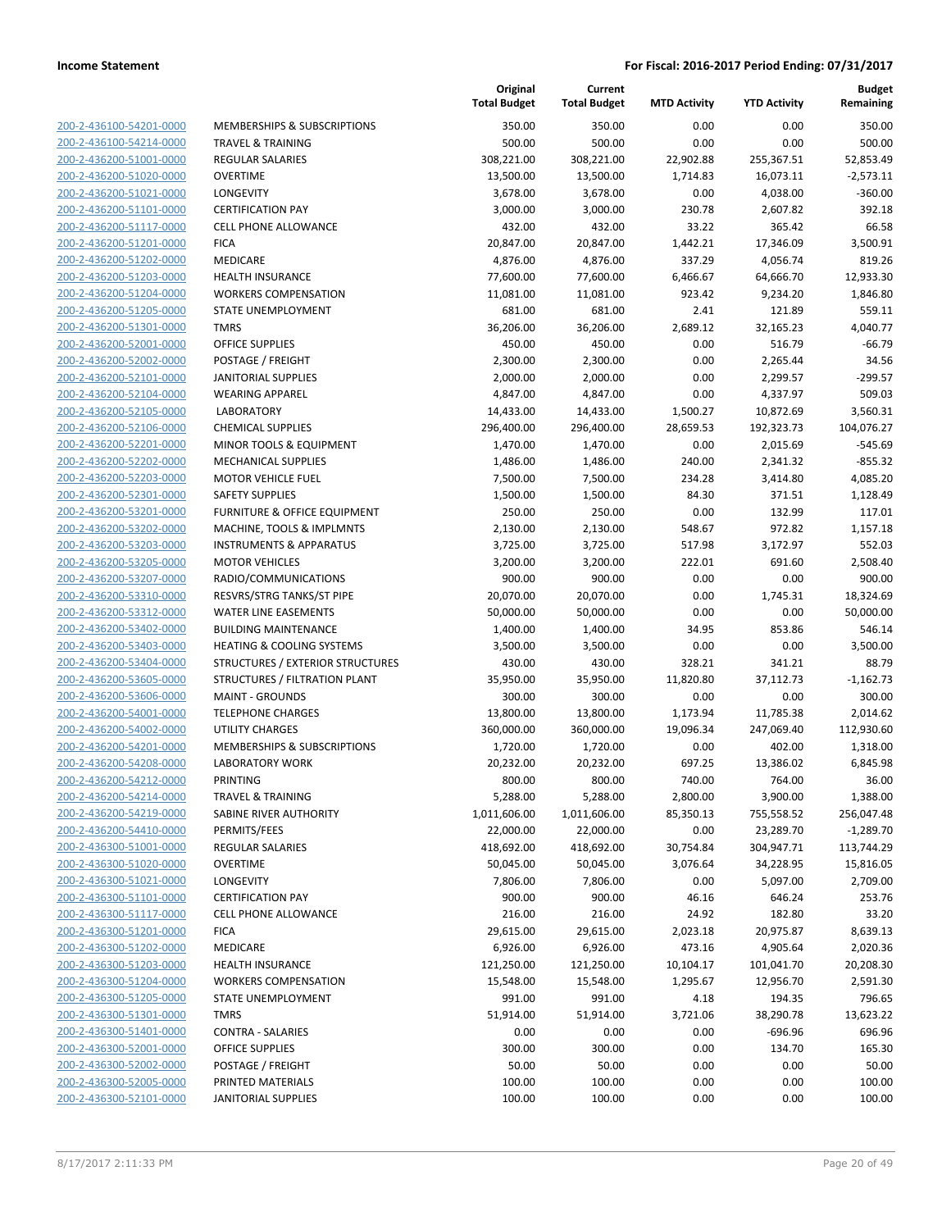| 200-2-436100-54201-0000        |
|--------------------------------|
| 200-2-436100-54214-0000        |
| 200-2-436200-51001-0000        |
| 200-2-436200-51020-0000        |
| 200-2-436200-51021-0000        |
| 200-2-436200-51101-0000        |
| 200-2-436200-51117-0000        |
| 200-2-436200-51201-0000        |
| 200-2-436200-51202-0000        |
| 200-2-436200-51203-0000        |
| 200-2-436200-51204-0000        |
| 200-2-436200-51205-0000        |
| 200-2-436200-51301-0000        |
| 200-2-436200-52001-0000        |
| 200-2-436200-52002-0000        |
| 200-2-436200-52101-0000        |
| 200-2-436200-52104-0000        |
| 200-2-436200-52105-0000        |
| 200-2-436200-52106-0000        |
| 200-2-436200-52201-0000        |
| 200-2-436200-52202-0000        |
| 200-2-436200-52203-0000        |
| 200-2-436200-52301-0000        |
| 200-2-436200-53201-0000        |
| 200-2-436200-53202-0000        |
| 200-2-436200-53203-0000        |
| 200-2-436200-53205-0000        |
| 200-2-436200-53207-0000        |
| 200-2-436200-53310-0000        |
| 200-2-436200-53312-0000        |
| 200-2-436200-53402-0000        |
| 200-2-436200-53403-0000        |
| 200-2-436200-53404-0000        |
| 200-2-436200-53605-0000        |
| 200-2-436200-53606-0000        |
| <u>200-2-436200-54001-0000</u> |
| 200-2-436200-54002-0000        |
| 200-2-436200-54201-0000        |
| 200-2-436200-54208-0000        |
| 200-2-436200-54212-0000        |
| 200-2-436200-54214-0000        |
| <u>200-2-436200-54219-0000</u> |
| 200-2-436200-54410-0000        |
| 200-2-436300-51001-0000        |
| <u>200-2-436300-51020-0000</u> |
| <u>200-2-436300-51021-0000</u> |
| <u>200-2-436300-51101-0000</u> |
| 200-2-436300-51117-0000        |
| 200-2-436300-51201-0000        |
| <u>200-2-436300-51202-0000</u> |
| <u>200-2-436300-51203-0000</u> |
| <u>200-2-436300-51204-0000</u> |
| 200-2-436300-51205-0000        |
| 200-2-436300-51301-0000        |
| <u>200-2-436300-51401-0000</u> |
| <u>200-2-436300-52001-0000</u> |
| <u>200-2-436300-52002-0000</u> |
| 200-2-436300-52005-0000        |
| 200-2-436300-52101-0000        |
|                                |

| <b>MEMBERSHIPS &amp; SUBSCRIPTIONS</b> |
|----------------------------------------|
| FRAVEL & TRAINING                      |
| REGULAR SALARIES                       |
| OVERTIME                               |
| .ONGEVITY                              |
| CERTIFICATION PAY                      |
| CELL PHONE ALLOWANCE                   |
| FICA                                   |
| MEDICARE                               |
| HEALTH INSURANCE                       |
| WORKERS COMPENSATION                   |
| STATE UNEMPLOYMENT                     |
| TMRS                                   |
| <b>DFFICE SUPPLIES</b>                 |
| POSTAGE / FREIGHT                      |
| <b>ANITORIAL SUPPLIES</b>              |
| <b>WEARING APPAREL</b>                 |
| LABORATORY                             |
| CHEMICAL SUPPLIES                      |
| MINOR TOOLS & EQUIPMENT                |
| MECHANICAL SUPPLIES                    |
| <b>MOTOR VEHICLE FUEL</b>              |
| <b>SAFETY SUPPLIES</b>                 |
| URNITURE & OFFICE EQUIPMENT            |
| <b>MACHINE, TOOLS &amp; IMPLMNTS</b>   |
| <b>NSTRUMENTS &amp; APPARATUS</b>      |
| MOTOR VEHICLES                         |
| RADIO/COMMUNICATIONS                   |
| RESVRS/STRG TANKS/ST PIPE              |
| WATER LINE EASEMENTS                   |
| <b>BUILDING MAINTENANCE</b>            |
| HEATING & COOLING SYSTEMS              |
| STRUCTURES / EXTERIOR STRUCTURES       |
| STRUCTURES / FILTRATION PLANT          |
| MAINT - GROUNDS                        |
| <b><i>TELEPHONE CHARGES</i></b>        |
| <b>JTILITY CHARGES</b>                 |
| MEMBERSHIPS & SUBSCRIPTIONS            |
| <b>ABORATORY WORK</b>                  |
| <b>PRINTING</b>                        |
| <b><i>FRAVEL &amp; TRAINING</i></b>    |
| SABINE RIVER AUTHORITY                 |
| <b>PERMITS/FEES</b>                    |
| REGULAR SALARIES                       |
| OVERTIME                               |
| <b>ONGEVITY</b>                        |
| CERTIFICATION PAY                      |
| CELL PHONE ALLOWANCE                   |
| <b>ICA</b>                             |
| <b>MEDICARE</b>                        |
| HEALTH INSURANCE                       |
| <b><i>NORKERS COMPENSATION</i></b>     |
| <b>STATE UNEMPLOYMENT</b>              |
| <b>TMRS</b>                            |
| CONTRA - SALARIES                      |
| OFFICE SUPPLIES                        |
| POSTAGE / FREIGHT                      |
| <b>PRINTED MATERIALS</b>               |
|                                        |

|                                                    |                                                          | Original<br><b>Total Budget</b> | Current<br><b>Total Budget</b> | <b>MTD Activity</b> | <b>YTD Activity</b> | <b>Budget</b><br>Remaining |
|----------------------------------------------------|----------------------------------------------------------|---------------------------------|--------------------------------|---------------------|---------------------|----------------------------|
| 200-2-436100-54201-0000                            | MEMBERSHIPS & SUBSCRIPTIONS                              | 350.00                          | 350.00                         | 0.00                | 0.00                | 350.00                     |
| 200-2-436100-54214-0000                            | <b>TRAVEL &amp; TRAINING</b>                             | 500.00                          | 500.00                         | 0.00                | 0.00                | 500.00                     |
| 200-2-436200-51001-0000                            | <b>REGULAR SALARIES</b>                                  | 308,221.00                      | 308,221.00                     | 22,902.88           | 255,367.51          | 52,853.49                  |
| 200-2-436200-51020-0000                            | <b>OVERTIME</b>                                          | 13,500.00                       | 13,500.00                      | 1,714.83            | 16,073.11           | $-2,573.11$                |
| 200-2-436200-51021-0000                            | <b>LONGEVITY</b>                                         | 3,678.00                        | 3,678.00                       | 0.00                | 4,038.00            | $-360.00$                  |
| 200-2-436200-51101-0000                            | <b>CERTIFICATION PAY</b>                                 | 3,000.00                        | 3,000.00                       | 230.78              | 2,607.82            | 392.18                     |
| 200-2-436200-51117-0000                            | <b>CELL PHONE ALLOWANCE</b>                              | 432.00                          | 432.00                         | 33.22               | 365.42              | 66.58                      |
| 200-2-436200-51201-0000                            | <b>FICA</b>                                              | 20,847.00                       | 20,847.00                      | 1,442.21            | 17,346.09           | 3,500.91                   |
| 200-2-436200-51202-0000                            | MEDICARE                                                 | 4,876.00                        | 4,876.00                       | 337.29              | 4,056.74            | 819.26                     |
| 200-2-436200-51203-0000                            | <b>HEALTH INSURANCE</b>                                  | 77,600.00                       | 77,600.00                      | 6,466.67            | 64,666.70           | 12,933.30                  |
| 200-2-436200-51204-0000                            | <b>WORKERS COMPENSATION</b>                              | 11,081.00                       | 11,081.00                      | 923.42              | 9,234.20            | 1,846.80                   |
| 200-2-436200-51205-0000                            | STATE UNEMPLOYMENT                                       | 681.00                          | 681.00                         | 2.41                | 121.89              | 559.11                     |
| 200-2-436200-51301-0000                            | <b>TMRS</b>                                              | 36,206.00                       | 36,206.00                      | 2,689.12            | 32,165.23           | 4,040.77                   |
| 200-2-436200-52001-0000                            | <b>OFFICE SUPPLIES</b>                                   | 450.00                          | 450.00                         | 0.00                | 516.79              | $-66.79$                   |
| 200-2-436200-52002-0000                            | POSTAGE / FREIGHT                                        | 2,300.00                        | 2,300.00                       | 0.00                | 2,265.44            | 34.56                      |
| 200-2-436200-52101-0000                            | JANITORIAL SUPPLIES                                      | 2,000.00                        | 2,000.00                       | 0.00                | 2,299.57            | -299.57                    |
| 200-2-436200-52104-0000                            | <b>WEARING APPAREL</b>                                   | 4,847.00                        | 4,847.00                       | 0.00                | 4,337.97            | 509.03                     |
| 200-2-436200-52105-0000                            | <b>LABORATORY</b>                                        | 14,433.00                       | 14,433.00                      | 1,500.27            | 10,872.69           | 3,560.31                   |
| 200-2-436200-52106-0000                            | <b>CHEMICAL SUPPLIES</b>                                 | 296,400.00                      | 296,400.00                     | 28,659.53           | 192,323.73          | 104,076.27                 |
| 200-2-436200-52201-0000                            | MINOR TOOLS & EQUIPMENT                                  | 1,470.00                        | 1,470.00                       | 0.00                | 2,015.69            | $-545.69$                  |
| 200-2-436200-52202-0000                            | MECHANICAL SUPPLIES                                      | 1,486.00                        | 1,486.00                       | 240.00              | 2,341.32            | $-855.32$                  |
| 200-2-436200-52203-0000                            | <b>MOTOR VEHICLE FUEL</b>                                | 7,500.00                        | 7,500.00                       | 234.28              | 3,414.80            | 4,085.20                   |
| 200-2-436200-52301-0000                            | <b>SAFETY SUPPLIES</b>                                   | 1,500.00                        | 1,500.00                       | 84.30               | 371.51              | 1,128.49                   |
| 200-2-436200-53201-0000                            | FURNITURE & OFFICE EQUIPMENT                             | 250.00                          | 250.00                         | 0.00                | 132.99              | 117.01                     |
| 200-2-436200-53202-0000                            | MACHINE, TOOLS & IMPLMNTS                                | 2,130.00                        | 2,130.00                       | 548.67              | 972.82              | 1,157.18                   |
| 200-2-436200-53203-0000                            | <b>INSTRUMENTS &amp; APPARATUS</b>                       | 3,725.00                        | 3,725.00                       | 517.98              | 3,172.97            | 552.03                     |
| 200-2-436200-53205-0000                            | <b>MOTOR VEHICLES</b>                                    | 3,200.00                        | 3,200.00                       | 222.01              | 691.60              | 2,508.40                   |
| 200-2-436200-53207-0000<br>200-2-436200-53310-0000 | RADIO/COMMUNICATIONS                                     | 900.00                          | 900.00                         | 0.00                | 0.00                | 900.00                     |
| 200-2-436200-53312-0000                            | RESVRS/STRG TANKS/ST PIPE<br><b>WATER LINE EASEMENTS</b> | 20,070.00<br>50,000.00          | 20,070.00<br>50,000.00         | 0.00<br>0.00        | 1,745.31<br>0.00    | 18,324.69<br>50,000.00     |
| 200-2-436200-53402-0000                            | <b>BUILDING MAINTENANCE</b>                              | 1,400.00                        | 1,400.00                       | 34.95               | 853.86              | 546.14                     |
| 200-2-436200-53403-0000                            | <b>HEATING &amp; COOLING SYSTEMS</b>                     | 3,500.00                        | 3,500.00                       | 0.00                | 0.00                | 3,500.00                   |
| 200-2-436200-53404-0000                            | STRUCTURES / EXTERIOR STRUCTURES                         | 430.00                          | 430.00                         | 328.21              | 341.21              | 88.79                      |
| 200-2-436200-53605-0000                            | STRUCTURES / FILTRATION PLANT                            | 35,950.00                       | 35,950.00                      | 11,820.80           | 37,112.73           | $-1,162.73$                |
| 200-2-436200-53606-0000                            | <b>MAINT - GROUNDS</b>                                   | 300.00                          | 300.00                         | 0.00                | 0.00                | 300.00                     |
| 200-2-436200-54001-0000                            | <b>TELEPHONE CHARGES</b>                                 | 13,800.00                       | 13,800.00                      | 1,173.94            | 11,785.38           | 2,014.62                   |
| 200-2-436200-54002-0000                            | <b>UTILITY CHARGES</b>                                   | 360,000.00                      | 360,000.00                     | 19,096.34           | 247,069.40          | 112,930.60                 |
| 200-2-436200-54201-0000                            | MEMBERSHIPS & SUBSCRIPTIONS                              | 1,720.00                        | 1,720.00                       | 0.00                | 402.00              | 1,318.00                   |
| 200-2-436200-54208-0000                            | <b>LABORATORY WORK</b>                                   | 20,232.00                       | 20,232.00                      | 697.25              | 13,386.02           | 6,845.98                   |
| 200-2-436200-54212-0000                            | PRINTING                                                 | 800.00                          | 800.00                         | 740.00              | 764.00              | 36.00                      |
| 200-2-436200-54214-0000                            | <b>TRAVEL &amp; TRAINING</b>                             | 5,288.00                        | 5,288.00                       | 2,800.00            | 3,900.00            | 1,388.00                   |
| 200-2-436200-54219-0000                            | SABINE RIVER AUTHORITY                                   | 1,011,606.00                    | 1,011,606.00                   | 85,350.13           | 755,558.52          | 256,047.48                 |
| 200-2-436200-54410-0000                            | PERMITS/FEES                                             | 22,000.00                       | 22,000.00                      | 0.00                | 23,289.70           | $-1,289.70$                |
| 200-2-436300-51001-0000                            | <b>REGULAR SALARIES</b>                                  | 418,692.00                      | 418,692.00                     | 30,754.84           | 304,947.71          | 113,744.29                 |
| 200-2-436300-51020-0000                            | <b>OVERTIME</b>                                          | 50,045.00                       | 50,045.00                      | 3,076.64            | 34,228.95           | 15,816.05                  |
| 200-2-436300-51021-0000                            | <b>LONGEVITY</b>                                         | 7,806.00                        | 7,806.00                       | 0.00                | 5,097.00            | 2,709.00                   |
| 200-2-436300-51101-0000                            | <b>CERTIFICATION PAY</b>                                 | 900.00                          | 900.00                         | 46.16               | 646.24              | 253.76                     |
| 200-2-436300-51117-0000                            | <b>CELL PHONE ALLOWANCE</b>                              | 216.00                          | 216.00                         | 24.92               | 182.80              | 33.20                      |
| 200-2-436300-51201-0000                            | <b>FICA</b>                                              | 29,615.00                       | 29,615.00                      | 2,023.18            | 20,975.87           | 8,639.13                   |
| 200-2-436300-51202-0000                            | MEDICARE                                                 | 6,926.00                        | 6,926.00                       | 473.16              | 4,905.64            | 2,020.36                   |
| 200-2-436300-51203-0000                            | <b>HEALTH INSURANCE</b>                                  | 121,250.00                      | 121,250.00                     | 10,104.17           | 101,041.70          | 20,208.30                  |
| 200-2-436300-51204-0000                            | <b>WORKERS COMPENSATION</b>                              | 15,548.00                       | 15,548.00                      | 1,295.67            | 12,956.70           | 2,591.30                   |
| 200-2-436300-51205-0000                            | <b>STATE UNEMPLOYMENT</b>                                | 991.00                          | 991.00                         | 4.18                | 194.35              | 796.65                     |
| 200-2-436300-51301-0000                            | <b>TMRS</b>                                              | 51,914.00                       | 51,914.00                      | 3,721.06            | 38,290.78           | 13,623.22                  |
| 200-2-436300-51401-0000                            | <b>CONTRA - SALARIES</b>                                 | 0.00                            | 0.00                           | 0.00                | $-696.96$           | 696.96                     |
| 200-2-436300-52001-0000                            | OFFICE SUPPLIES                                          | 300.00                          | 300.00                         | 0.00                | 134.70              | 165.30                     |
| 200-2-436300-52002-0000                            | POSTAGE / FREIGHT                                        | 50.00                           | 50.00                          | 0.00                | 0.00                | 50.00                      |
| 200-2-436300-52005-0000                            | PRINTED MATERIALS                                        | 100.00                          | 100.00                         | 0.00                | 0.00                | 100.00                     |
| 200-2-436300-52101-0000                            | <b>JANITORIAL SUPPLIES</b>                               | 100.00                          | 100.00                         | 0.00                | 0.00                | 100.00                     |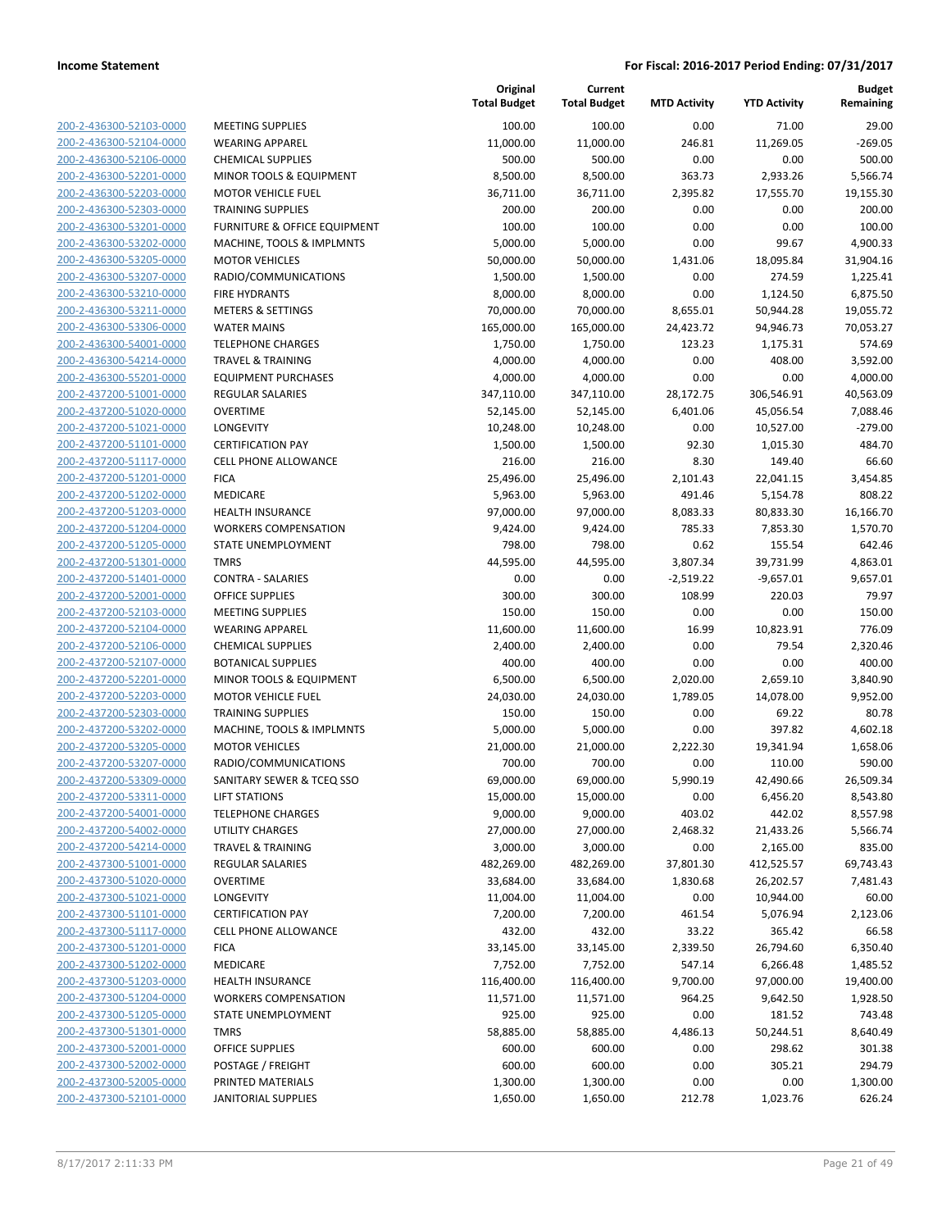| 200-2-436300-52103-0000                            |
|----------------------------------------------------|
| 200-2-436300-52104-0000                            |
| 200-2-436300-52106-0000                            |
| 200-2-436300-52201-0000                            |
| 200-2-436300-52203-0000                            |
| 200-2-436300-52303-0000                            |
|                                                    |
| 200-2-436300-53201-0000                            |
| 200-2-436300-53202-0000                            |
| 200-2-436300-53205-0000                            |
| 200-2-436300-53207-0000                            |
| 200-2-436300-53210-0000                            |
| 200-2-436300-53211-0000                            |
| 200-2-436300-53306-0000                            |
| <u>200-2-436300-54001-0000</u>                     |
| 200-2-436300-54214-0000                            |
| 200-2-436300-55201-0000                            |
|                                                    |
| 200-2-437200-51001-0000                            |
| 200-2-437200-51020-0000                            |
| 200-2-437200-51021-0000                            |
| 200-2-437200-51101-0000                            |
| 200-2-437200-51117-0000                            |
| 200-2-437200-51201-0000                            |
| 200-2-437200-51202-0000                            |
| 200-2-437200-51203-0000                            |
| 200-2-437200-51204-0000                            |
| 200-2-437200-51205-0000                            |
|                                                    |
| 200-2-437200-51301-0000                            |
| <u>200-2-437200-51401-0000</u>                     |
| 200-2-437200-52001-0000                            |
| 200-2-437200-52103-0000                            |
| 200-2-437200-52104-0000                            |
| 200-2-437200-52106-0000                            |
| 200-2-437200-52107-0000                            |
| 200-2-437200-52201-0000                            |
| 200-2-437200-52203-0000                            |
| 200-2-437200-52303-0000                            |
|                                                    |
| 200-2-437200-53202-0000                            |
| 200-2-437200-53205-0000                            |
| 200-2-437200-53207-0000                            |
| 200-2-437200-53309-0000                            |
| 200-2-437200-53311-0000                            |
| 200-2-437200-54001-0000                            |
| <u>200-2-437200-54002-0000</u>                     |
| <u>200-2-437200-54214-0000</u>                     |
| 200-2-437300-51001-0000                            |
| 200-2-437300-51020-0000                            |
|                                                    |
| 200-2-437300-51021-0000                            |
| 200-2-437300-51101-0000                            |
| <u>200-2-437300-51117-0000</u>                     |
| 200-2-437300-51201-0000                            |
|                                                    |
| 200-2-437300-51202-0000                            |
| 200-2-437300-51203-0000                            |
| 200-2-437300-51204-0000                            |
| <u>200-2-437300-51205-0000</u>                     |
|                                                    |
| 200-2-437300-51301-0000                            |
| 200-2-437300-52001-0000                            |
| 200-2-437300-52002-0000                            |
| 200-2-437300-52005-0000<br>200-2-437300-52101-0000 |

|                         |                              | Original<br><b>Total Budget</b> | Current<br><b>Total Budget</b> | <b>MTD Activity</b> | <b>YTD Activity</b> | <b>Budget</b><br>Remaining |
|-------------------------|------------------------------|---------------------------------|--------------------------------|---------------------|---------------------|----------------------------|
| 200-2-436300-52103-0000 | <b>MEETING SUPPLIES</b>      | 100.00                          | 100.00                         | 0.00                | 71.00               | 29.00                      |
| 200-2-436300-52104-0000 | <b>WEARING APPAREL</b>       | 11,000.00                       | 11,000.00                      | 246.81              | 11,269.05           | $-269.05$                  |
| 200-2-436300-52106-0000 | <b>CHEMICAL SUPPLIES</b>     | 500.00                          | 500.00                         | 0.00                | 0.00                | 500.00                     |
| 200-2-436300-52201-0000 | MINOR TOOLS & EQUIPMENT      | 8,500.00                        | 8,500.00                       | 363.73              | 2,933.26            | 5,566.74                   |
| 200-2-436300-52203-0000 | <b>MOTOR VEHICLE FUEL</b>    | 36,711.00                       | 36,711.00                      | 2,395.82            | 17,555.70           | 19,155.30                  |
| 200-2-436300-52303-0000 | <b>TRAINING SUPPLIES</b>     | 200.00                          | 200.00                         | 0.00                | 0.00                | 200.00                     |
| 200-2-436300-53201-0000 | FURNITURE & OFFICE EQUIPMENT | 100.00                          | 100.00                         | 0.00                | 0.00                | 100.00                     |
| 200-2-436300-53202-0000 | MACHINE, TOOLS & IMPLMNTS    | 5,000.00                        | 5,000.00                       | 0.00                | 99.67               | 4,900.33                   |
| 200-2-436300-53205-0000 | <b>MOTOR VEHICLES</b>        | 50,000.00                       | 50,000.00                      | 1,431.06            | 18,095.84           | 31,904.16                  |
| 200-2-436300-53207-0000 | RADIO/COMMUNICATIONS         | 1,500.00                        | 1,500.00                       | 0.00                | 274.59              | 1,225.41                   |
| 200-2-436300-53210-0000 | <b>FIRE HYDRANTS</b>         | 8,000.00                        | 8,000.00                       | 0.00                | 1,124.50            | 6,875.50                   |
| 200-2-436300-53211-0000 | <b>METERS &amp; SETTINGS</b> | 70,000.00                       | 70,000.00                      | 8,655.01            | 50,944.28           | 19,055.72                  |
| 200-2-436300-53306-0000 | <b>WATER MAINS</b>           | 165,000.00                      | 165,000.00                     | 24,423.72           | 94,946.73           | 70,053.27                  |
| 200-2-436300-54001-0000 | <b>TELEPHONE CHARGES</b>     | 1,750.00                        | 1,750.00                       | 123.23              | 1,175.31            | 574.69                     |
| 200-2-436300-54214-0000 | <b>TRAVEL &amp; TRAINING</b> | 4,000.00                        | 4,000.00                       | 0.00                | 408.00              | 3,592.00                   |
| 200-2-436300-55201-0000 | <b>EQUIPMENT PURCHASES</b>   | 4,000.00                        | 4,000.00                       | 0.00                | 0.00                | 4,000.00                   |
| 200-2-437200-51001-0000 | <b>REGULAR SALARIES</b>      | 347,110.00                      | 347,110.00                     | 28,172.75           | 306,546.91          | 40,563.09                  |
| 200-2-437200-51020-0000 | <b>OVERTIME</b>              | 52,145.00                       | 52,145.00                      | 6,401.06            | 45,056.54           | 7,088.46                   |
| 200-2-437200-51021-0000 | LONGEVITY                    | 10,248.00                       | 10,248.00                      | 0.00                | 10,527.00           | $-279.00$                  |
| 200-2-437200-51101-0000 | <b>CERTIFICATION PAY</b>     | 1,500.00                        | 1,500.00                       | 92.30               | 1,015.30            | 484.70                     |
| 200-2-437200-51117-0000 | <b>CELL PHONE ALLOWANCE</b>  | 216.00                          | 216.00                         | 8.30                | 149.40              | 66.60                      |
| 200-2-437200-51201-0000 | <b>FICA</b>                  | 25,496.00                       | 25,496.00                      | 2,101.43            | 22,041.15           | 3,454.85                   |
| 200-2-437200-51202-0000 | MEDICARE                     | 5,963.00                        | 5,963.00                       | 491.46              | 5,154.78            | 808.22                     |
| 200-2-437200-51203-0000 | <b>HEALTH INSURANCE</b>      | 97,000.00                       | 97,000.00                      | 8,083.33            | 80,833.30           | 16,166.70                  |
| 200-2-437200-51204-0000 | <b>WORKERS COMPENSATION</b>  | 9,424.00                        | 9,424.00                       | 785.33              | 7,853.30            | 1,570.70                   |
| 200-2-437200-51205-0000 | STATE UNEMPLOYMENT           | 798.00                          | 798.00                         | 0.62                | 155.54              | 642.46                     |
| 200-2-437200-51301-0000 | <b>TMRS</b>                  | 44,595.00                       | 44,595.00                      | 3,807.34            | 39,731.99           | 4,863.01                   |
| 200-2-437200-51401-0000 | <b>CONTRA - SALARIES</b>     | 0.00                            | 0.00                           | $-2,519.22$         | $-9,657.01$         | 9,657.01                   |
| 200-2-437200-52001-0000 | <b>OFFICE SUPPLIES</b>       | 300.00                          | 300.00                         | 108.99              | 220.03              | 79.97                      |
| 200-2-437200-52103-0000 | <b>MEETING SUPPLIES</b>      | 150.00                          | 150.00                         | 0.00                | 0.00                | 150.00                     |
| 200-2-437200-52104-0000 | <b>WEARING APPAREL</b>       | 11,600.00                       | 11,600.00                      | 16.99               | 10,823.91           | 776.09                     |
| 200-2-437200-52106-0000 | <b>CHEMICAL SUPPLIES</b>     | 2,400.00                        | 2,400.00                       | 0.00                | 79.54               | 2,320.46                   |
| 200-2-437200-52107-0000 | <b>BOTANICAL SUPPLIES</b>    | 400.00                          | 400.00                         | 0.00                | 0.00                | 400.00                     |
| 200-2-437200-52201-0000 | MINOR TOOLS & EQUIPMENT      | 6,500.00                        | 6,500.00                       | 2,020.00            | 2,659.10            | 3,840.90                   |
| 200-2-437200-52203-0000 | <b>MOTOR VEHICLE FUEL</b>    | 24,030.00                       | 24,030.00                      | 1,789.05            | 14,078.00           | 9,952.00                   |
| 200-2-437200-52303-0000 | <b>TRAINING SUPPLIES</b>     | 150.00                          | 150.00                         | 0.00                | 69.22               | 80.78                      |
| 200-2-437200-53202-0000 | MACHINE, TOOLS & IMPLMNTS    | 5,000.00                        | 5,000.00                       | 0.00                | 397.82              | 4,602.18                   |
| 200-2-437200-53205-0000 | <b>MOTOR VEHICLES</b>        | 21,000.00                       | 21,000.00                      | 2,222.30            | 19,341.94           | 1,658.06                   |
| 200-2-437200-53207-0000 | RADIO/COMMUNICATIONS         | 700.00                          | 700.00                         | 0.00                | 110.00              | 590.00                     |
| 200-2-437200-53309-0000 | SANITARY SEWER & TCEQ SSO    | 69,000.00                       | 69,000.00                      | 5,990.19            | 42,490.66           | 26,509.34                  |
| 200-2-437200-53311-0000 | <b>LIFT STATIONS</b>         | 15,000.00                       | 15,000.00                      | 0.00                | 6,456.20            | 8,543.80                   |
| 200-2-437200-54001-0000 | <b>TELEPHONE CHARGES</b>     | 9,000.00                        | 9,000.00                       | 403.02              | 442.02              | 8,557.98                   |
| 200-2-437200-54002-0000 | UTILITY CHARGES              | 27,000.00                       | 27,000.00                      | 2,468.32            | 21,433.26           | 5,566.74                   |
| 200-2-437200-54214-0000 | <b>TRAVEL &amp; TRAINING</b> | 3,000.00                        | 3,000.00                       | 0.00                | 2,165.00            | 835.00                     |
| 200-2-437300-51001-0000 | <b>REGULAR SALARIES</b>      | 482,269.00                      | 482,269.00                     | 37,801.30           | 412,525.57          | 69,743.43                  |
| 200-2-437300-51020-0000 | <b>OVERTIME</b>              | 33,684.00                       | 33,684.00                      | 1,830.68            | 26,202.57           | 7,481.43                   |
| 200-2-437300-51021-0000 | <b>LONGEVITY</b>             | 11,004.00                       | 11,004.00                      | 0.00                | 10,944.00           | 60.00                      |
| 200-2-437300-51101-0000 | <b>CERTIFICATION PAY</b>     | 7,200.00                        | 7,200.00                       | 461.54              | 5,076.94            | 2,123.06                   |
| 200-2-437300-51117-0000 | <b>CELL PHONE ALLOWANCE</b>  | 432.00                          | 432.00                         | 33.22               | 365.42              | 66.58                      |
| 200-2-437300-51201-0000 | <b>FICA</b>                  | 33,145.00                       | 33,145.00                      | 2,339.50            | 26,794.60           | 6,350.40                   |
| 200-2-437300-51202-0000 | MEDICARE                     | 7,752.00                        | 7,752.00                       | 547.14              | 6,266.48            | 1,485.52                   |
| 200-2-437300-51203-0000 | <b>HEALTH INSURANCE</b>      | 116,400.00                      | 116,400.00                     | 9,700.00            | 97,000.00           | 19,400.00                  |
| 200-2-437300-51204-0000 | <b>WORKERS COMPENSATION</b>  | 11,571.00                       | 11,571.00                      | 964.25              | 9,642.50            | 1,928.50                   |
| 200-2-437300-51205-0000 | STATE UNEMPLOYMENT           | 925.00                          | 925.00                         | 0.00                | 181.52              | 743.48                     |
| 200-2-437300-51301-0000 | <b>TMRS</b>                  | 58,885.00                       | 58,885.00                      | 4,486.13            | 50,244.51           | 8,640.49                   |
| 200-2-437300-52001-0000 | OFFICE SUPPLIES              | 600.00                          | 600.00                         | 0.00                | 298.62              | 301.38                     |
| 200-2-437300-52002-0000 | POSTAGE / FREIGHT            | 600.00                          | 600.00                         | 0.00                | 305.21              | 294.79                     |
| 200-2-437300-52005-0000 | PRINTED MATERIALS            | 1,300.00                        | 1,300.00                       | 0.00                | 0.00                | 1,300.00                   |
| 200-2-437300-52101-0000 | <b>JANITORIAL SUPPLIES</b>   | 1,650.00                        | 1,650.00                       | 212.78              | 1,023.76            | 626.24                     |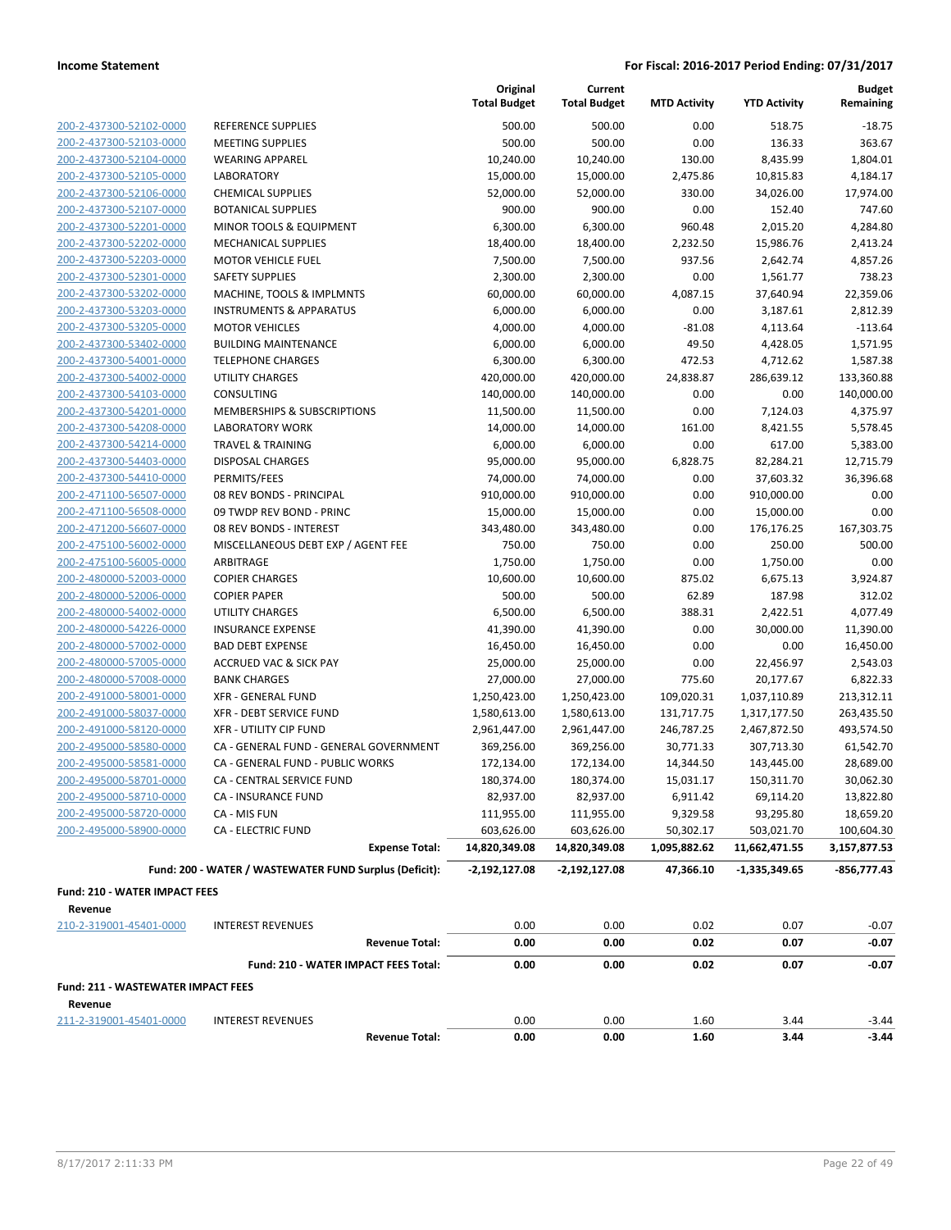|                                      |                                                        | Original<br><b>Total Budget</b> | Current<br><b>Total Budget</b> | <b>MTD Activity</b> | <b>YTD Activity</b> | <b>Budget</b><br>Remaining |
|--------------------------------------|--------------------------------------------------------|---------------------------------|--------------------------------|---------------------|---------------------|----------------------------|
| 200-2-437300-52102-0000              | REFERENCE SUPPLIES                                     | 500.00                          | 500.00                         | 0.00                | 518.75              | $-18.75$                   |
| 200-2-437300-52103-0000              | <b>MEETING SUPPLIES</b>                                | 500.00                          | 500.00                         | 0.00                | 136.33              | 363.67                     |
| 200-2-437300-52104-0000              | <b>WEARING APPAREL</b>                                 | 10,240.00                       | 10,240.00                      | 130.00              | 8,435.99            | 1,804.01                   |
| 200-2-437300-52105-0000              | <b>LABORATORY</b>                                      | 15,000.00                       | 15,000.00                      | 2,475.86            | 10,815.83           | 4,184.17                   |
| 200-2-437300-52106-0000              | <b>CHEMICAL SUPPLIES</b>                               | 52,000.00                       | 52,000.00                      | 330.00              | 34,026.00           | 17,974.00                  |
| 200-2-437300-52107-0000              | <b>BOTANICAL SUPPLIES</b>                              | 900.00                          | 900.00                         | 0.00                | 152.40              | 747.60                     |
| 200-2-437300-52201-0000              | MINOR TOOLS & EQUIPMENT                                | 6,300.00                        | 6,300.00                       | 960.48              | 2,015.20            | 4,284.80                   |
| 200-2-437300-52202-0000              | <b>MECHANICAL SUPPLIES</b>                             | 18,400.00                       | 18,400.00                      | 2,232.50            | 15,986.76           | 2,413.24                   |
| 200-2-437300-52203-0000              | <b>MOTOR VEHICLE FUEL</b>                              | 7,500.00                        | 7,500.00                       | 937.56              | 2,642.74            | 4,857.26                   |
| 200-2-437300-52301-0000              | <b>SAFETY SUPPLIES</b>                                 | 2,300.00                        | 2,300.00                       | 0.00                | 1,561.77            | 738.23                     |
| 200-2-437300-53202-0000              | MACHINE, TOOLS & IMPLMNTS                              | 60,000.00                       | 60,000.00                      | 4,087.15            | 37,640.94           | 22,359.06                  |
| 200-2-437300-53203-0000              | <b>INSTRUMENTS &amp; APPARATUS</b>                     | 6,000.00                        | 6,000.00                       | 0.00                | 3,187.61            | 2,812.39                   |
| 200-2-437300-53205-0000              | <b>MOTOR VEHICLES</b>                                  | 4,000.00                        | 4,000.00                       | $-81.08$            | 4,113.64            | $-113.64$                  |
| 200-2-437300-53402-0000              | <b>BUILDING MAINTENANCE</b>                            | 6,000.00                        | 6,000.00                       | 49.50               | 4,428.05            | 1,571.95                   |
| 200-2-437300-54001-0000              | <b>TELEPHONE CHARGES</b>                               | 6,300.00                        | 6,300.00                       | 472.53              | 4,712.62            | 1,587.38                   |
| 200-2-437300-54002-0000              | UTILITY CHARGES                                        | 420,000.00                      | 420,000.00                     | 24,838.87           | 286,639.12          | 133,360.88                 |
| 200-2-437300-54103-0000              | CONSULTING                                             | 140,000.00                      | 140,000.00                     | 0.00                | 0.00                | 140,000.00                 |
| 200-2-437300-54201-0000              | MEMBERSHIPS & SUBSCRIPTIONS                            | 11,500.00                       | 11,500.00                      | 0.00                | 7,124.03            | 4,375.97                   |
| 200-2-437300-54208-0000              | <b>LABORATORY WORK</b>                                 | 14,000.00                       | 14,000.00                      | 161.00              | 8,421.55            | 5,578.45                   |
| 200-2-437300-54214-0000              | <b>TRAVEL &amp; TRAINING</b>                           | 6,000.00                        | 6,000.00                       | 0.00                | 617.00              | 5,383.00                   |
| 200-2-437300-54403-0000              | <b>DISPOSAL CHARGES</b>                                | 95,000.00                       | 95,000.00                      | 6,828.75            | 82,284.21           | 12,715.79                  |
| 200-2-437300-54410-0000              | PERMITS/FEES                                           | 74,000.00                       | 74,000.00                      | 0.00                | 37,603.32           | 36,396.68                  |
| 200-2-471100-56507-0000              | 08 REV BONDS - PRINCIPAL                               | 910,000.00                      | 910,000.00                     | 0.00                | 910,000.00          | 0.00                       |
| 200-2-471100-56508-0000              | 09 TWDP REV BOND - PRINC                               | 15,000.00                       | 15,000.00                      | 0.00                | 15,000.00           | 0.00                       |
| 200-2-471200-56607-0000              | 08 REV BONDS - INTEREST                                | 343,480.00                      | 343,480.00                     | 0.00                | 176,176.25          | 167,303.75                 |
| 200-2-475100-56002-0000              | MISCELLANEOUS DEBT EXP / AGENT FEE                     | 750.00                          | 750.00                         | 0.00                | 250.00              | 500.00                     |
| 200-2-475100-56005-0000              | ARBITRAGE                                              | 1,750.00                        | 1,750.00                       | 0.00                | 1,750.00            | 0.00                       |
| 200-2-480000-52003-0000              | <b>COPIER CHARGES</b>                                  | 10,600.00                       | 10,600.00                      | 875.02              | 6,675.13            | 3,924.87                   |
| 200-2-480000-52006-0000              | <b>COPIER PAPER</b>                                    | 500.00                          | 500.00                         | 62.89               | 187.98              | 312.02                     |
| 200-2-480000-54002-0000              | <b>UTILITY CHARGES</b>                                 | 6,500.00                        | 6,500.00                       | 388.31              | 2,422.51            | 4,077.49                   |
| 200-2-480000-54226-0000              | <b>INSURANCE EXPENSE</b>                               | 41,390.00                       | 41,390.00                      | 0.00                | 30,000.00           | 11,390.00                  |
| 200-2-480000-57002-0000              | <b>BAD DEBT EXPENSE</b>                                | 16,450.00                       | 16,450.00                      | 0.00                | 0.00                | 16,450.00                  |
| 200-2-480000-57005-0000              | <b>ACCRUED VAC &amp; SICK PAY</b>                      | 25,000.00                       | 25,000.00                      | 0.00                | 22,456.97           | 2,543.03                   |
| 200-2-480000-57008-0000              | <b>BANK CHARGES</b>                                    | 27,000.00                       | 27,000.00                      | 775.60              | 20,177.67           | 6,822.33                   |
| 200-2-491000-58001-0000              | <b>XFR - GENERAL FUND</b>                              | 1,250,423.00                    | 1,250,423.00                   | 109,020.31          | 1,037,110.89        | 213,312.11                 |
| 200-2-491000-58037-0000              | <b>XFR - DEBT SERVICE FUND</b>                         | 1,580,613.00                    | 1,580,613.00                   | 131,717.75          | 1,317,177.50        | 263,435.50                 |
| 200-2-491000-58120-0000              | <b>XFR - UTILITY CIP FUND</b>                          | 2,961,447.00                    | 2,961,447.00                   | 246,787.25          | 2,467,872.50        | 493,574.50                 |
| 200-2-495000-58580-0000              | CA - GENERAL FUND - GENERAL GOVERNMENT                 | 369,256.00                      | 369,256.00                     | 30,771.33           | 307,713.30          | 61,542.70                  |
| 200-2-495000-58581-0000              | CA - GENERAL FUND - PUBLIC WORKS                       | 172,134.00                      | 172,134.00                     | 14,344.50           | 143,445.00          | 28,689.00                  |
| 200-2-495000-58701-0000              | CA - CENTRAL SERVICE FUND                              | 180,374.00                      | 180,374.00                     | 15,031.17           | 150,311.70          | 30,062.30                  |
| 200-2-495000-58710-0000              | <b>CA - INSURANCE FUND</b>                             | 82,937.00                       | 82,937.00                      | 6,911.42            | 69,114.20           | 13,822.80                  |
| 200-2-495000-58720-0000              | CA - MIS FUN                                           | 111,955.00                      | 111,955.00                     | 9,329.58            | 93,295.80           | 18,659.20                  |
| 200-2-495000-58900-0000              | <b>CA - ELECTRIC FUND</b>                              | 603,626.00                      | 603,626.00                     | 50,302.17           | 503,021.70          | 100,604.30                 |
|                                      | <b>Expense Total:</b>                                  | 14,820,349.08                   | 14,820,349.08                  | 1,095,882.62        | 11,662,471.55       | 3,157,877.53               |
|                                      | Fund: 200 - WATER / WASTEWATER FUND Surplus (Deficit): | $-2,192,127.08$                 | $-2,192,127.08$                | 47,366.10           | $-1,335,349.65$     | $-856,777.43$              |
| <b>Fund: 210 - WATER IMPACT FEES</b> |                                                        |                                 |                                |                     |                     |                            |
| Revenue                              |                                                        |                                 |                                |                     |                     |                            |
| 210-2-319001-45401-0000              | <b>INTEREST REVENUES</b>                               | 0.00                            | 0.00                           | 0.02                | 0.07                | $-0.07$                    |
|                                      | <b>Revenue Total:</b>                                  | 0.00                            | 0.00                           | 0.02                | 0.07                | $-0.07$                    |
|                                      | Fund: 210 - WATER IMPACT FEES Total:                   | 0.00                            | 0.00                           | 0.02                | 0.07                | $-0.07$                    |
| Fund: 211 - WASTEWATER IMPACT FEES   |                                                        |                                 |                                |                     |                     |                            |
| Revenue                              |                                                        |                                 |                                |                     |                     |                            |
| 211-2-319001-45401-0000              | <b>INTEREST REVENUES</b><br><b>Revenue Total:</b>      | 0.00<br>0.00                    | 0.00<br>0.00                   | 1.60<br>1.60        | 3.44<br>3.44        | $-3.44$<br>$-3.44$         |
|                                      |                                                        |                                 |                                |                     |                     |                            |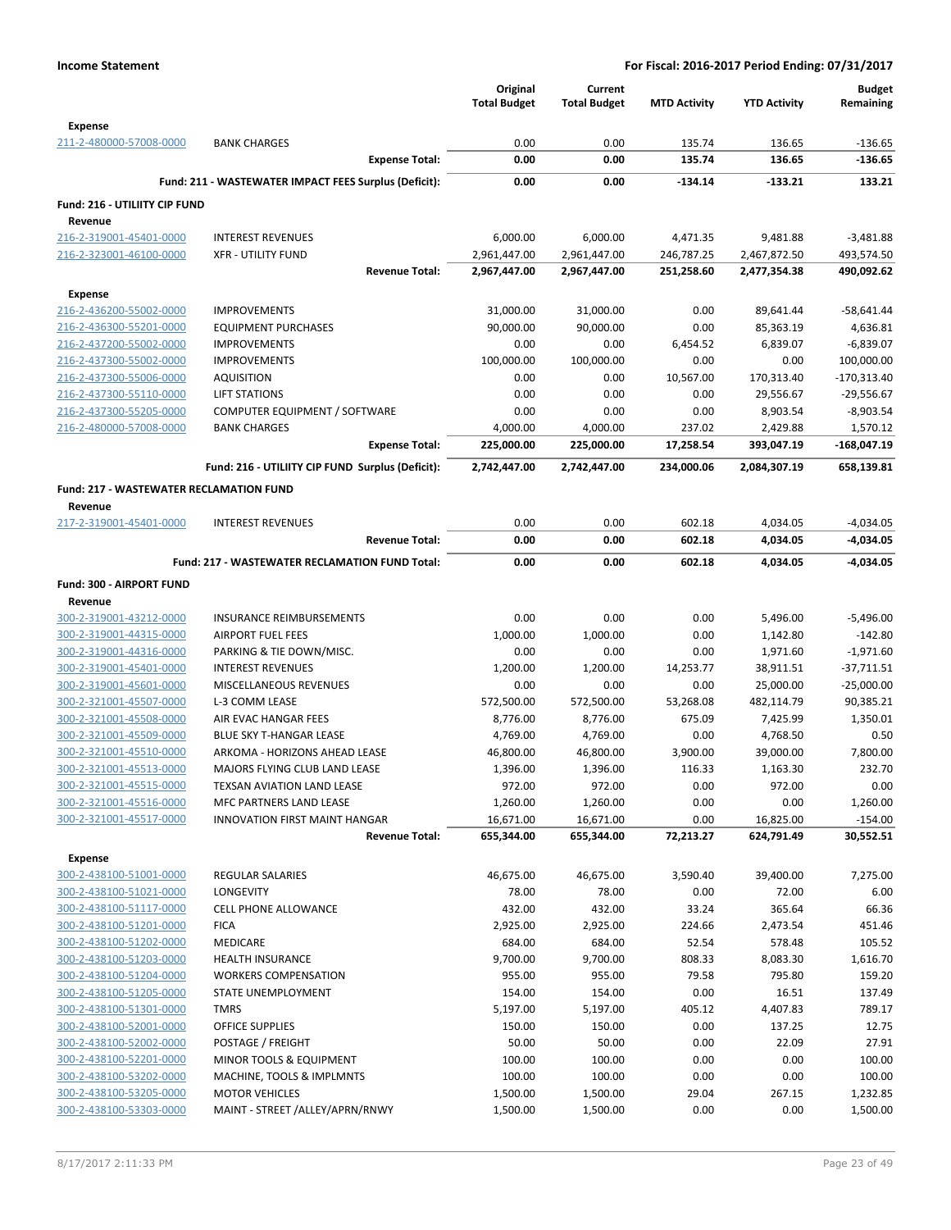|                                                    |                                                       | Original<br><b>Total Budget</b> | Current<br><b>Total Budget</b> | <b>MTD Activity</b> | <b>YTD Activity</b> | <b>Budget</b><br>Remaining |
|----------------------------------------------------|-------------------------------------------------------|---------------------------------|--------------------------------|---------------------|---------------------|----------------------------|
| Expense                                            |                                                       |                                 |                                |                     |                     |                            |
| 211-2-480000-57008-0000                            | <b>BANK CHARGES</b><br><b>Expense Total:</b>          | 0.00<br>0.00                    | 0.00<br>0.00                   | 135.74<br>135.74    | 136.65<br>136.65    | $-136.65$<br>$-136.65$     |
|                                                    | Fund: 211 - WASTEWATER IMPACT FEES Surplus (Deficit): | 0.00                            | 0.00                           | $-134.14$           | $-133.21$           | 133.21                     |
|                                                    |                                                       |                                 |                                |                     |                     |                            |
| Fund: 216 - UTILIITY CIP FUND<br>Revenue           |                                                       |                                 |                                |                     |                     |                            |
| 216-2-319001-45401-0000                            | <b>INTEREST REVENUES</b>                              | 6,000.00                        | 6,000.00                       | 4,471.35            | 9,481.88            | $-3,481.88$                |
| 216-2-323001-46100-0000                            | <b>XFR - UTILITY FUND</b>                             | 2,961,447.00                    | 2,961,447.00                   | 246,787.25          | 2,467,872.50        | 493,574.50                 |
|                                                    | <b>Revenue Total:</b>                                 | 2,967,447.00                    | 2,967,447.00                   | 251,258.60          | 2,477,354.38        | 490,092.62                 |
| <b>Expense</b>                                     |                                                       |                                 |                                |                     |                     |                            |
| 216-2-436200-55002-0000                            | <b>IMPROVEMENTS</b>                                   | 31,000.00                       | 31,000.00                      | 0.00                | 89,641.44           | -58,641.44                 |
| 216-2-436300-55201-0000                            | <b>EQUIPMENT PURCHASES</b>                            | 90,000.00                       | 90,000.00                      | 0.00                | 85,363.19           | 4,636.81                   |
| 216-2-437200-55002-0000                            | <b>IMPROVEMENTS</b>                                   | 0.00                            | 0.00                           | 6,454.52            | 6,839.07            | $-6,839.07$                |
| 216-2-437300-55002-0000                            | <b>IMPROVEMENTS</b>                                   | 100,000.00                      | 100,000.00                     | 0.00                | 0.00                | 100,000.00                 |
| 216-2-437300-55006-0000                            | <b>AQUISITION</b>                                     | 0.00                            | 0.00                           | 10,567.00           | 170,313.40          | $-170,313.40$              |
| 216-2-437300-55110-0000                            | <b>LIFT STATIONS</b>                                  | 0.00                            | 0.00                           | 0.00                | 29,556.67           | $-29,556.67$               |
| 216-2-437300-55205-0000                            | COMPUTER EQUIPMENT / SOFTWARE                         | 0.00                            | 0.00                           | 0.00                | 8,903.54            | $-8,903.54$                |
| 216-2-480000-57008-0000                            | <b>BANK CHARGES</b>                                   | 4,000.00                        | 4,000.00                       | 237.02              | 2,429.88            | 1,570.12                   |
|                                                    | <b>Expense Total:</b>                                 | 225,000.00                      | 225,000.00                     | 17,258.54           | 393,047.19          | $-168,047.19$              |
|                                                    | Fund: 216 - UTILIITY CIP FUND Surplus (Deficit):      | 2,742,447.00                    | 2,742,447.00                   | 234,000.06          | 2,084,307.19        | 658,139.81                 |
| <b>Fund: 217 - WASTEWATER RECLAMATION FUND</b>     |                                                       |                                 |                                |                     |                     |                            |
| Revenue                                            |                                                       |                                 |                                |                     |                     |                            |
| 217-2-319001-45401-0000                            | <b>INTEREST REVENUES</b>                              | 0.00                            | 0.00                           | 602.18              | 4,034.05            | $-4,034.05$                |
|                                                    | <b>Revenue Total:</b>                                 | 0.00                            | 0.00                           | 602.18              | 4,034.05            | $-4,034.05$                |
|                                                    | <b>Fund: 217 - WASTEWATER RECLAMATION FUND Total:</b> | 0.00                            | 0.00                           | 602.18              | 4,034.05            | $-4,034.05$                |
| Fund: 300 - AIRPORT FUND                           |                                                       |                                 |                                |                     |                     |                            |
| Revenue                                            |                                                       |                                 |                                |                     |                     |                            |
| 300-2-319001-43212-0000                            | <b>INSURANCE REIMBURSEMENTS</b>                       | 0.00                            | 0.00                           | 0.00                | 5,496.00            | $-5,496.00$                |
| 300-2-319001-44315-0000                            | <b>AIRPORT FUEL FEES</b>                              | 1,000.00                        | 1,000.00                       | 0.00                | 1,142.80            | $-142.80$                  |
| 300-2-319001-44316-0000                            | PARKING & TIE DOWN/MISC.                              | 0.00                            | 0.00                           | 0.00                | 1,971.60            | $-1,971.60$                |
| 300-2-319001-45401-0000                            | <b>INTEREST REVENUES</b>                              | 1,200.00                        | 1,200.00                       | 14,253.77           | 38,911.51           | $-37,711.51$               |
| 300-2-319001-45601-0000                            | <b>MISCELLANEOUS REVENUES</b>                         | 0.00                            | 0.00                           | 0.00                | 25,000.00           | $-25,000.00$               |
| 300-2-321001-45507-0000                            | L-3 COMM LEASE                                        | 572,500.00                      | 572,500.00                     | 53,268.08           | 482,114.79          | 90,385.21                  |
| 300-2-321001-45508-0000                            | AIR EVAC HANGAR FEES                                  | 8,776.00                        | 8,776.00                       | 675.09              | 7,425.99            | 1,350.01                   |
| 300-2-321001-45509-0000                            | BLUE SKY T-HANGAR LEASE                               | 4,769.00                        | 4,769.00                       | 0.00                | 4,768.50            | 0.50                       |
| 300-2-321001-45510-0000                            | ARKOMA - HORIZONS AHEAD LEASE                         | 46,800.00                       | 46,800.00                      | 3,900.00            | 39,000.00           | 7,800.00                   |
| 300-2-321001-45513-0000                            | MAJORS FLYING CLUB LAND LEASE                         | 1,396.00                        | 1,396.00                       | 116.33              | 1,163.30            | 232.70                     |
| 300-2-321001-45515-0000                            | TEXSAN AVIATION LAND LEASE                            | 972.00                          | 972.00                         | 0.00                | 972.00              | 0.00                       |
| 300-2-321001-45516-0000                            | MFC PARTNERS LAND LEASE                               | 1,260.00                        | 1,260.00                       | 0.00                | 0.00                | 1,260.00                   |
| 300-2-321001-45517-0000                            | INNOVATION FIRST MAINT HANGAR                         | 16,671.00                       | 16,671.00                      | 0.00                | 16,825.00           | $-154.00$                  |
|                                                    | <b>Revenue Total:</b>                                 | 655,344.00                      | 655,344.00                     | 72,213.27           | 624,791.49          | 30,552.51                  |
| Expense                                            |                                                       |                                 |                                |                     |                     |                            |
| 300-2-438100-51001-0000                            | <b>REGULAR SALARIES</b>                               | 46,675.00                       | 46,675.00                      | 3,590.40            | 39,400.00           | 7,275.00                   |
| 300-2-438100-51021-0000                            | LONGEVITY<br><b>CELL PHONE ALLOWANCE</b>              | 78.00                           | 78.00                          | 0.00                | 72.00               | 6.00<br>66.36              |
| 300-2-438100-51117-0000<br>300-2-438100-51201-0000 | <b>FICA</b>                                           | 432.00                          | 432.00                         | 33.24<br>224.66     | 365.64              | 451.46                     |
|                                                    | <b>MEDICARE</b>                                       | 2,925.00                        | 2,925.00                       |                     | 2,473.54            | 105.52                     |
| 300-2-438100-51202-0000                            |                                                       | 684.00                          | 684.00                         | 52.54               | 578.48              |                            |
| 300-2-438100-51203-0000                            | HEALTH INSURANCE                                      | 9,700.00                        | 9,700.00                       | 808.33              | 8,083.30            | 1,616.70                   |
| 300-2-438100-51204-0000                            | <b>WORKERS COMPENSATION</b>                           | 955.00                          | 955.00                         | 79.58               | 795.80              | 159.20                     |
| 300-2-438100-51205-0000                            | STATE UNEMPLOYMENT                                    | 154.00                          | 154.00                         | 0.00                | 16.51               | 137.49                     |
| 300-2-438100-51301-0000                            | <b>TMRS</b>                                           | 5,197.00                        | 5,197.00                       | 405.12              | 4,407.83            | 789.17                     |
| 300-2-438100-52001-0000                            | OFFICE SUPPLIES                                       | 150.00                          | 150.00                         | 0.00                | 137.25              | 12.75                      |
| 300-2-438100-52002-0000                            | POSTAGE / FREIGHT                                     | 50.00                           | 50.00                          | 0.00                | 22.09               | 27.91                      |
| 300-2-438100-52201-0000                            | MINOR TOOLS & EQUIPMENT                               | 100.00                          | 100.00                         | 0.00                | 0.00                | 100.00                     |
| 300-2-438100-53202-0000                            | MACHINE, TOOLS & IMPLMNTS                             | 100.00                          | 100.00                         | 0.00                | 0.00                | 100.00                     |
| 300-2-438100-53205-0000                            | <b>MOTOR VEHICLES</b>                                 | 1,500.00                        | 1,500.00                       | 29.04               | 267.15              | 1,232.85                   |
| 300-2-438100-53303-0000                            | MAINT - STREET /ALLEY/APRN/RNWY                       | 1,500.00                        | 1,500.00                       | 0.00                | 0.00                | 1,500.00                   |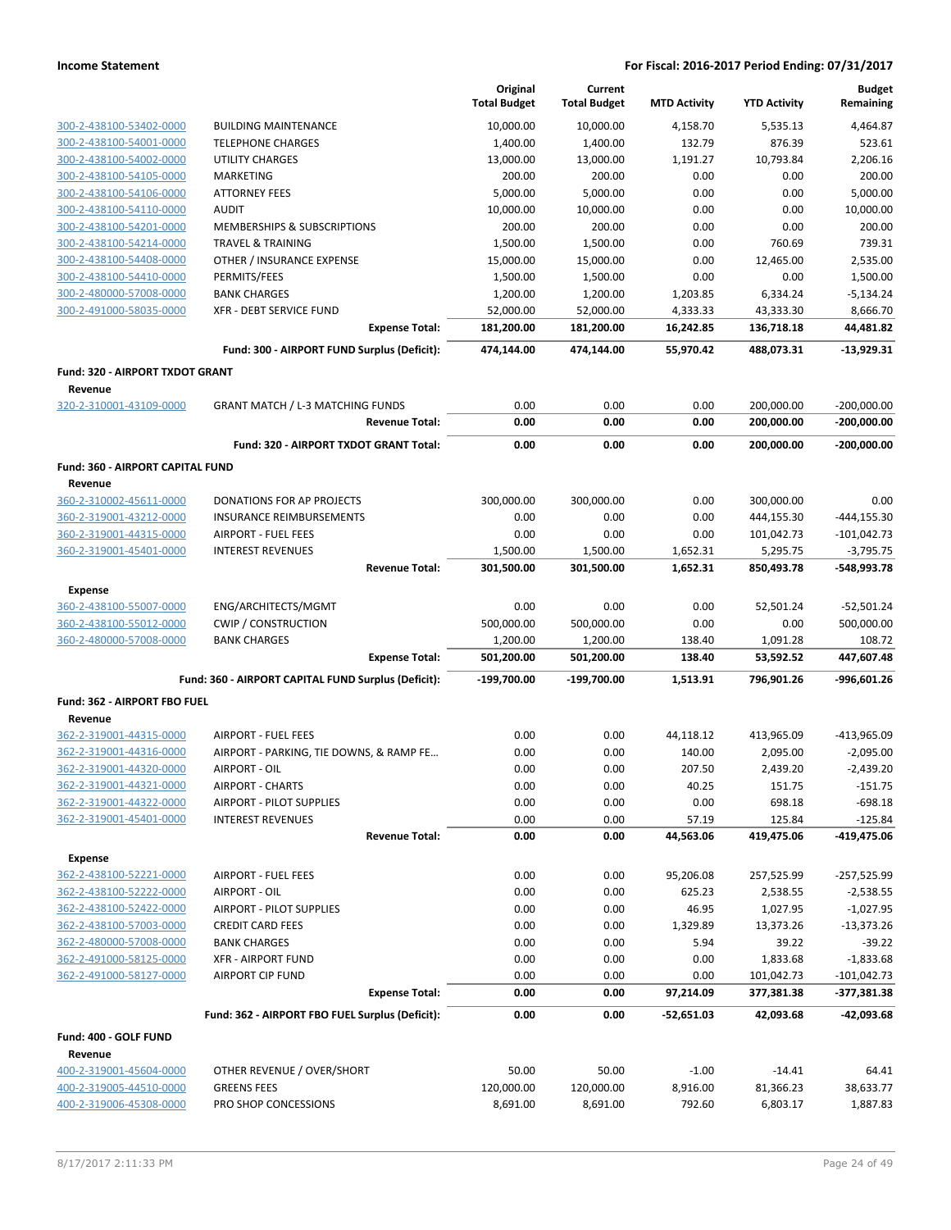|                                                    |                                                        | Original<br><b>Total Budget</b> | Current<br><b>Total Budget</b> | <b>MTD Activity</b> | <b>YTD Activity</b>      | <b>Budget</b><br>Remaining   |
|----------------------------------------------------|--------------------------------------------------------|---------------------------------|--------------------------------|---------------------|--------------------------|------------------------------|
| 300-2-438100-53402-0000                            | <b>BUILDING MAINTENANCE</b>                            | 10,000.00                       | 10,000.00                      | 4,158.70            |                          | 4,464.87                     |
| 300-2-438100-54001-0000                            | <b>TELEPHONE CHARGES</b>                               | 1,400.00                        | 1,400.00                       | 132.79              | 5,535.13<br>876.39       | 523.61                       |
| 300-2-438100-54002-0000                            | <b>UTILITY CHARGES</b>                                 | 13,000.00                       | 13,000.00                      | 1,191.27            | 10,793.84                | 2,206.16                     |
| 300-2-438100-54105-0000                            | MARKETING                                              | 200.00                          | 200.00                         | 0.00                | 0.00                     | 200.00                       |
| 300-2-438100-54106-0000                            | <b>ATTORNEY FEES</b>                                   | 5,000.00                        | 5,000.00                       | 0.00                | 0.00                     | 5,000.00                     |
| 300-2-438100-54110-0000                            | <b>AUDIT</b>                                           | 10,000.00                       | 10,000.00                      | 0.00                | 0.00                     | 10,000.00                    |
| 300-2-438100-54201-0000                            | MEMBERSHIPS & SUBSCRIPTIONS                            | 200.00                          | 200.00                         | 0.00                | 0.00                     | 200.00                       |
| 300-2-438100-54214-0000                            | <b>TRAVEL &amp; TRAINING</b>                           | 1,500.00                        | 1,500.00                       | 0.00                | 760.69                   | 739.31                       |
| 300-2-438100-54408-0000                            | OTHER / INSURANCE EXPENSE                              | 15,000.00                       | 15,000.00                      | 0.00                | 12,465.00                | 2,535.00                     |
| 300-2-438100-54410-0000                            | PERMITS/FEES                                           | 1,500.00                        | 1,500.00                       | 0.00                | 0.00                     | 1,500.00                     |
| 300-2-480000-57008-0000                            | <b>BANK CHARGES</b>                                    | 1,200.00                        | 1,200.00                       | 1,203.85            | 6,334.24                 | $-5,134.24$                  |
| 300-2-491000-58035-0000                            | <b>XFR - DEBT SERVICE FUND</b>                         | 52,000.00                       | 52,000.00                      | 4,333.33            | 43,333.30                | 8,666.70                     |
|                                                    | <b>Expense Total:</b>                                  | 181,200.00                      | 181,200.00                     | 16,242.85           | 136,718.18               | 44,481.82                    |
|                                                    | Fund: 300 - AIRPORT FUND Surplus (Deficit):            | 474,144.00                      | 474,144.00                     | 55,970.42           | 488,073.31               | $-13,929.31$                 |
| Fund: 320 - AIRPORT TXDOT GRANT                    |                                                        |                                 |                                |                     |                          |                              |
| Revenue                                            |                                                        |                                 |                                |                     |                          |                              |
| 320-2-310001-43109-0000                            | <b>GRANT MATCH / L-3 MATCHING FUNDS</b>                | 0.00                            | 0.00                           | 0.00                | 200,000.00               | $-200,000.00$                |
|                                                    | <b>Revenue Total:</b>                                  | 0.00                            | 0.00                           | 0.00                | 200,000.00               | $-200,000.00$                |
|                                                    | Fund: 320 - AIRPORT TXDOT GRANT Total:                 | 0.00                            | 0.00                           | 0.00                | 200,000.00               | $-200,000.00$                |
| <b>Fund: 360 - AIRPORT CAPITAL FUND</b>            |                                                        |                                 |                                |                     |                          |                              |
| Revenue                                            |                                                        |                                 |                                |                     |                          |                              |
| 360-2-310002-45611-0000                            | DONATIONS FOR AP PROJECTS                              | 300,000.00                      | 300,000.00                     | 0.00                | 300,000.00               | 0.00                         |
| 360-2-319001-43212-0000                            | <b>INSURANCE REIMBURSEMENTS</b>                        | 0.00                            | 0.00                           | 0.00                | 444,155.30               | $-444, 155.30$               |
| 360-2-319001-44315-0000<br>360-2-319001-45401-0000 | <b>AIRPORT - FUEL FEES</b><br><b>INTEREST REVENUES</b> | 0.00<br>1,500.00                | 0.00<br>1,500.00               | 0.00<br>1,652.31    | 101,042.73<br>5,295.75   | $-101,042.73$<br>$-3,795.75$ |
|                                                    | <b>Revenue Total:</b>                                  | 301,500.00                      | 301,500.00                     | 1,652.31            | 850,493.78               | -548,993.78                  |
|                                                    |                                                        |                                 |                                |                     |                          |                              |
| <b>Expense</b>                                     |                                                        |                                 |                                |                     |                          |                              |
| 360-2-438100-55007-0000<br>360-2-438100-55012-0000 | ENG/ARCHITECTS/MGMT<br><b>CWIP / CONSTRUCTION</b>      | 0.00<br>500,000.00              | 0.00<br>500,000.00             | 0.00<br>0.00        | 52,501.24<br>0.00        | $-52,501.24$<br>500,000.00   |
| 360-2-480000-57008-0000                            | <b>BANK CHARGES</b>                                    | 1,200.00                        | 1,200.00                       | 138.40              | 1,091.28                 | 108.72                       |
|                                                    | <b>Expense Total:</b>                                  | 501,200.00                      | 501,200.00                     | 138.40              | 53,592.52                | 447,607.48                   |
|                                                    | Fund: 360 - AIRPORT CAPITAL FUND Surplus (Deficit):    | -199,700.00                     | -199,700.00                    | 1,513.91            | 796,901.26               | -996,601.26                  |
| Fund: 362 - AIRPORT FBO FUEL                       |                                                        |                                 |                                |                     |                          |                              |
| Revenue                                            |                                                        |                                 |                                |                     |                          |                              |
| 362-2-319001-44315-0000                            | <b>AIRPORT - FUEL FEES</b>                             | 0.00                            | 0.00                           | 44,118.12           | 413,965.09               | -413,965.09                  |
| 362-2-319001-44316-0000                            | AIRPORT - PARKING, TIE DOWNS, & RAMP FE                | 0.00                            | 0.00                           | 140.00              | 2,095.00                 | $-2,095.00$                  |
| 362-2-319001-44320-0000                            | AIRPORT - OIL                                          | 0.00                            | 0.00                           | 207.50              | 2,439.20                 | $-2,439.20$                  |
| 362-2-319001-44321-0000                            | <b>AIRPORT - CHARTS</b>                                | 0.00                            | 0.00                           | 40.25               | 151.75                   | $-151.75$                    |
| 362-2-319001-44322-0000                            | AIRPORT - PILOT SUPPLIES                               | 0.00                            | 0.00                           | 0.00                | 698.18                   | $-698.18$                    |
| 362-2-319001-45401-0000                            | <b>INTEREST REVENUES</b>                               | 0.00                            | 0.00                           | 57.19               | 125.84                   | $-125.84$                    |
|                                                    | <b>Revenue Total:</b>                                  | 0.00                            | 0.00                           | 44,563.06           | 419,475.06               | -419,475.06                  |
| <b>Expense</b>                                     |                                                        |                                 |                                |                     |                          |                              |
| 362-2-438100-52221-0000                            | <b>AIRPORT - FUEL FEES</b>                             | 0.00                            | 0.00                           | 95,206.08           | 257,525.99               | $-257,525.99$                |
| 362-2-438100-52222-0000                            | AIRPORT - OIL                                          | 0.00                            | 0.00                           | 625.23              | 2,538.55                 | $-2,538.55$                  |
| 362-2-438100-52422-0000                            | AIRPORT - PILOT SUPPLIES                               | 0.00                            | 0.00                           | 46.95               | 1,027.95                 | $-1,027.95$                  |
| 362-2-438100-57003-0000                            | <b>CREDIT CARD FEES</b>                                | 0.00                            | 0.00                           | 1,329.89            | 13,373.26                | $-13,373.26$                 |
| 362-2-480000-57008-0000                            | <b>BANK CHARGES</b>                                    | 0.00                            | 0.00                           | 5.94                | 39.22                    | $-39.22$                     |
| 362-2-491000-58125-0000                            | <b>XFR - AIRPORT FUND</b>                              | 0.00                            | 0.00                           | 0.00                | 1,833.68                 | $-1,833.68$                  |
| 362-2-491000-58127-0000                            | <b>AIRPORT CIP FUND</b><br><b>Expense Total:</b>       | 0.00<br>0.00                    | 0.00<br>0.00                   | 0.00<br>97,214.09   | 101,042.73<br>377,381.38 | $-101,042.73$<br>-377,381.38 |
|                                                    |                                                        |                                 |                                |                     |                          |                              |
|                                                    | Fund: 362 - AIRPORT FBO FUEL Surplus (Deficit):        | 0.00                            | 0.00                           | -52,651.03          | 42,093.68                | $-42,093.68$                 |
| Fund: 400 - GOLF FUND<br>Revenue                   |                                                        |                                 |                                |                     |                          |                              |
| 400-2-319001-45604-0000                            | OTHER REVENUE / OVER/SHORT                             | 50.00                           | 50.00                          | $-1.00$             | $-14.41$                 | 64.41                        |
| 400-2-319005-44510-0000                            | <b>GREENS FEES</b>                                     | 120,000.00                      | 120,000.00                     | 8,916.00            | 81,366.23                | 38,633.77                    |
| 400-2-319006-45308-0000                            | PRO SHOP CONCESSIONS                                   | 8,691.00                        | 8,691.00                       | 792.60              | 6,803.17                 | 1,887.83                     |
|                                                    |                                                        |                                 |                                |                     |                          |                              |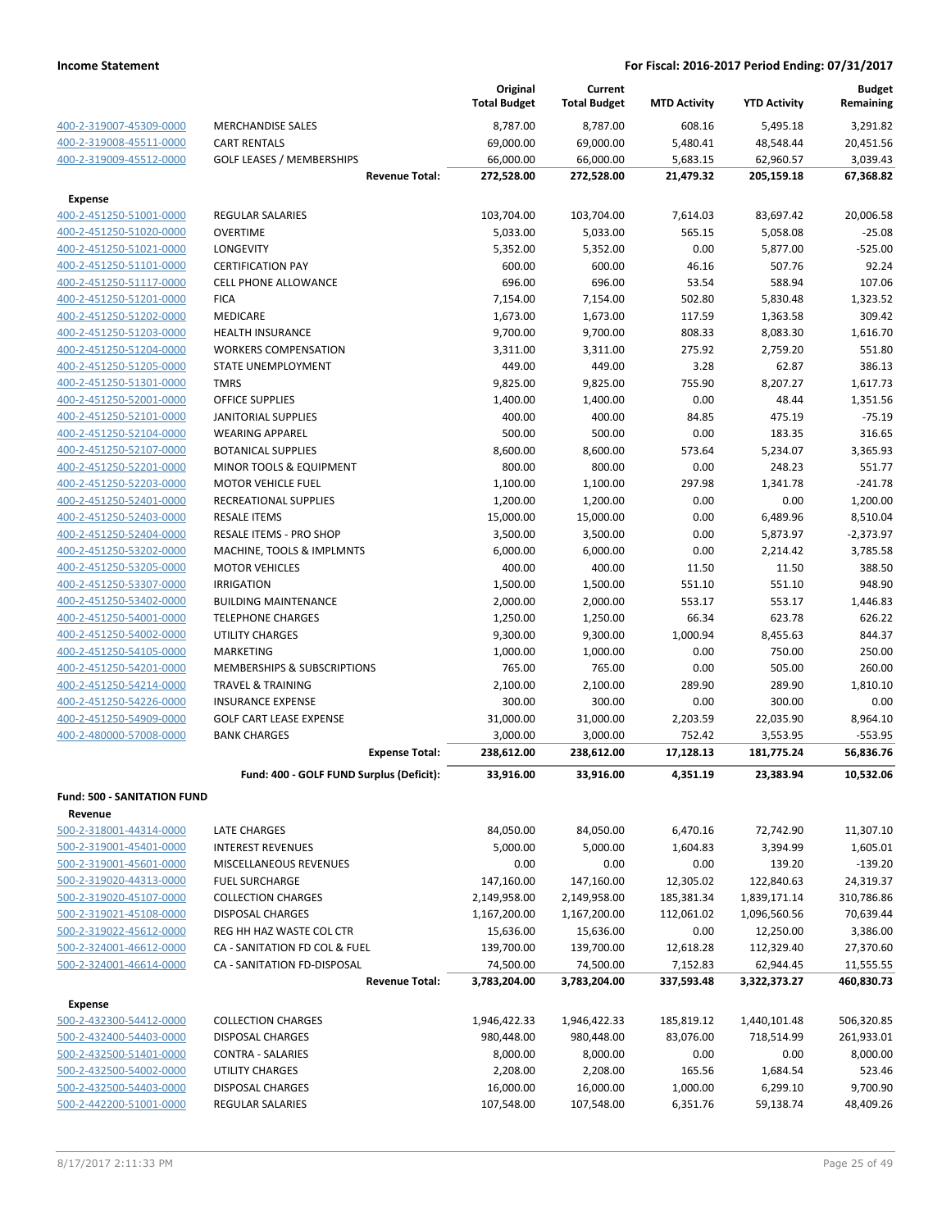|                                    |                                          | Original<br><b>Total Budget</b> | Current<br><b>Total Budget</b> | <b>MTD Activity</b> | <b>YTD Activity</b>    | <b>Budget</b><br>Remaining |
|------------------------------------|------------------------------------------|---------------------------------|--------------------------------|---------------------|------------------------|----------------------------|
|                                    |                                          |                                 |                                |                     |                        |                            |
| 400-2-319007-45309-0000            | <b>MERCHANDISE SALES</b>                 | 8,787.00                        | 8,787.00                       | 608.16              | 5,495.18               | 3,291.82                   |
| 400-2-319008-45511-0000            | <b>CART RENTALS</b>                      | 69,000.00                       | 69,000.00                      | 5,480.41            | 48,548.44              | 20,451.56                  |
| 400-2-319009-45512-0000            | <b>GOLF LEASES / MEMBERSHIPS</b>         | 66,000.00                       | 66,000.00                      | 5,683.15            | 62,960.57              | 3,039.43                   |
|                                    | <b>Revenue Total:</b>                    | 272,528.00                      | 272,528.00                     | 21,479.32           | 205,159.18             | 67,368.82                  |
| <b>Expense</b>                     |                                          |                                 |                                |                     |                        |                            |
| 400-2-451250-51001-0000            | <b>REGULAR SALARIES</b>                  | 103,704.00                      | 103,704.00                     | 7,614.03            | 83,697.42              | 20,006.58                  |
| 400-2-451250-51020-0000            | <b>OVERTIME</b>                          | 5,033.00                        | 5,033.00                       | 565.15              | 5,058.08               | $-25.08$                   |
| 400-2-451250-51021-0000            | <b>LONGEVITY</b>                         | 5,352.00                        | 5,352.00                       | 0.00                | 5,877.00               | $-525.00$                  |
| 400-2-451250-51101-0000            | <b>CERTIFICATION PAY</b>                 | 600.00                          | 600.00                         | 46.16               | 507.76                 | 92.24                      |
| 400-2-451250-51117-0000            | <b>CELL PHONE ALLOWANCE</b>              | 696.00                          | 696.00                         | 53.54               | 588.94                 | 107.06                     |
| 400-2-451250-51201-0000            | <b>FICA</b>                              | 7,154.00                        | 7,154.00                       | 502.80              | 5,830.48               | 1,323.52                   |
| 400-2-451250-51202-0000            | MEDICARE                                 | 1,673.00                        | 1,673.00                       | 117.59              | 1,363.58               | 309.42                     |
| 400-2-451250-51203-0000            | <b>HEALTH INSURANCE</b>                  | 9,700.00                        | 9,700.00                       | 808.33              | 8,083.30               | 1,616.70                   |
| 400-2-451250-51204-0000            | <b>WORKERS COMPENSATION</b>              | 3,311.00                        | 3,311.00                       | 275.92              | 2,759.20               | 551.80                     |
| 400-2-451250-51205-0000            | STATE UNEMPLOYMENT                       | 449.00                          | 449.00                         | 3.28                | 62.87                  | 386.13                     |
| 400-2-451250-51301-0000            | <b>TMRS</b>                              | 9,825.00                        | 9,825.00                       | 755.90              | 8,207.27               | 1,617.73                   |
| 400-2-451250-52001-0000            | <b>OFFICE SUPPLIES</b>                   | 1,400.00                        | 1,400.00                       | 0.00                | 48.44                  | 1,351.56                   |
| 400-2-451250-52101-0000            | <b>JANITORIAL SUPPLIES</b>               | 400.00                          | 400.00                         | 84.85               | 475.19                 | $-75.19$                   |
| 400-2-451250-52104-0000            | <b>WEARING APPAREL</b>                   | 500.00                          | 500.00                         | 0.00                | 183.35                 | 316.65                     |
| 400-2-451250-52107-0000            | <b>BOTANICAL SUPPLIES</b>                | 8,600.00                        | 8,600.00                       | 573.64              | 5,234.07               | 3,365.93                   |
| 400-2-451250-52201-0000            | MINOR TOOLS & EQUIPMENT                  | 800.00                          | 800.00                         | 0.00                | 248.23                 | 551.77                     |
| 400-2-451250-52203-0000            | <b>MOTOR VEHICLE FUEL</b>                | 1,100.00                        | 1,100.00                       | 297.98              | 1,341.78               | $-241.78$                  |
| 400-2-451250-52401-0000            | RECREATIONAL SUPPLIES                    | 1,200.00                        | 1,200.00                       | 0.00                | 0.00                   | 1,200.00                   |
| 400-2-451250-52403-0000            | <b>RESALE ITEMS</b>                      | 15,000.00                       | 15,000.00                      | 0.00                | 6,489.96               | 8,510.04                   |
| 400-2-451250-52404-0000            | RESALE ITEMS - PRO SHOP                  | 3,500.00                        | 3,500.00                       | 0.00                | 5,873.97               | $-2,373.97$                |
| 400-2-451250-53202-0000            | MACHINE, TOOLS & IMPLMNTS                | 6,000.00                        | 6,000.00                       | 0.00                | 2,214.42               | 3,785.58                   |
| 400-2-451250-53205-0000            | <b>MOTOR VEHICLES</b>                    | 400.00                          | 400.00                         | 11.50               | 11.50                  | 388.50                     |
| 400-2-451250-53307-0000            | <b>IRRIGATION</b>                        | 1,500.00                        | 1,500.00                       | 551.10              | 551.10                 | 948.90                     |
| 400-2-451250-53402-0000            | <b>BUILDING MAINTENANCE</b>              | 2,000.00                        | 2,000.00                       | 553.17              | 553.17                 | 1,446.83                   |
| 400-2-451250-54001-0000            | <b>TELEPHONE CHARGES</b>                 | 1,250.00                        | 1,250.00                       | 66.34               | 623.78                 | 626.22                     |
| 400-2-451250-54002-0000            | <b>UTILITY CHARGES</b>                   | 9,300.00                        | 9,300.00                       | 1,000.94            | 8,455.63               | 844.37                     |
| 400-2-451250-54105-0000            | <b>MARKETING</b>                         | 1,000.00                        | 1,000.00                       | 0.00                | 750.00                 | 250.00                     |
| 400-2-451250-54201-0000            | MEMBERSHIPS & SUBSCRIPTIONS              | 765.00                          | 765.00                         | 0.00                | 505.00                 | 260.00                     |
| 400-2-451250-54214-0000            | <b>TRAVEL &amp; TRAINING</b>             | 2,100.00                        | 2,100.00                       | 289.90              | 289.90                 | 1,810.10                   |
| 400-2-451250-54226-0000            | <b>INSURANCE EXPENSE</b>                 | 300.00                          | 300.00                         | 0.00                | 300.00                 | 0.00                       |
| 400-2-451250-54909-0000            | <b>GOLF CART LEASE EXPENSE</b>           | 31,000.00                       | 31,000.00                      | 2,203.59            | 22,035.90              | 8,964.10                   |
| 400-2-480000-57008-0000            | <b>BANK CHARGES</b>                      | 3,000.00<br>238,612.00          | 3,000.00<br>238,612.00         | 752.42<br>17,128.13 | 3,553.95<br>181,775.24 | $-553.95$<br>56,836.76     |
|                                    | <b>Expense Total:</b>                    |                                 |                                |                     |                        |                            |
|                                    | Fund: 400 - GOLF FUND Surplus (Deficit): | 33,916.00                       | 33,916.00                      | 4,351.19            | 23,383.94              | 10,532.06                  |
| <b>Fund: 500 - SANITATION FUND</b> |                                          |                                 |                                |                     |                        |                            |
| Revenue                            |                                          |                                 |                                |                     |                        |                            |
| 500-2-318001-44314-0000            | LATE CHARGES                             | 84,050.00                       | 84,050.00                      | 6,470.16            | 72,742.90              | 11,307.10                  |
| 500-2-319001-45401-0000            | <b>INTEREST REVENUES</b>                 | 5,000.00                        | 5,000.00                       | 1,604.83            | 3,394.99               | 1,605.01                   |
| 500-2-319001-45601-0000            | MISCELLANEOUS REVENUES                   | 0.00                            | 0.00                           | 0.00                | 139.20                 | $-139.20$                  |
| 500-2-319020-44313-0000            | <b>FUEL SURCHARGE</b>                    | 147,160.00                      | 147,160.00                     | 12,305.02           | 122,840.63             | 24,319.37                  |
| 500-2-319020-45107-0000            | <b>COLLECTION CHARGES</b>                | 2,149,958.00                    | 2,149,958.00                   | 185,381.34          | 1,839,171.14           | 310,786.86                 |
| 500-2-319021-45108-0000            | <b>DISPOSAL CHARGES</b>                  | 1,167,200.00                    | 1,167,200.00                   | 112,061.02          | 1,096,560.56           | 70,639.44                  |
| 500-2-319022-45612-0000            | REG HH HAZ WASTE COL CTR                 | 15,636.00                       | 15,636.00                      | 0.00                | 12,250.00              | 3,386.00                   |
| 500-2-324001-46612-0000            | CA - SANITATION FD COL & FUEL            | 139,700.00                      | 139,700.00                     | 12,618.28           | 112,329.40             | 27,370.60                  |
| 500-2-324001-46614-0000            | CA - SANITATION FD-DISPOSAL              | 74,500.00                       | 74,500.00                      | 7,152.83            | 62,944.45              | 11,555.55                  |
|                                    | <b>Revenue Total:</b>                    | 3,783,204.00                    | 3,783,204.00                   | 337,593.48          | 3,322,373.27           | 460,830.73                 |
| <b>Expense</b>                     |                                          |                                 |                                |                     |                        |                            |
| 500-2-432300-54412-0000            | <b>COLLECTION CHARGES</b>                | 1,946,422.33                    | 1,946,422.33                   | 185,819.12          | 1,440,101.48           | 506,320.85                 |
| 500-2-432400-54403-0000            | <b>DISPOSAL CHARGES</b>                  | 980,448.00                      | 980,448.00                     | 83,076.00           | 718,514.99             | 261,933.01                 |
| 500-2-432500-51401-0000            | <b>CONTRA - SALARIES</b>                 | 8,000.00                        | 8,000.00                       | 0.00                | 0.00                   | 8,000.00                   |
| 500-2-432500-54002-0000            | <b>UTILITY CHARGES</b>                   | 2,208.00                        | 2,208.00                       | 165.56              | 1,684.54               | 523.46                     |
| 500-2-432500-54403-0000            | <b>DISPOSAL CHARGES</b>                  | 16,000.00                       | 16,000.00                      | 1,000.00            | 6,299.10               | 9,700.90                   |
| 500-2-442200-51001-0000            | REGULAR SALARIES                         | 107,548.00                      | 107,548.00                     | 6,351.76            | 59,138.74              | 48,409.26                  |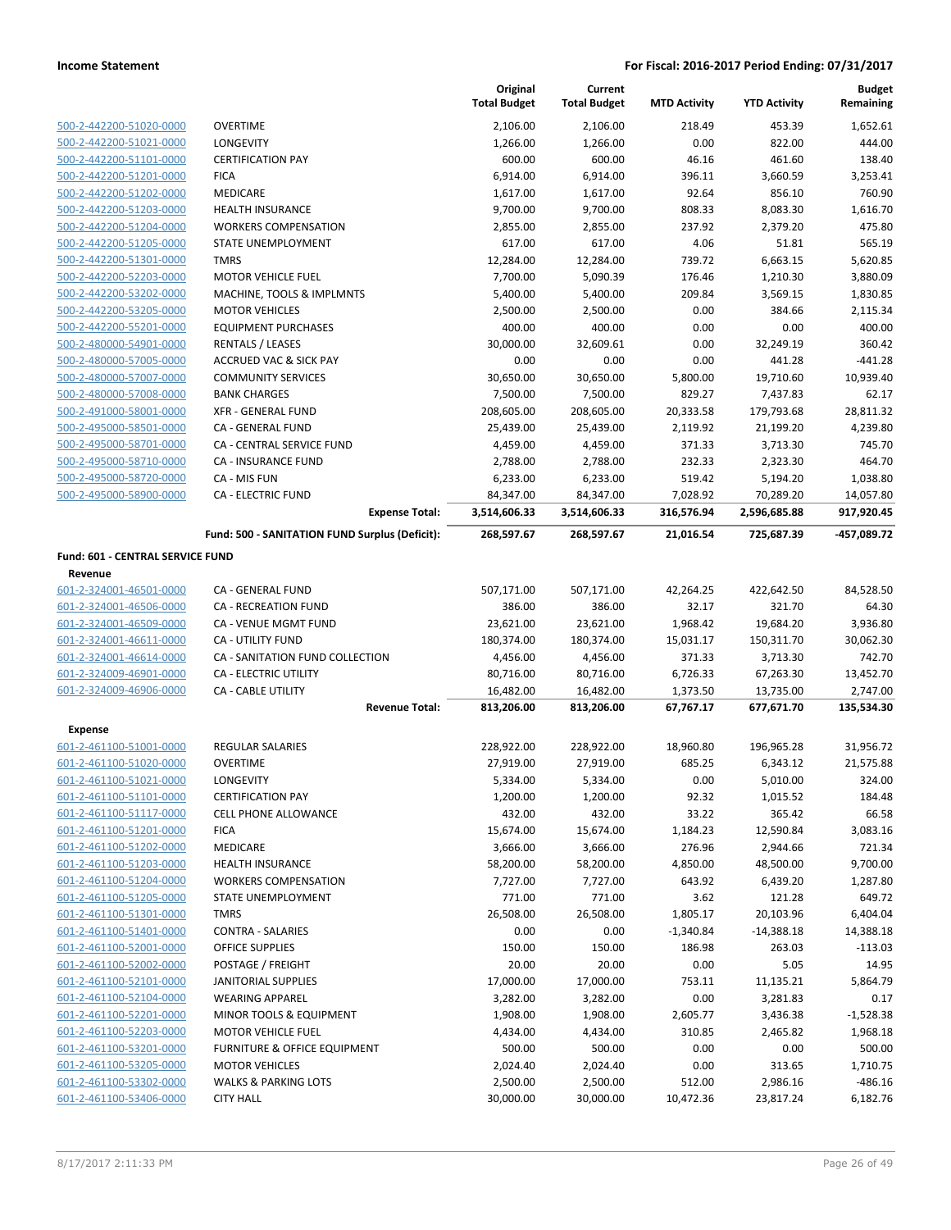|                                             |                                                | Original<br><b>Total Budget</b> | Current<br><b>Total Budget</b> | <b>MTD Activity</b> | <b>YTD Activity</b> | <b>Budget</b><br>Remaining |
|---------------------------------------------|------------------------------------------------|---------------------------------|--------------------------------|---------------------|---------------------|----------------------------|
| 500-2-442200-51020-0000                     | <b>OVERTIME</b>                                | 2,106.00                        | 2,106.00                       | 218.49              | 453.39              | 1,652.61                   |
| 500-2-442200-51021-0000                     | LONGEVITY                                      | 1,266.00                        | 1,266.00                       | 0.00                | 822.00              | 444.00                     |
| 500-2-442200-51101-0000                     | <b>CERTIFICATION PAY</b>                       | 600.00                          | 600.00                         | 46.16               | 461.60              | 138.40                     |
| 500-2-442200-51201-0000                     | <b>FICA</b>                                    | 6,914.00                        | 6,914.00                       | 396.11              | 3,660.59            | 3,253.41                   |
| 500-2-442200-51202-0000                     | MEDICARE                                       | 1,617.00                        | 1,617.00                       | 92.64               | 856.10              | 760.90                     |
| 500-2-442200-51203-0000                     | <b>HEALTH INSURANCE</b>                        | 9,700.00                        | 9,700.00                       | 808.33              | 8,083.30            | 1,616.70                   |
| 500-2-442200-51204-0000                     | <b>WORKERS COMPENSATION</b>                    | 2,855.00                        | 2,855.00                       | 237.92              | 2,379.20            | 475.80                     |
| 500-2-442200-51205-0000                     | STATE UNEMPLOYMENT                             | 617.00                          | 617.00                         | 4.06                | 51.81               | 565.19                     |
| 500-2-442200-51301-0000                     | <b>TMRS</b>                                    | 12,284.00                       | 12,284.00                      | 739.72              | 6,663.15            | 5,620.85                   |
| 500-2-442200-52203-0000                     | <b>MOTOR VEHICLE FUEL</b>                      | 7,700.00                        | 5,090.39                       | 176.46              | 1,210.30            | 3,880.09                   |
| 500-2-442200-53202-0000                     | MACHINE, TOOLS & IMPLMNTS                      | 5,400.00                        | 5,400.00                       | 209.84              | 3,569.15            | 1,830.85                   |
| 500-2-442200-53205-0000                     | <b>MOTOR VEHICLES</b>                          | 2,500.00                        | 2,500.00                       | 0.00                | 384.66              | 2,115.34                   |
| 500-2-442200-55201-0000                     | <b>EQUIPMENT PURCHASES</b>                     | 400.00                          | 400.00                         | 0.00                | 0.00                | 400.00                     |
| 500-2-480000-54901-0000                     | <b>RENTALS / LEASES</b>                        | 30,000.00                       | 32,609.61                      | 0.00                | 32,249.19           | 360.42                     |
| 500-2-480000-57005-0000                     | <b>ACCRUED VAC &amp; SICK PAY</b>              | 0.00                            | 0.00                           | 0.00                | 441.28              | $-441.28$                  |
| 500-2-480000-57007-0000                     | <b>COMMUNITY SERVICES</b>                      | 30,650.00                       | 30,650.00                      | 5,800.00            | 19,710.60           | 10,939.40                  |
| 500-2-480000-57008-0000                     | <b>BANK CHARGES</b>                            | 7,500.00                        | 7,500.00                       | 829.27              | 7,437.83            | 62.17                      |
| 500-2-491000-58001-0000                     | <b>XFR - GENERAL FUND</b>                      | 208,605.00                      | 208,605.00                     | 20,333.58           | 179,793.68          | 28,811.32                  |
| 500-2-495000-58501-0000                     | CA - GENERAL FUND                              | 25,439.00                       | 25,439.00                      | 2,119.92            | 21,199.20           | 4,239.80                   |
| 500-2-495000-58701-0000                     | CA - CENTRAL SERVICE FUND                      | 4,459.00                        | 4,459.00                       | 371.33              | 3,713.30            | 745.70                     |
| 500-2-495000-58710-0000                     | <b>CA - INSURANCE FUND</b>                     | 2,788.00                        | 2,788.00                       | 232.33              | 2,323.30            | 464.70                     |
| 500-2-495000-58720-0000                     | CA - MIS FUN                                   | 6,233.00                        | 6,233.00                       | 519.42              | 5,194.20            | 1,038.80                   |
| 500-2-495000-58900-0000                     | <b>CA - ELECTRIC FUND</b>                      | 84,347.00                       | 84,347.00                      | 7,028.92            | 70,289.20           | 14,057.80                  |
|                                             | <b>Expense Total:</b>                          | 3,514,606.33                    | 3,514,606.33                   | 316,576.94          | 2,596,685.88        | 917,920.45                 |
|                                             | Fund: 500 - SANITATION FUND Surplus (Deficit): | 268,597.67                      | 268,597.67                     | 21,016.54           | 725,687.39          | -457,089.72                |
| Fund: 601 - CENTRAL SERVICE FUND<br>Revenue |                                                |                                 |                                |                     |                     |                            |
| 601-2-324001-46501-0000                     | CA - GENERAL FUND                              | 507,171.00                      | 507,171.00                     | 42,264.25           | 422,642.50          | 84,528.50                  |
| 601-2-324001-46506-0000                     | <b>CA - RECREATION FUND</b>                    | 386.00                          | 386.00                         | 32.17               | 321.70              | 64.30                      |
| 601-2-324001-46509-0000                     | CA - VENUE MGMT FUND                           | 23,621.00                       | 23,621.00                      | 1,968.42            | 19,684.20           | 3,936.80                   |
| 601-2-324001-46611-0000                     | <b>CA - UTILITY FUND</b>                       | 180,374.00                      | 180,374.00                     | 15,031.17           | 150,311.70          | 30,062.30                  |
| 601-2-324001-46614-0000                     | CA - SANITATION FUND COLLECTION                | 4,456.00                        | 4,456.00                       | 371.33              | 3,713.30            | 742.70                     |
| 601-2-324009-46901-0000                     | CA - ELECTRIC UTILITY                          | 80,716.00                       | 80,716.00                      | 6,726.33            | 67,263.30           | 13,452.70                  |
| 601-2-324009-46906-0000                     | CA - CABLE UTILITY                             | 16,482.00                       | 16,482.00                      | 1,373.50            | 13,735.00           | 2,747.00                   |
|                                             | <b>Revenue Total:</b>                          | 813,206.00                      | 813,206.00                     | 67,767.17           | 677,671.70          | 135,534.30                 |
| <b>Expense</b>                              |                                                |                                 |                                |                     |                     |                            |
| 601-2-461100-51001-0000                     | <b>REGULAR SALARIES</b>                        | 228,922.00                      | 228,922.00                     | 18,960.80           | 196,965.28          | 31,956.72                  |
| 601-2-461100-51020-0000                     | <b>OVERTIME</b>                                | 27,919.00                       | 27,919.00                      | 685.25              | 6,343.12            | 21,575.88                  |
| 601-2-461100-51021-0000                     | LONGEVITY                                      | 5,334.00                        | 5,334.00                       | 0.00                | 5,010.00            | 324.00                     |
| 601-2-461100-51101-0000                     | <b>CERTIFICATION PAY</b>                       | 1,200.00                        | 1,200.00                       | 92.32               | 1,015.52            | 184.48                     |
| 601-2-461100-51117-0000                     | CELL PHONE ALLOWANCE                           | 432.00                          | 432.00                         | 33.22               | 365.42              | 66.58                      |
| 601-2-461100-51201-0000                     | <b>FICA</b>                                    | 15,674.00                       | 15,674.00                      | 1,184.23            | 12,590.84           | 3,083.16                   |
| 601-2-461100-51202-0000                     | MEDICARE                                       | 3,666.00                        | 3,666.00                       | 276.96              | 2,944.66            | 721.34                     |
| 601-2-461100-51203-0000                     | <b>HEALTH INSURANCE</b>                        | 58,200.00                       | 58,200.00                      | 4,850.00            | 48,500.00           | 9,700.00                   |
| 601-2-461100-51204-0000                     | <b>WORKERS COMPENSATION</b>                    | 7,727.00                        | 7,727.00                       | 643.92              | 6,439.20            | 1,287.80                   |
| 601-2-461100-51205-0000                     | STATE UNEMPLOYMENT                             | 771.00                          | 771.00                         | 3.62                | 121.28              | 649.72                     |
| 601-2-461100-51301-0000                     | <b>TMRS</b>                                    | 26,508.00                       | 26,508.00                      | 1,805.17            | 20,103.96           | 6,404.04                   |
| 601-2-461100-51401-0000                     | <b>CONTRA - SALARIES</b>                       | 0.00                            | 0.00                           | $-1,340.84$         | $-14,388.18$        | 14,388.18                  |
| 601-2-461100-52001-0000                     | <b>OFFICE SUPPLIES</b>                         | 150.00                          | 150.00                         | 186.98              | 263.03              | $-113.03$                  |
| 601-2-461100-52002-0000                     | POSTAGE / FREIGHT                              | 20.00                           | 20.00                          | 0.00                | 5.05                | 14.95                      |
| 601-2-461100-52101-0000                     | <b>JANITORIAL SUPPLIES</b>                     | 17,000.00                       | 17,000.00                      | 753.11              | 11,135.21           | 5,864.79                   |
| 601-2-461100-52104-0000                     | <b>WEARING APPAREL</b>                         | 3,282.00                        | 3,282.00                       | 0.00                | 3,281.83            | 0.17                       |
| 601-2-461100-52201-0000                     | MINOR TOOLS & EQUIPMENT                        | 1,908.00                        | 1,908.00                       | 2,605.77            | 3,436.38            | $-1,528.38$                |
| 601-2-461100-52203-0000                     | <b>MOTOR VEHICLE FUEL</b>                      | 4,434.00                        | 4,434.00                       | 310.85              | 2,465.82            | 1,968.18                   |
| 601-2-461100-53201-0000                     | FURNITURE & OFFICE EQUIPMENT                   | 500.00                          | 500.00                         | 0.00                | 0.00                | 500.00                     |
| 601-2-461100-53205-0000                     | <b>MOTOR VEHICLES</b>                          | 2,024.40                        | 2,024.40                       | 0.00                | 313.65              | 1,710.75                   |
| 601-2-461100-53302-0000                     | <b>WALKS &amp; PARKING LOTS</b>                | 2,500.00                        | 2,500.00                       | 512.00              | 2,986.16            | $-486.16$                  |
| 601-2-461100-53406-0000                     | <b>CITY HALL</b>                               | 30,000.00                       | 30,000.00                      | 10,472.36           | 23,817.24           | 6,182.76                   |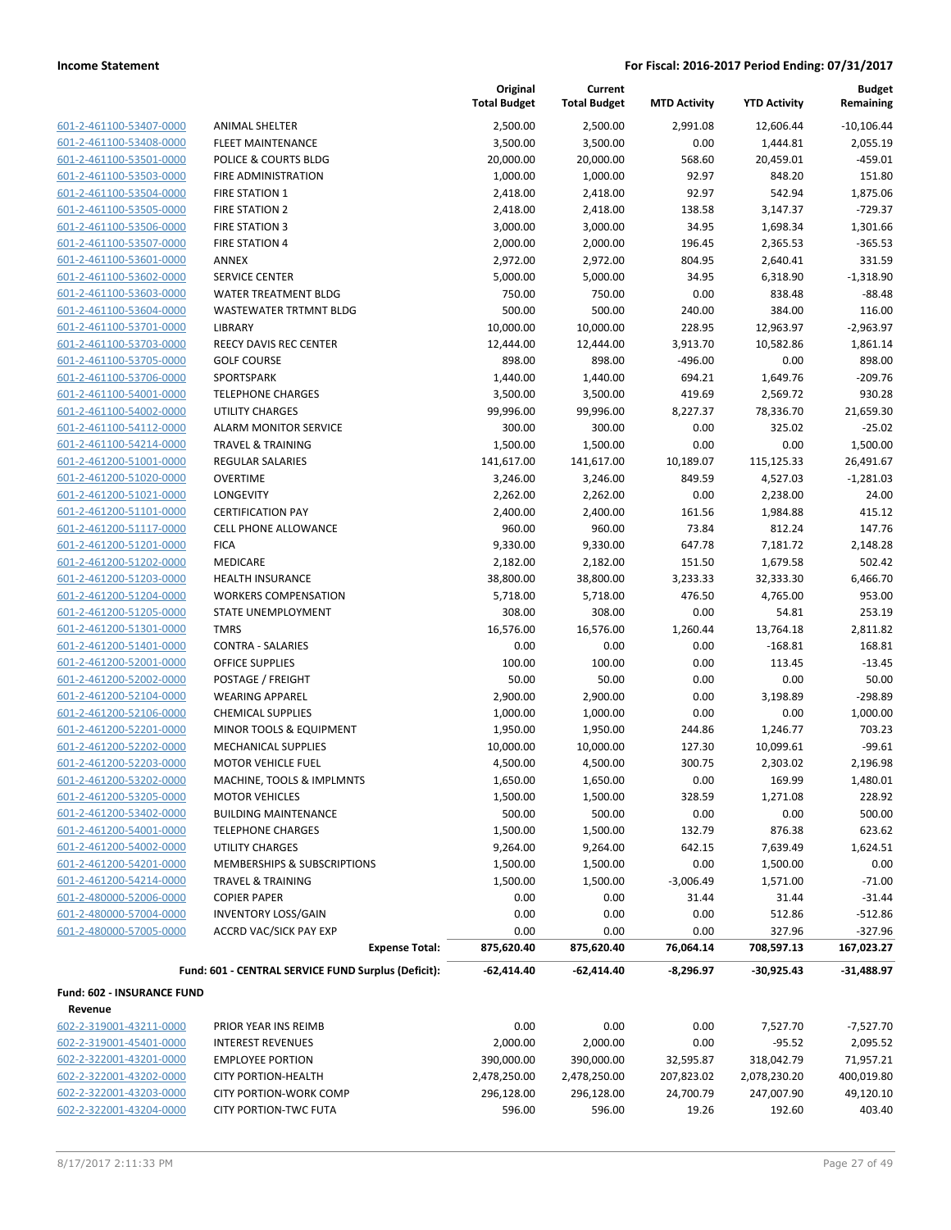| 601-2-461100-53407-0000 |
|-------------------------|
| 601-2-461100-53408-0000 |
| 601-2-461100-53501-0000 |
| 601-2-461100-53503-0000 |
| 601-2-461100-53504-0000 |
| 601-2-461100-53505-0000 |
| 601-2-461100-53506-0000 |
| 601-2-461100-53507-0000 |
| 601-2-461100-53601-0000 |
| 601-2-461100-53602-0000 |
| 601-2-461100-53603-0000 |
| 601-2-461100-53604-0000 |
| 601-2-461100-53701-0000 |
| 601-2-461100-53703-0000 |
| 601-2-461100-53705-0000 |
| 601-2-461100-53706-0000 |
| 601-2-461100-54001-0000 |
| 601-2-461100-54002-0000 |
| 601-2-461100-54112-0000 |
| 601-2-461100-54214-0000 |
| 601-2-461200-51001-0000 |
| 601-2-461200-51020-0000 |
| 601-2-461200-51021-0000 |
| 601-2-461200-51101-0000 |
| 601-2-461200-51117-0000 |
| 601-2-461200-51201-0000 |
| 601-2-461200-51202-0000 |
| 601-2-461200-51203-0000 |
| 601-2-461200-51204-0000 |
| 601-2-461200-51205-0000 |
| 601-2-461200-51301-0000 |
| 601-2-461200-51401-0000 |
| 601-2-461200-52001-0000 |
| 601-2-461200-52002-0000 |
| 601-2-461200-52104-0000 |
| 601-2-461200-52106-0000 |
| 601-2-461200-52201-0000 |
| 601-2-461200-52202-0000 |
| 601-2-461200-52203-0000 |
| 601-2-461200-53202-0000 |
| 601-2-461200-53205-0000 |
| 601-2-461200-53402-0000 |
| 601-2-461200-54001-0000 |
| 601-2-461200-54002-0000 |
| 601-2-461200-54201-0000 |
| 601-2-461200-54214-0000 |
| 601-2-480000-52006-0000 |
| 601-2-480000-57004-0000 |
| 601-2-480000-57005-0000 |
|                         |
|                         |

|                            |                                                     | Original<br><b>Total Budget</b> | Current<br><b>Total Budget</b> | <b>MTD Activity</b> | <b>YTD Activity</b> | <b>Budget</b><br>Remaining |
|----------------------------|-----------------------------------------------------|---------------------------------|--------------------------------|---------------------|---------------------|----------------------------|
| 601-2-461100-53407-0000    | <b>ANIMAL SHELTER</b>                               | 2,500.00                        | 2,500.00                       | 2,991.08            | 12,606.44           | $-10,106.44$               |
| 601-2-461100-53408-0000    | <b>FLEET MAINTENANCE</b>                            | 3,500.00                        | 3,500.00                       | 0.00                | 1,444.81            | 2,055.19                   |
| 601-2-461100-53501-0000    | POLICE & COURTS BLDG                                | 20,000.00                       | 20,000.00                      | 568.60              | 20,459.01           | $-459.01$                  |
| 601-2-461100-53503-0000    | FIRE ADMINISTRATION                                 | 1,000.00                        | 1,000.00                       | 92.97               | 848.20              | 151.80                     |
| 601-2-461100-53504-0000    | FIRE STATION 1                                      | 2,418.00                        | 2,418.00                       | 92.97               | 542.94              | 1,875.06                   |
| 601-2-461100-53505-0000    | <b>FIRE STATION 2</b>                               | 2,418.00                        | 2,418.00                       | 138.58              | 3,147.37            | $-729.37$                  |
| 601-2-461100-53506-0000    | <b>FIRE STATION 3</b>                               | 3,000.00                        | 3,000.00                       | 34.95               | 1,698.34            | 1,301.66                   |
| 601-2-461100-53507-0000    | <b>FIRE STATION 4</b>                               | 2,000.00                        | 2,000.00                       | 196.45              | 2,365.53            | $-365.53$                  |
| 601-2-461100-53601-0000    | ANNEX                                               | 2,972.00                        | 2,972.00                       | 804.95              | 2,640.41            | 331.59                     |
| 601-2-461100-53602-0000    | <b>SERVICE CENTER</b>                               | 5,000.00                        | 5,000.00                       | 34.95               | 6,318.90            | $-1,318.90$                |
| 601-2-461100-53603-0000    | <b>WATER TREATMENT BLDG</b>                         | 750.00                          | 750.00                         | 0.00                | 838.48              | $-88.48$                   |
| 601-2-461100-53604-0000    | <b>WASTEWATER TRTMNT BLDG</b>                       | 500.00                          | 500.00                         | 240.00              | 384.00              | 116.00                     |
| 601-2-461100-53701-0000    | LIBRARY                                             | 10,000.00                       | 10,000.00                      | 228.95              | 12,963.97           | $-2,963.97$                |
| 601-2-461100-53703-0000    | <b>REECY DAVIS REC CENTER</b>                       | 12,444.00                       | 12,444.00                      | 3,913.70            | 10,582.86           | 1,861.14                   |
| 601-2-461100-53705-0000    | <b>GOLF COURSE</b>                                  | 898.00                          | 898.00                         | $-496.00$           | 0.00                | 898.00                     |
| 601-2-461100-53706-0000    | SPORTSPARK                                          | 1,440.00                        | 1,440.00                       | 694.21              | 1,649.76            | $-209.76$                  |
| 601-2-461100-54001-0000    | <b>TELEPHONE CHARGES</b>                            | 3,500.00                        | 3,500.00                       | 419.69              | 2,569.72            | 930.28                     |
| 601-2-461100-54002-0000    | <b>UTILITY CHARGES</b>                              | 99,996.00                       | 99,996.00                      | 8,227.37            | 78,336.70           | 21,659.30                  |
| 601-2-461100-54112-0000    | <b>ALARM MONITOR SERVICE</b>                        | 300.00                          | 300.00                         | 0.00                | 325.02              | $-25.02$                   |
| 601-2-461100-54214-0000    | <b>TRAVEL &amp; TRAINING</b>                        | 1,500.00                        | 1,500.00                       | 0.00                | 0.00                | 1,500.00                   |
| 601-2-461200-51001-0000    | <b>REGULAR SALARIES</b>                             | 141,617.00                      | 141,617.00                     | 10,189.07           | 115,125.33          | 26,491.67                  |
| 601-2-461200-51020-0000    | <b>OVERTIME</b>                                     | 3,246.00                        | 3,246.00                       | 849.59              | 4,527.03            | $-1,281.03$                |
| 601-2-461200-51021-0000    | <b>LONGEVITY</b>                                    | 2,262.00                        | 2,262.00                       | 0.00                | 2,238.00            | 24.00                      |
| 601-2-461200-51101-0000    | <b>CERTIFICATION PAY</b>                            | 2,400.00                        | 2,400.00                       | 161.56              | 1,984.88            | 415.12                     |
| 601-2-461200-51117-0000    | <b>CELL PHONE ALLOWANCE</b>                         | 960.00                          | 960.00                         | 73.84               | 812.24              | 147.76                     |
| 601-2-461200-51201-0000    | <b>FICA</b>                                         | 9,330.00                        | 9,330.00                       | 647.78              | 7,181.72            | 2,148.28                   |
| 601-2-461200-51202-0000    | MEDICARE                                            | 2,182.00                        | 2,182.00                       | 151.50              | 1,679.58            | 502.42                     |
| 601-2-461200-51203-0000    | <b>HEALTH INSURANCE</b>                             | 38,800.00                       | 38,800.00                      | 3,233.33            | 32,333.30           | 6,466.70                   |
| 601-2-461200-51204-0000    | <b>WORKERS COMPENSATION</b>                         | 5,718.00                        | 5,718.00                       | 476.50              | 4,765.00            | 953.00                     |
| 601-2-461200-51205-0000    | STATE UNEMPLOYMENT                                  | 308.00                          | 308.00                         | 0.00                | 54.81               | 253.19                     |
| 601-2-461200-51301-0000    | <b>TMRS</b>                                         | 16,576.00                       | 16,576.00                      | 1,260.44            | 13,764.18           | 2,811.82                   |
| 601-2-461200-51401-0000    | <b>CONTRA - SALARIES</b>                            | 0.00                            | 0.00                           | 0.00                | $-168.81$           | 168.81                     |
| 601-2-461200-52001-0000    | <b>OFFICE SUPPLIES</b>                              | 100.00                          | 100.00                         | 0.00                | 113.45              | $-13.45$                   |
| 601-2-461200-52002-0000    | POSTAGE / FREIGHT                                   | 50.00                           | 50.00                          | 0.00                | 0.00                | 50.00                      |
| 601-2-461200-52104-0000    | <b>WEARING APPAREL</b>                              | 2,900.00                        | 2,900.00                       | 0.00                | 3,198.89            | $-298.89$                  |
| 601-2-461200-52106-0000    | <b>CHEMICAL SUPPLIES</b>                            | 1,000.00                        | 1,000.00                       | 0.00                | 0.00                | 1,000.00                   |
| 601-2-461200-52201-0000    | MINOR TOOLS & EQUIPMENT                             | 1,950.00                        | 1,950.00                       | 244.86              | 1,246.77            | 703.23                     |
| 601-2-461200-52202-0000    | MECHANICAL SUPPLIES                                 | 10,000.00                       | 10,000.00                      | 127.30              | 10,099.61           | $-99.61$                   |
| 601-2-461200-52203-0000    | <b>MOTOR VEHICLE FUEL</b>                           | 4,500.00                        | 4,500.00                       | 300.75              | 2,303.02            | 2,196.98                   |
| 601-2-461200-53202-0000    | MACHINE, TOOLS & IMPLMNTS                           | 1,650.00                        | 1,650.00                       | 0.00                | 169.99              | 1,480.01                   |
| 601-2-461200-53205-0000    | <b>MOTOR VEHICLES</b>                               | 1,500.00                        | 1,500.00                       | 328.59              | 1,271.08            | 228.92                     |
| 601-2-461200-53402-0000    | <b>BUILDING MAINTENANCE</b>                         | 500.00                          | 500.00                         | 0.00                | 0.00                | 500.00                     |
| 601-2-461200-54001-0000    | <b>TELEPHONE CHARGES</b>                            | 1,500.00                        | 1,500.00                       | 132.79              | 876.38              | 623.62                     |
| 601-2-461200-54002-0000    | <b>UTILITY CHARGES</b>                              | 9,264.00                        | 9,264.00                       | 642.15              | 7,639.49            | 1,624.51                   |
| 601-2-461200-54201-0000    | MEMBERSHIPS & SUBSCRIPTIONS                         | 1,500.00                        | 1,500.00                       | 0.00                | 1,500.00            | 0.00                       |
| 601-2-461200-54214-0000    | <b>TRAVEL &amp; TRAINING</b>                        | 1,500.00                        | 1,500.00                       | $-3,006.49$         | 1,571.00            | $-71.00$                   |
| 601-2-480000-52006-0000    | <b>COPIER PAPER</b>                                 | 0.00                            | 0.00                           | 31.44               | 31.44               | $-31.44$                   |
| 601-2-480000-57004-0000    | <b>INVENTORY LOSS/GAIN</b>                          | 0.00                            | 0.00                           | 0.00                | 512.86              | $-512.86$                  |
| 601-2-480000-57005-0000    | <b>ACCRD VAC/SICK PAY EXP</b>                       | 0.00                            | 0.00                           | 0.00                | 327.96              | $-327.96$                  |
|                            | <b>Expense Total:</b>                               | 875,620.40                      | 875,620.40                     | 76,064.14           | 708,597.13          | 167,023.27                 |
|                            | Fund: 601 - CENTRAL SERVICE FUND Surplus (Deficit): | $-62,414.40$                    | $-62,414.40$                   | $-8,296.97$         | $-30,925.43$        | $-31,488.97$               |
| Fund: 602 - INSURANCE FUND |                                                     |                                 |                                |                     |                     |                            |
| Revenue                    |                                                     |                                 |                                |                     |                     |                            |
| 602-2-319001-43211-0000    | PRIOR YEAR INS REIMB                                | 0.00                            | 0.00                           | 0.00                | 7,527.70            | $-7,527.70$                |
| 602-2-319001-45401-0000    | <b>INTEREST REVENUES</b>                            | 2,000.00                        | 2,000.00                       | 0.00                | $-95.52$            | 2,095.52                   |
| 602-2-322001-43201-0000    | <b>EMPLOYEE PORTION</b>                             | 390,000.00                      | 390,000.00                     | 32,595.87           | 318,042.79          | 71,957.21                  |
| 602-2-322001-43202-0000    | <b>CITY PORTION-HEALTH</b>                          | 2,478,250.00                    | 2,478,250.00                   | 207,823.02          | 2,078,230.20        | 400,019.80                 |
| 602-2-322001-43203-0000    | <b>CITY PORTION-WORK COMP</b>                       | 296,128.00                      | 296,128.00                     | 24,700.79           | 247,007.90          | 49,120.10                  |

602-2-322001-43204-0000 CITY PORTION-TWC FUTA 596.00 596.00 19.26 192.60 403.40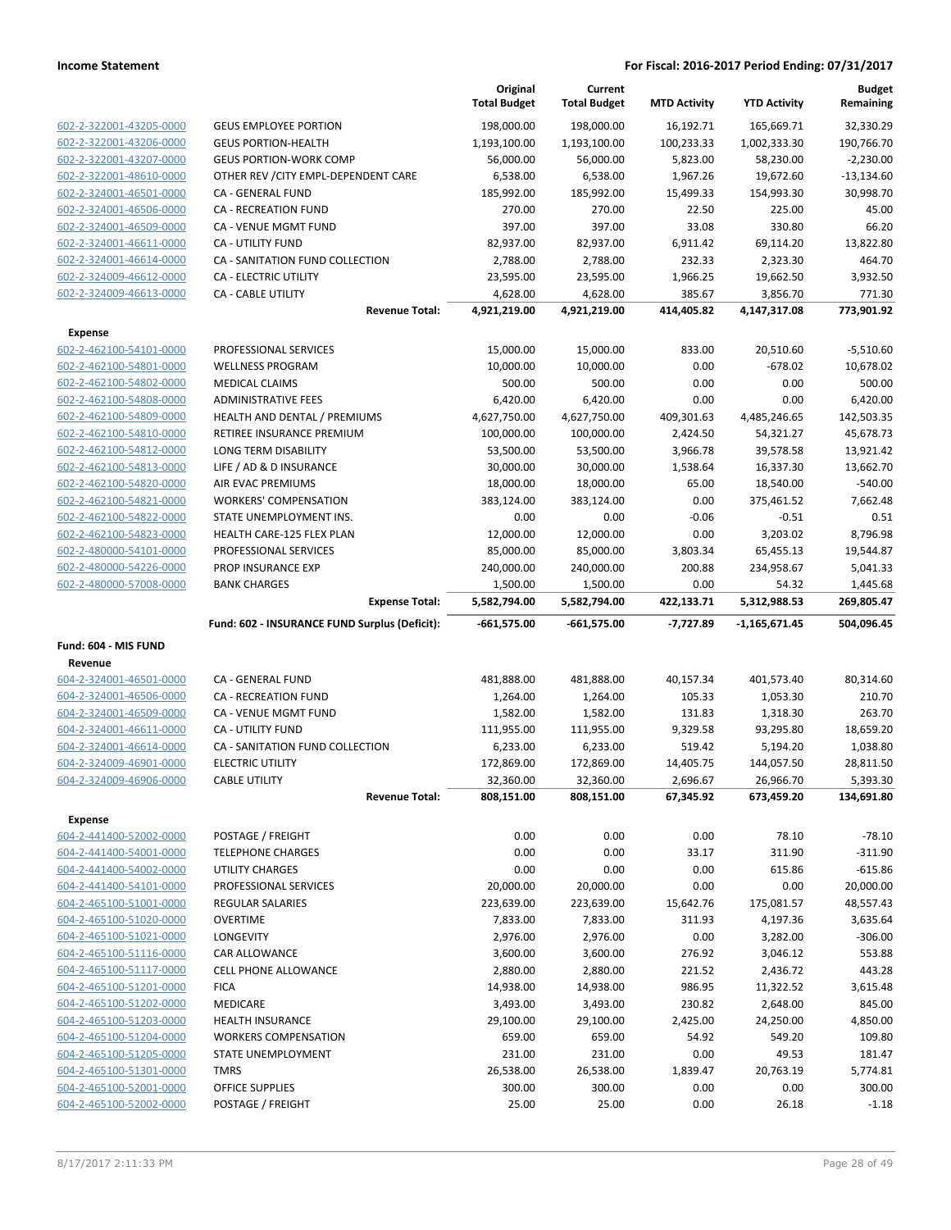|                                                    |                                                     | Original<br><b>Total Budget</b> | Current<br><b>Total Budget</b> | <b>MTD Activity</b>  | <b>YTD Activity</b>      | <b>Budget</b><br>Remaining |
|----------------------------------------------------|-----------------------------------------------------|---------------------------------|--------------------------------|----------------------|--------------------------|----------------------------|
| 602-2-322001-43205-0000                            | <b>GEUS EMPLOYEE PORTION</b>                        | 198,000.00                      | 198,000.00                     | 16,192.71            | 165,669.71               | 32,330.29                  |
| 602-2-322001-43206-0000                            | <b>GEUS PORTION-HEALTH</b>                          | 1,193,100.00                    | 1,193,100.00                   | 100,233.33           | 1,002,333.30             | 190,766.70                 |
| 602-2-322001-43207-0000                            | <b>GEUS PORTION-WORK COMP</b>                       | 56,000.00                       | 56,000.00                      | 5,823.00             | 58,230.00                | $-2,230.00$                |
| 602-2-322001-48610-0000                            | OTHER REV / CITY EMPL-DEPENDENT CARE                | 6,538.00                        | 6,538.00                       | 1,967.26             | 19,672.60                | $-13,134.60$               |
| 602-2-324001-46501-0000                            | CA - GENERAL FUND                                   | 185,992.00                      | 185,992.00                     | 15,499.33            | 154,993.30               | 30,998.70                  |
| 602-2-324001-46506-0000                            | <b>CA - RECREATION FUND</b>                         | 270.00                          | 270.00                         | 22.50                | 225.00                   | 45.00                      |
| 602-2-324001-46509-0000                            | CA - VENUE MGMT FUND                                | 397.00                          | 397.00                         | 33.08                | 330.80                   | 66.20                      |
| 602-2-324001-46611-0000                            | <b>CA - UTILITY FUND</b>                            | 82,937.00                       | 82,937.00                      | 6,911.42             | 69,114.20                | 13,822.80                  |
| 602-2-324001-46614-0000                            | CA - SANITATION FUND COLLECTION                     | 2,788.00                        | 2,788.00                       | 232.33               | 2,323.30                 | 464.70                     |
| 602-2-324009-46612-0000                            | CA - ELECTRIC UTILITY                               | 23,595.00                       | 23,595.00                      | 1,966.25             | 19,662.50                | 3,932.50                   |
| 602-2-324009-46613-0000                            | CA - CABLE UTILITY<br><b>Revenue Total:</b>         | 4,628.00<br>4,921,219.00        | 4,628.00<br>4,921,219.00       | 385.67<br>414,405.82 | 3,856.70<br>4,147,317.08 | 771.30<br>773,901.92       |
|                                                    |                                                     |                                 |                                |                      |                          |                            |
| <b>Expense</b>                                     |                                                     |                                 |                                |                      |                          |                            |
| 602-2-462100-54101-0000<br>602-2-462100-54801-0000 | PROFESSIONAL SERVICES<br><b>WELLNESS PROGRAM</b>    | 15,000.00<br>10,000.00          | 15,000.00<br>10,000.00         | 833.00<br>0.00       | 20,510.60<br>$-678.02$   | $-5,510.60$<br>10,678.02   |
| 602-2-462100-54802-0000                            | <b>MEDICAL CLAIMS</b>                               | 500.00                          | 500.00                         | 0.00                 | 0.00                     | 500.00                     |
| 602-2-462100-54808-0000                            | <b>ADMINISTRATIVE FEES</b>                          | 6,420.00                        | 6,420.00                       | 0.00                 | 0.00                     | 6,420.00                   |
| 602-2-462100-54809-0000                            | HEALTH AND DENTAL / PREMIUMS                        | 4,627,750.00                    | 4,627,750.00                   | 409,301.63           | 4,485,246.65             | 142,503.35                 |
| 602-2-462100-54810-0000                            | RETIREE INSURANCE PREMIUM                           | 100,000.00                      | 100,000.00                     | 2,424.50             | 54,321.27                | 45,678.73                  |
| 602-2-462100-54812-0000                            | LONG TERM DISABILITY                                | 53,500.00                       | 53,500.00                      | 3,966.78             | 39,578.58                | 13,921.42                  |
| 602-2-462100-54813-0000                            | LIFE / AD & D INSURANCE                             | 30,000.00                       | 30,000.00                      | 1,538.64             | 16,337.30                | 13,662.70                  |
| 602-2-462100-54820-0000                            | AIR EVAC PREMIUMS                                   | 18,000.00                       | 18,000.00                      | 65.00                | 18,540.00                | $-540.00$                  |
| 602-2-462100-54821-0000                            | <b>WORKERS' COMPENSATION</b>                        | 383,124.00                      | 383,124.00                     | 0.00                 | 375,461.52               | 7,662.48                   |
| 602-2-462100-54822-0000                            | STATE UNEMPLOYMENT INS.                             | 0.00                            | 0.00                           | $-0.06$              | $-0.51$                  | 0.51                       |
| 602-2-462100-54823-0000                            | HEALTH CARE-125 FLEX PLAN                           | 12,000.00                       | 12,000.00                      | 0.00                 | 3,203.02                 | 8,796.98                   |
| 602-2-480000-54101-0000                            | PROFESSIONAL SERVICES                               | 85,000.00                       | 85,000.00                      | 3,803.34             | 65,455.13                | 19,544.87                  |
| 602-2-480000-54226-0000                            | PROP INSURANCE EXP                                  | 240,000.00                      | 240,000.00                     | 200.88               | 234,958.67               | 5,041.33                   |
| 602-2-480000-57008-0000                            | <b>BANK CHARGES</b>                                 | 1,500.00                        | 1,500.00                       | 0.00                 | 54.32                    | 1,445.68                   |
|                                                    | <b>Expense Total:</b>                               | 5,582,794.00                    | 5,582,794.00                   | 422,133.71           | 5,312,988.53             | 269,805.47                 |
|                                                    | Fund: 602 - INSURANCE FUND Surplus (Deficit):       | $-661,575.00$                   | $-661,575.00$                  | $-7,727.89$          | $-1,165,671.45$          | 504,096.45                 |
| Fund: 604 - MIS FUND                               |                                                     |                                 |                                |                      |                          |                            |
| Revenue                                            |                                                     |                                 |                                |                      |                          |                            |
| 604-2-324001-46501-0000                            | CA - GENERAL FUND                                   | 481,888.00                      | 481,888.00                     | 40,157.34            | 401,573.40               | 80,314.60                  |
| 604-2-324001-46506-0000                            | CA - RECREATION FUND                                | 1,264.00                        | 1,264.00                       | 105.33               | 1,053.30                 | 210.70                     |
| 604-2-324001-46509-0000                            | CA - VENUE MGMT FUND                                |                                 |                                |                      |                          |                            |
|                                                    |                                                     | 1,582.00                        | 1,582.00                       | 131.83               | 1,318.30                 | 263.70                     |
| 604-2-324001-46611-0000                            | CA - UTILITY FUND                                   | 111,955.00                      | 111,955.00                     | 9,329.58             | 93,295.80                | 18,659.20                  |
| 604-2-324001-46614-0000                            | CA - SANITATION FUND COLLECTION                     | 6,233.00                        | 6,233.00                       | 519.42               | 5,194.20                 | 1,038.80                   |
| 604-2-324009-46901-0000                            | <b>ELECTRIC UTILITY</b>                             | 172,869.00                      | 172,869.00                     | 14,405.75            | 144,057.50               | 28,811.50                  |
| 604-2-324009-46906-0000                            | <b>CABLE UTILITY</b>                                | 32,360.00                       | 32,360.00                      | 2,696.67             | 26,966.70                | 5,393.30                   |
|                                                    | <b>Revenue Total:</b>                               | 808,151.00                      | 808,151.00                     | 67,345.92            | 673,459.20               | 134,691.80                 |
| Expense                                            |                                                     |                                 |                                |                      |                          |                            |
| 604-2-441400-52002-0000                            | POSTAGE / FREIGHT                                   | 0.00                            | 0.00                           | 0.00                 | 78.10                    | $-78.10$                   |
| 604-2-441400-54001-0000                            | <b>TELEPHONE CHARGES</b>                            | 0.00                            | 0.00                           | 33.17                | 311.90                   | $-311.90$                  |
| 604-2-441400-54002-0000                            | UTILITY CHARGES                                     | 0.00                            | 0.00                           | 0.00                 | 615.86                   | $-615.86$                  |
| 604-2-441400-54101-0000                            | PROFESSIONAL SERVICES                               | 20,000.00                       | 20,000.00                      | 0.00                 | 0.00                     | 20,000.00                  |
| 604-2-465100-51001-0000                            | <b>REGULAR SALARIES</b>                             | 223,639.00                      | 223,639.00                     | 15,642.76            | 175,081.57               | 48,557.43                  |
| 604-2-465100-51020-0000                            | <b>OVERTIME</b>                                     | 7,833.00                        | 7,833.00                       | 311.93               | 4,197.36                 | 3,635.64                   |
| 604-2-465100-51021-0000                            | <b>LONGEVITY</b>                                    | 2,976.00                        | 2,976.00                       | 0.00                 | 3,282.00                 | $-306.00$                  |
| 604-2-465100-51116-0000<br>604-2-465100-51117-0000 | <b>CAR ALLOWANCE</b><br><b>CELL PHONE ALLOWANCE</b> | 3,600.00<br>2,880.00            | 3,600.00<br>2,880.00           | 276.92<br>221.52     | 3,046.12<br>2,436.72     | 553.88<br>443.28           |
| 604-2-465100-51201-0000                            | <b>FICA</b>                                         | 14,938.00                       | 14,938.00                      | 986.95               |                          | 3,615.48                   |
| 604-2-465100-51202-0000                            | MEDICARE                                            | 3,493.00                        | 3,493.00                       | 230.82               | 11,322.52<br>2,648.00    | 845.00                     |
| 604-2-465100-51203-0000                            | <b>HEALTH INSURANCE</b>                             | 29,100.00                       | 29,100.00                      | 2,425.00             | 24,250.00                | 4,850.00                   |
| 604-2-465100-51204-0000                            | <b>WORKERS COMPENSATION</b>                         | 659.00                          | 659.00                         | 54.92                | 549.20                   | 109.80                     |
| 604-2-465100-51205-0000                            | STATE UNEMPLOYMENT                                  | 231.00                          | 231.00                         | 0.00                 | 49.53                    | 181.47                     |
| 604-2-465100-51301-0000                            | <b>TMRS</b>                                         | 26,538.00                       | 26,538.00                      | 1,839.47             | 20,763.19                | 5,774.81                   |
| 604-2-465100-52001-0000                            | OFFICE SUPPLIES                                     | 300.00                          | 300.00                         | 0.00                 | 0.00                     | 300.00                     |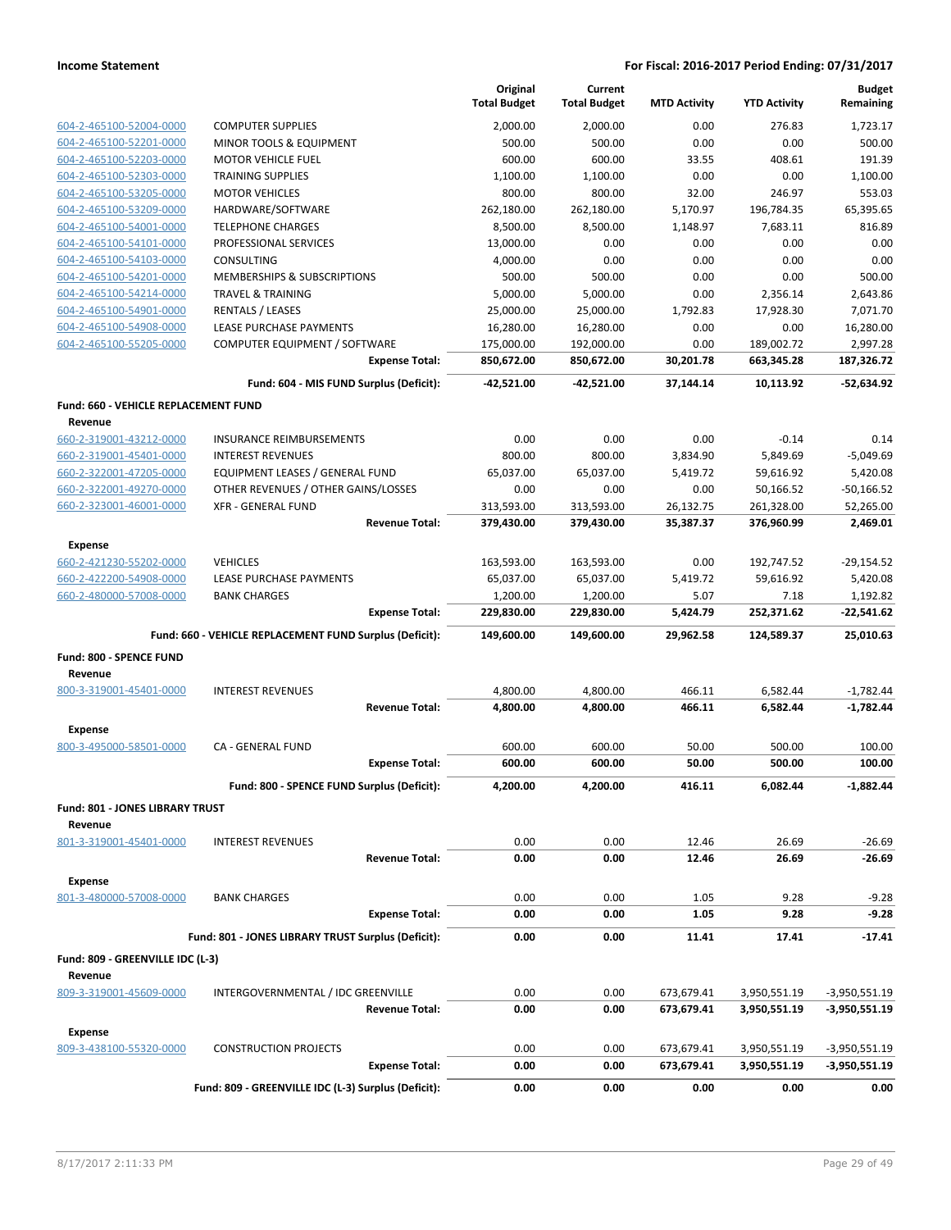|                                             |                                                         | Original<br><b>Total Budget</b> | Current<br><b>Total Budget</b> | <b>MTD Activity</b> | <b>YTD Activity</b> | <b>Budget</b><br>Remaining |
|---------------------------------------------|---------------------------------------------------------|---------------------------------|--------------------------------|---------------------|---------------------|----------------------------|
| 604-2-465100-52004-0000                     | <b>COMPUTER SUPPLIES</b>                                | 2,000.00                        | 2,000.00                       | 0.00                | 276.83              | 1,723.17                   |
| 604-2-465100-52201-0000                     | MINOR TOOLS & EQUIPMENT                                 | 500.00                          | 500.00                         | 0.00                | 0.00                | 500.00                     |
| 604-2-465100-52203-0000                     | <b>MOTOR VEHICLE FUEL</b>                               | 600.00                          | 600.00                         | 33.55               | 408.61              | 191.39                     |
| 604-2-465100-52303-0000                     | <b>TRAINING SUPPLIES</b>                                | 1,100.00                        | 1,100.00                       | 0.00                | 0.00                | 1.100.00                   |
| 604-2-465100-53205-0000                     | <b>MOTOR VEHICLES</b>                                   | 800.00                          | 800.00                         | 32.00               | 246.97              | 553.03                     |
| 604-2-465100-53209-0000                     | HARDWARE/SOFTWARE                                       | 262,180.00                      | 262,180.00                     | 5,170.97            | 196,784.35          | 65,395.65                  |
| 604-2-465100-54001-0000                     | <b>TELEPHONE CHARGES</b>                                | 8,500.00                        | 8,500.00                       | 1,148.97            | 7,683.11            | 816.89                     |
| 604-2-465100-54101-0000                     | PROFESSIONAL SERVICES                                   | 13,000.00                       | 0.00                           | 0.00                | 0.00                | 0.00                       |
| 604-2-465100-54103-0000                     | <b>CONSULTING</b>                                       | 4,000.00                        | 0.00                           | 0.00                | 0.00                | 0.00                       |
| 604-2-465100-54201-0000                     | <b>MEMBERSHIPS &amp; SUBSCRIPTIONS</b>                  | 500.00                          | 500.00                         | 0.00                | 0.00                | 500.00                     |
| 604-2-465100-54214-0000                     | <b>TRAVEL &amp; TRAINING</b>                            | 5,000.00                        | 5,000.00                       | 0.00                | 2,356.14            | 2,643.86                   |
| 604-2-465100-54901-0000                     | <b>RENTALS / LEASES</b>                                 | 25,000.00                       | 25,000.00                      | 1,792.83            | 17,928.30           | 7,071.70                   |
| 604-2-465100-54908-0000                     | LEASE PURCHASE PAYMENTS                                 | 16,280.00                       | 16,280.00                      | 0.00                | 0.00                | 16,280.00                  |
| 604-2-465100-55205-0000                     | COMPUTER EQUIPMENT / SOFTWARE                           | 175,000.00                      | 192,000.00                     | 0.00                | 189,002.72          | 2,997.28                   |
|                                             | <b>Expense Total:</b>                                   | 850,672.00                      | 850,672.00                     | 30,201.78           | 663,345.28          | 187,326.72                 |
|                                             | Fund: 604 - MIS FUND Surplus (Deficit):                 | $-42.521.00$                    | -42,521.00                     | 37,144.14           | 10.113.92           | $-52,634.92$               |
| Fund: 660 - VEHICLE REPLACEMENT FUND        |                                                         |                                 |                                |                     |                     |                            |
| Revenue                                     |                                                         |                                 |                                |                     |                     |                            |
| 660-2-319001-43212-0000                     | INSURANCE REIMBURSEMENTS                                | 0.00                            | 0.00                           | 0.00                | $-0.14$             | 0.14                       |
| 660-2-319001-45401-0000                     | <b>INTEREST REVENUES</b>                                | 800.00                          | 800.00                         | 3,834.90            | 5,849.69            | $-5,049.69$                |
| 660-2-322001-47205-0000                     | EQUIPMENT LEASES / GENERAL FUND                         | 65,037.00                       | 65,037.00                      | 5,419.72            | 59,616.92           | 5,420.08                   |
| 660-2-322001-49270-0000                     | OTHER REVENUES / OTHER GAINS/LOSSES                     | 0.00                            | 0.00                           | 0.00                | 50,166.52           | $-50,166.52$               |
| 660-2-323001-46001-0000                     | <b>XFR - GENERAL FUND</b>                               | 313,593.00                      | 313,593.00                     | 26,132.75           | 261,328.00          | 52,265.00                  |
|                                             | <b>Revenue Total:</b>                                   | 379,430.00                      | 379,430.00                     | 35,387.37           | 376,960.99          | 2,469.01                   |
| <b>Expense</b>                              |                                                         |                                 |                                |                     |                     |                            |
| 660-2-421230-55202-0000                     | <b>VEHICLES</b>                                         | 163,593.00                      | 163,593.00                     | 0.00                | 192,747.52          | $-29,154.52$               |
| 660-2-422200-54908-0000                     | LEASE PURCHASE PAYMENTS                                 | 65,037.00                       | 65,037.00                      | 5,419.72            | 59,616.92           | 5,420.08                   |
| 660-2-480000-57008-0000                     | <b>BANK CHARGES</b>                                     | 1,200.00                        | 1,200.00                       | 5.07                | 7.18                | 1,192.82                   |
|                                             | <b>Expense Total:</b>                                   | 229,830.00                      | 229,830.00                     | 5,424.79            | 252,371.62          | $-22,541.62$               |
|                                             | Fund: 660 - VEHICLE REPLACEMENT FUND Surplus (Deficit): | 149,600.00                      | 149,600.00                     | 29,962.58           | 124,589.37          | 25,010.63                  |
| Fund: 800 - SPENCE FUND                     |                                                         |                                 |                                |                     |                     |                            |
| Revenue                                     |                                                         |                                 |                                |                     |                     |                            |
| 800-3-319001-45401-0000                     | <b>INTEREST REVENUES</b>                                | 4,800.00                        | 4,800.00                       | 466.11              | 6,582.44            | $-1,782.44$                |
|                                             | <b>Revenue Total:</b>                                   | 4,800.00                        | 4,800.00                       | 466.11              | 6,582.44            | $-1,782.44$                |
|                                             |                                                         |                                 |                                |                     |                     |                            |
| <b>Expense</b><br>800-3-495000-58501-0000   | CA - GENERAL FUND                                       | 600.00                          | 600.00                         | 50.00               | 500.00              | 100.00                     |
|                                             | <b>Expense Total:</b>                                   | 600.00                          | 600.00                         | 50.00               | 500.00              | 100.00                     |
|                                             |                                                         |                                 |                                |                     |                     |                            |
|                                             | Fund: 800 - SPENCE FUND Surplus (Deficit):              | 4,200.00                        | 4,200.00                       | 416.11              | 6,082.44            | -1,882.44                  |
| <b>Fund: 801 - JONES LIBRARY TRUST</b>      |                                                         |                                 |                                |                     |                     |                            |
| Revenue                                     |                                                         |                                 |                                |                     |                     |                            |
| 801-3-319001-45401-0000                     | <b>INTEREST REVENUES</b>                                | 0.00                            | 0.00                           | 12.46               | 26.69               | $-26.69$                   |
|                                             | <b>Revenue Total:</b>                                   | 0.00                            | 0.00                           | 12.46               | 26.69               | $-26.69$                   |
| <b>Expense</b>                              |                                                         |                                 |                                |                     |                     |                            |
| 801-3-480000-57008-0000                     | <b>BANK CHARGES</b>                                     | 0.00                            | 0.00                           | 1.05                | 9.28                | $-9.28$                    |
|                                             | <b>Expense Total:</b>                                   | 0.00                            | 0.00                           | 1.05                | 9.28                | $-9.28$                    |
|                                             |                                                         |                                 |                                |                     |                     |                            |
|                                             | Fund: 801 - JONES LIBRARY TRUST Surplus (Deficit):      | 0.00                            | 0.00                           | 11.41               | 17.41               | $-17.41$                   |
| Fund: 809 - GREENVILLE IDC (L-3)<br>Revenue |                                                         |                                 |                                |                     |                     |                            |
| 809-3-319001-45609-0000                     | INTERGOVERNMENTAL / IDC GREENVILLE                      | 0.00                            | 0.00                           | 673,679.41          | 3,950,551.19        | -3,950,551.19              |
|                                             | <b>Revenue Total:</b>                                   | 0.00                            | 0.00                           | 673,679.41          | 3,950,551.19        | -3,950,551.19              |
|                                             |                                                         |                                 |                                |                     |                     |                            |
| <b>Expense</b>                              |                                                         |                                 |                                |                     |                     |                            |
| 809-3-438100-55320-0000                     | <b>CONSTRUCTION PROJECTS</b>                            | 0.00                            | 0.00                           | 673,679.41          | 3,950,551.19        | $-3,950,551.19$            |
|                                             | <b>Expense Total:</b>                                   | 0.00                            | 0.00                           | 673,679.41          | 3,950,551.19        | -3,950,551.19              |
|                                             | Fund: 809 - GREENVILLE IDC (L-3) Surplus (Deficit):     | 0.00                            | 0.00                           | 0.00                | 0.00                | 0.00                       |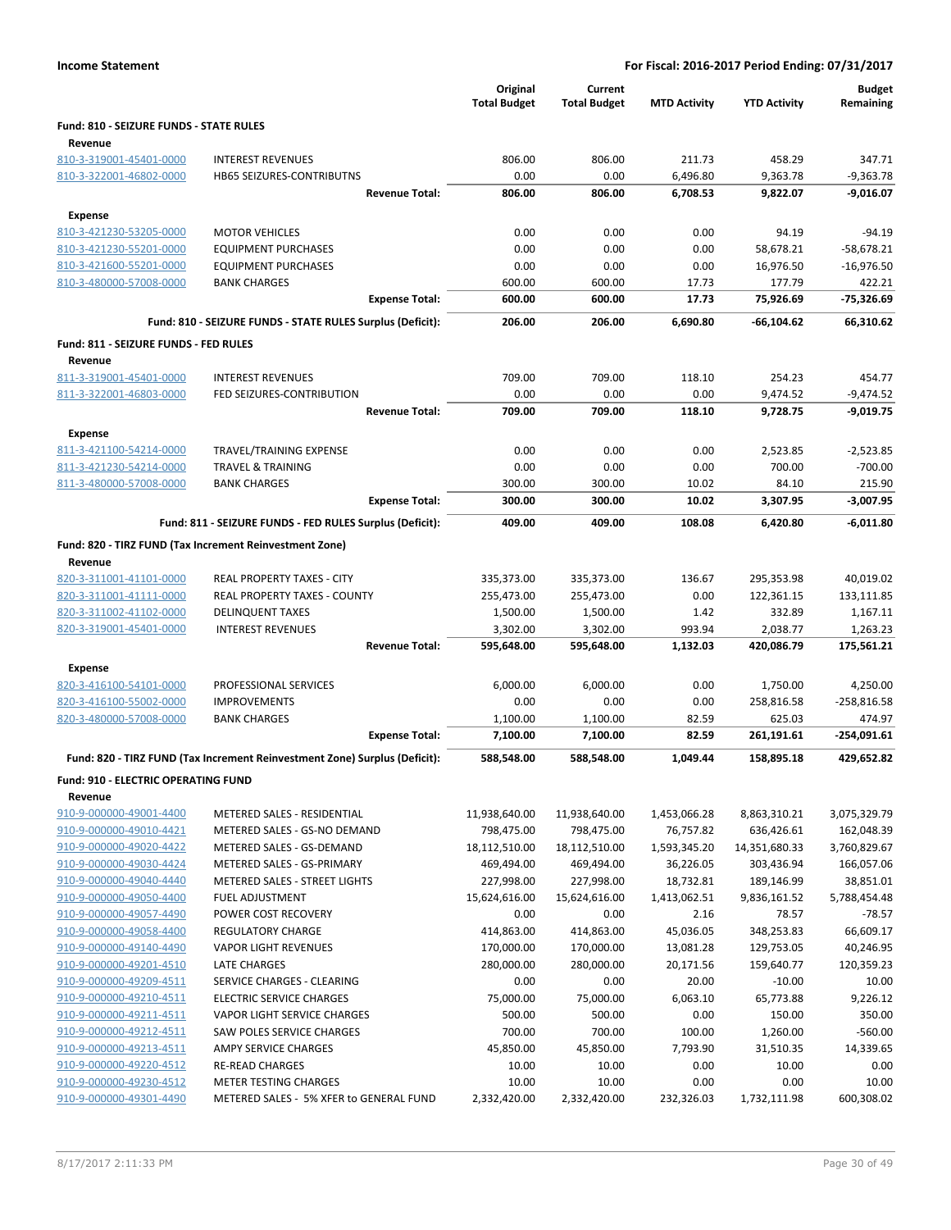|                                                    |                                                                            | Original<br><b>Total Budget</b> | Current<br><b>Total Budget</b> | <b>MTD Activity</b> | <b>YTD Activity</b> | <b>Budget</b><br>Remaining |
|----------------------------------------------------|----------------------------------------------------------------------------|---------------------------------|--------------------------------|---------------------|---------------------|----------------------------|
| Fund: 810 - SEIZURE FUNDS - STATE RULES            |                                                                            |                                 |                                |                     |                     |                            |
| Revenue                                            |                                                                            |                                 |                                |                     |                     |                            |
| 810-3-319001-45401-0000                            | <b>INTEREST REVENUES</b>                                                   | 806.00                          | 806.00                         | 211.73              | 458.29              | 347.71                     |
| 810-3-322001-46802-0000                            | HB65 SEIZURES-CONTRIBUTNS                                                  | 0.00                            | 0.00                           | 6,496.80            | 9,363.78            | $-9,363.78$                |
|                                                    | <b>Revenue Total:</b>                                                      | 806.00                          | 806.00                         | 6,708.53            | 9,822.07            | $-9,016.07$                |
| <b>Expense</b>                                     |                                                                            |                                 |                                |                     |                     |                            |
| 810-3-421230-53205-0000                            | <b>MOTOR VEHICLES</b>                                                      | 0.00                            | 0.00                           | 0.00                | 94.19               | $-94.19$                   |
| 810-3-421230-55201-0000                            | <b>EQUIPMENT PURCHASES</b>                                                 | 0.00                            | 0.00                           | 0.00                | 58,678.21           | $-58,678.21$               |
| 810-3-421600-55201-0000                            | <b>EQUIPMENT PURCHASES</b>                                                 | 0.00                            | 0.00                           | 0.00                | 16,976.50           | $-16,976.50$               |
| 810-3-480000-57008-0000                            | <b>BANK CHARGES</b>                                                        | 600.00                          | 600.00                         | 17.73               | 177.79              | 422.21                     |
|                                                    | <b>Expense Total:</b>                                                      | 600.00                          | 600.00                         | 17.73               | 75,926.69           | $-75,326.69$               |
|                                                    | Fund: 810 - SEIZURE FUNDS - STATE RULES Surplus (Deficit):                 | 206.00                          | 206.00                         | 6,690.80            | $-66,104.62$        | 66,310.62                  |
| Fund: 811 - SEIZURE FUNDS - FED RULES              |                                                                            |                                 |                                |                     |                     |                            |
| Revenue                                            |                                                                            |                                 |                                |                     |                     |                            |
| 811-3-319001-45401-0000                            | <b>INTEREST REVENUES</b>                                                   | 709.00                          | 709.00                         | 118.10              | 254.23              | 454.77                     |
| 811-3-322001-46803-0000                            | FED SEIZURES-CONTRIBUTION                                                  | 0.00                            | 0.00                           | 0.00                | 9,474.52            | $-9,474.52$                |
|                                                    | <b>Revenue Total:</b>                                                      | 709.00                          | 709.00                         | 118.10              | 9,728.75            | $-9,019.75$                |
| <b>Expense</b>                                     |                                                                            |                                 |                                |                     |                     |                            |
| 811-3-421100-54214-0000                            | TRAVEL/TRAINING EXPENSE                                                    | 0.00                            | 0.00                           | 0.00                | 2,523.85            | $-2,523.85$                |
| 811-3-421230-54214-0000                            | <b>TRAVEL &amp; TRAINING</b>                                               | 0.00                            | 0.00                           | 0.00                | 700.00              | $-700.00$                  |
| 811-3-480000-57008-0000                            | <b>BANK CHARGES</b>                                                        | 300.00                          | 300.00                         | 10.02               | 84.10               | 215.90                     |
|                                                    | <b>Expense Total:</b>                                                      | 300.00                          | 300.00                         | 10.02               | 3,307.95            | $-3,007.95$                |
|                                                    | Fund: 811 - SEIZURE FUNDS - FED RULES Surplus (Deficit):                   | 409.00                          | 409.00                         | 108.08              | 6,420.80            | $-6,011.80$                |
|                                                    | Fund: 820 - TIRZ FUND (Tax Increment Reinvestment Zone)                    |                                 |                                |                     |                     |                            |
| Revenue                                            |                                                                            |                                 |                                |                     |                     |                            |
| 820-3-311001-41101-0000                            | REAL PROPERTY TAXES - CITY                                                 | 335,373.00                      | 335,373.00                     | 136.67              | 295,353.98          | 40,019.02                  |
| 820-3-311001-41111-0000                            | REAL PROPERTY TAXES - COUNTY                                               | 255,473.00                      | 255,473.00                     | 0.00                | 122,361.15          | 133,111.85                 |
| 820-3-311002-41102-0000                            | <b>DELINQUENT TAXES</b>                                                    | 1,500.00                        | 1,500.00                       | 1.42                | 332.89              | 1,167.11                   |
| 820-3-319001-45401-0000                            | <b>INTEREST REVENUES</b>                                                   | 3,302.00                        | 3,302.00                       | 993.94              | 2,038.77            | 1,263.23                   |
|                                                    | <b>Revenue Total:</b>                                                      | 595,648.00                      | 595,648.00                     | 1,132.03            | 420,086.79          | 175,561.21                 |
| Expense                                            |                                                                            |                                 |                                |                     |                     |                            |
| 820-3-416100-54101-0000                            | PROFESSIONAL SERVICES                                                      | 6,000.00                        | 6,000.00                       | 0.00                | 1,750.00            | 4,250.00                   |
| 820-3-416100-55002-0000                            | <b>IMPROVEMENTS</b>                                                        | 0.00                            | 0.00                           | 0.00                | 258,816.58          | $-258,816.58$              |
| 820-3-480000-57008-0000                            | <b>BANK CHARGES</b>                                                        | 1,100.00                        | 1,100.00                       | 82.59               | 625.03              | 474.97                     |
|                                                    | <b>Expense Total:</b>                                                      | 7,100.00                        | 7,100.00                       | 82.59               | 261,191.61          | -254,091.61                |
|                                                    | Fund: 820 - TIRZ FUND (Tax Increment Reinvestment Zone) Surplus (Deficit): | 588,548.00                      | 588,548.00                     | 1,049.44            | 158,895.18          | 429,652.82                 |
| Fund: 910 - ELECTRIC OPERATING FUND                |                                                                            |                                 |                                |                     |                     |                            |
| Revenue                                            |                                                                            |                                 |                                |                     |                     |                            |
| 910-9-000000-49001-4400                            | METERED SALES - RESIDENTIAL                                                | 11,938,640.00                   | 11,938,640.00                  | 1,453,066.28        | 8,863,310.21        | 3,075,329.79               |
| 910-9-000000-49010-4421                            | METERED SALES - GS-NO DEMAND                                               | 798,475.00                      | 798,475.00                     | 76,757.82           | 636,426.61          | 162,048.39                 |
| 910-9-000000-49020-4422                            | METERED SALES - GS-DEMAND                                                  | 18,112,510.00                   | 18,112,510.00                  | 1,593,345.20        | 14,351,680.33       | 3,760,829.67               |
| 910-9-000000-49030-4424                            | METERED SALES - GS-PRIMARY                                                 | 469,494.00                      | 469,494.00                     | 36,226.05           | 303,436.94          | 166,057.06                 |
| 910-9-000000-49040-4440                            | METERED SALES - STREET LIGHTS                                              | 227,998.00                      | 227,998.00                     | 18,732.81           | 189,146.99          | 38,851.01                  |
| 910-9-000000-49050-4400                            | <b>FUEL ADJUSTMENT</b>                                                     | 15,624,616.00                   | 15,624,616.00                  | 1,413,062.51        | 9,836,161.52        | 5,788,454.48               |
| 910-9-000000-49057-4490                            | POWER COST RECOVERY                                                        | 0.00                            | 0.00                           | 2.16                | 78.57               | $-78.57$                   |
| 910-9-000000-49058-4400                            | <b>REGULATORY CHARGE</b>                                                   | 414,863.00                      | 414,863.00                     | 45,036.05           | 348,253.83          | 66,609.17                  |
| 910-9-000000-49140-4490                            | <b>VAPOR LIGHT REVENUES</b>                                                | 170,000.00                      | 170,000.00                     | 13,081.28           | 129,753.05          | 40,246.95                  |
| 910-9-000000-49201-4510                            | LATE CHARGES                                                               | 280,000.00                      | 280,000.00                     | 20,171.56           | 159,640.77          | 120,359.23                 |
| 910-9-000000-49209-4511                            | SERVICE CHARGES - CLEARING                                                 | 0.00                            | 0.00                           | 20.00               | $-10.00$            | 10.00                      |
| 910-9-000000-49210-4511                            | <b>ELECTRIC SERVICE CHARGES</b>                                            | 75,000.00                       | 75,000.00                      | 6,063.10            | 65,773.88           | 9,226.12                   |
| 910-9-000000-49211-4511                            | VAPOR LIGHT SERVICE CHARGES                                                | 500.00                          | 500.00                         | 0.00                | 150.00              | 350.00                     |
| 910-9-000000-49212-4511                            | SAW POLES SERVICE CHARGES                                                  | 700.00                          | 700.00                         | 100.00              | 1,260.00            | $-560.00$                  |
| 910-9-000000-49213-4511<br>910-9-000000-49220-4512 | AMPY SERVICE CHARGES<br><b>RE-READ CHARGES</b>                             | 45,850.00<br>10.00              | 45,850.00<br>10.00             | 7,793.90<br>0.00    | 31,510.35<br>10.00  | 14,339.65<br>0.00          |
| 910-9-000000-49230-4512                            | <b>METER TESTING CHARGES</b>                                               | 10.00                           | 10.00                          | 0.00                | 0.00                | 10.00                      |
| 910-9-000000-49301-4490                            | METERED SALES - 5% XFER to GENERAL FUND                                    | 2,332,420.00                    | 2,332,420.00                   | 232,326.03          | 1,732,111.98        | 600,308.02                 |
|                                                    |                                                                            |                                 |                                |                     |                     |                            |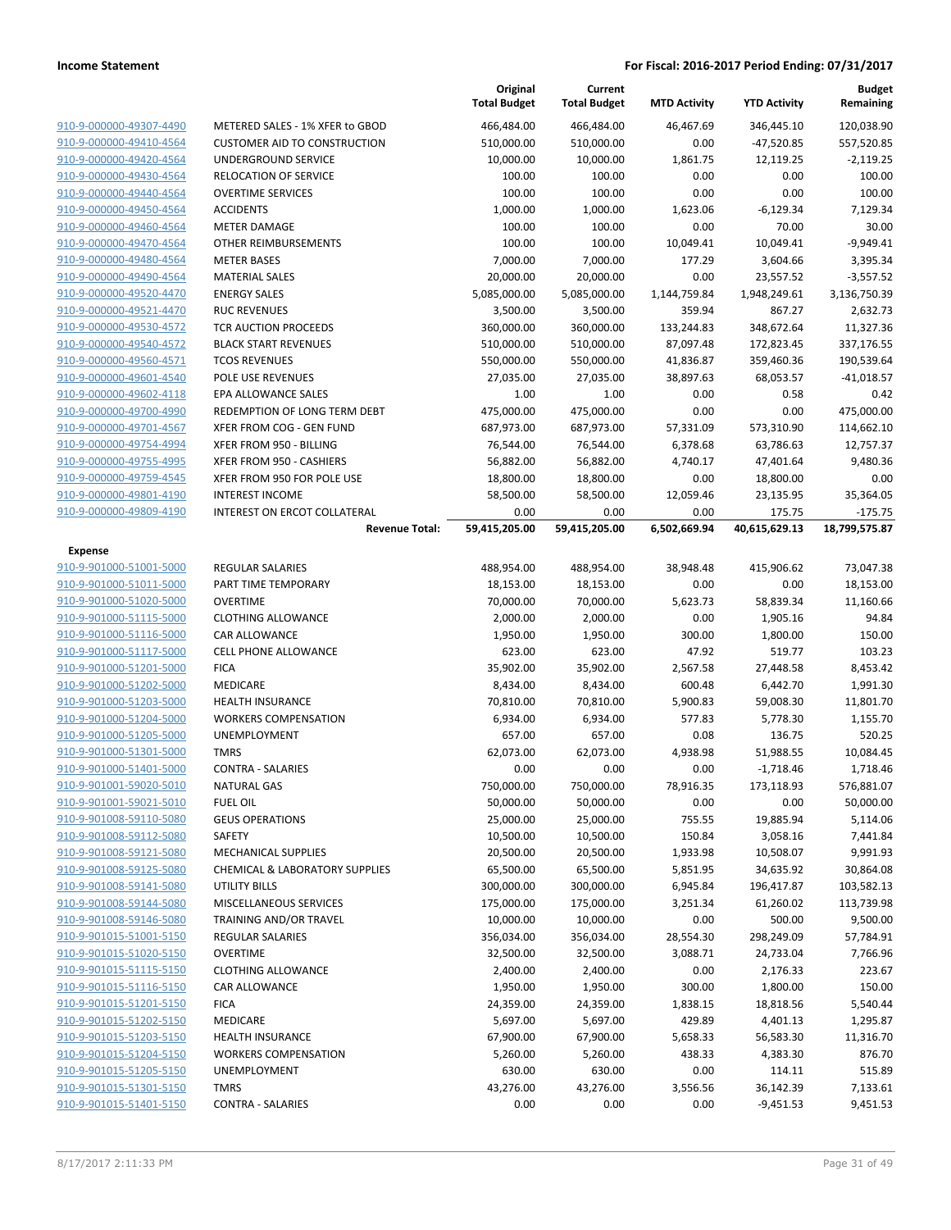|                                                    |                                                       | Original<br><b>Total Budget</b> | Current<br><b>Total Budget</b> | <b>MTD Activity</b>  | <b>YTD Activity</b>     | <b>Budget</b><br>Remaining |
|----------------------------------------------------|-------------------------------------------------------|---------------------------------|--------------------------------|----------------------|-------------------------|----------------------------|
| 910-9-000000-49307-4490                            | METERED SALES - 1% XFER to GBOD                       | 466,484.00                      | 466,484.00                     | 46,467.69            | 346,445.10              | 120,038.90                 |
| 910-9-000000-49410-4564                            | <b>CUSTOMER AID TO CONSTRUCTION</b>                   | 510,000.00                      | 510,000.00                     | 0.00                 | $-47,520.85$            | 557,520.85                 |
| 910-9-000000-49420-4564                            | UNDERGROUND SERVICE                                   | 10,000.00                       | 10,000.00                      | 1,861.75             | 12,119.25               | $-2,119.25$                |
| 910-9-000000-49430-4564                            | RELOCATION OF SERVICE                                 | 100.00                          | 100.00                         | 0.00                 | 0.00                    | 100.00                     |
| 910-9-000000-49440-4564                            | <b>OVERTIME SERVICES</b>                              | 100.00                          | 100.00                         | 0.00                 | 0.00                    | 100.00                     |
| 910-9-000000-49450-4564                            | <b>ACCIDENTS</b>                                      | 1,000.00                        | 1,000.00                       | 1,623.06             | $-6,129.34$             | 7,129.34                   |
| 910-9-000000-49460-4564                            | <b>METER DAMAGE</b>                                   | 100.00                          | 100.00                         | 0.00                 | 70.00                   | 30.00                      |
| 910-9-000000-49470-4564                            | OTHER REIMBURSEMENTS                                  | 100.00                          | 100.00                         | 10,049.41            | 10,049.41               | $-9,949.41$                |
| 910-9-000000-49480-4564                            | <b>METER BASES</b>                                    | 7,000.00                        | 7,000.00                       | 177.29               | 3,604.66                | 3,395.34                   |
| 910-9-000000-49490-4564                            | <b>MATERIAL SALES</b>                                 | 20,000.00                       | 20,000.00                      | 0.00                 | 23,557.52               | $-3,557.52$                |
| 910-9-000000-49520-4470                            | <b>ENERGY SALES</b>                                   | 5,085,000.00                    | 5,085,000.00                   | 1,144,759.84         | 1,948,249.61            | 3,136,750.39               |
| 910-9-000000-49521-4470                            | <b>RUC REVENUES</b>                                   | 3,500.00                        | 3,500.00                       | 359.94               | 867.27                  | 2,632.73                   |
| 910-9-000000-49530-4572                            | <b>TCR AUCTION PROCEEDS</b>                           | 360,000.00                      | 360,000.00                     | 133,244.83           | 348,672.64              | 11,327.36                  |
| 910-9-000000-49540-4572                            | <b>BLACK START REVENUES</b>                           | 510,000.00                      | 510,000.00                     | 87,097.48            | 172,823.45              | 337,176.55                 |
| 910-9-000000-49560-4571                            | <b>TCOS REVENUES</b>                                  | 550,000.00                      | 550,000.00                     | 41,836.87            | 359,460.36              | 190,539.64                 |
| 910-9-000000-49601-4540                            | POLE USE REVENUES                                     | 27,035.00                       | 27,035.00                      | 38,897.63            | 68,053.57               | $-41,018.57$               |
| 910-9-000000-49602-4118                            | EPA ALLOWANCE SALES                                   | 1.00                            | 1.00                           | 0.00                 | 0.58                    | 0.42                       |
| 910-9-000000-49700-4990                            | REDEMPTION OF LONG TERM DEBT                          | 475,000.00                      | 475,000.00                     | 0.00                 | 0.00                    | 475,000.00                 |
| 910-9-000000-49701-4567                            | XFER FROM COG - GEN FUND                              | 687,973.00                      | 687,973.00                     | 57,331.09            | 573,310.90              | 114,662.10                 |
| 910-9-000000-49754-4994                            | XFER FROM 950 - BILLING                               | 76,544.00                       | 76,544.00                      | 6,378.68             | 63,786.63               | 12,757.37                  |
| 910-9-000000-49755-4995                            | XFER FROM 950 - CASHIERS                              | 56,882.00                       | 56,882.00                      | 4,740.17             | 47,401.64               | 9,480.36                   |
| 910-9-000000-49759-4545                            | XFER FROM 950 FOR POLE USE                            | 18,800.00                       | 18,800.00                      | 0.00                 | 18,800.00               | 0.00                       |
| 910-9-000000-49801-4190                            | <b>INTEREST INCOME</b>                                | 58,500.00                       | 58,500.00                      | 12,059.46            | 23,135.95               | 35,364.05                  |
| 910-9-000000-49809-4190                            | INTEREST ON ERCOT COLLATERAL<br><b>Revenue Total:</b> | 0.00<br>59,415,205.00           | 0.00<br>59,415,205.00          | 0.00<br>6,502,669.94 | 175.75<br>40,615,629.13 | $-175.75$<br>18,799,575.87 |
|                                                    |                                                       |                                 |                                |                      |                         |                            |
| <b>Expense</b>                                     |                                                       |                                 |                                |                      |                         |                            |
| 910-9-901000-51001-5000                            | <b>REGULAR SALARIES</b>                               | 488,954.00                      | 488,954.00                     | 38,948.48            | 415,906.62              | 73,047.38                  |
| 910-9-901000-51011-5000                            | PART TIME TEMPORARY                                   | 18,153.00                       | 18,153.00                      | 0.00                 | 0.00                    | 18,153.00                  |
| 910-9-901000-51020-5000                            | <b>OVERTIME</b>                                       | 70,000.00                       | 70,000.00                      | 5,623.73             | 58,839.34               | 11,160.66                  |
| 910-9-901000-51115-5000                            | <b>CLOTHING ALLOWANCE</b>                             | 2,000.00                        | 2,000.00                       | 0.00                 | 1,905.16                | 94.84                      |
| 910-9-901000-51116-5000<br>910-9-901000-51117-5000 | CAR ALLOWANCE                                         | 1,950.00<br>623.00              | 1,950.00                       | 300.00<br>47.92      | 1,800.00<br>519.77      | 150.00<br>103.23           |
| 910-9-901000-51201-5000                            | <b>CELL PHONE ALLOWANCE</b><br><b>FICA</b>            | 35,902.00                       | 623.00<br>35,902.00            | 2,567.58             | 27,448.58               | 8,453.42                   |
| 910-9-901000-51202-5000                            | MEDICARE                                              | 8,434.00                        | 8,434.00                       | 600.48               | 6,442.70                | 1,991.30                   |
| 910-9-901000-51203-5000                            | <b>HEALTH INSURANCE</b>                               | 70,810.00                       | 70,810.00                      | 5,900.83             | 59,008.30               | 11,801.70                  |
| 910-9-901000-51204-5000                            | <b>WORKERS COMPENSATION</b>                           | 6,934.00                        | 6,934.00                       | 577.83               | 5,778.30                | 1,155.70                   |
| 910-9-901000-51205-5000                            | UNEMPLOYMENT                                          | 657.00                          | 657.00                         | 0.08                 | 136.75                  | 520.25                     |
| 910-9-901000-51301-5000                            | <b>TMRS</b>                                           | 62,073.00                       | 62,073.00                      | 4,938.98             | 51,988.55               | 10,084.45                  |
| 910-9-901000-51401-5000                            | <b>CONTRA - SALARIES</b>                              | 0.00                            | 0.00                           | 0.00                 | $-1,718.46$             | 1,718.46                   |
| 910-9-901001-59020-5010                            | <b>NATURAL GAS</b>                                    | 750,000.00                      | 750,000.00                     | 78,916.35            | 173,118.93              | 576,881.07                 |
| 910-9-901001-59021-5010                            | <b>FUEL OIL</b>                                       | 50,000.00                       | 50,000.00                      | 0.00                 | 0.00                    | 50,000.00                  |
| 910-9-901008-59110-5080                            | <b>GEUS OPERATIONS</b>                                | 25,000.00                       | 25,000.00                      | 755.55               | 19,885.94               | 5,114.06                   |
| 910-9-901008-59112-5080                            | SAFETY                                                | 10,500.00                       | 10,500.00                      | 150.84               | 3,058.16                | 7,441.84                   |
| 910-9-901008-59121-5080                            | MECHANICAL SUPPLIES                                   | 20,500.00                       | 20,500.00                      | 1,933.98             | 10,508.07               | 9,991.93                   |
| 910-9-901008-59125-5080                            | <b>CHEMICAL &amp; LABORATORY SUPPLIES</b>             | 65,500.00                       | 65,500.00                      | 5,851.95             | 34,635.92               | 30,864.08                  |
| 910-9-901008-59141-5080                            | <b>UTILITY BILLS</b>                                  | 300,000.00                      | 300,000.00                     | 6,945.84             | 196,417.87              | 103,582.13                 |
| 910-9-901008-59144-5080                            | MISCELLANEOUS SERVICES                                | 175,000.00                      | 175,000.00                     | 3,251.34             | 61,260.02               | 113,739.98                 |
| 910-9-901008-59146-5080                            | TRAINING AND/OR TRAVEL                                | 10,000.00                       | 10,000.00                      | 0.00                 | 500.00                  | 9,500.00                   |
| 910-9-901015-51001-5150                            | <b>REGULAR SALARIES</b>                               | 356,034.00                      | 356,034.00                     | 28,554.30            | 298,249.09              | 57,784.91                  |
| 910-9-901015-51020-5150                            | <b>OVERTIME</b>                                       | 32,500.00                       | 32,500.00                      | 3,088.71             | 24,733.04               | 7,766.96                   |
| 910-9-901015-51115-5150                            | <b>CLOTHING ALLOWANCE</b>                             | 2,400.00                        | 2,400.00                       | 0.00                 | 2,176.33                | 223.67                     |
| 910-9-901015-51116-5150                            | CAR ALLOWANCE                                         | 1,950.00                        | 1,950.00                       | 300.00               | 1,800.00                | 150.00                     |
| 910-9-901015-51201-5150                            | <b>FICA</b>                                           | 24,359.00                       | 24,359.00                      | 1,838.15             | 18,818.56               | 5,540.44                   |
| 910-9-901015-51202-5150                            | MEDICARE                                              | 5,697.00                        | 5,697.00                       | 429.89               | 4,401.13                | 1,295.87                   |
| 910-9-901015-51203-5150                            | <b>HEALTH INSURANCE</b>                               | 67,900.00                       | 67,900.00                      | 5,658.33             | 56,583.30               | 11,316.70                  |
| 910-9-901015-51204-5150                            | <b>WORKERS COMPENSATION</b>                           | 5,260.00                        | 5,260.00                       | 438.33               | 4,383.30                | 876.70                     |
| 910-9-901015-51205-5150                            | UNEMPLOYMENT                                          | 630.00                          | 630.00                         | 0.00                 | 114.11                  | 515.89                     |
| 910-9-901015-51301-5150                            | <b>TMRS</b>                                           | 43,276.00                       | 43,276.00                      | 3,556.56             | 36,142.39               | 7,133.61                   |
| 910-9-901015-51401-5150                            | <b>CONTRA - SALARIES</b>                              | 0.00                            | 0.00                           | 0.00                 | $-9,451.53$             | 9,451.53                   |
|                                                    |                                                       |                                 |                                |                      |                         |                            |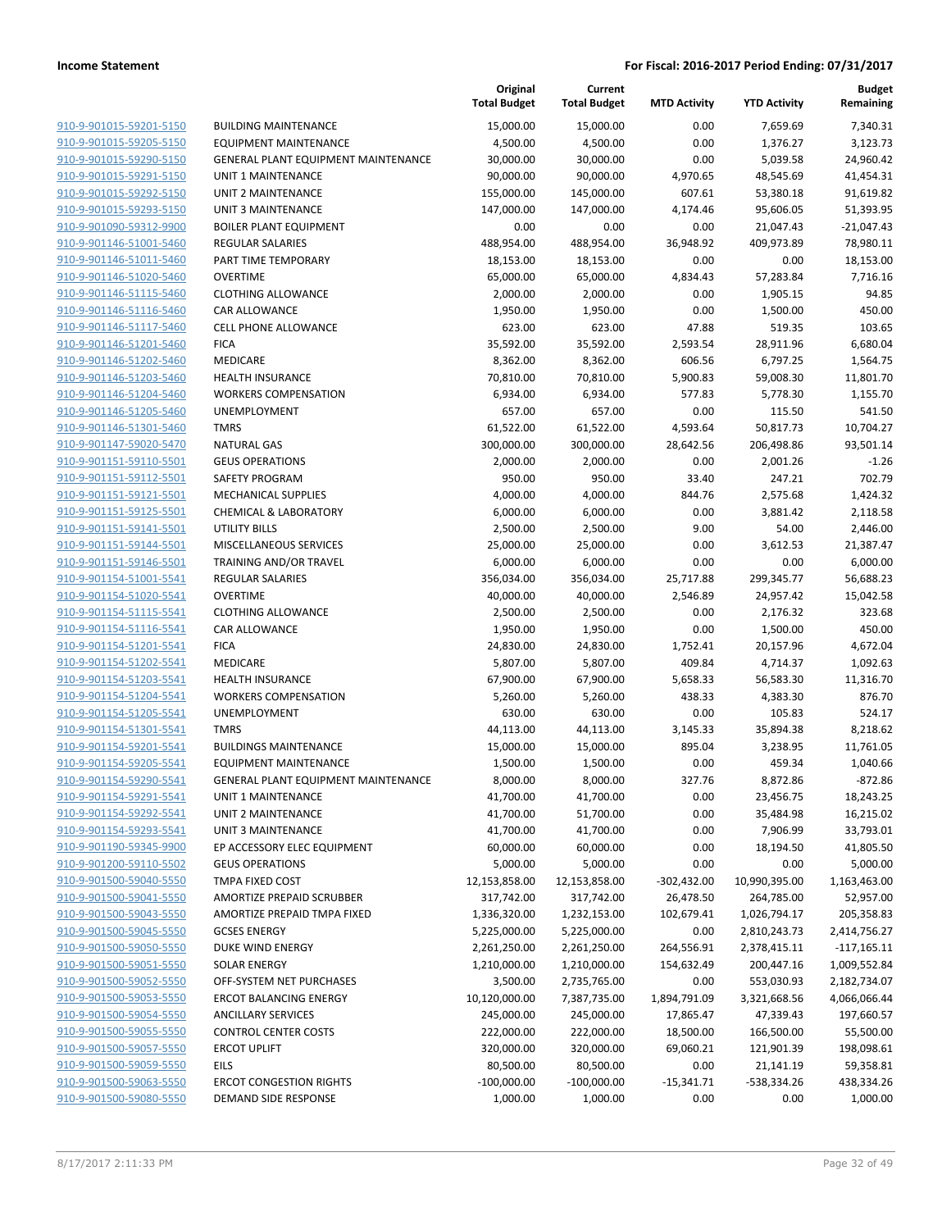|                                                    |                                             | Original<br><b>Total Budget</b> | Current<br><b>Total Budget</b> | <b>MTD Activity</b> | <b>YTD Activity</b> | Budget<br>Remaining |
|----------------------------------------------------|---------------------------------------------|---------------------------------|--------------------------------|---------------------|---------------------|---------------------|
| 910-9-901015-59201-5150                            | <b>BUILDING MAINTENANCE</b>                 | 15,000.00                       | 15,000.00                      | 0.00                | 7,659.69            | 7,340.31            |
| 910-9-901015-59205-5150                            | <b>EQUIPMENT MAINTENANCE</b>                | 4,500.00                        | 4,500.00                       | 0.00                | 1,376.27            | 3,123.73            |
| 910-9-901015-59290-5150                            | <b>GENERAL PLANT EQUIPMENT MAINTENANCE</b>  | 30,000.00                       | 30,000.00                      | 0.00                | 5,039.58            | 24,960.42           |
| 910-9-901015-59291-5150                            | <b>UNIT 1 MAINTENANCE</b>                   | 90,000.00                       | 90,000.00                      | 4,970.65            | 48,545.69           | 41,454.31           |
| 910-9-901015-59292-5150                            | UNIT 2 MAINTENANCE                          | 155,000.00                      | 145,000.00                     | 607.61              | 53,380.18           | 91,619.82           |
| 910-9-901015-59293-5150                            | <b>UNIT 3 MAINTENANCE</b>                   | 147,000.00                      | 147,000.00                     | 4,174.46            | 95,606.05           | 51,393.95           |
| 910-9-901090-59312-9900                            | <b>BOILER PLANT EQUIPMENT</b>               | 0.00                            | 0.00                           | 0.00                | 21,047.43           | $-21,047.43$        |
| 910-9-901146-51001-5460                            | <b>REGULAR SALARIES</b>                     | 488,954.00                      | 488,954.00                     | 36,948.92           | 409,973.89          | 78,980.11           |
| 910-9-901146-51011-5460                            | PART TIME TEMPORARY                         | 18,153.00                       | 18,153.00                      | 0.00                | 0.00                | 18,153.00           |
| 910-9-901146-51020-5460                            | <b>OVERTIME</b>                             | 65,000.00                       | 65,000.00                      | 4,834.43            | 57,283.84           | 7,716.16            |
| 910-9-901146-51115-5460                            | <b>CLOTHING ALLOWANCE</b>                   | 2,000.00                        | 2,000.00                       | 0.00                | 1,905.15            | 94.85               |
| 910-9-901146-51116-5460                            | CAR ALLOWANCE                               | 1,950.00                        | 1,950.00                       | 0.00                | 1,500.00            | 450.00              |
| 910-9-901146-51117-5460                            | <b>CELL PHONE ALLOWANCE</b>                 | 623.00                          | 623.00                         | 47.88               | 519.35              | 103.65              |
| 910-9-901146-51201-5460                            | <b>FICA</b>                                 | 35,592.00                       | 35,592.00                      | 2,593.54            | 28,911.96           | 6,680.04            |
| 910-9-901146-51202-5460                            | MEDICARE                                    | 8,362.00                        | 8,362.00                       | 606.56              | 6,797.25            | 1,564.75            |
| 910-9-901146-51203-5460                            | <b>HEALTH INSURANCE</b>                     | 70,810.00                       | 70,810.00                      | 5,900.83            | 59,008.30           | 11,801.70           |
| 910-9-901146-51204-5460                            | <b>WORKERS COMPENSATION</b>                 | 6,934.00                        | 6,934.00                       | 577.83              | 5,778.30            | 1,155.70            |
| 910-9-901146-51205-5460                            | <b>UNEMPLOYMENT</b>                         | 657.00                          | 657.00                         | 0.00                | 115.50              | 541.50              |
| 910-9-901146-51301-5460                            | <b>TMRS</b>                                 | 61,522.00                       | 61,522.00                      | 4,593.64            | 50,817.73           | 10,704.27           |
| 910-9-901147-59020-5470                            | <b>NATURAL GAS</b>                          | 300,000.00                      | 300,000.00                     | 28,642.56           | 206,498.86          | 93,501.14           |
| 910-9-901151-59110-5501                            | <b>GEUS OPERATIONS</b>                      | 2,000.00                        | 2,000.00                       | 0.00                | 2,001.26            | $-1.26$             |
| 910-9-901151-59112-5501                            | SAFETY PROGRAM                              | 950.00                          | 950.00                         | 33.40               | 247.21              | 702.79              |
| 910-9-901151-59121-5501                            | <b>MECHANICAL SUPPLIES</b>                  | 4,000.00                        | 4,000.00                       | 844.76              | 2,575.68            | 1,424.32            |
| 910-9-901151-59125-5501                            | <b>CHEMICAL &amp; LABORATORY</b>            | 6,000.00                        | 6,000.00                       | 0.00                | 3,881.42            | 2,118.58            |
| 910-9-901151-59141-5501                            | <b>UTILITY BILLS</b>                        | 2,500.00                        | 2,500.00                       | 9.00                | 54.00               | 2,446.00            |
| 910-9-901151-59144-5501                            | MISCELLANEOUS SERVICES                      | 25,000.00                       | 25,000.00                      | 0.00                | 3,612.53            | 21,387.47           |
| 910-9-901151-59146-5501                            | TRAINING AND/OR TRAVEL                      | 6,000.00                        | 6,000.00                       | 0.00                | 0.00                | 6,000.00            |
| 910-9-901154-51001-5541                            | <b>REGULAR SALARIES</b>                     | 356,034.00                      | 356,034.00                     | 25,717.88           | 299,345.77          | 56,688.23           |
| 910-9-901154-51020-5541                            | <b>OVERTIME</b>                             | 40,000.00                       | 40,000.00                      | 2,546.89            | 24,957.42           | 15,042.58           |
| 910-9-901154-51115-5541                            | <b>CLOTHING ALLOWANCE</b>                   | 2,500.00                        | 2,500.00                       | 0.00                | 2,176.32            | 323.68              |
| 910-9-901154-51116-5541                            | CAR ALLOWANCE                               | 1,950.00                        | 1,950.00                       | 0.00                | 1,500.00            | 450.00              |
| 910-9-901154-51201-5541                            | <b>FICA</b>                                 | 24,830.00                       | 24,830.00                      | 1,752.41            | 20,157.96           | 4,672.04            |
| 910-9-901154-51202-5541                            | MEDICARE                                    | 5,807.00                        | 5,807.00                       | 409.84              | 4,714.37            | 1,092.63            |
| 910-9-901154-51203-5541                            | <b>HEALTH INSURANCE</b>                     | 67,900.00                       | 67,900.00                      | 5,658.33            | 56,583.30           | 11,316.70           |
| 910-9-901154-51204-5541                            | <b>WORKERS COMPENSATION</b><br>UNEMPLOYMENT | 5,260.00<br>630.00              | 5,260.00<br>630.00             | 438.33              | 4,383.30            | 876.70              |
| 910-9-901154-51205-5541<br>910-9-901154-51301-5541 | <b>TMRS</b>                                 | 44,113.00                       | 44,113.00                      | 0.00<br>3,145.33    | 105.83<br>35,894.38 | 524.17<br>8,218.62  |
| 910-9-901154-59201-5541                            | <b>BUILDINGS MAINTENANCE</b>                | 15,000.00                       | 15,000.00                      | 895.04              | 3,238.95            | 11,761.05           |
| 910-9-901154-59205-5541                            | <b>EQUIPMENT MAINTENANCE</b>                | 1,500.00                        | 1,500.00                       | 0.00                | 459.34              | 1,040.66            |
| 910-9-901154-59290-5541                            | GENERAL PLANT EQUIPMENT MAINTENANCE         | 8,000.00                        | 8,000.00                       | 327.76              | 8,872.86            | $-872.86$           |
| 910-9-901154-59291-5541                            | UNIT 1 MAINTENANCE                          | 41,700.00                       | 41,700.00                      | 0.00                | 23,456.75           | 18,243.25           |
| 910-9-901154-59292-5541                            | UNIT 2 MAINTENANCE                          | 41,700.00                       | 51,700.00                      | 0.00                | 35,484.98           | 16,215.02           |
| 910-9-901154-59293-5541                            | UNIT 3 MAINTENANCE                          | 41,700.00                       | 41,700.00                      | 0.00                | 7,906.99            | 33,793.01           |
| 910-9-901190-59345-9900                            | EP ACCESSORY ELEC EQUIPMENT                 | 60,000.00                       | 60,000.00                      | 0.00                | 18,194.50           | 41,805.50           |
| 910-9-901200-59110-5502                            | <b>GEUS OPERATIONS</b>                      | 5,000.00                        | 5,000.00                       | 0.00                | 0.00                | 5,000.00            |
| 910-9-901500-59040-5550                            | TMPA FIXED COST                             | 12,153,858.00                   | 12,153,858.00                  | $-302,432.00$       | 10,990,395.00       | 1,163,463.00        |
| 910-9-901500-59041-5550                            | AMORTIZE PREPAID SCRUBBER                   | 317,742.00                      | 317,742.00                     | 26,478.50           | 264,785.00          | 52,957.00           |
| 910-9-901500-59043-5550                            | AMORTIZE PREPAID TMPA FIXED                 | 1,336,320.00                    | 1,232,153.00                   | 102,679.41          | 1,026,794.17        | 205,358.83          |
| 910-9-901500-59045-5550                            | <b>GCSES ENERGY</b>                         | 5,225,000.00                    | 5,225,000.00                   | 0.00                | 2,810,243.73        | 2,414,756.27        |
| 910-9-901500-59050-5550                            | DUKE WIND ENERGY                            | 2,261,250.00                    | 2,261,250.00                   | 264,556.91          | 2,378,415.11        | $-117,165.11$       |
| 910-9-901500-59051-5550                            | <b>SOLAR ENERGY</b>                         | 1,210,000.00                    | 1,210,000.00                   | 154,632.49          | 200,447.16          | 1,009,552.84        |
| 910-9-901500-59052-5550                            | OFF-SYSTEM NET PURCHASES                    | 3,500.00                        | 2,735,765.00                   | 0.00                | 553,030.93          | 2,182,734.07        |
| 910-9-901500-59053-5550                            | <b>ERCOT BALANCING ENERGY</b>               | 10,120,000.00                   | 7,387,735.00                   | 1,894,791.09        | 3,321,668.56        | 4,066,066.44        |
| 910-9-901500-59054-5550                            | <b>ANCILLARY SERVICES</b>                   | 245,000.00                      | 245,000.00                     | 17,865.47           | 47,339.43           | 197,660.57          |
| 910-9-901500-59055-5550                            | <b>CONTROL CENTER COSTS</b>                 | 222,000.00                      | 222,000.00                     | 18,500.00           | 166,500.00          | 55,500.00           |
| 910-9-901500-59057-5550                            | <b>ERCOT UPLIFT</b>                         | 320,000.00                      | 320,000.00                     | 69,060.21           | 121,901.39          | 198,098.61          |
| 910-9-901500-59059-5550                            | <b>EILS</b>                                 | 80,500.00                       | 80,500.00                      | 0.00                | 21,141.19           | 59,358.81           |
| 910-9-901500-59063-5550                            | <b>ERCOT CONGESTION RIGHTS</b>              | $-100,000.00$                   | $-100,000.00$                  | $-15,341.71$        | -538,334.26         | 438,334.26          |
| 910-9-901500-59080-5550                            | DEMAND SIDE RESPONSE                        | 1,000.00                        | 1,000.00                       | 0.00                | 0.00                | 1,000.00            |
|                                                    |                                             |                                 |                                |                     |                     |                     |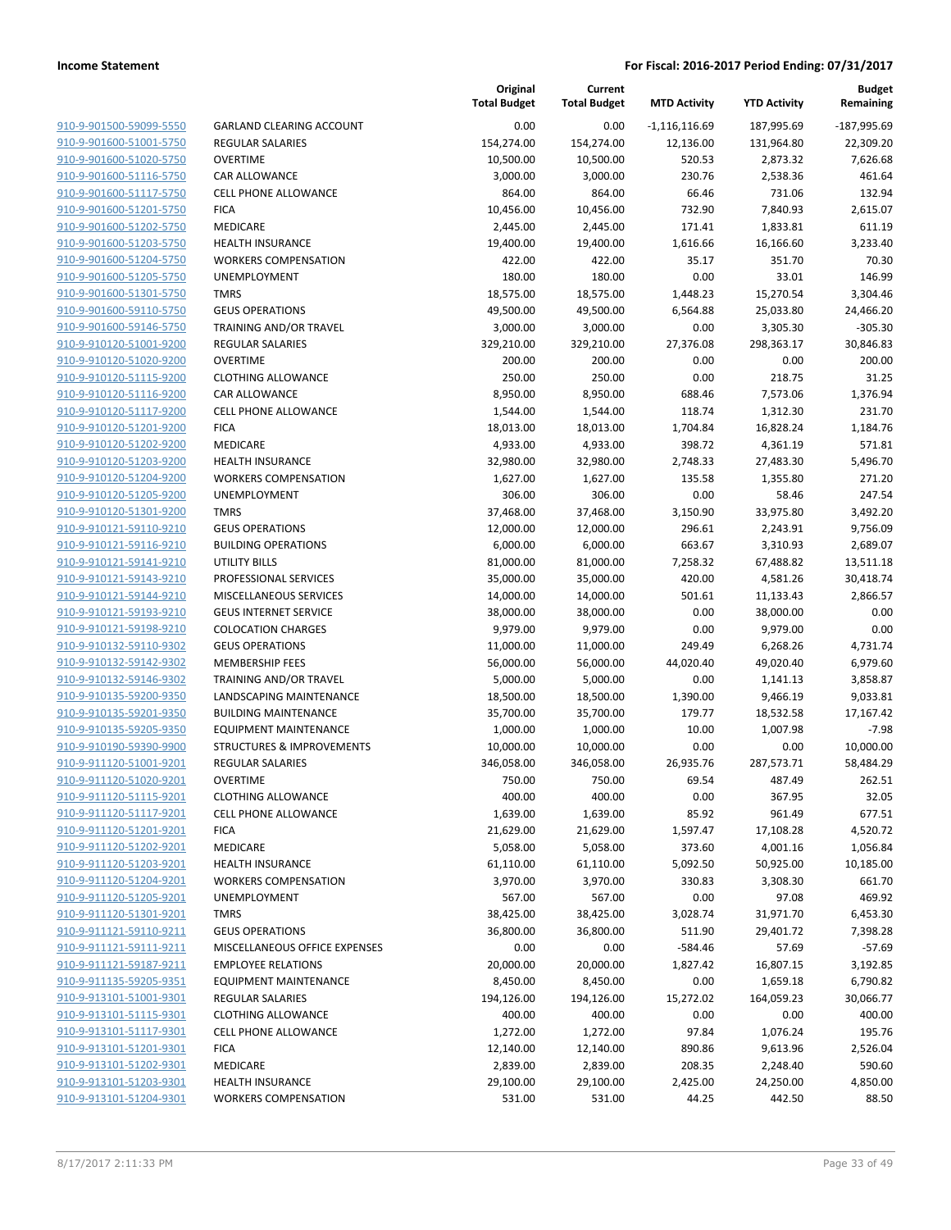| 910-9-901500-59099-5550        |
|--------------------------------|
| 910-9-901600-51001-5750        |
| 910-9-901600-51020-5750        |
| 910-9-901600-51116-5750        |
| <u>910-9-901600-51117-5750</u> |
| 910-9-901600-51201-5750        |
| 910-9-901600-51202-5750        |
| 910-9-901600-51203-5750        |
| 910-9-901600-51204-5750        |
| <u>910-9-901600-51205-5750</u> |
| 910-9-901600-51301-5750        |
| 910-9-901600-59110-5750        |
| 910-9-901600-59146-5750        |
| 910-9-910120-51001-9200        |
| <u>910-9-910120-51020-9200</u> |
| 910-9-910120-51115-9200        |
| 910-9-910120-51116-9200        |
| 910-9-910120-51117-9200        |
| <u>910-9-910120-51201-9200</u> |
| <u>910-9-910120-51202-9200</u> |
| 910-9-910120-51203-9200        |
| 910-9-910120-51204-9200        |
| 910-9-910120-51205-9200        |
| <u>910-9-910120-51301-9200</u> |
| <u>910-9-910121-59110-9210</u> |
| 910-9-910121-59116-9210        |
| 910-9-910121-59141-9210        |
| 910-9-910121-59143-9210        |
| 910-9-910121-59144-9210        |
| <u>910-9-910121-59193-9210</u> |
| 910-9-910121-59198-9210        |
| 910-9-910132-59110-9302        |
| 910-9-910132-59142-9302        |
| <u>910-9-910132-59146-9302</u> |
| <u>910-9-910135-59200-9350</u> |
| 910-9-910135-59201-9350        |
| 910-9-910135-59205-9350        |
| 910-9-910190-59390-9900        |
| 910-9-911120-51001-9201        |
| 910-9-911120-51020-9201        |
| 910-9-911120-51115-9201        |
| 910-9-911120-51117-9201        |
| 910-9-911120-51201-9201        |
| 910-9-911120-51202-9201        |
| 910-9-911120-51203-9201        |
| 910-9-911120-51204-9201        |
| 910-9-911120-51205-9201        |
| 910-9-911120-51301-9201        |
| 910-9-911121-59110-9211        |
| 910-9-911121-59111-9211        |
| 910-9-911121-59187-9211        |
| 910-9-911135-59205-9351        |
| 910-9-913101-51001-9301        |
| 910-9-913101-51115-9301        |
| <u>910-9-913101-51117-9301</u> |
| 910-9-913101-51201-9301        |
| 910-9-913101-51202-9301        |
| 910-9-913101-51203-9301        |
| 910-9-913101-51204-9301        |
|                                |

|                         |                               | Original<br><b>Total Budget</b> | Current<br><b>Total Budget</b> | <b>MTD Activity</b> | <b>YTD Activity</b> | <b>Budget</b><br>Remaining |
|-------------------------|-------------------------------|---------------------------------|--------------------------------|---------------------|---------------------|----------------------------|
| 910-9-901500-59099-5550 | GARLAND CLEARING ACCOUNT      | 0.00                            | 0.00                           | $-1,116,116.69$     | 187,995.69          | $-187,995.69$              |
| 910-9-901600-51001-5750 | <b>REGULAR SALARIES</b>       | 154,274.00                      | 154,274.00                     | 12,136.00           | 131,964.80          | 22,309.20                  |
| 910-9-901600-51020-5750 | OVERTIME                      | 10,500.00                       | 10,500.00                      | 520.53              | 2,873.32            | 7,626.68                   |
| 910-9-901600-51116-5750 | <b>CAR ALLOWANCE</b>          | 3,000.00                        | 3,000.00                       | 230.76              | 2,538.36            | 461.64                     |
| 910-9-901600-51117-5750 | <b>CELL PHONE ALLOWANCE</b>   | 864.00                          | 864.00                         | 66.46               | 731.06              | 132.94                     |
| 910-9-901600-51201-5750 | <b>FICA</b>                   | 10,456.00                       | 10,456.00                      | 732.90              | 7,840.93            | 2,615.07                   |
| 910-9-901600-51202-5750 | MEDICARE                      | 2,445.00                        | 2,445.00                       | 171.41              | 1,833.81            | 611.19                     |
| 910-9-901600-51203-5750 | <b>HEALTH INSURANCE</b>       | 19,400.00                       | 19,400.00                      | 1,616.66            | 16,166.60           | 3,233.40                   |
| 910-9-901600-51204-5750 | <b>WORKERS COMPENSATION</b>   | 422.00                          | 422.00                         | 35.17               | 351.70              | 70.30                      |
| 910-9-901600-51205-5750 | UNEMPLOYMENT                  | 180.00                          | 180.00                         | 0.00                | 33.01               | 146.99                     |
| 910-9-901600-51301-5750 | <b>TMRS</b>                   | 18,575.00                       | 18,575.00                      | 1,448.23            | 15,270.54           | 3,304.46                   |
| 910-9-901600-59110-5750 | <b>GEUS OPERATIONS</b>        | 49,500.00                       | 49,500.00                      | 6,564.88            | 25,033.80           | 24,466.20                  |
| 910-9-901600-59146-5750 | TRAINING AND/OR TRAVEL        | 3,000.00                        | 3,000.00                       | 0.00                | 3,305.30            | $-305.30$                  |
| 910-9-910120-51001-9200 | <b>REGULAR SALARIES</b>       | 329,210.00                      | 329,210.00                     | 27,376.08           | 298,363.17          | 30,846.83                  |
| 910-9-910120-51020-9200 | <b>OVERTIME</b>               | 200.00                          | 200.00                         | 0.00                | 0.00                | 200.00                     |
| 910-9-910120-51115-9200 | <b>CLOTHING ALLOWANCE</b>     | 250.00                          | 250.00                         | 0.00                | 218.75              | 31.25                      |
| 910-9-910120-51116-9200 | <b>CAR ALLOWANCE</b>          | 8,950.00                        | 8,950.00                       | 688.46              | 7,573.06            | 1,376.94                   |
| 910-9-910120-51117-9200 | CELL PHONE ALLOWANCE          | 1,544.00                        | 1,544.00                       | 118.74              | 1,312.30            | 231.70                     |
| 910-9-910120-51201-9200 | <b>FICA</b>                   | 18,013.00                       | 18,013.00                      | 1,704.84            | 16,828.24           | 1,184.76                   |
| 910-9-910120-51202-9200 | MEDICARE                      | 4,933.00                        | 4,933.00                       | 398.72              | 4,361.19            | 571.81                     |
| 910-9-910120-51203-9200 | <b>HEALTH INSURANCE</b>       | 32,980.00                       | 32,980.00                      | 2,748.33            | 27,483.30           | 5,496.70                   |
| 910-9-910120-51204-9200 | <b>WORKERS COMPENSATION</b>   | 1,627.00                        | 1,627.00                       | 135.58              | 1,355.80            | 271.20                     |
| 910-9-910120-51205-9200 | <b>UNEMPLOYMENT</b>           | 306.00                          | 306.00                         | 0.00                | 58.46               | 247.54                     |
| 910-9-910120-51301-9200 | <b>TMRS</b>                   | 37,468.00                       | 37,468.00                      | 3,150.90            | 33,975.80           | 3,492.20                   |
| 910-9-910121-59110-9210 | <b>GEUS OPERATIONS</b>        | 12,000.00                       | 12,000.00                      | 296.61              | 2,243.91            | 9,756.09                   |
| 910-9-910121-59116-9210 | <b>BUILDING OPERATIONS</b>    | 6,000.00                        | 6,000.00                       | 663.67              | 3,310.93            | 2,689.07                   |
| 910-9-910121-59141-9210 | UTILITY BILLS                 | 81,000.00                       | 81,000.00                      | 7,258.32            | 67,488.82           | 13,511.18                  |
| 910-9-910121-59143-9210 | PROFESSIONAL SERVICES         | 35,000.00                       | 35,000.00                      | 420.00              | 4,581.26            | 30,418.74                  |
| 910-9-910121-59144-9210 | MISCELLANEOUS SERVICES        | 14,000.00                       | 14,000.00                      | 501.61              | 11,133.43           | 2,866.57                   |
| 910-9-910121-59193-9210 | <b>GEUS INTERNET SERVICE</b>  | 38,000.00                       | 38,000.00                      | 0.00                | 38,000.00           | 0.00                       |
| 910-9-910121-59198-9210 | <b>COLOCATION CHARGES</b>     | 9,979.00                        | 9,979.00                       | 0.00                | 9,979.00            | 0.00                       |
| 910-9-910132-59110-9302 | <b>GEUS OPERATIONS</b>        | 11,000.00                       | 11,000.00                      | 249.49              | 6,268.26            | 4,731.74                   |
| 910-9-910132-59142-9302 | <b>MEMBERSHIP FEES</b>        | 56,000.00                       | 56,000.00                      | 44,020.40           | 49,020.40           | 6,979.60                   |
| 910-9-910132-59146-9302 | TRAINING AND/OR TRAVEL        | 5,000.00                        | 5,000.00                       | 0.00                | 1,141.13            | 3,858.87                   |
| 910-9-910135-59200-9350 | LANDSCAPING MAINTENANCE       | 18,500.00                       | 18,500.00                      | 1,390.00            | 9,466.19            | 9,033.81                   |
| 910-9-910135-59201-9350 | <b>BUILDING MAINTENANCE</b>   | 35,700.00                       | 35,700.00                      | 179.77              | 18,532.58           | 17,167.42                  |
| 910-9-910135-59205-9350 | <b>EQUIPMENT MAINTENANCE</b>  | 1,000.00                        | 1,000.00                       | 10.00               | 1,007.98            | $-7.98$                    |
| 910-9-910190-59390-9900 | STRUCTURES & IMPROVEMENTS     | 10,000.00                       | 10,000.00                      | 0.00                | 0.00                | 10,000.00                  |
| 910-9-911120-51001-9201 | <b>REGULAR SALARIES</b>       | 346,058.00                      | 346,058.00                     | 26,935.76           | 287,573.71          | 58,484.29                  |
| 910-9-911120-51020-9201 | <b>OVERTIME</b>               | 750.00                          | 750.00                         | 69.54               | 487.49              | 262.51                     |
| 910-9-911120-51115-9201 | <b>CLOTHING ALLOWANCE</b>     | 400.00                          | 400.00                         | 0.00                | 367.95              | 32.05                      |
| 910-9-911120-51117-9201 | <b>CELL PHONE ALLOWANCE</b>   | 1,639.00                        | 1,639.00                       | 85.92               | 961.49              | 677.51                     |
| 910-9-911120-51201-9201 | <b>FICA</b>                   | 21,629.00                       | 21,629.00                      | 1,597.47            | 17,108.28           | 4,520.72                   |
| 910-9-911120-51202-9201 | <b>MEDICARE</b>               | 5,058.00                        | 5,058.00                       | 373.60              | 4,001.16            | 1,056.84                   |
| 910-9-911120-51203-9201 | <b>HEALTH INSURANCE</b>       | 61,110.00                       | 61,110.00                      | 5,092.50            | 50,925.00           | 10,185.00                  |
| 910-9-911120-51204-9201 | <b>WORKERS COMPENSATION</b>   | 3,970.00                        | 3,970.00                       | 330.83              | 3,308.30            | 661.70                     |
| 910-9-911120-51205-9201 | <b>UNEMPLOYMENT</b>           | 567.00                          | 567.00                         | 0.00                | 97.08               | 469.92                     |
| 910-9-911120-51301-9201 | <b>TMRS</b>                   | 38,425.00                       | 38,425.00                      | 3,028.74            | 31,971.70           | 6,453.30                   |
| 910-9-911121-59110-9211 | <b>GEUS OPERATIONS</b>        | 36,800.00                       | 36,800.00                      | 511.90              | 29,401.72           | 7,398.28                   |
| 910-9-911121-59111-9211 | MISCELLANEOUS OFFICE EXPENSES | 0.00                            | 0.00                           | $-584.46$           | 57.69               | $-57.69$                   |
| 910-9-911121-59187-9211 | <b>EMPLOYEE RELATIONS</b>     | 20,000.00                       | 20,000.00                      | 1,827.42            | 16,807.15           | 3,192.85                   |
| 910-9-911135-59205-9351 | <b>EQUIPMENT MAINTENANCE</b>  | 8,450.00                        | 8,450.00                       | 0.00                | 1,659.18            | 6,790.82                   |
| 910-9-913101-51001-9301 | <b>REGULAR SALARIES</b>       | 194,126.00                      | 194,126.00                     | 15,272.02           | 164,059.23          | 30,066.77                  |
| 910-9-913101-51115-9301 | <b>CLOTHING ALLOWANCE</b>     | 400.00                          | 400.00                         | 0.00                | 0.00                | 400.00                     |
| 910-9-913101-51117-9301 | <b>CELL PHONE ALLOWANCE</b>   | 1,272.00                        | 1,272.00                       | 97.84               | 1,076.24            | 195.76                     |
| 910-9-913101-51201-9301 | <b>FICA</b>                   | 12,140.00                       | 12,140.00                      | 890.86              | 9,613.96            | 2,526.04                   |
| 910-9-913101-51202-9301 | MEDICARE                      | 2,839.00                        | 2,839.00                       | 208.35              | 2,248.40            | 590.60                     |
| 910-9-913101-51203-9301 | <b>HEALTH INSURANCE</b>       | 29,100.00                       | 29,100.00                      | 2,425.00            | 24,250.00           | 4,850.00                   |
| 910-9-913101-51204-9301 | <b>WORKERS COMPENSATION</b>   | 531.00                          | 531.00                         | 44.25               | 442.50              | 88.50                      |
|                         |                               |                                 |                                |                     |                     |                            |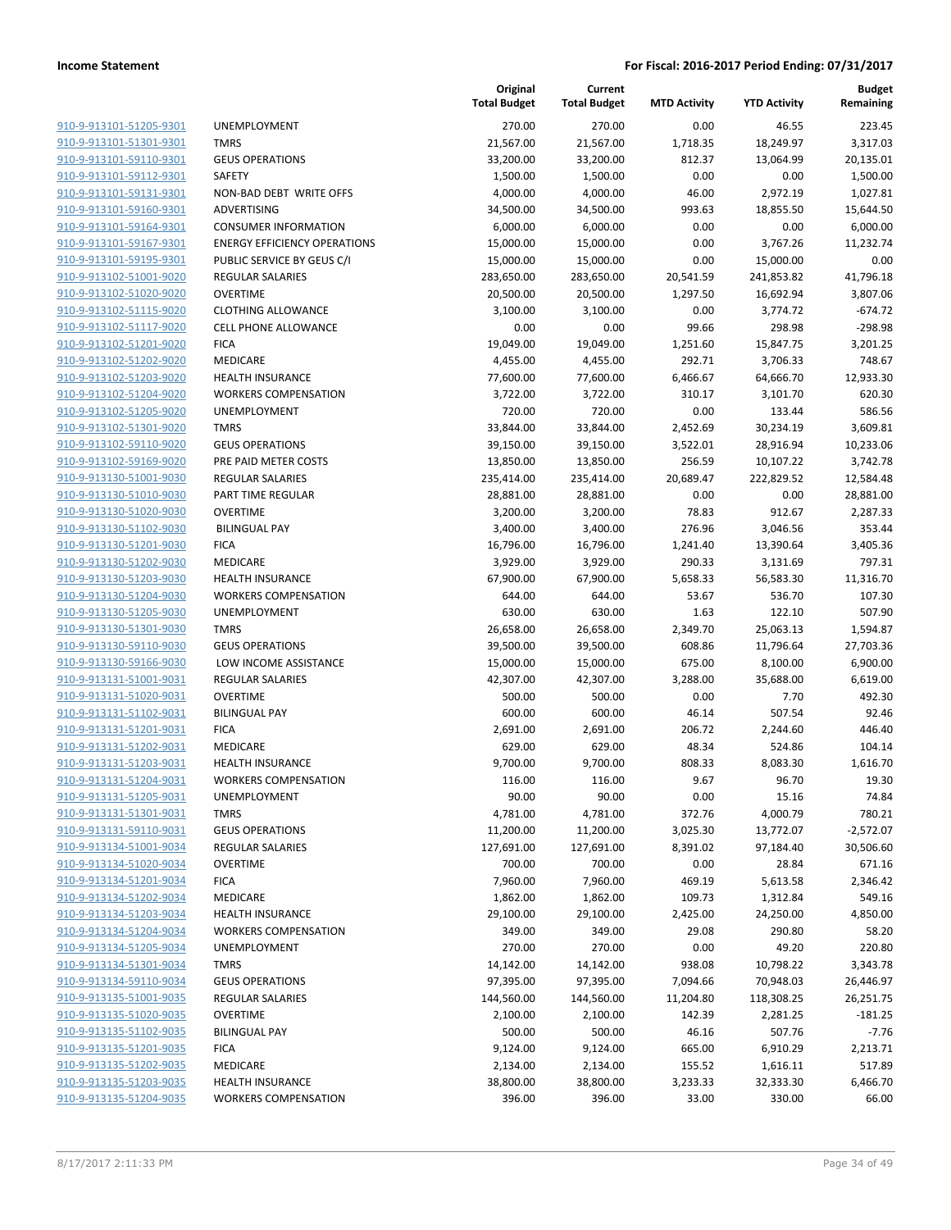| 910-9-913101-51205-9301        |
|--------------------------------|
| 910-9-913101-51301-9301        |
| 910-9-913101-59110-9301        |
| 910-9-913101-59112-9301        |
| 910-9-913101-59131-9301        |
| 910-9-913101-59160-9301        |
| 910-9-913101-59164-9301        |
| 910-9-913101-59167-9301        |
| 910-9-913101-59195-9301        |
|                                |
| <u>910-9-913102-51001-9020</u> |
| 910-9-913102-51020-9020        |
| 910-9-913102-51115-9020        |
| 910-9-913102-51117-9020        |
| 910-9-913102-51201-9020        |
| <u>910-9-913102-51202-9020</u> |
| 910-9-913102-51203-9020        |
| 910-9-913102-51204-9020        |
| 910-9-913102-51205-9020        |
| 910-9-913102-51301-9020        |
|                                |
| 910-9-913102-59110-9020        |
| 910-9-913102-59169-9020        |
| 910-9-913130-51001-9030        |
| 910-9-913130-51010-9030        |
| 910-9-913130-51020-9030        |
| <u>910-9-913130-51102-9030</u> |
| 910-9-913130-51201-9030        |
| 910-9-913130-51202-9030        |
| 910-9-913130-51203-9030        |
| 910-9-913130-51204-9030        |
| 910-9-913130-51205-9030        |
|                                |
| 910-9-913130-51301-9030        |
| 910-9-913130-59110-9030        |
| 910-9-913130-59166-9030        |
| 910-9-913131-51001-9031        |
| 910-9-913131-51020-9031        |
| 910-9-913131-51102-9031        |
| 910-9-913131-51201-9031        |
| 910-9-913131-51202-9031        |
| 910-9-913131-51203-9031        |
| 910-9-913131-51204-9031        |
| 910-9-913131-51205-9031        |
| <u>910-9-913131-51301-9031</u> |
|                                |
| 910-9-913131-59110-9031        |
| 910-9-913134-51001-9034        |
| <u>910-9-913134-51020-9034</u> |
| <u>910-9-913134-51201-9034</u> |
| 910-9-913134-51202-9034        |
| <u>910-9-913134-51203-9034</u> |
| 910-9-913134-51204-9034        |
| <u>910-9-913134-51205-9034</u> |
| 910-9-913134-51301-9034        |
| <u>910-9-913134-59110-9034</u> |
| 910-9-913135-51001-9035        |
|                                |
| 910-9-913135-51020-9035        |
| <u>910-9-913135-51102-9035</u> |
| <u>910-9-913135-51201-9035</u> |
| <u>910-9-913135-51202-9035</u> |
| <u>910-9-913135-51203-9035</u> |
| 910-9-913135-51204-9035        |
|                                |

|                                            | Total Bu       |
|--------------------------------------------|----------------|
| <b>UNEMPLOYMENT</b>                        | 27             |
| <b>TMRS</b>                                | 21,56          |
| <b>GEUS OPERATIONS</b>                     | 33,20          |
| SAFETY                                     | 1,50           |
| NON-BAD DEBT WRITE OFFS                    | 4,00           |
| ADVERTISING                                | 34,50          |
| <b>CONSUMER INFORMATION</b>                | 6,0C           |
| <b>ENERGY EFFICIENCY OPERATIONS</b>        | 15,00          |
| PUBLIC SERVICE BY GEUS C/I                 | 15,00          |
| <b>REGULAR SALARIES</b>                    | 283,65         |
| <b>OVERTIME</b>                            | 20,50          |
| <b>CLOTHING ALLOWANCE</b>                  | 3,10           |
| <b>CELL PHONE ALLOWANCE</b>                |                |
| <b>FICA</b>                                | 19,04          |
| MEDICARE                                   | 4,45           |
| <b>HEALTH INSURANCE</b>                    | 77,60          |
| <b>WORKERS COMPENSATION</b>                | 3,72           |
| <b>UNEMPLOYMENT</b>                        | 72             |
| <b>TMRS</b><br><b>GEUS OPERATIONS</b>      | 33,84<br>39,15 |
| PRE PAID METER COSTS                       | 13,85          |
| <b>REGULAR SALARIES</b>                    | 235,41         |
| PART TIME REGULAR                          | 28,88          |
| OVERTIME                                   | 3,20           |
| <b>BILINGUAL PAY</b>                       | 3,40           |
| <b>FICA</b>                                | 16,79          |
| MEDICARE                                   | 3,92           |
| <b>HEALTH INSURANCE</b>                    | 67,90          |
| <b>WORKERS COMPENSATION</b>                | 64             |
| <b>UNEMPLOYMENT</b>                        | 63             |
| <b>TMRS</b>                                | 26,65          |
| <b>GEUS OPERATIONS</b>                     | 39,50          |
| LOW INCOME ASSISTANCE                      | 15,00          |
| <b>REGULAR SALARIES</b>                    | 42,30          |
| OVERTIME                                   | 50             |
| <b>BILINGUAL PAY</b>                       | 60             |
| <b>FICA</b>                                | 2,69           |
| MEDICARE                                   | 62             |
| <b>HEALTH INSURANCE</b>                    | 9,7C           |
| <b>WORKERS COMPENSATION</b>                | 11             |
| UNEMPLOYMENT                               | g              |
| <b>TMRS</b>                                | 4,78           |
| <b>GEUS OPERATIONS</b>                     | 11,20          |
| <b>REGULAR SALARIES</b><br><b>OVERTIME</b> | 127,69<br>70   |
| <b>FICA</b>                                | 7,96           |
| <b>MEDICARE</b>                            | 1,86           |
| <b>HEALTH INSURANCE</b>                    | 29,10          |
| <b>WORKERS COMPENSATION</b>                | 34             |
| <b>UNEMPLOYMENT</b>                        | 27             |
| TMRS                                       | 14,14          |
| <b>GEUS OPERATIONS</b>                     | 97,39          |
| <b>REGULAR SALARIES</b>                    | 144,56         |
| OVERTIME                                   | 2,10           |
| <b>BILINGUAL PAY</b>                       | 50             |
| <b>FICA</b>                                | 9,12           |
| MEDICARE                                   | 2,13           |
| <b>HEALTH INSURANCE</b>                    | 38,80          |
| <b>WORKERS COMPENSATION</b>                | 39             |

|                                                    |                                       | Original<br><b>Total Budget</b> | Current<br><b>Total Budget</b> | <b>MTD Activity</b> | <b>YTD Activity</b>     | <b>Budget</b><br>Remaining |
|----------------------------------------------------|---------------------------------------|---------------------------------|--------------------------------|---------------------|-------------------------|----------------------------|
| 910-9-913101-51205-9301                            | UNEMPLOYMENT                          | 270.00                          | 270.00                         | 0.00                | 46.55                   | 223.45                     |
| 910-9-913101-51301-9301                            | <b>TMRS</b>                           | 21,567.00                       | 21,567.00                      | 1,718.35            | 18,249.97               | 3,317.03                   |
| 910-9-913101-59110-9301                            | <b>GEUS OPERATIONS</b>                | 33,200.00                       | 33,200.00                      | 812.37              | 13,064.99               | 20,135.01                  |
| 910-9-913101-59112-9301                            | SAFETY                                | 1,500.00                        | 1,500.00                       | 0.00                | 0.00                    | 1,500.00                   |
| 910-9-913101-59131-9301                            | NON-BAD DEBT WRITE OFFS               | 4,000.00                        | 4,000.00                       | 46.00               | 2,972.19                | 1,027.81                   |
| 910-9-913101-59160-9301                            | ADVERTISING                           | 34,500.00                       | 34,500.00                      | 993.63              | 18,855.50               | 15,644.50                  |
| 910-9-913101-59164-9301                            | <b>CONSUMER INFORMATION</b>           | 6,000.00                        | 6,000.00                       | 0.00                | 0.00                    | 6,000.00                   |
| 910-9-913101-59167-9301                            | <b>ENERGY EFFICIENCY OPERATIONS</b>   | 15,000.00                       | 15,000.00                      | 0.00                | 3,767.26                | 11,232.74                  |
| 910-9-913101-59195-9301                            | PUBLIC SERVICE BY GEUS C/I            | 15,000.00                       | 15,000.00                      | 0.00                | 15,000.00               | 0.00                       |
| 910-9-913102-51001-9020                            | <b>REGULAR SALARIES</b>               | 283,650.00                      | 283,650.00                     | 20,541.59           | 241,853.82              | 41,796.18                  |
| 910-9-913102-51020-9020                            | <b>OVERTIME</b>                       | 20,500.00                       | 20,500.00                      | 1,297.50            | 16,692.94               | 3,807.06                   |
| 910-9-913102-51115-9020                            | <b>CLOTHING ALLOWANCE</b>             | 3,100.00                        | 3,100.00                       | 0.00                | 3,774.72                | $-674.72$                  |
| 910-9-913102-51117-9020                            | <b>CELL PHONE ALLOWANCE</b>           | 0.00                            | 0.00                           | 99.66               | 298.98                  | $-298.98$                  |
| 910-9-913102-51201-9020                            | <b>FICA</b>                           | 19,049.00                       | 19,049.00                      | 1,251.60            | 15,847.75               | 3,201.25                   |
| 910-9-913102-51202-9020                            | <b>MEDICARE</b>                       | 4,455.00                        | 4,455.00                       | 292.71              | 3,706.33                | 748.67                     |
| 910-9-913102-51203-9020                            | <b>HEALTH INSURANCE</b>               | 77,600.00                       | 77,600.00                      | 6,466.67            | 64,666.70               | 12,933.30                  |
| 910-9-913102-51204-9020                            | <b>WORKERS COMPENSATION</b>           | 3,722.00                        | 3,722.00                       | 310.17              | 3,101.70                | 620.30                     |
| 910-9-913102-51205-9020                            | <b>UNEMPLOYMENT</b>                   | 720.00                          | 720.00                         | 0.00                | 133.44                  | 586.56                     |
| 910-9-913102-51301-9020                            | <b>TMRS</b>                           | 33,844.00                       | 33,844.00                      | 2,452.69            | 30,234.19               | 3,609.81                   |
| 910-9-913102-59110-9020                            | <b>GEUS OPERATIONS</b>                | 39,150.00                       | 39,150.00                      | 3,522.01            | 28,916.94               | 10,233.06                  |
| 910-9-913102-59169-9020                            | PRE PAID METER COSTS                  | 13,850.00                       | 13,850.00                      | 256.59              | 10,107.22               | 3,742.78                   |
| 910-9-913130-51001-9030                            | <b>REGULAR SALARIES</b>               | 235,414.00                      | 235,414.00                     | 20,689.47           | 222,829.52              | 12,584.48                  |
| 910-9-913130-51010-9030                            | <b>PART TIME REGULAR</b>              | 28,881.00                       | 28,881.00                      | 0.00                | 0.00                    | 28,881.00                  |
| 910-9-913130-51020-9030                            | <b>OVERTIME</b>                       | 3,200.00                        | 3,200.00                       | 78.83               | 912.67                  | 2,287.33                   |
| 910-9-913130-51102-9030                            | <b>BILINGUAL PAY</b>                  | 3,400.00                        | 3,400.00                       | 276.96              | 3,046.56                | 353.44                     |
| 910-9-913130-51201-9030<br>910-9-913130-51202-9030 | <b>FICA</b><br><b>MEDICARE</b>        | 16,796.00<br>3,929.00           | 16,796.00<br>3,929.00          | 1,241.40<br>290.33  | 13,390.64<br>3,131.69   | 3,405.36<br>797.31         |
| 910-9-913130-51203-9030                            | <b>HEALTH INSURANCE</b>               | 67,900.00                       | 67,900.00                      | 5,658.33            | 56,583.30               | 11,316.70                  |
| 910-9-913130-51204-9030                            | <b>WORKERS COMPENSATION</b>           | 644.00                          | 644.00                         | 53.67               | 536.70                  | 107.30                     |
| 910-9-913130-51205-9030                            | UNEMPLOYMENT                          | 630.00                          | 630.00                         | 1.63                | 122.10                  | 507.90                     |
| 910-9-913130-51301-9030                            | <b>TMRS</b>                           | 26,658.00                       | 26,658.00                      | 2,349.70            | 25,063.13               | 1,594.87                   |
| 910-9-913130-59110-9030                            | <b>GEUS OPERATIONS</b>                | 39,500.00                       | 39,500.00                      | 608.86              | 11,796.64               | 27,703.36                  |
| 910-9-913130-59166-9030                            | LOW INCOME ASSISTANCE                 | 15,000.00                       | 15,000.00                      | 675.00              | 8,100.00                | 6,900.00                   |
| 910-9-913131-51001-9031                            | <b>REGULAR SALARIES</b>               | 42,307.00                       | 42,307.00                      | 3,288.00            | 35,688.00               | 6,619.00                   |
| 910-9-913131-51020-9031                            | <b>OVERTIME</b>                       | 500.00                          | 500.00                         | 0.00                | 7.70                    | 492.30                     |
| 910-9-913131-51102-9031                            | <b>BILINGUAL PAY</b>                  | 600.00                          | 600.00                         | 46.14               | 507.54                  | 92.46                      |
| 910-9-913131-51201-9031                            | <b>FICA</b>                           | 2,691.00                        | 2,691.00                       | 206.72              | 2,244.60                | 446.40                     |
| 910-9-913131-51202-9031                            | <b>MEDICARE</b>                       | 629.00                          | 629.00                         | 48.34               | 524.86                  | 104.14                     |
| 910-9-913131-51203-9031                            | <b>HEALTH INSURANCE</b>               | 9,700.00                        | 9,700.00                       | 808.33              | 8,083.30                | 1,616.70                   |
| 910-9-913131-51204-9031                            | <b>WORKERS COMPENSATION</b>           | 116.00                          | 116.00                         | 9.67                | 96.70                   | 19.30                      |
| 910-9-913131-51205-9031                            | UNEMPLOYMENT                          | 90.00                           | 90.00                          | 0.00                | 15.16                   | 74.84                      |
| 910-9-913131-51301-9031                            | <b>TMRS</b>                           | 4,781.00                        | 4,781.00                       | 372.76              | 4,000.79                | 780.21                     |
| 910-9-913131-59110-9031                            | <b>GEUS OPERATIONS</b>                | 11,200.00                       | 11,200.00                      | 3,025.30            | 13,772.07               | $-2,572.07$                |
| 910-9-913134-51001-9034                            | <b>REGULAR SALARIES</b>               | 127,691.00                      | 127,691.00                     | 8,391.02            | 97,184.40               | 30,506.60                  |
| 910-9-913134-51020-9034                            | <b>OVERTIME</b>                       | 700.00                          | 700.00                         | 0.00                | 28.84                   | 671.16                     |
| 910-9-913134-51201-9034                            | <b>FICA</b>                           | 7,960.00                        | 7,960.00                       | 469.19              | 5,613.58                | 2,346.42                   |
| 910-9-913134-51202-9034                            | <b>MEDICARE</b>                       | 1,862.00                        | 1,862.00                       | 109.73              | 1,312.84                | 549.16                     |
| 910-9-913134-51203-9034                            | <b>HEALTH INSURANCE</b>               | 29,100.00                       | 29,100.00                      | 2,425.00            | 24,250.00               | 4,850.00                   |
| 910-9-913134-51204-9034                            | <b>WORKERS COMPENSATION</b>           | 349.00                          | 349.00                         | 29.08               | 290.80                  | 58.20                      |
| 910-9-913134-51205-9034                            | UNEMPLOYMENT                          | 270.00                          | 270.00                         | 0.00                | 49.20                   | 220.80                     |
| 910-9-913134-51301-9034<br>910-9-913134-59110-9034 | <b>TMRS</b><br><b>GEUS OPERATIONS</b> | 14,142.00<br>97,395.00          | 14,142.00                      | 938.08<br>7,094.66  | 10,798.22               | 3,343.78                   |
| 910-9-913135-51001-9035                            | <b>REGULAR SALARIES</b>               | 144,560.00                      | 97,395.00<br>144,560.00        | 11,204.80           | 70,948.03<br>118,308.25 | 26,446.97<br>26,251.75     |
| 910-9-913135-51020-9035                            | <b>OVERTIME</b>                       | 2,100.00                        | 2,100.00                       | 142.39              | 2,281.25                | $-181.25$                  |
| 910-9-913135-51102-9035                            | <b>BILINGUAL PAY</b>                  | 500.00                          | 500.00                         | 46.16               | 507.76                  | $-7.76$                    |
| 910-9-913135-51201-9035                            | <b>FICA</b>                           | 9,124.00                        | 9,124.00                       | 665.00              | 6,910.29                | 2,213.71                   |
| 910-9-913135-51202-9035                            | <b>MEDICARE</b>                       | 2,134.00                        | 2,134.00                       | 155.52              | 1,616.11                | 517.89                     |
| 910-9-913135-51203-9035                            | <b>HEALTH INSURANCE</b>               | 38,800.00                       | 38,800.00                      | 3,233.33            | 32,333.30               | 6,466.70                   |
| 910-9-913135-51204-9035                            | <b>WORKERS COMPENSATION</b>           | 396.00                          | 396.00                         | 33.00               | 330.00                  | 66.00                      |
|                                                    |                                       |                                 |                                |                     |                         |                            |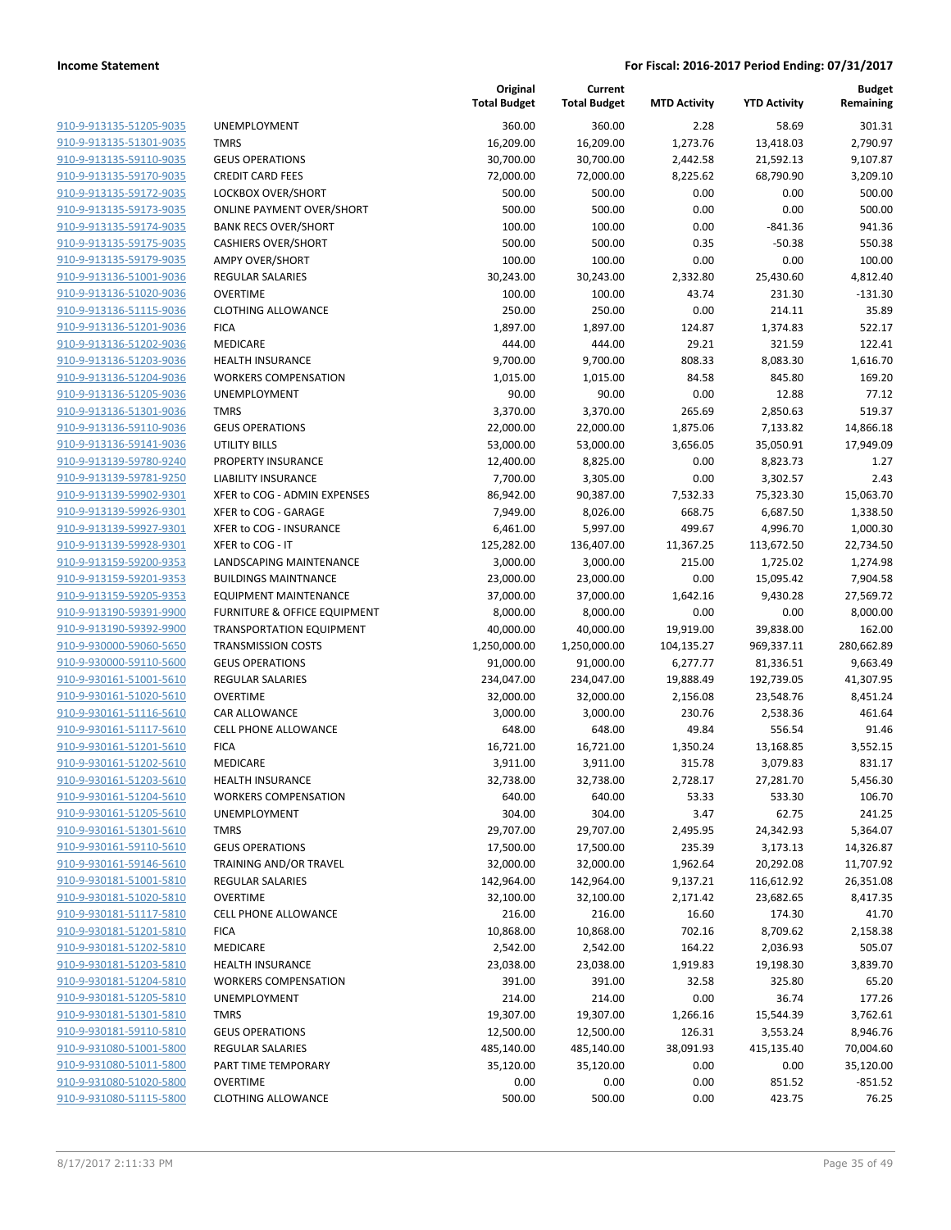| 910-9-913135-51205-9035                                   |
|-----------------------------------------------------------|
| 910-9-913135-51301-9035                                   |
| 910-9-913135-59110-9035                                   |
| 910-9-913135-59170-9035                                   |
| 910-9-913135-59172-9035                                   |
| 910-9-913135-59173-9035                                   |
| 910-9-913135-59174-9035                                   |
| 910-9-913135-59175-9035                                   |
| 910-9-913135-59179-9035                                   |
| 910-9-913136-51001-9036                                   |
| 910-9-913136-51020-9036                                   |
| 910-9-913136-51115-9036                                   |
| 910-9-913136-51201-9036                                   |
|                                                           |
| 910-9-913136-51202-9036                                   |
| 910-9-913136-51203-9036                                   |
| 910-9-913136-51204-9036                                   |
| 910-9-913136-51205-9036                                   |
| 910-9-913136-51301-9036                                   |
| 910-9-913136-59110-9036                                   |
| 910-9-913136-59141-9036                                   |
| 910-9-913139-59780-9240                                   |
| 910-9-913139-59781-9250                                   |
| 910-9-913139-59902-9301                                   |
| 910-9-913139-59926-9301                                   |
| 910-9-913139-59927-9301                                   |
| 910-9-913139-59928-9301                                   |
| 910-9-913159-59200-9353                                   |
|                                                           |
|                                                           |
| 910-9-913159-59201-9353                                   |
| 910-9-913159-59205-9353                                   |
| 910-9-913190-59391-9900                                   |
| 910-9-913190-59392-9900                                   |
| 910-9-930000-59060-5650                                   |
| 910-9-930000-59110-5600                                   |
| 910-9-930161-51001-5610                                   |
| <u>910-9-930161-51020-5610</u>                            |
| 910-9-930161-51116-5610                                   |
| 910-9-930161-51117-5610                                   |
| 910-9-930161-51201-5610                                   |
| 910-9-930161-51202-5610                                   |
| <u>910-9-930161-51203-5610</u>                            |
| 910-9-930161-51204-5610                                   |
| <u>910-9-930161-51205-5610</u>                            |
| 910-9-930161-51301-5610                                   |
| 910-9-930161-59110-5610                                   |
| 910-9-930161-59146-5610                                   |
| <u>910-9-930181-51001-5810</u>                            |
|                                                           |
| 910-9-930181-51020-5810<br>910-9-930181-51117-5810        |
| 910-9-930181-51201-5810                                   |
|                                                           |
| <u>910-9-930181-51202-5810</u>                            |
| <u>910-9-930181-51203-5810</u>                            |
| 910-9-930181-51204-5810                                   |
| 910-9-930181-51205-5810                                   |
| 910-9-930181-51301-5810                                   |
| <u>910-9-930181-59110-5810</u>                            |
| <u>910-9-931080-51001-5800</u>                            |
| <u>910-9-931080-51011-5800</u>                            |
| <u>910-9-931080-51020-5800</u><br>910-9-931080-51115-5800 |

|                                                    |                                                        | Original<br><b>Total Budget</b> | Current<br><b>Total Budget</b> | <b>MTD Activity</b> | <b>YTD Activity</b>   | <b>Budget</b><br>Remaining |
|----------------------------------------------------|--------------------------------------------------------|---------------------------------|--------------------------------|---------------------|-----------------------|----------------------------|
| 910-9-913135-51205-9035                            | <b>UNEMPLOYMENT</b>                                    | 360.00                          | 360.00                         | 2.28                | 58.69                 | 301.31                     |
| 910-9-913135-51301-9035                            | <b>TMRS</b>                                            | 16,209.00                       | 16,209.00                      | 1,273.76            | 13,418.03             | 2,790.97                   |
| 910-9-913135-59110-9035                            | <b>GEUS OPERATIONS</b>                                 | 30,700.00                       | 30,700.00                      | 2,442.58            | 21,592.13             | 9,107.87                   |
| 910-9-913135-59170-9035                            | <b>CREDIT CARD FEES</b>                                | 72,000.00                       | 72,000.00                      | 8,225.62            | 68,790.90             | 3,209.10                   |
| 910-9-913135-59172-9035                            | LOCKBOX OVER/SHORT                                     | 500.00                          | 500.00                         | 0.00                | 0.00                  | 500.00                     |
| 910-9-913135-59173-9035                            | <b>ONLINE PAYMENT OVER/SHORT</b>                       | 500.00                          | 500.00                         | 0.00                | 0.00                  | 500.00                     |
| 910-9-913135-59174-9035                            | <b>BANK RECS OVER/SHORT</b>                            | 100.00                          | 100.00                         | 0.00                | $-841.36$             | 941.36                     |
| 910-9-913135-59175-9035                            | <b>CASHIERS OVER/SHORT</b>                             | 500.00                          | 500.00                         | 0.35                | $-50.38$              | 550.38                     |
| 910-9-913135-59179-9035                            | <b>AMPY OVER/SHORT</b>                                 | 100.00                          | 100.00                         | 0.00                | 0.00                  | 100.00                     |
| 910-9-913136-51001-9036                            | <b>REGULAR SALARIES</b>                                | 30,243.00                       | 30,243.00                      | 2,332.80            | 25,430.60             | 4,812.40                   |
| 910-9-913136-51020-9036                            | <b>OVERTIME</b>                                        | 100.00                          | 100.00                         | 43.74               | 231.30                | $-131.30$                  |
| 910-9-913136-51115-9036                            | <b>CLOTHING ALLOWANCE</b>                              | 250.00                          | 250.00                         | 0.00                | 214.11                | 35.89                      |
| 910-9-913136-51201-9036                            | <b>FICA</b>                                            | 1,897.00                        | 1,897.00                       | 124.87              | 1,374.83              | 522.17                     |
| 910-9-913136-51202-9036                            | <b>MEDICARE</b>                                        | 444.00                          | 444.00                         | 29.21               | 321.59                | 122.41                     |
| 910-9-913136-51203-9036                            | <b>HEALTH INSURANCE</b>                                | 9,700.00                        | 9,700.00                       | 808.33              | 8,083.30              | 1,616.70                   |
| 910-9-913136-51204-9036                            | <b>WORKERS COMPENSATION</b>                            | 1,015.00                        | 1,015.00                       | 84.58               | 845.80                | 169.20                     |
| 910-9-913136-51205-9036                            | UNEMPLOYMENT                                           | 90.00                           | 90.00                          | 0.00                | 12.88                 | 77.12                      |
| 910-9-913136-51301-9036                            | <b>TMRS</b>                                            | 3,370.00                        | 3,370.00                       | 265.69              | 2,850.63              | 519.37                     |
| 910-9-913136-59110-9036                            | <b>GEUS OPERATIONS</b>                                 | 22,000.00                       | 22,000.00                      | 1,875.06            | 7,133.82              | 14,866.18                  |
| 910-9-913136-59141-9036                            | UTILITY BILLS                                          | 53,000.00                       | 53,000.00                      | 3,656.05            | 35,050.91             | 17,949.09                  |
| 910-9-913139-59780-9240                            | PROPERTY INSURANCE                                     | 12,400.00                       | 8,825.00                       | 0.00                | 8,823.73              | 1.27                       |
| 910-9-913139-59781-9250                            | <b>LIABILITY INSURANCE</b>                             | 7,700.00                        | 3,305.00                       | 0.00                | 3,302.57              | 2.43                       |
| 910-9-913139-59902-9301                            | XFER to COG - ADMIN EXPENSES                           | 86,942.00                       | 90,387.00                      | 7,532.33            | 75,323.30             | 15,063.70                  |
| 910-9-913139-59926-9301                            | XFER to COG - GARAGE                                   | 7,949.00                        | 8,026.00                       | 668.75              | 6,687.50              | 1,338.50                   |
| 910-9-913139-59927-9301<br>910-9-913139-59928-9301 | XFER to COG - INSURANCE                                | 6,461.00                        | 5,997.00                       | 499.67              | 4,996.70              | 1,000.30                   |
| 910-9-913159-59200-9353                            | XFER to COG - IT                                       | 125,282.00                      | 136,407.00                     | 11,367.25           | 113,672.50            | 22,734.50                  |
| 910-9-913159-59201-9353                            | LANDSCAPING MAINTENANCE<br><b>BUILDINGS MAINTNANCE</b> | 3,000.00                        | 3,000.00                       | 215.00              | 1,725.02              | 1,274.98                   |
| 910-9-913159-59205-9353                            | <b>EQUIPMENT MAINTENANCE</b>                           | 23,000.00<br>37,000.00          | 23,000.00<br>37,000.00         | 0.00<br>1,642.16    | 15,095.42<br>9,430.28 | 7,904.58<br>27,569.72      |
| 910-9-913190-59391-9900                            | FURNITURE & OFFICE EQUIPMENT                           | 8,000.00                        | 8,000.00                       | 0.00                | 0.00                  | 8,000.00                   |
| 910-9-913190-59392-9900                            | <b>TRANSPORTATION EQUIPMENT</b>                        | 40,000.00                       | 40,000.00                      | 19,919.00           | 39,838.00             | 162.00                     |
| 910-9-930000-59060-5650                            | <b>TRANSMISSION COSTS</b>                              | 1,250,000.00                    | 1,250,000.00                   | 104,135.27          | 969,337.11            | 280,662.89                 |
| 910-9-930000-59110-5600                            | <b>GEUS OPERATIONS</b>                                 | 91,000.00                       | 91,000.00                      | 6,277.77            | 81,336.51             | 9,663.49                   |
| 910-9-930161-51001-5610                            | <b>REGULAR SALARIES</b>                                | 234,047.00                      | 234,047.00                     | 19,888.49           | 192,739.05            | 41,307.95                  |
| 910-9-930161-51020-5610                            | <b>OVERTIME</b>                                        | 32,000.00                       | 32,000.00                      | 2,156.08            | 23,548.76             | 8,451.24                   |
| 910-9-930161-51116-5610                            | <b>CAR ALLOWANCE</b>                                   | 3,000.00                        | 3,000.00                       | 230.76              | 2,538.36              | 461.64                     |
| 910-9-930161-51117-5610                            | <b>CELL PHONE ALLOWANCE</b>                            | 648.00                          | 648.00                         | 49.84               | 556.54                | 91.46                      |
| 910-9-930161-51201-5610                            | <b>FICA</b>                                            | 16,721.00                       | 16,721.00                      | 1,350.24            | 13,168.85             | 3,552.15                   |
| 910-9-930161-51202-5610                            | <b>MEDICARE</b>                                        | 3,911.00                        | 3,911.00                       | 315.78              | 3,079.83              | 831.17                     |
| 910-9-930161-51203-5610                            | <b>HEALTH INSURANCE</b>                                | 32,738.00                       | 32,738.00                      | 2,728.17            | 27,281.70             | 5,456.30                   |
| 910-9-930161-51204-5610                            | <b>WORKERS COMPENSATION</b>                            | 640.00                          | 640.00                         | 53.33               | 533.30                | 106.70                     |
| 910-9-930161-51205-5610                            | UNEMPLOYMENT                                           | 304.00                          | 304.00                         | 3.47                | 62.75                 | 241.25                     |
| 910-9-930161-51301-5610                            | <b>TMRS</b>                                            | 29,707.00                       | 29,707.00                      | 2,495.95            | 24,342.93             | 5,364.07                   |
| 910-9-930161-59110-5610                            | <b>GEUS OPERATIONS</b>                                 | 17,500.00                       | 17,500.00                      | 235.39              | 3,173.13              | 14,326.87                  |
| 910-9-930161-59146-5610                            | TRAINING AND/OR TRAVEL                                 | 32,000.00                       | 32,000.00                      | 1,962.64            | 20,292.08             | 11,707.92                  |
| 910-9-930181-51001-5810                            | REGULAR SALARIES                                       | 142,964.00                      | 142,964.00                     | 9,137.21            | 116,612.92            | 26,351.08                  |
| 910-9-930181-51020-5810                            | <b>OVERTIME</b>                                        | 32,100.00                       | 32,100.00                      | 2,171.42            | 23,682.65             | 8,417.35                   |
| 910-9-930181-51117-5810                            | <b>CELL PHONE ALLOWANCE</b>                            | 216.00                          | 216.00                         | 16.60               | 174.30                | 41.70                      |
| 910-9-930181-51201-5810                            | <b>FICA</b>                                            | 10,868.00                       | 10,868.00                      | 702.16              | 8,709.62              | 2,158.38                   |
| 910-9-930181-51202-5810                            | <b>MEDICARE</b>                                        | 2,542.00                        | 2,542.00                       | 164.22              | 2,036.93              | 505.07                     |
| 910-9-930181-51203-5810                            | <b>HEALTH INSURANCE</b>                                | 23,038.00                       | 23,038.00                      | 1,919.83            | 19,198.30             | 3,839.70                   |
| 910-9-930181-51204-5810                            | <b>WORKERS COMPENSATION</b>                            | 391.00                          | 391.00                         | 32.58               | 325.80                | 65.20                      |
| 910-9-930181-51205-5810                            | UNEMPLOYMENT                                           | 214.00                          | 214.00                         | 0.00                | 36.74                 | 177.26                     |
| 910-9-930181-51301-5810                            | <b>TMRS</b>                                            | 19,307.00                       | 19,307.00                      | 1,266.16            | 15,544.39             | 3,762.61                   |
| 910-9-930181-59110-5810                            | <b>GEUS OPERATIONS</b>                                 | 12,500.00                       | 12,500.00                      | 126.31              | 3,553.24              | 8,946.76                   |
| 910-9-931080-51001-5800                            | REGULAR SALARIES                                       | 485,140.00                      | 485,140.00                     | 38,091.93           | 415,135.40            | 70,004.60                  |
| 910-9-931080-51011-5800                            | PART TIME TEMPORARY                                    | 35,120.00                       | 35,120.00                      | 0.00                | 0.00                  | 35,120.00                  |
| 910-9-931080-51020-5800                            | <b>OVERTIME</b>                                        | 0.00                            | 0.00                           | 0.00                | 851.52                | $-851.52$                  |
| 910-9-931080-51115-5800                            | <b>CLOTHING ALLOWANCE</b>                              | 500.00                          | 500.00                         | 0.00                | 423.75                | 76.25                      |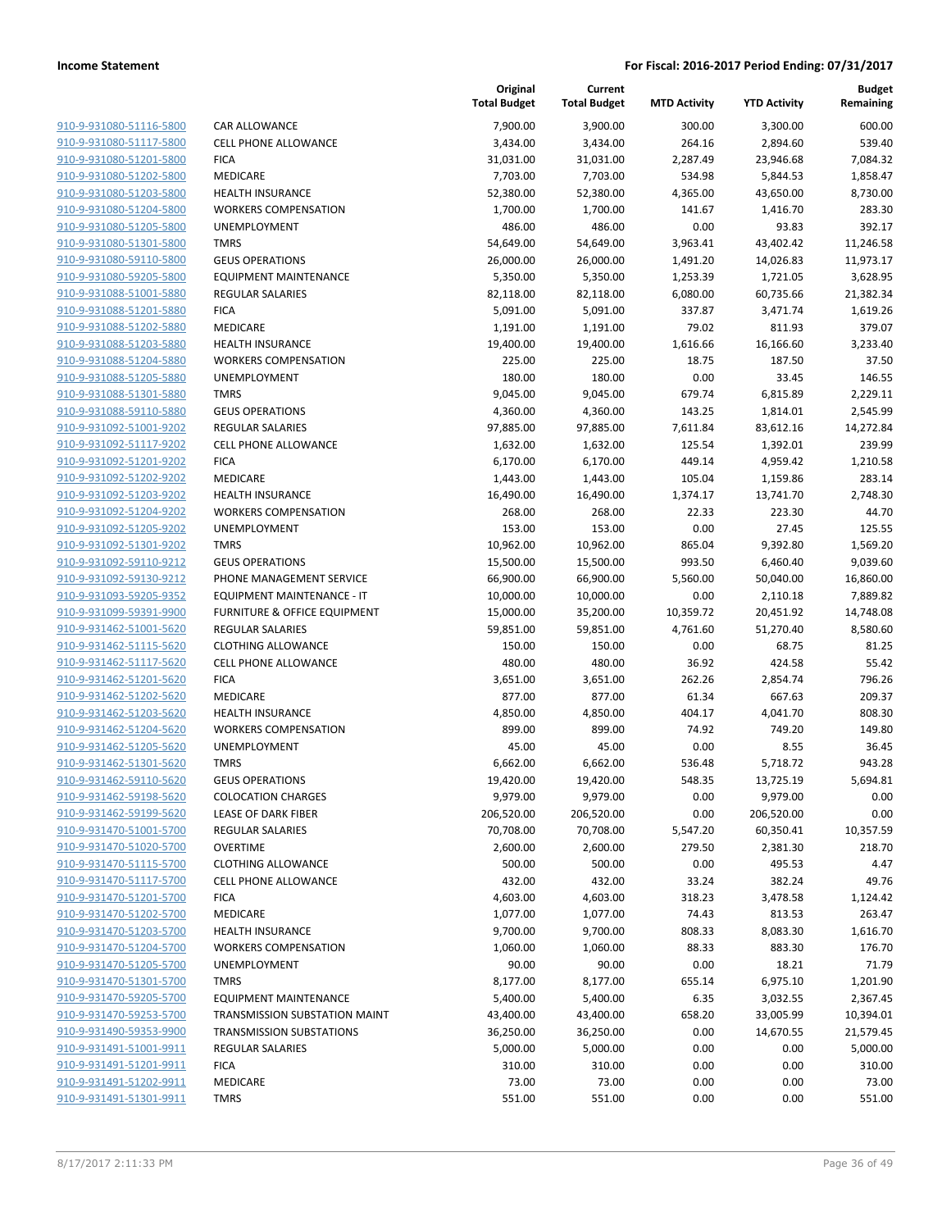| 910-9-931080-51116-5800        |
|--------------------------------|
| 910-9-931080-51117-5800        |
| 910-9-931080-51201-5800        |
| 910-9-931080-51202-5800        |
| <u>910-9-931080-51203-5800</u> |
| 910-9-931080-51204-5800        |
| 910-9-931080-51205-5800        |
| 910-9-931080-51301-5800        |
| 910-9-931080-59110-5800        |
| 910-9-931080-59205-5800        |
| 910-9-931088-51001-5880        |
| 910-9-931088-51201-5880        |
| 910-9-931088-51202-5880        |
| 910-9-931088-51203-5880        |
| 910-9-931088-51204-5880        |
| 910-9-931088-51205-5880        |
| 910-9-931088-51301-5880        |
| 910-9-931088-59110-5880        |
| 910-9-931092-51001-9202        |
| 910-9-931092-51117-9202        |
| 910-9-931092-51201-9202        |
| 910-9-931092-51202-9202        |
| 910-9-931092-51203-9202        |
| 910-9-931092-51204-9202        |
| 910-9-931092-51205-9202        |
| 910-9-931092-51301-9202        |
| 910-9-931092-59110-9212        |
| 910-9-931092-59130-9212        |
| 910-9-931093-59205-9352        |
| 910-9-931099-59391-9900        |
| 910-9-931462-51001-5620        |
| 910-9-931462-51115-5620        |
| 910-9-931462-51117-5620        |
|                                |
| 910-9-931462-51201-5620        |
| 910-9-931462-51202-5620        |
| 910-9-931462-51203-5620        |
| 910-9-931462-51204-5620        |
| 910-9-931462-51205-5620        |
| 910-9-931462-51301-5620        |
| 910-9-931462-59110-5620        |
| 910-9-931462-59198-5620        |
| 910-9-931462-59199-5620        |
| 910-9-931470-51001-5700        |
| 910-9-931470-51020-5700        |
| 910-9-931470-51115-5700        |
| 910-9-931470-51117-5700        |
| 910-9-931470-51201-5700        |
| 910-9-931470-51202-5700        |
| 910-9-931470-51203-5700        |
| <u>910-9-931470-51204-5700</u> |
| 910-9-931470-51205-5700        |
| 910-9-931470-51301-5700        |
| 910-9-931470-59205-5700        |
| 910-9-931470-59253-5700        |
| 910-9-931490-59353-9900        |
| 910-9-931491-51001-9911        |
| 910-9-931491-51201-9911        |
| 910-9-931491-51202-9911        |
| 910-9-931491-51301-9911        |
|                                |

|                         |                                 | Original<br><b>Total Budget</b> | Current<br><b>Total Budget</b> | <b>MTD Activity</b> | <b>YTD Activity</b> | <b>Budget</b><br>Remaining |
|-------------------------|---------------------------------|---------------------------------|--------------------------------|---------------------|---------------------|----------------------------|
| 910-9-931080-51116-5800 | <b>CAR ALLOWANCE</b>            | 7,900.00                        | 3,900.00                       | 300.00              | 3,300.00            | 600.00                     |
| 910-9-931080-51117-5800 | <b>CELL PHONE ALLOWANCE</b>     | 3,434.00                        | 3,434.00                       | 264.16              | 2,894.60            | 539.40                     |
| 910-9-931080-51201-5800 | <b>FICA</b>                     | 31,031.00                       | 31,031.00                      | 2,287.49            | 23,946.68           | 7,084.32                   |
| 910-9-931080-51202-5800 | <b>MEDICARE</b>                 | 7,703.00                        | 7,703.00                       | 534.98              | 5,844.53            | 1,858.47                   |
| 910-9-931080-51203-5800 | <b>HEALTH INSURANCE</b>         | 52,380.00                       | 52,380.00                      | 4,365.00            | 43,650.00           | 8,730.00                   |
| 910-9-931080-51204-5800 | <b>WORKERS COMPENSATION</b>     | 1,700.00                        | 1,700.00                       | 141.67              | 1,416.70            | 283.30                     |
| 910-9-931080-51205-5800 | UNEMPLOYMENT                    | 486.00                          | 486.00                         | 0.00                | 93.83               | 392.17                     |
| 910-9-931080-51301-5800 | <b>TMRS</b>                     | 54,649.00                       | 54,649.00                      | 3,963.41            | 43,402.42           | 11,246.58                  |
| 910-9-931080-59110-5800 | <b>GEUS OPERATIONS</b>          | 26,000.00                       | 26,000.00                      | 1,491.20            | 14,026.83           | 11,973.17                  |
| 910-9-931080-59205-5800 | <b>EQUIPMENT MAINTENANCE</b>    | 5,350.00                        | 5,350.00                       | 1,253.39            | 1,721.05            | 3,628.95                   |
| 910-9-931088-51001-5880 | <b>REGULAR SALARIES</b>         | 82,118.00                       | 82,118.00                      | 6,080.00            | 60,735.66           | 21,382.34                  |
| 910-9-931088-51201-5880 | <b>FICA</b>                     | 5,091.00                        | 5,091.00                       | 337.87              | 3,471.74            | 1,619.26                   |
| 910-9-931088-51202-5880 | <b>MEDICARE</b>                 | 1,191.00                        | 1,191.00                       | 79.02               | 811.93              | 379.07                     |
| 910-9-931088-51203-5880 | <b>HEALTH INSURANCE</b>         | 19,400.00                       | 19,400.00                      | 1,616.66            | 16,166.60           | 3,233.40                   |
| 910-9-931088-51204-5880 | <b>WORKERS COMPENSATION</b>     | 225.00                          | 225.00                         | 18.75               | 187.50              | 37.50                      |
| 910-9-931088-51205-5880 | UNEMPLOYMENT                    | 180.00                          | 180.00                         | 0.00                | 33.45               | 146.55                     |
| 910-9-931088-51301-5880 | <b>TMRS</b>                     | 9,045.00                        | 9,045.00                       | 679.74              | 6,815.89            | 2,229.11                   |
| 910-9-931088-59110-5880 | <b>GEUS OPERATIONS</b>          | 4,360.00                        | 4,360.00                       | 143.25              | 1,814.01            | 2,545.99                   |
| 910-9-931092-51001-9202 | <b>REGULAR SALARIES</b>         | 97,885.00                       | 97,885.00                      | 7,611.84            | 83,612.16           | 14,272.84                  |
| 910-9-931092-51117-9202 | <b>CELL PHONE ALLOWANCE</b>     | 1,632.00                        | 1,632.00                       | 125.54              | 1,392.01            | 239.99                     |
| 910-9-931092-51201-9202 | <b>FICA</b>                     | 6,170.00                        | 6,170.00                       | 449.14              | 4,959.42            | 1,210.58                   |
| 910-9-931092-51202-9202 | <b>MEDICARE</b>                 | 1,443.00                        | 1,443.00                       | 105.04              | 1,159.86            | 283.14                     |
| 910-9-931092-51203-9202 | <b>HEALTH INSURANCE</b>         | 16,490.00                       | 16,490.00                      | 1,374.17            | 13,741.70           | 2,748.30                   |
| 910-9-931092-51204-9202 | <b>WORKERS COMPENSATION</b>     | 268.00                          | 268.00                         | 22.33               | 223.30              | 44.70                      |
| 910-9-931092-51205-9202 | UNEMPLOYMENT                    | 153.00                          | 153.00                         | 0.00                | 27.45               | 125.55                     |
| 910-9-931092-51301-9202 | <b>TMRS</b>                     | 10,962.00                       | 10,962.00                      | 865.04              | 9,392.80            | 1,569.20                   |
| 910-9-931092-59110-9212 | <b>GEUS OPERATIONS</b>          | 15,500.00                       | 15,500.00                      | 993.50              | 6,460.40            | 9,039.60                   |
| 910-9-931092-59130-9212 | PHONE MANAGEMENT SERVICE        | 66,900.00                       | 66,900.00                      | 5,560.00            | 50,040.00           | 16,860.00                  |
| 910-9-931093-59205-9352 | EQUIPMENT MAINTENANCE - IT      | 10,000.00                       | 10,000.00                      | 0.00                | 2,110.18            | 7,889.82                   |
| 910-9-931099-59391-9900 | FURNITURE & OFFICE EQUIPMENT    | 15,000.00                       | 35,200.00                      | 10,359.72           | 20,451.92           | 14,748.08                  |
| 910-9-931462-51001-5620 | <b>REGULAR SALARIES</b>         | 59,851.00                       | 59,851.00                      | 4,761.60            | 51,270.40           | 8,580.60                   |
| 910-9-931462-51115-5620 | <b>CLOTHING ALLOWANCE</b>       | 150.00                          | 150.00                         | 0.00                | 68.75               | 81.25                      |
| 910-9-931462-51117-5620 | <b>CELL PHONE ALLOWANCE</b>     | 480.00                          | 480.00                         | 36.92               | 424.58              | 55.42                      |
| 910-9-931462-51201-5620 | <b>FICA</b>                     | 3,651.00                        | 3,651.00                       | 262.26              | 2,854.74            | 796.26                     |
| 910-9-931462-51202-5620 | MEDICARE                        | 877.00                          | 877.00                         | 61.34               | 667.63              | 209.37                     |
| 910-9-931462-51203-5620 | <b>HEALTH INSURANCE</b>         | 4,850.00                        | 4,850.00                       | 404.17              | 4,041.70            | 808.30                     |
| 910-9-931462-51204-5620 | <b>WORKERS COMPENSATION</b>     | 899.00                          | 899.00                         | 74.92               | 749.20              | 149.80                     |
| 910-9-931462-51205-5620 | UNEMPLOYMENT                    | 45.00                           | 45.00                          | 0.00                | 8.55                | 36.45                      |
| 910-9-931462-51301-5620 | <b>TMRS</b>                     | 6,662.00                        | 6,662.00                       | 536.48              | 5,718.72            | 943.28                     |
| 910-9-931462-59110-5620 | <b>GEUS OPERATIONS</b>          | 19,420.00                       | 19,420.00                      | 548.35              | 13,725.19           | 5,694.81                   |
| 910-9-931462-59198-5620 | <b>COLOCATION CHARGES</b>       | 9,979.00                        | 9,979.00                       | 0.00                | 9,979.00            | 0.00                       |
| 910-9-931462-59199-5620 | <b>LEASE OF DARK FIBER</b>      | 206,520.00                      | 206,520.00                     | 0.00                | 206,520.00          | 0.00                       |
| 910-9-931470-51001-5700 | <b>REGULAR SALARIES</b>         | 70,708.00                       | 70,708.00                      | 5,547.20            | 60,350.41           | 10,357.59                  |
| 910-9-931470-51020-5700 | <b>OVERTIME</b>                 | 2,600.00                        | 2,600.00                       | 279.50              | 2,381.30            | 218.70                     |
| 910-9-931470-51115-5700 | <b>CLOTHING ALLOWANCE</b>       | 500.00                          | 500.00                         | 0.00                | 495.53              | 4.47                       |
| 910-9-931470-51117-5700 | <b>CELL PHONE ALLOWANCE</b>     | 432.00                          | 432.00                         | 33.24               | 382.24              | 49.76                      |
| 910-9-931470-51201-5700 | <b>FICA</b>                     | 4,603.00                        | 4,603.00                       | 318.23              | 3,478.58            | 1,124.42                   |
| 910-9-931470-51202-5700 | MEDICARE                        | 1,077.00                        | 1,077.00                       | 74.43               | 813.53              | 263.47                     |
| 910-9-931470-51203-5700 | <b>HEALTH INSURANCE</b>         | 9,700.00                        | 9,700.00                       | 808.33              | 8,083.30            | 1,616.70                   |
| 910-9-931470-51204-5700 | <b>WORKERS COMPENSATION</b>     | 1,060.00                        | 1,060.00                       | 88.33               | 883.30              | 176.70                     |
| 910-9-931470-51205-5700 | UNEMPLOYMENT                    | 90.00                           | 90.00                          | 0.00                | 18.21               | 71.79                      |
| 910-9-931470-51301-5700 | <b>TMRS</b>                     | 8,177.00                        | 8,177.00                       | 655.14              | 6,975.10            | 1,201.90                   |
| 910-9-931470-59205-5700 | <b>EQUIPMENT MAINTENANCE</b>    | 5,400.00                        | 5,400.00                       | 6.35                | 3,032.55            | 2,367.45                   |
| 910-9-931470-59253-5700 | TRANSMISSION SUBSTATION MAINT   | 43,400.00                       | 43,400.00                      | 658.20              | 33,005.99           | 10,394.01                  |
| 910-9-931490-59353-9900 | <b>TRANSMISSION SUBSTATIONS</b> | 36,250.00                       | 36,250.00                      | 0.00                | 14,670.55           | 21,579.45                  |
| 910-9-931491-51001-9911 | <b>REGULAR SALARIES</b>         | 5,000.00                        | 5,000.00                       | 0.00                | 0.00                | 5,000.00                   |
| 910-9-931491-51201-9911 | <b>FICA</b>                     | 310.00                          | 310.00                         | 0.00                | 0.00                | 310.00                     |
| 910-9-931491-51202-9911 | MEDICARE                        | 73.00                           | 73.00                          | 0.00                | 0.00                | 73.00                      |
| 910-9-931491-51301-9911 | <b>TMRS</b>                     | 551.00                          | 551.00                         | 0.00                | 0.00                | 551.00                     |
|                         |                                 |                                 |                                |                     |                     |                            |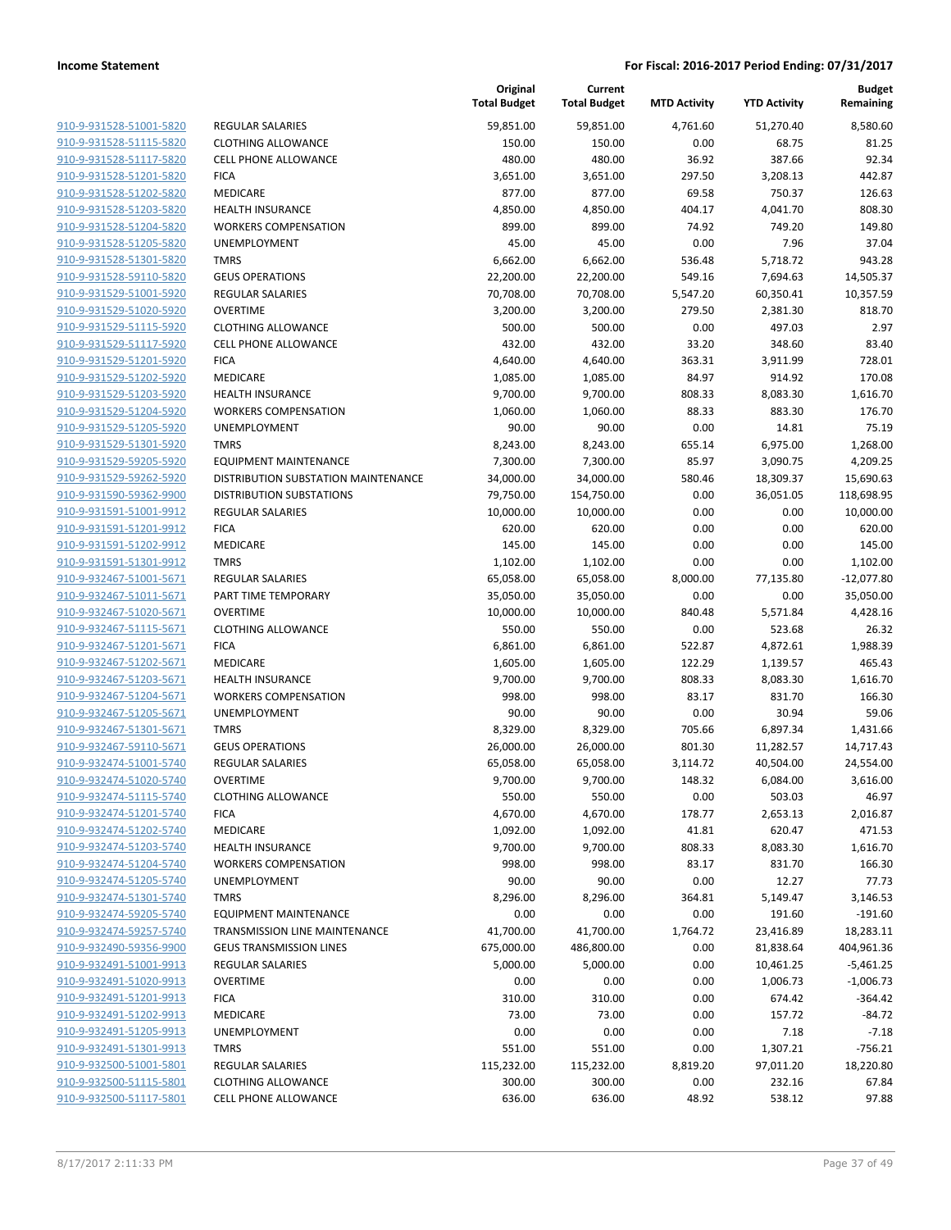|                         |                                     | Original<br><b>Total Budget</b> | Current<br><b>Total Budget</b> | <b>MTD Activity</b> | <b>YTD Activity</b> | Budget<br>Remaining |
|-------------------------|-------------------------------------|---------------------------------|--------------------------------|---------------------|---------------------|---------------------|
| 910-9-931528-51001-5820 | <b>REGULAR SALARIES</b>             | 59,851.00                       | 59,851.00                      | 4,761.60            | 51,270.40           | 8,580.60            |
| 910-9-931528-51115-5820 | <b>CLOTHING ALLOWANCE</b>           | 150.00                          | 150.00                         | 0.00                | 68.75               | 81.25               |
| 910-9-931528-51117-5820 | <b>CELL PHONE ALLOWANCE</b>         | 480.00                          | 480.00                         | 36.92               | 387.66              | 92.34               |
| 910-9-931528-51201-5820 | <b>FICA</b>                         | 3,651.00                        | 3,651.00                       | 297.50              | 3,208.13            | 442.87              |
| 910-9-931528-51202-5820 | MEDICARE                            | 877.00                          | 877.00                         | 69.58               | 750.37              | 126.63              |
| 910-9-931528-51203-5820 | <b>HEALTH INSURANCE</b>             | 4,850.00                        | 4,850.00                       | 404.17              | 4,041.70            | 808.30              |
| 910-9-931528-51204-5820 | <b>WORKERS COMPENSATION</b>         | 899.00                          | 899.00                         | 74.92               | 749.20              | 149.80              |
| 910-9-931528-51205-5820 | UNEMPLOYMENT                        | 45.00                           | 45.00                          | 0.00                | 7.96                | 37.04               |
| 910-9-931528-51301-5820 | <b>TMRS</b>                         | 6,662.00                        | 6,662.00                       | 536.48              | 5,718.72            | 943.28              |
| 910-9-931528-59110-5820 | <b>GEUS OPERATIONS</b>              | 22,200.00                       | 22,200.00                      | 549.16              | 7,694.63            | 14,505.37           |
| 910-9-931529-51001-5920 | <b>REGULAR SALARIES</b>             | 70,708.00                       | 70,708.00                      | 5,547.20            | 60,350.41           | 10,357.59           |
| 910-9-931529-51020-5920 | <b>OVERTIME</b>                     | 3,200.00                        | 3,200.00                       | 279.50              | 2,381.30            | 818.70              |
| 910-9-931529-51115-5920 | <b>CLOTHING ALLOWANCE</b>           | 500.00                          | 500.00                         | 0.00                | 497.03              | 2.97                |
| 910-9-931529-51117-5920 | <b>CELL PHONE ALLOWANCE</b>         | 432.00                          | 432.00                         | 33.20               | 348.60              | 83.40               |
| 910-9-931529-51201-5920 | <b>FICA</b>                         | 4,640.00                        | 4,640.00                       | 363.31              | 3,911.99            | 728.01              |
| 910-9-931529-51202-5920 | MEDICARE                            | 1,085.00                        | 1,085.00                       | 84.97               | 914.92              | 170.08              |
| 910-9-931529-51203-5920 | <b>HEALTH INSURANCE</b>             | 9,700.00                        | 9,700.00                       | 808.33              | 8,083.30            | 1,616.70            |
| 910-9-931529-51204-5920 | <b>WORKERS COMPENSATION</b>         | 1,060.00                        | 1,060.00                       | 88.33               | 883.30              | 176.70              |
| 910-9-931529-51205-5920 | UNEMPLOYMENT                        | 90.00                           | 90.00                          | 0.00                | 14.81               | 75.19               |
| 910-9-931529-51301-5920 | <b>TMRS</b>                         | 8,243.00                        | 8,243.00                       | 655.14              | 6,975.00            | 1,268.00            |
| 910-9-931529-59205-5920 | EQUIPMENT MAINTENANCE               | 7,300.00                        | 7,300.00                       | 85.97               | 3,090.75            | 4,209.25            |
| 910-9-931529-59262-5920 | DISTRIBUTION SUBSTATION MAINTENANCE | 34,000.00                       | 34,000.00                      | 580.46              | 18,309.37           | 15,690.63           |
| 910-9-931590-59362-9900 | <b>DISTRIBUTION SUBSTATIONS</b>     | 79,750.00                       | 154,750.00                     | 0.00                | 36,051.05           | 118,698.95          |
| 910-9-931591-51001-9912 | <b>REGULAR SALARIES</b>             | 10,000.00                       | 10,000.00                      | 0.00                | 0.00                | 10,000.00           |
| 910-9-931591-51201-9912 | <b>FICA</b>                         | 620.00                          | 620.00                         | 0.00                | 0.00                | 620.00              |
| 910-9-931591-51202-9912 | MEDICARE                            | 145.00                          | 145.00                         | 0.00                | 0.00                | 145.00              |
| 910-9-931591-51301-9912 | <b>TMRS</b>                         | 1,102.00                        | 1,102.00                       | 0.00                | 0.00                | 1,102.00            |
| 910-9-932467-51001-5671 | <b>REGULAR SALARIES</b>             | 65,058.00                       | 65,058.00                      | 8,000.00            | 77,135.80           | $-12,077.80$        |
| 910-9-932467-51011-5671 | PART TIME TEMPORARY                 | 35,050.00                       | 35,050.00                      | 0.00                | 0.00                | 35,050.00           |
| 910-9-932467-51020-5671 | <b>OVERTIME</b>                     | 10,000.00                       | 10,000.00                      | 840.48              | 5,571.84            | 4,428.16            |
| 910-9-932467-51115-5671 | <b>CLOTHING ALLOWANCE</b>           | 550.00                          | 550.00                         | 0.00                | 523.68              | 26.32               |
| 910-9-932467-51201-5671 | <b>FICA</b>                         | 6,861.00                        | 6,861.00                       | 522.87              | 4,872.61            | 1,988.39            |
| 910-9-932467-51202-5671 | MEDICARE                            | 1,605.00                        | 1,605.00                       | 122.29              | 1,139.57            | 465.43              |
| 910-9-932467-51203-5671 | <b>HEALTH INSURANCE</b>             | 9,700.00                        | 9,700.00                       | 808.33              | 8,083.30            | 1,616.70            |
| 910-9-932467-51204-5671 | <b>WORKERS COMPENSATION</b>         | 998.00                          | 998.00                         | 83.17               | 831.70              | 166.30              |
| 910-9-932467-51205-5671 | UNEMPLOYMENT                        | 90.00                           | 90.00                          | 0.00                | 30.94               | 59.06               |
| 910-9-932467-51301-5671 | <b>TMRS</b>                         | 8,329.00                        | 8,329.00                       | 705.66              | 6,897.34            | 1,431.66            |
| 910-9-932467-59110-5671 | <b>GEUS OPERATIONS</b>              | 26,000.00                       | 26,000.00                      | 801.30              | 11,282.57           | 14,717.43           |
| 910-9-932474-51001-5740 | <b>REGULAR SALARIES</b>             | 65,058.00                       | 65,058.00                      | 3,114.72            | 40,504.00           | 24,554.00           |
| 910-9-932474-51020-5740 | <b>OVERTIME</b>                     | 9,700.00                        | 9,700.00                       | 148.32              | 6,084.00            | 3,616.00            |
| 910-9-932474-51115-5740 | <b>CLOTHING ALLOWANCE</b>           | 550.00                          | 550.00                         | 0.00                | 503.03              | 46.97               |
| 910-9-932474-51201-5740 | <b>FICA</b>                         | 4,670.00                        | 4,670.00                       | 178.77              | 2,653.13            | 2,016.87            |
| 910-9-932474-51202-5740 | MEDICARE                            | 1,092.00                        | 1,092.00                       | 41.81               | 620.47              | 471.53              |
| 910-9-932474-51203-5740 | <b>HEALTH INSURANCE</b>             | 9,700.00                        | 9,700.00                       | 808.33              | 8,083.30            | 1,616.70            |
| 910-9-932474-51204-5740 | <b>WORKERS COMPENSATION</b>         | 998.00                          | 998.00                         | 83.17               | 831.70              | 166.30              |
| 910-9-932474-51205-5740 | <b>UNEMPLOYMENT</b>                 | 90.00                           | 90.00                          | 0.00                | 12.27               | 77.73               |
| 910-9-932474-51301-5740 | <b>TMRS</b>                         | 8,296.00                        | 8,296.00                       | 364.81              | 5,149.47            | 3,146.53            |
| 910-9-932474-59205-5740 | <b>EQUIPMENT MAINTENANCE</b>        | 0.00                            | 0.00                           | 0.00                | 191.60              | $-191.60$           |
| 910-9-932474-59257-5740 | TRANSMISSION LINE MAINTENANCE       | 41,700.00                       | 41,700.00                      | 1,764.72            | 23,416.89           | 18,283.11           |
| 910-9-932490-59356-9900 | <b>GEUS TRANSMISSION LINES</b>      | 675,000.00                      | 486,800.00                     | 0.00                | 81,838.64           | 404,961.36          |
| 910-9-932491-51001-9913 | <b>REGULAR SALARIES</b>             | 5,000.00                        | 5,000.00                       | 0.00                | 10,461.25           | $-5,461.25$         |
| 910-9-932491-51020-9913 | <b>OVERTIME</b>                     | 0.00                            | 0.00                           | 0.00                | 1,006.73            | $-1,006.73$         |
| 910-9-932491-51201-9913 | <b>FICA</b>                         | 310.00                          | 310.00                         | 0.00                | 674.42              | $-364.42$           |
| 910-9-932491-51202-9913 | MEDICARE                            | 73.00                           | 73.00                          | 0.00                | 157.72              | $-84.72$            |
| 910-9-932491-51205-9913 | UNEMPLOYMENT                        | 0.00                            | 0.00                           | 0.00                | 7.18                | $-7.18$             |
| 910-9-932491-51301-9913 | <b>TMRS</b>                         | 551.00                          | 551.00                         | 0.00                | 1,307.21            | $-756.21$           |
| 910-9-932500-51001-5801 | REGULAR SALARIES                    | 115,232.00                      | 115,232.00                     | 8,819.20            | 97,011.20           | 18,220.80           |
| 910-9-932500-51115-5801 | <b>CLOTHING ALLOWANCE</b>           | 300.00                          | 300.00                         | 0.00                | 232.16              | 67.84               |
| 910-9-932500-51117-5801 | <b>CELL PHONE ALLOWANCE</b>         | 636.00                          | 636.00                         | 48.92               | 538.12              | 97.88               |
|                         |                                     |                                 |                                |                     |                     |                     |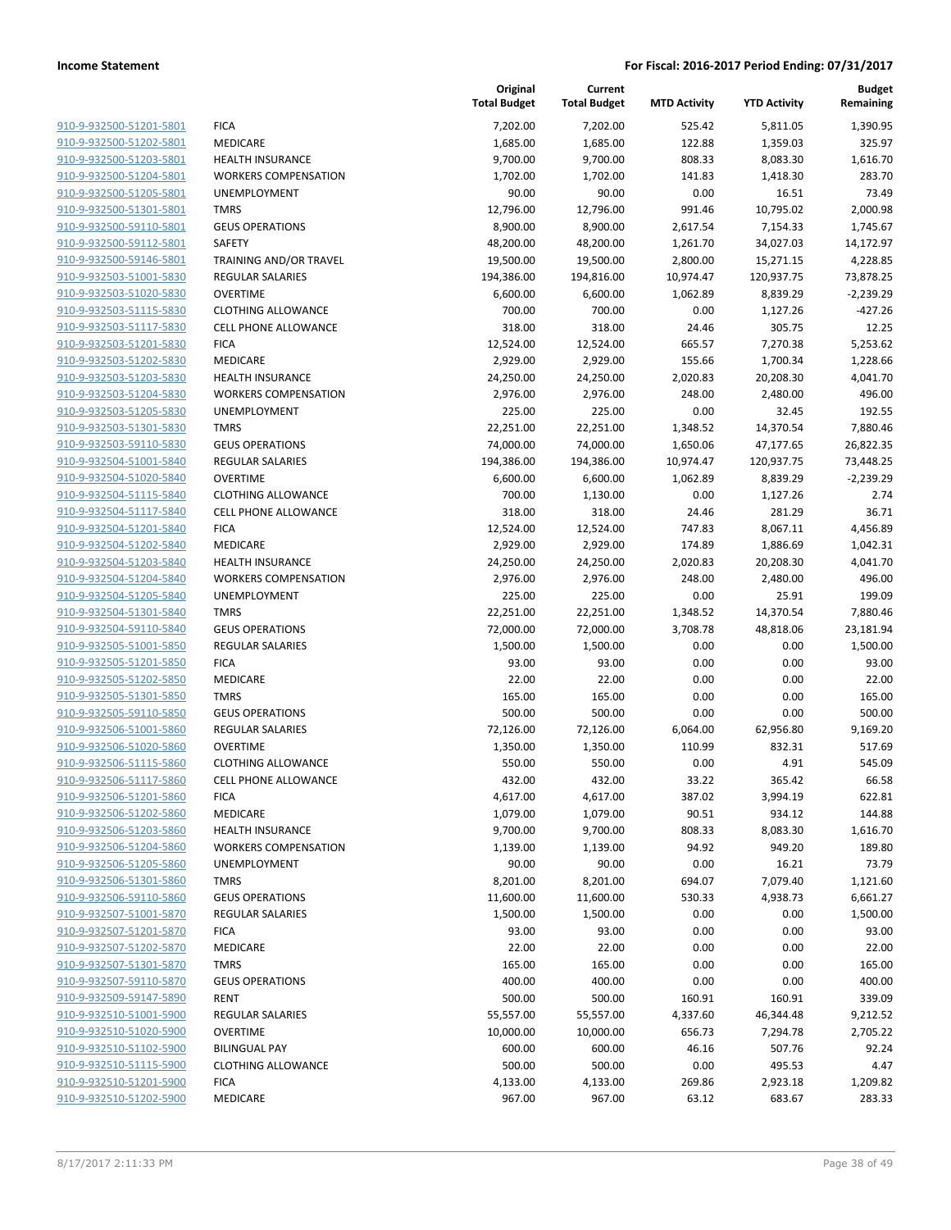|                         |                               | Original<br><b>Total Budget</b> | Current<br><b>Total Budget</b> | <b>MTD Activity</b> | <b>YTD Activity</b> | <b>Budget</b><br>Remaining |
|-------------------------|-------------------------------|---------------------------------|--------------------------------|---------------------|---------------------|----------------------------|
| 910-9-932500-51201-5801 | <b>FICA</b>                   | 7,202.00                        | 7,202.00                       | 525.42              | 5,811.05            | 1,390.95                   |
| 910-9-932500-51202-5801 | MEDICARE                      | 1,685.00                        | 1,685.00                       | 122.88              | 1,359.03            | 325.97                     |
| 910-9-932500-51203-5801 | <b>HEALTH INSURANCE</b>       | 9,700.00                        | 9,700.00                       | 808.33              | 8,083.30            | 1,616.70                   |
| 910-9-932500-51204-5801 | <b>WORKERS COMPENSATION</b>   | 1,702.00                        | 1,702.00                       | 141.83              | 1,418.30            | 283.70                     |
| 910-9-932500-51205-5801 | UNEMPLOYMENT                  | 90.00                           | 90.00                          | 0.00                | 16.51               | 73.49                      |
| 910-9-932500-51301-5801 | <b>TMRS</b>                   | 12,796.00                       | 12,796.00                      | 991.46              | 10,795.02           | 2,000.98                   |
| 910-9-932500-59110-5801 | <b>GEUS OPERATIONS</b>        | 8,900.00                        | 8,900.00                       | 2,617.54            | 7,154.33            | 1,745.67                   |
| 910-9-932500-59112-5801 | SAFETY                        | 48,200.00                       | 48,200.00                      | 1,261.70            | 34,027.03           | 14,172.97                  |
| 910-9-932500-59146-5801 | <b>TRAINING AND/OR TRAVEL</b> | 19,500.00                       | 19,500.00                      | 2,800.00            | 15,271.15           | 4,228.85                   |
| 910-9-932503-51001-5830 | REGULAR SALARIES              | 194,386.00                      | 194,816.00                     | 10,974.47           | 120,937.75          | 73,878.25                  |
| 910-9-932503-51020-5830 | <b>OVERTIME</b>               | 6,600.00                        | 6,600.00                       | 1,062.89            | 8,839.29            | $-2,239.29$                |
| 910-9-932503-51115-5830 | <b>CLOTHING ALLOWANCE</b>     | 700.00                          | 700.00                         | 0.00                | 1,127.26            | $-427.26$                  |
| 910-9-932503-51117-5830 | <b>CELL PHONE ALLOWANCE</b>   | 318.00                          | 318.00                         | 24.46               | 305.75              | 12.25                      |
| 910-9-932503-51201-5830 | <b>FICA</b>                   | 12,524.00                       | 12,524.00                      | 665.57              | 7,270.38            | 5,253.62                   |
| 910-9-932503-51202-5830 | MEDICARE                      | 2,929.00                        | 2,929.00                       | 155.66              | 1,700.34            | 1,228.66                   |
| 910-9-932503-51203-5830 | <b>HEALTH INSURANCE</b>       | 24,250.00                       | 24,250.00                      | 2,020.83            | 20,208.30           | 4,041.70                   |
| 910-9-932503-51204-5830 | <b>WORKERS COMPENSATION</b>   | 2,976.00                        | 2,976.00                       | 248.00              | 2,480.00            | 496.00                     |
| 910-9-932503-51205-5830 | UNEMPLOYMENT                  | 225.00                          | 225.00                         | 0.00                | 32.45               | 192.55                     |
| 910-9-932503-51301-5830 | <b>TMRS</b>                   | 22,251.00                       | 22,251.00                      | 1,348.52            | 14,370.54           | 7,880.46                   |
| 910-9-932503-59110-5830 | <b>GEUS OPERATIONS</b>        | 74,000.00                       | 74,000.00                      | 1,650.06            | 47,177.65           | 26,822.35                  |
| 910-9-932504-51001-5840 | <b>REGULAR SALARIES</b>       | 194,386.00                      | 194,386.00                     | 10,974.47           | 120,937.75          | 73,448.25                  |
| 910-9-932504-51020-5840 | <b>OVERTIME</b>               | 6,600.00                        | 6,600.00                       | 1,062.89            | 8,839.29            | $-2,239.29$                |
| 910-9-932504-51115-5840 | <b>CLOTHING ALLOWANCE</b>     | 700.00                          | 1,130.00                       | 0.00                | 1,127.26            | 2.74                       |
| 910-9-932504-51117-5840 | <b>CELL PHONE ALLOWANCE</b>   | 318.00                          | 318.00                         | 24.46               | 281.29              | 36.71                      |
| 910-9-932504-51201-5840 | <b>FICA</b>                   | 12,524.00                       | 12,524.00                      | 747.83              | 8,067.11            | 4,456.89                   |
| 910-9-932504-51202-5840 | MEDICARE                      | 2,929.00                        | 2,929.00                       | 174.89              | 1,886.69            | 1,042.31                   |
| 910-9-932504-51203-5840 | <b>HEALTH INSURANCE</b>       | 24,250.00                       | 24,250.00                      | 2,020.83            | 20,208.30           | 4,041.70                   |
| 910-9-932504-51204-5840 | <b>WORKERS COMPENSATION</b>   | 2,976.00                        | 2,976.00                       | 248.00              | 2,480.00            | 496.00                     |
| 910-9-932504-51205-5840 | UNEMPLOYMENT                  | 225.00                          | 225.00                         | 0.00                | 25.91               | 199.09                     |
| 910-9-932504-51301-5840 | <b>TMRS</b>                   | 22,251.00                       | 22,251.00                      | 1,348.52            | 14,370.54           | 7,880.46                   |
| 910-9-932504-59110-5840 | <b>GEUS OPERATIONS</b>        | 72,000.00                       | 72,000.00                      | 3,708.78            | 48,818.06           | 23,181.94                  |
| 910-9-932505-51001-5850 | <b>REGULAR SALARIES</b>       | 1,500.00                        | 1,500.00                       | 0.00                | 0.00                | 1,500.00                   |
| 910-9-932505-51201-5850 | <b>FICA</b>                   | 93.00                           | 93.00                          | 0.00                | 0.00                | 93.00                      |
| 910-9-932505-51202-5850 | MEDICARE                      | 22.00                           | 22.00                          | 0.00                | 0.00                | 22.00                      |
| 910-9-932505-51301-5850 | <b>TMRS</b>                   | 165.00                          | 165.00                         | 0.00                | 0.00                | 165.00                     |
|                         | <b>GEUS OPERATIONS</b>        |                                 |                                |                     |                     | 500.00                     |
| 910-9-932505-59110-5850 |                               | 500.00                          | 500.00                         | 0.00                | 0.00                |                            |
| 910-9-932506-51001-5860 | <b>REGULAR SALARIES</b>       | 72,126.00                       | 72,126.00                      | 6,064.00            | 62,956.80           | 9,169.20                   |
| 910-9-932506-51020-5860 | <b>OVERTIME</b>               | 1,350.00                        | 1,350.00                       | 110.99              | 832.31              | 517.69                     |
| 910-9-932506-51115-5860 | <b>CLOTHING ALLOWANCE</b>     | 550.00                          | 550.00                         | 0.00                | 4.91                | 545.09                     |
| 910-9-932506-51117-5860 | <b>CELL PHONE ALLOWANCE</b>   | 432.00                          | 432.00                         | 33.22               | 365.42              | 66.58                      |
| 910-9-932506-51201-5860 | <b>FICA</b>                   | 4,617.00                        | 4,617.00                       | 387.02              | 3,994.19            | 622.81                     |
| 910-9-932506-51202-5860 | <b>MEDICARE</b>               | 1,079.00                        | 1,079.00                       | 90.51               | 934.12              | 144.88                     |
| 910-9-932506-51203-5860 | <b>HEALTH INSURANCE</b>       | 9,700.00                        | 9,700.00                       | 808.33              | 8,083.30            | 1,616.70                   |
| 910-9-932506-51204-5860 | <b>WORKERS COMPENSATION</b>   | 1,139.00                        | 1,139.00                       | 94.92               | 949.20              | 189.80                     |
| 910-9-932506-51205-5860 | UNEMPLOYMENT                  | 90.00                           | 90.00                          | 0.00                | 16.21               | 73.79                      |
| 910-9-932506-51301-5860 | <b>TMRS</b>                   | 8,201.00                        | 8,201.00                       | 694.07              | 7,079.40            | 1,121.60                   |
| 910-9-932506-59110-5860 | <b>GEUS OPERATIONS</b>        | 11,600.00                       | 11,600.00                      | 530.33              | 4,938.73            | 6,661.27                   |
| 910-9-932507-51001-5870 | REGULAR SALARIES              | 1,500.00                        | 1,500.00                       | 0.00                | 0.00                | 1,500.00                   |
| 910-9-932507-51201-5870 | <b>FICA</b>                   | 93.00                           | 93.00                          | 0.00                | 0.00                | 93.00                      |
| 910-9-932507-51202-5870 | MEDICARE                      | 22.00                           | 22.00                          | 0.00                | 0.00                | 22.00                      |
| 910-9-932507-51301-5870 | <b>TMRS</b>                   | 165.00                          | 165.00                         | 0.00                | 0.00                | 165.00                     |
| 910-9-932507-59110-5870 | <b>GEUS OPERATIONS</b>        | 400.00                          | 400.00                         | 0.00                | 0.00                | 400.00                     |
| 910-9-932509-59147-5890 | <b>RENT</b>                   | 500.00                          | 500.00                         | 160.91              | 160.91              | 339.09                     |
| 910-9-932510-51001-5900 | <b>REGULAR SALARIES</b>       | 55,557.00                       | 55,557.00                      | 4,337.60            | 46,344.48           | 9,212.52                   |
| 910-9-932510-51020-5900 | <b>OVERTIME</b>               | 10,000.00                       | 10,000.00                      | 656.73              | 7,294.78            | 2,705.22                   |
| 910-9-932510-51102-5900 | <b>BILINGUAL PAY</b>          | 600.00                          | 600.00                         | 46.16               | 507.76              | 92.24                      |
| 910-9-932510-51115-5900 | <b>CLOTHING ALLOWANCE</b>     | 500.00                          | 500.00                         | 0.00                | 495.53              | 4.47                       |
| 910-9-932510-51201-5900 | <b>FICA</b>                   | 4,133.00                        | 4,133.00                       | 269.86              | 2,923.18            | 1,209.82                   |
| 910-9-932510-51202-5900 | MEDICARE                      | 967.00                          | 967.00                         | 63.12               | 683.67              | 283.33                     |
|                         |                               |                                 |                                |                     |                     |                            |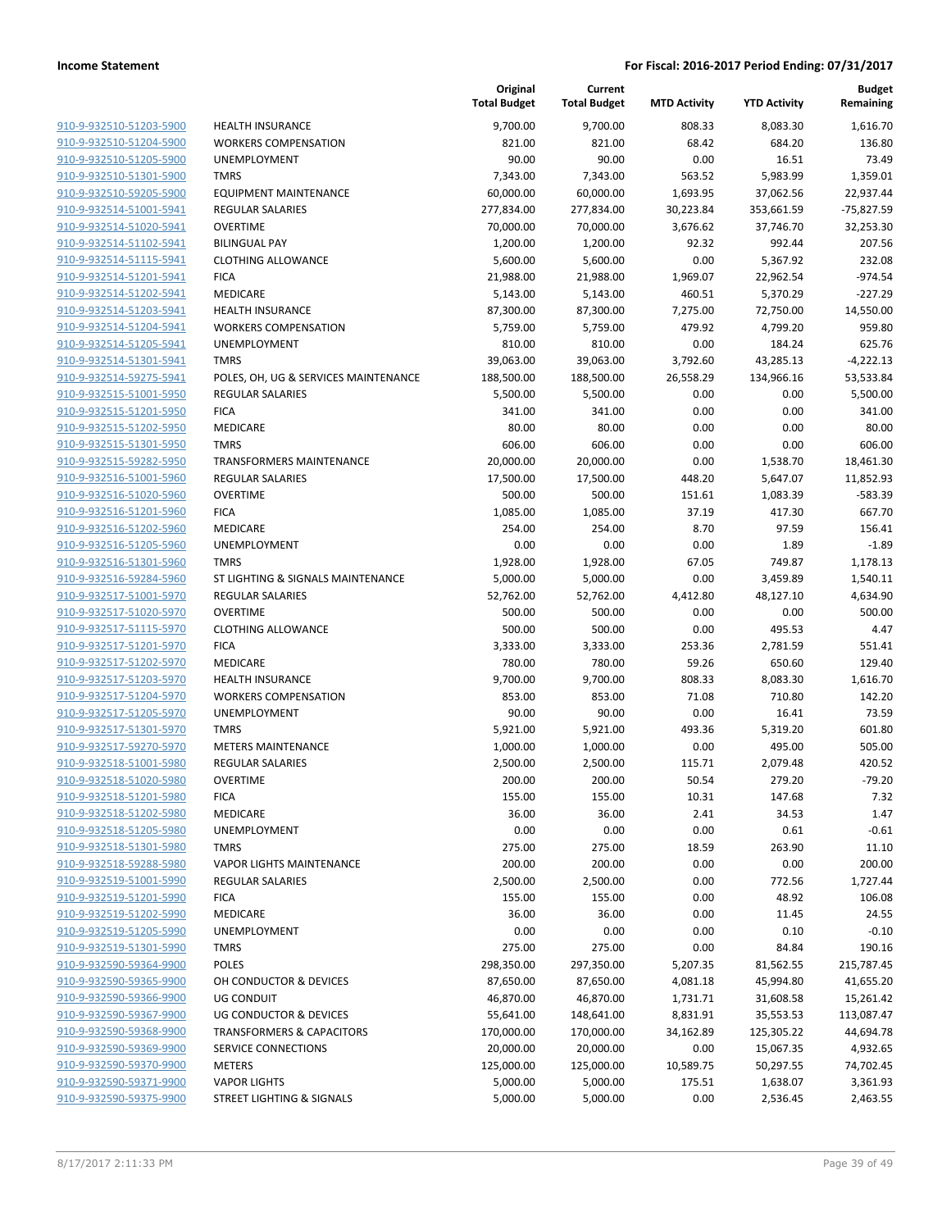|                                                    |                                          | Original<br><b>Total Budget</b> | Current<br><b>Total Budget</b> | <b>MTD Activity</b> | <b>YTD Activity</b> | <b>Budget</b><br>Remaining |
|----------------------------------------------------|------------------------------------------|---------------------------------|--------------------------------|---------------------|---------------------|----------------------------|
| 910-9-932510-51203-5900                            | <b>HEALTH INSURANCE</b>                  | 9,700.00                        | 9,700.00                       | 808.33              | 8,083.30            | 1,616.70                   |
| 910-9-932510-51204-5900                            | <b>WORKERS COMPENSATION</b>              | 821.00                          | 821.00                         | 68.42               | 684.20              | 136.80                     |
| 910-9-932510-51205-5900                            | UNEMPLOYMENT                             | 90.00                           | 90.00                          | 0.00                | 16.51               | 73.49                      |
| 910-9-932510-51301-5900                            | <b>TMRS</b>                              | 7,343.00                        | 7,343.00                       | 563.52              | 5,983.99            | 1,359.01                   |
| 910-9-932510-59205-5900                            | <b>EQUIPMENT MAINTENANCE</b>             | 60,000.00                       | 60,000.00                      | 1,693.95            | 37,062.56           | 22,937.44                  |
| 910-9-932514-51001-5941                            | REGULAR SALARIES                         | 277,834.00                      | 277,834.00                     | 30,223.84           | 353,661.59          | $-75,827.59$               |
| 910-9-932514-51020-5941                            | <b>OVERTIME</b>                          | 70,000.00                       | 70,000.00                      | 3,676.62            | 37,746.70           | 32,253.30                  |
| 910-9-932514-51102-5941                            | <b>BILINGUAL PAY</b>                     | 1,200.00                        | 1,200.00                       | 92.32               | 992.44              | 207.56                     |
| 910-9-932514-51115-5941                            | <b>CLOTHING ALLOWANCE</b>                | 5,600.00                        | 5,600.00                       | 0.00                | 5,367.92            | 232.08                     |
| 910-9-932514-51201-5941                            | <b>FICA</b>                              | 21,988.00                       | 21,988.00                      | 1,969.07            | 22,962.54           | $-974.54$                  |
| 910-9-932514-51202-5941                            | MEDICARE                                 | 5,143.00                        | 5,143.00                       | 460.51              | 5,370.29            | $-227.29$                  |
| 910-9-932514-51203-5941                            | <b>HEALTH INSURANCE</b>                  | 87,300.00                       | 87,300.00                      | 7,275.00            | 72,750.00           | 14,550.00                  |
| 910-9-932514-51204-5941                            | <b>WORKERS COMPENSATION</b>              | 5,759.00                        | 5,759.00                       | 479.92              | 4,799.20            | 959.80                     |
| 910-9-932514-51205-5941                            | UNEMPLOYMENT                             | 810.00                          | 810.00                         | 0.00                | 184.24              | 625.76                     |
| 910-9-932514-51301-5941                            | <b>TMRS</b>                              | 39,063.00                       | 39,063.00                      | 3,792.60            | 43,285.13           | $-4,222.13$                |
| 910-9-932514-59275-5941                            | POLES, OH, UG & SERVICES MAINTENANCE     | 188,500.00                      | 188,500.00                     | 26,558.29           | 134,966.16          | 53,533.84                  |
| 910-9-932515-51001-5950                            | <b>REGULAR SALARIES</b>                  | 5,500.00                        | 5,500.00                       | 0.00                | 0.00                | 5,500.00                   |
| 910-9-932515-51201-5950                            | <b>FICA</b>                              | 341.00                          | 341.00                         | 0.00                | 0.00                | 341.00                     |
| 910-9-932515-51202-5950                            | MEDICARE                                 | 80.00                           | 80.00                          | 0.00                | 0.00                | 80.00                      |
| 910-9-932515-51301-5950                            | <b>TMRS</b>                              | 606.00                          | 606.00                         | 0.00                | 0.00                | 606.00                     |
| 910-9-932515-59282-5950                            | TRANSFORMERS MAINTENANCE                 | 20,000.00                       | 20,000.00                      | 0.00                | 1,538.70            | 18,461.30                  |
| 910-9-932516-51001-5960                            | REGULAR SALARIES                         | 17,500.00                       | 17,500.00                      | 448.20              | 5,647.07            | 11,852.93                  |
| 910-9-932516-51020-5960                            | <b>OVERTIME</b>                          | 500.00                          | 500.00                         | 151.61              | 1,083.39            | $-583.39$                  |
| 910-9-932516-51201-5960                            | <b>FICA</b>                              | 1,085.00                        | 1,085.00                       | 37.19               | 417.30              | 667.70                     |
| 910-9-932516-51202-5960                            | <b>MEDICARE</b>                          | 254.00                          | 254.00                         | 8.70                | 97.59               | 156.41                     |
| 910-9-932516-51205-5960                            | UNEMPLOYMENT                             | 0.00                            | 0.00                           | 0.00                | 1.89                | $-1.89$                    |
| 910-9-932516-51301-5960                            | <b>TMRS</b>                              | 1,928.00                        | 1,928.00                       | 67.05               | 749.87              | 1,178.13                   |
| 910-9-932516-59284-5960                            | ST LIGHTING & SIGNALS MAINTENANCE        | 5,000.00                        | 5,000.00                       | 0.00                | 3,459.89            | 1,540.11                   |
| 910-9-932517-51001-5970                            | <b>REGULAR SALARIES</b>                  | 52,762.00                       | 52,762.00                      | 4,412.80            | 48,127.10           | 4,634.90                   |
| 910-9-932517-51020-5970                            | <b>OVERTIME</b>                          | 500.00                          | 500.00                         | 0.00                | 0.00                | 500.00                     |
| 910-9-932517-51115-5970                            | <b>CLOTHING ALLOWANCE</b>                | 500.00                          | 500.00                         | 0.00                | 495.53              | 4.47                       |
| 910-9-932517-51201-5970                            | <b>FICA</b>                              | 3,333.00                        | 3,333.00                       | 253.36              | 2,781.59            | 551.41                     |
| 910-9-932517-51202-5970                            | MEDICARE                                 | 780.00                          | 780.00                         | 59.26               | 650.60              | 129.40                     |
| 910-9-932517-51203-5970                            | <b>HEALTH INSURANCE</b>                  | 9,700.00                        | 9,700.00                       | 808.33              | 8,083.30            | 1,616.70                   |
| 910-9-932517-51204-5970                            | <b>WORKERS COMPENSATION</b>              | 853.00                          | 853.00                         | 71.08               | 710.80              | 142.20                     |
| 910-9-932517-51205-5970                            | UNEMPLOYMENT                             | 90.00<br>5,921.00               | 90.00                          | 0.00                | 16.41               | 73.59                      |
| 910-9-932517-51301-5970<br>910-9-932517-59270-5970 | <b>TMRS</b><br><b>METERS MAINTENANCE</b> |                                 | 5,921.00                       | 493.36              | 5,319.20            | 601.80                     |
| 910-9-932518-51001-5980                            | <b>REGULAR SALARIES</b>                  | 1,000.00<br>2,500.00            | 1,000.00<br>2,500.00           | 0.00<br>115.71      | 495.00<br>2,079.48  | 505.00<br>420.52           |
| 910-9-932518-51020-5980                            | <b>OVERTIME</b>                          | 200.00                          | 200.00                         | 50.54               | 279.20              | $-79.20$                   |
| 910-9-932518-51201-5980                            | <b>FICA</b>                              | 155.00                          | 155.00                         | 10.31               | 147.68              | 7.32                       |
| 910-9-932518-51202-5980                            | MEDICARE                                 | 36.00                           | 36.00                          | 2.41                | 34.53               | 1.47                       |
| 910-9-932518-51205-5980                            | <b>UNEMPLOYMENT</b>                      | 0.00                            | 0.00                           | 0.00                | 0.61                | $-0.61$                    |
| 910-9-932518-51301-5980                            | <b>TMRS</b>                              | 275.00                          | 275.00                         | 18.59               | 263.90              | 11.10                      |
| 910-9-932518-59288-5980                            | <b>VAPOR LIGHTS MAINTENANCE</b>          | 200.00                          | 200.00                         | 0.00                | 0.00                | 200.00                     |
| 910-9-932519-51001-5990                            | REGULAR SALARIES                         | 2,500.00                        | 2,500.00                       | 0.00                | 772.56              | 1,727.44                   |
| 910-9-932519-51201-5990                            | <b>FICA</b>                              | 155.00                          | 155.00                         | 0.00                | 48.92               | 106.08                     |
| 910-9-932519-51202-5990                            | MEDICARE                                 | 36.00                           | 36.00                          | 0.00                | 11.45               | 24.55                      |
| 910-9-932519-51205-5990                            | UNEMPLOYMENT                             | 0.00                            | 0.00                           | 0.00                | 0.10                | $-0.10$                    |
| 910-9-932519-51301-5990                            | <b>TMRS</b>                              | 275.00                          | 275.00                         | 0.00                | 84.84               | 190.16                     |
| 910-9-932590-59364-9900                            | <b>POLES</b>                             | 298,350.00                      | 297,350.00                     | 5,207.35            | 81,562.55           | 215,787.45                 |
| 910-9-932590-59365-9900                            | OH CONDUCTOR & DEVICES                   | 87,650.00                       | 87,650.00                      | 4,081.18            | 45,994.80           | 41,655.20                  |
| 910-9-932590-59366-9900                            | <b>UG CONDUIT</b>                        | 46,870.00                       | 46,870.00                      | 1,731.71            | 31,608.58           | 15,261.42                  |
| 910-9-932590-59367-9900                            | <b>UG CONDUCTOR &amp; DEVICES</b>        | 55,641.00                       | 148,641.00                     | 8,831.91            | 35,553.53           | 113,087.47                 |
| 910-9-932590-59368-9900                            | TRANSFORMERS & CAPACITORS                | 170,000.00                      | 170,000.00                     | 34,162.89           | 125,305.22          | 44,694.78                  |
| 910-9-932590-59369-9900                            | SERVICE CONNECTIONS                      | 20,000.00                       | 20,000.00                      | 0.00                | 15,067.35           | 4,932.65                   |
| 910-9-932590-59370-9900                            | <b>METERS</b>                            | 125,000.00                      | 125,000.00                     | 10,589.75           | 50,297.55           | 74,702.45                  |
| 910-9-932590-59371-9900                            | <b>VAPOR LIGHTS</b>                      | 5,000.00                        | 5,000.00                       | 175.51              | 1,638.07            | 3,361.93                   |
| 910-9-932590-59375-9900                            | <b>STREET LIGHTING &amp; SIGNALS</b>     | 5,000.00                        | 5,000.00                       | 0.00                | 2,536.45            | 2,463.55                   |
|                                                    |                                          |                                 |                                |                     |                     |                            |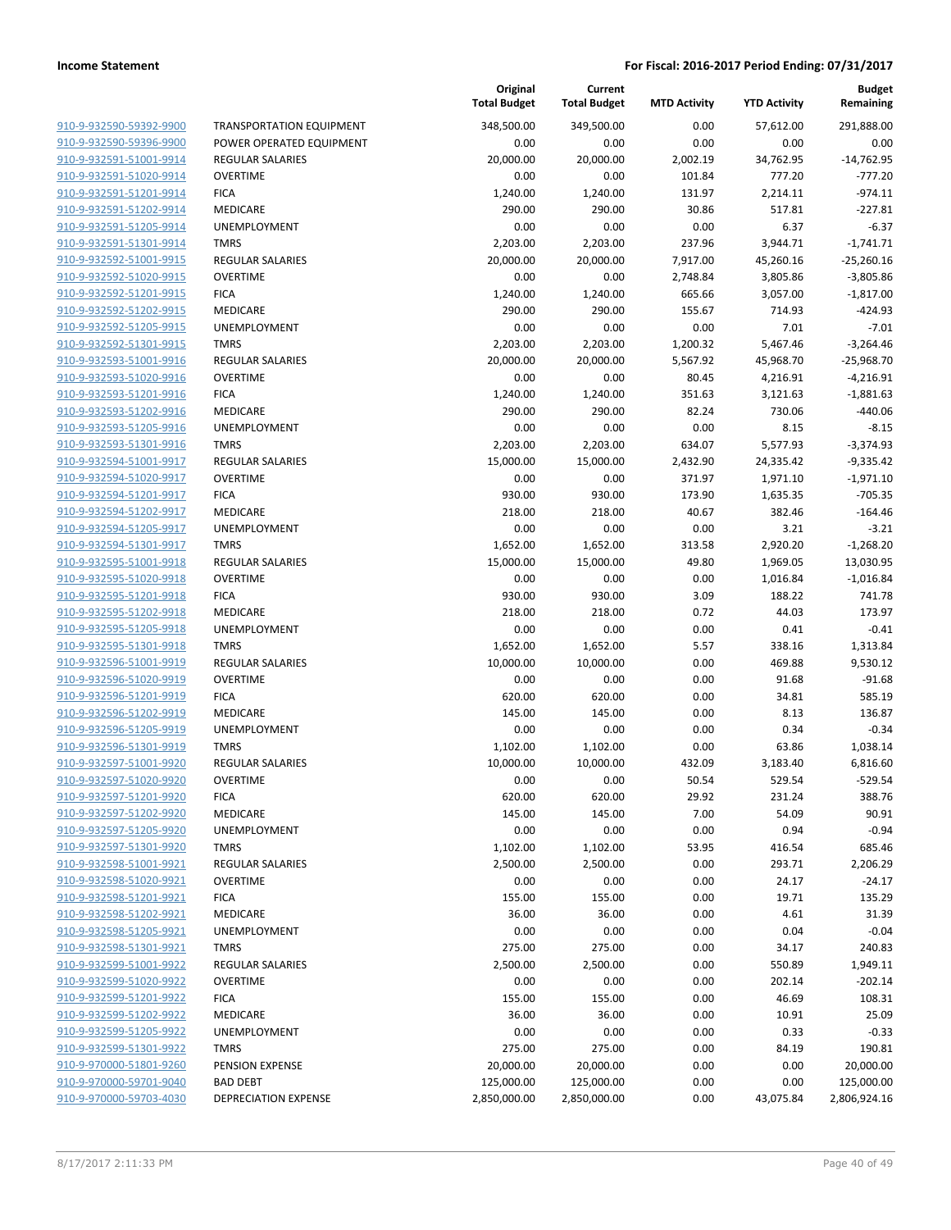|                         |                                 | Original<br><b>Total Budget</b> | Current<br><b>Total Budget</b> | <b>MTD Activity</b> | <b>YTD Activity</b> | Budget<br>Remaining |
|-------------------------|---------------------------------|---------------------------------|--------------------------------|---------------------|---------------------|---------------------|
| 910-9-932590-59392-9900 | <b>TRANSPORTATION EQUIPMENT</b> | 348,500.00                      | 349,500.00                     | 0.00                | 57,612.00           | 291,888.00          |
| 910-9-932590-59396-9900 | POWER OPERATED EQUIPMENT        | 0.00                            | 0.00                           | 0.00                | 0.00                | 0.00                |
| 910-9-932591-51001-9914 | <b>REGULAR SALARIES</b>         | 20,000.00                       | 20,000.00                      | 2,002.19            | 34,762.95           | $-14,762.95$        |
| 910-9-932591-51020-9914 | <b>OVERTIME</b>                 | 0.00                            | 0.00                           | 101.84              | 777.20              | $-777.20$           |
| 910-9-932591-51201-9914 | <b>FICA</b>                     | 1,240.00                        | 1,240.00                       | 131.97              | 2,214.11            | $-974.11$           |
| 910-9-932591-51202-9914 | MEDICARE                        | 290.00                          | 290.00                         | 30.86               | 517.81              | $-227.81$           |
| 910-9-932591-51205-9914 | UNEMPLOYMENT                    | 0.00                            | 0.00                           | 0.00                | 6.37                | $-6.37$             |
| 910-9-932591-51301-9914 | <b>TMRS</b>                     | 2,203.00                        | 2,203.00                       | 237.96              | 3,944.71            | $-1,741.71$         |
| 910-9-932592-51001-9915 | <b>REGULAR SALARIES</b>         | 20,000.00                       | 20,000.00                      | 7,917.00            | 45,260.16           | $-25,260.16$        |
| 910-9-932592-51020-9915 | <b>OVERTIME</b>                 | 0.00                            | 0.00                           | 2,748.84            | 3,805.86            | $-3,805.86$         |
| 910-9-932592-51201-9915 | <b>FICA</b>                     | 1,240.00                        | 1,240.00                       | 665.66              | 3,057.00            | $-1,817.00$         |
| 910-9-932592-51202-9915 | MEDICARE                        | 290.00                          | 290.00                         | 155.67              | 714.93              | $-424.93$           |
| 910-9-932592-51205-9915 | UNEMPLOYMENT                    | 0.00                            | 0.00                           | 0.00                | 7.01                | $-7.01$             |
| 910-9-932592-51301-9915 | <b>TMRS</b>                     | 2,203.00                        | 2,203.00                       | 1,200.32            | 5,467.46            | $-3,264.46$         |
| 910-9-932593-51001-9916 | <b>REGULAR SALARIES</b>         | 20,000.00                       | 20,000.00                      | 5,567.92            | 45,968.70           | $-25,968.70$        |
| 910-9-932593-51020-9916 | <b>OVERTIME</b>                 | 0.00                            | 0.00                           | 80.45               | 4,216.91            | $-4,216.91$         |
| 910-9-932593-51201-9916 | <b>FICA</b>                     | 1,240.00                        | 1,240.00                       | 351.63              | 3,121.63            | $-1,881.63$         |
| 910-9-932593-51202-9916 | <b>MEDICARE</b>                 | 290.00                          | 290.00                         | 82.24               | 730.06              | $-440.06$           |
| 910-9-932593-51205-9916 | UNEMPLOYMENT                    | 0.00                            | 0.00                           | 0.00                | 8.15                | $-8.15$             |
| 910-9-932593-51301-9916 | <b>TMRS</b>                     | 2,203.00                        | 2,203.00                       | 634.07              | 5,577.93            | $-3,374.93$         |
| 910-9-932594-51001-9917 | REGULAR SALARIES                | 15,000.00                       | 15,000.00                      | 2,432.90            | 24,335.42           | $-9,335.42$         |
| 910-9-932594-51020-9917 | <b>OVERTIME</b>                 | 0.00                            | 0.00                           | 371.97              | 1,971.10            | $-1,971.10$         |
| 910-9-932594-51201-9917 | <b>FICA</b>                     | 930.00                          | 930.00                         | 173.90              | 1,635.35            | $-705.35$           |
| 910-9-932594-51202-9917 | <b>MEDICARE</b>                 | 218.00                          | 218.00                         | 40.67               | 382.46              | $-164.46$           |
| 910-9-932594-51205-9917 | UNEMPLOYMENT                    | 0.00                            | 0.00                           | 0.00                | 3.21                | $-3.21$             |
| 910-9-932594-51301-9917 | <b>TMRS</b>                     | 1,652.00                        | 1,652.00                       | 313.58              | 2,920.20            | $-1,268.20$         |
| 910-9-932595-51001-9918 | <b>REGULAR SALARIES</b>         | 15,000.00                       | 15,000.00                      | 49.80               | 1,969.05            | 13,030.95           |
| 910-9-932595-51020-9918 | <b>OVERTIME</b>                 | 0.00                            | 0.00                           | 0.00                | 1,016.84            | $-1,016.84$         |
| 910-9-932595-51201-9918 | <b>FICA</b>                     | 930.00                          | 930.00                         | 3.09                | 188.22              | 741.78              |
| 910-9-932595-51202-9918 | MEDICARE                        | 218.00                          | 218.00                         | 0.72                | 44.03               | 173.97              |
| 910-9-932595-51205-9918 | UNEMPLOYMENT                    | 0.00                            | 0.00                           | 0.00                | 0.41                | $-0.41$             |
| 910-9-932595-51301-9918 | <b>TMRS</b>                     | 1,652.00                        | 1,652.00                       | 5.57                | 338.16              | 1,313.84            |
| 910-9-932596-51001-9919 | <b>REGULAR SALARIES</b>         | 10,000.00                       | 10,000.00                      | 0.00                | 469.88              | 9,530.12            |
| 910-9-932596-51020-9919 | <b>OVERTIME</b>                 | 0.00                            | 0.00                           | 0.00                | 91.68               | $-91.68$            |
| 910-9-932596-51201-9919 | <b>FICA</b>                     | 620.00                          | 620.00                         | 0.00                | 34.81               | 585.19              |
| 910-9-932596-51202-9919 | MEDICARE                        | 145.00                          | 145.00                         | 0.00                | 8.13                | 136.87              |
| 910-9-932596-51205-9919 | <b>UNEMPLOYMENT</b>             | 0.00                            | 0.00                           | 0.00                | 0.34                | $-0.34$             |
| 910-9-932596-51301-9919 | <b>TMRS</b>                     | 1,102.00                        | 1,102.00                       | 0.00                | 63.86               | 1,038.14            |
| 910-9-932597-51001-9920 | <b>REGULAR SALARIES</b>         | 10,000.00                       | 10,000.00                      | 432.09              | 3,183.40            | 6,816.60            |
| 910-9-932597-51020-9920 | <b>OVERTIME</b>                 | 0.00                            | 0.00                           | 50.54               | 529.54              | $-529.54$           |
| 910-9-932597-51201-9920 | <b>FICA</b>                     | 620.00                          | 620.00                         | 29.92               | 231.24              | 388.76              |
| 910-9-932597-51202-9920 | MEDICARE                        | 145.00                          | 145.00                         | 7.00                | 54.09               | 90.91               |
| 910-9-932597-51205-9920 | UNEMPLOYMENT                    | 0.00                            | 0.00                           | 0.00                | 0.94                | $-0.94$             |
| 910-9-932597-51301-9920 | <b>TMRS</b>                     | 1,102.00                        | 1,102.00                       | 53.95               | 416.54              | 685.46              |
| 910-9-932598-51001-9921 | REGULAR SALARIES                | 2,500.00                        | 2,500.00                       | 0.00                | 293.71              | 2,206.29            |
| 910-9-932598-51020-9921 | <b>OVERTIME</b>                 | 0.00                            | 0.00                           | 0.00                | 24.17               | -24.17              |
| 910-9-932598-51201-9921 | <b>FICA</b>                     | 155.00                          | 155.00                         | 0.00                | 19.71               | 135.29              |
| 910-9-932598-51202-9921 | MEDICARE                        | 36.00                           | 36.00                          | 0.00                | 4.61                | 31.39               |
| 910-9-932598-51205-9921 | UNEMPLOYMENT                    | 0.00                            | 0.00                           | 0.00                | 0.04                | $-0.04$             |
| 910-9-932598-51301-9921 | <b>TMRS</b>                     | 275.00                          | 275.00                         | 0.00                | 34.17               | 240.83              |
| 910-9-932599-51001-9922 | <b>REGULAR SALARIES</b>         | 2,500.00                        | 2,500.00                       | 0.00                | 550.89              | 1,949.11            |
| 910-9-932599-51020-9922 | <b>OVERTIME</b>                 | 0.00                            | 0.00                           | 0.00                | 202.14              | $-202.14$           |
| 910-9-932599-51201-9922 | <b>FICA</b>                     | 155.00                          | 155.00                         | 0.00                | 46.69               | 108.31              |
| 910-9-932599-51202-9922 | MEDICARE                        | 36.00                           | 36.00                          | 0.00                | 10.91               | 25.09               |
| 910-9-932599-51205-9922 | UNEMPLOYMENT                    | 0.00                            | 0.00                           | 0.00                | 0.33                | $-0.33$             |
| 910-9-932599-51301-9922 | <b>TMRS</b>                     | 275.00                          | 275.00                         | 0.00                | 84.19               | 190.81              |
| 910-9-970000-51801-9260 | PENSION EXPENSE                 | 20,000.00                       | 20,000.00                      | 0.00                | 0.00                | 20,000.00           |
| 910-9-970000-59701-9040 | <b>BAD DEBT</b>                 | 125,000.00                      | 125,000.00                     | 0.00                | 0.00                | 125,000.00          |
| 910-9-970000-59703-4030 | <b>DEPRECIATION EXPENSE</b>     | 2,850,000.00                    | 2,850,000.00                   | 0.00                | 43,075.84           | 2,806,924.16        |
|                         |                                 |                                 |                                |                     |                     |                     |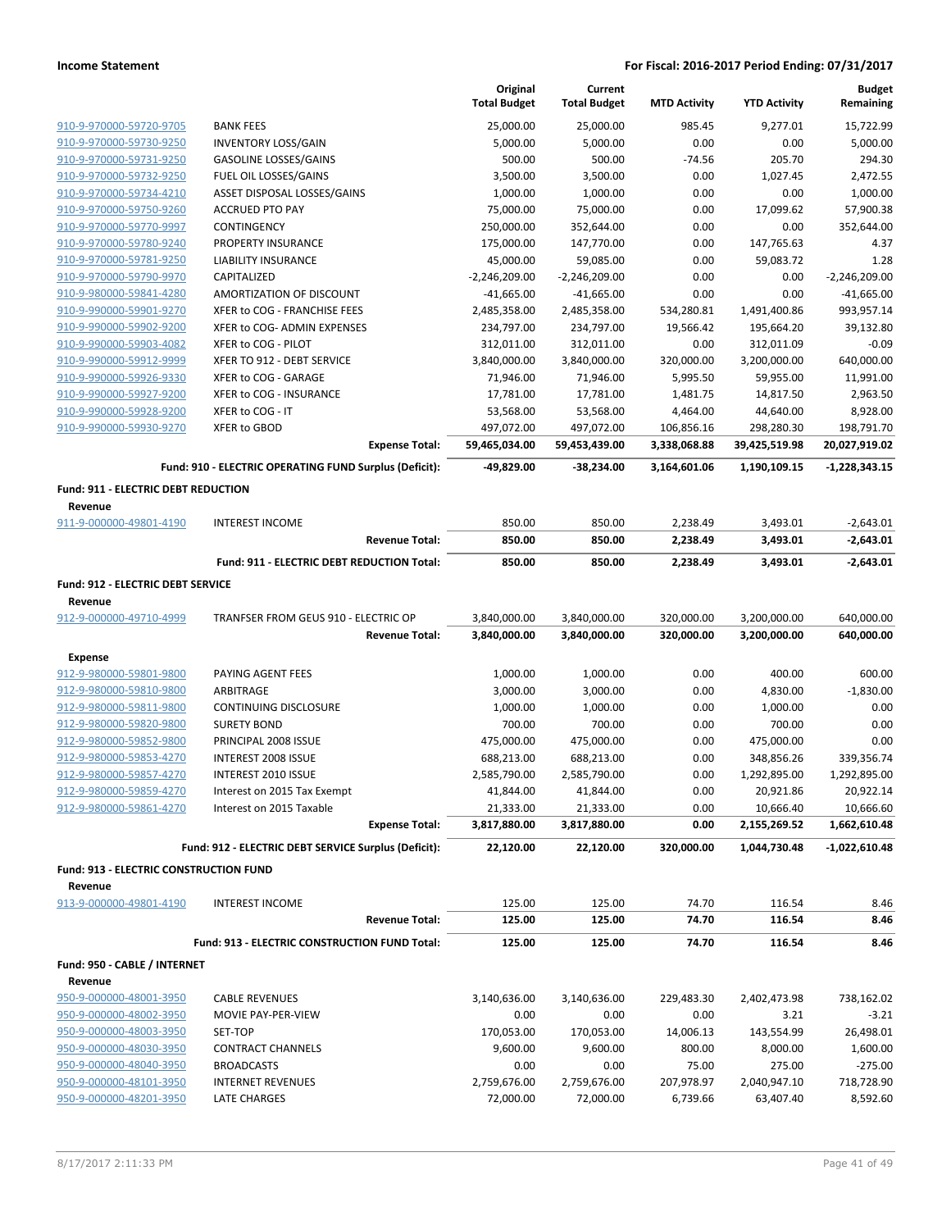|                                               |                                                        |                       | Original<br><b>Total Budget</b> | Current<br><b>Total Budget</b> | <b>MTD Activity</b> | <b>YTD Activity</b> | <b>Budget</b><br>Remaining |
|-----------------------------------------------|--------------------------------------------------------|-----------------------|---------------------------------|--------------------------------|---------------------|---------------------|----------------------------|
| 910-9-970000-59720-9705                       | <b>BANK FEES</b>                                       |                       | 25,000.00                       | 25,000.00                      | 985.45              | 9,277.01            | 15,722.99                  |
| 910-9-970000-59730-9250                       | <b>INVENTORY LOSS/GAIN</b>                             |                       | 5,000.00                        | 5,000.00                       | 0.00                | 0.00                | 5,000.00                   |
| 910-9-970000-59731-9250                       | <b>GASOLINE LOSSES/GAINS</b>                           |                       | 500.00                          | 500.00                         | $-74.56$            | 205.70              | 294.30                     |
| 910-9-970000-59732-9250                       | FUEL OIL LOSSES/GAINS                                  |                       | 3,500.00                        | 3,500.00                       | 0.00                | 1,027.45            | 2,472.55                   |
| 910-9-970000-59734-4210                       | ASSET DISPOSAL LOSSES/GAINS                            |                       | 1,000.00                        | 1,000.00                       | 0.00                | 0.00                | 1,000.00                   |
| 910-9-970000-59750-9260                       | <b>ACCRUED PTO PAY</b>                                 |                       | 75,000.00                       | 75,000.00                      | 0.00                | 17,099.62           | 57,900.38                  |
| 910-9-970000-59770-9997                       | CONTINGENCY                                            |                       | 250,000.00                      | 352,644.00                     | 0.00                | 0.00                | 352,644.00                 |
| 910-9-970000-59780-9240                       | <b>PROPERTY INSURANCE</b>                              |                       | 175,000.00                      | 147,770.00                     | 0.00                | 147,765.63          | 4.37                       |
| 910-9-970000-59781-9250                       | <b>LIABILITY INSURANCE</b>                             |                       | 45,000.00                       | 59,085.00                      | 0.00                | 59,083.72           | 1.28                       |
| 910-9-970000-59790-9970                       | CAPITALIZED                                            |                       | $-2,246,209.00$                 | $-2,246,209.00$                | 0.00                | 0.00                | $-2,246,209.00$            |
| 910-9-980000-59841-4280                       | AMORTIZATION OF DISCOUNT                               |                       | $-41,665.00$                    | $-41,665.00$                   | 0.00                | 0.00                | $-41,665.00$               |
| 910-9-990000-59901-9270                       | XFER to COG - FRANCHISE FEES                           |                       | 2,485,358.00                    | 2,485,358.00                   | 534,280.81          | 1,491,400.86        | 993,957.14                 |
| 910-9-990000-59902-9200                       | XFER to COG- ADMIN EXPENSES                            |                       | 234,797.00                      | 234,797.00                     | 19,566.42           | 195,664.20          | 39,132.80                  |
| 910-9-990000-59903-4082                       | XFER to COG - PILOT                                    |                       | 312,011.00                      | 312,011.00                     | 0.00                | 312,011.09          | $-0.09$                    |
| 910-9-990000-59912-9999                       | XFER TO 912 - DEBT SERVICE                             |                       | 3,840,000.00                    | 3,840,000.00                   | 320,000.00          | 3,200,000.00        | 640,000.00                 |
| 910-9-990000-59926-9330                       | XFER to COG - GARAGE                                   |                       | 71,946.00                       | 71,946.00                      | 5,995.50            | 59,955.00           | 11,991.00                  |
| 910-9-990000-59927-9200                       | XFER to COG - INSURANCE                                |                       | 17,781.00                       | 17,781.00                      | 1,481.75            | 14,817.50           | 2,963.50                   |
| 910-9-990000-59928-9200                       | XFER to COG - IT                                       |                       | 53,568.00                       | 53,568.00                      | 4,464.00            | 44,640.00           | 8,928.00                   |
| 910-9-990000-59930-9270                       | <b>XFER to GBOD</b>                                    |                       | 497,072.00                      | 497,072.00                     | 106,856.16          | 298,280.30          | 198,791.70                 |
|                                               |                                                        | <b>Expense Total:</b> | 59,465,034.00                   | 59,453,439.00                  | 3,338,068.88        | 39,425,519.98       | 20,027,919.02              |
|                                               | Fund: 910 - ELECTRIC OPERATING FUND Surplus (Deficit): |                       | -49,829.00                      | -38,234.00                     | 3,164,601.06        | 1,190,109.15        | $-1,228,343.15$            |
| <b>Fund: 911 - ELECTRIC DEBT REDUCTION</b>    |                                                        |                       |                                 |                                |                     |                     |                            |
| Revenue                                       |                                                        |                       |                                 |                                |                     |                     |                            |
| 911-9-000000-49801-4190                       | <b>INTEREST INCOME</b>                                 |                       | 850.00                          | 850.00                         | 2,238.49            | 3,493.01            | $-2,643.01$                |
|                                               |                                                        | <b>Revenue Total:</b> | 850.00                          | 850.00                         | 2,238.49            | 3,493.01            | $-2,643.01$                |
|                                               | Fund: 911 - ELECTRIC DEBT REDUCTION Total:             |                       | 850.00                          | 850.00                         | 2,238.49            | 3,493.01            | $-2,643.01$                |
| Fund: 912 - ELECTRIC DEBT SERVICE             |                                                        |                       |                                 |                                |                     |                     |                            |
| Revenue                                       |                                                        |                       |                                 |                                |                     |                     |                            |
| 912-9-000000-49710-4999                       | TRANFSER FROM GEUS 910 - ELECTRIC OP                   |                       | 3,840,000.00                    | 3,840,000.00                   | 320,000.00          | 3,200,000.00        | 640,000.00                 |
|                                               |                                                        | <b>Revenue Total:</b> | 3,840,000.00                    | 3,840,000.00                   | 320,000.00          | 3,200,000.00        | 640,000.00                 |
| <b>Expense</b>                                |                                                        |                       |                                 |                                |                     |                     |                            |
| 912-9-980000-59801-9800                       | PAYING AGENT FEES                                      |                       | 1,000.00                        | 1,000.00                       | 0.00                | 400.00              | 600.00                     |
| 912-9-980000-59810-9800                       | ARBITRAGE                                              |                       | 3,000.00                        | 3,000.00                       | 0.00                | 4,830.00            | $-1,830.00$                |
| 912-9-980000-59811-9800                       | CONTINUING DISCLOSURE                                  |                       | 1,000.00                        | 1,000.00                       | 0.00                | 1,000.00            | 0.00                       |
| 912-9-980000-59820-9800                       | <b>SURETY BOND</b>                                     |                       | 700.00                          | 700.00                         | 0.00                | 700.00              | 0.00                       |
| 912-9-980000-59852-9800                       | PRINCIPAL 2008 ISSUE                                   |                       | 475,000.00                      | 475,000.00                     | 0.00                | 475,000.00          | 0.00                       |
| 912-9-980000-59853-4270                       | <b>INTEREST 2008 ISSUE</b>                             |                       | 688,213.00                      | 688,213.00                     | 0.00                | 348,856.26          | 339,356.74                 |
| 912-9-980000-59857-4270                       | INTEREST 2010 ISSUE                                    |                       | 2,585,790.00                    | 2,585,790.00                   | 0.00                | 1,292,895.00        | 1,292,895.00               |
| 912-9-980000-59859-4270                       | Interest on 2015 Tax Exempt                            |                       | 41,844.00                       | 41,844.00                      | 0.00                | 20,921.86           | 20,922.14                  |
| 912-9-980000-59861-4270                       | Interest on 2015 Taxable                               |                       | 21,333.00                       | 21,333.00                      | 0.00                | 10,666.40           | 10,666.60                  |
|                                               |                                                        | <b>Expense Total:</b> | 3,817,880.00                    | 3,817,880.00                   | 0.00                | 2,155,269.52        | 1,662,610.48               |
|                                               | Fund: 912 - ELECTRIC DEBT SERVICE Surplus (Deficit):   |                       | 22,120.00                       | 22,120.00                      | 320,000.00          | 1,044,730.48        | -1,022,610.48              |
| <b>Fund: 913 - ELECTRIC CONSTRUCTION FUND</b> |                                                        |                       |                                 |                                |                     |                     |                            |
| Revenue                                       |                                                        |                       |                                 |                                |                     |                     |                            |
| 913-9-000000-49801-4190                       | <b>INTEREST INCOME</b>                                 |                       | 125.00                          | 125.00                         | 74.70               | 116.54              | 8.46                       |
|                                               |                                                        | <b>Revenue Total:</b> | 125.00                          | 125.00                         | 74.70               | 116.54              | 8.46                       |
|                                               | Fund: 913 - ELECTRIC CONSTRUCTION FUND Total:          |                       | 125.00                          | 125.00                         | 74.70               | 116.54              | 8.46                       |
| Fund: 950 - CABLE / INTERNET                  |                                                        |                       |                                 |                                |                     |                     |                            |
| Revenue                                       |                                                        |                       |                                 |                                |                     |                     |                            |
| 950-9-000000-48001-3950                       | <b>CABLE REVENUES</b>                                  |                       | 3,140,636.00                    | 3,140,636.00                   | 229,483.30          | 2,402,473.98        | 738,162.02                 |
| 950-9-000000-48002-3950                       | MOVIE PAY-PER-VIEW                                     |                       | 0.00                            | 0.00                           | 0.00                | 3.21                | $-3.21$                    |
| 950-9-000000-48003-3950                       | SET-TOP                                                |                       | 170,053.00                      | 170,053.00                     | 14,006.13           | 143,554.99          | 26,498.01                  |
| 950-9-000000-48030-3950                       | <b>CONTRACT CHANNELS</b>                               |                       | 9,600.00                        | 9,600.00                       | 800.00              | 8,000.00            | 1,600.00                   |
| 950-9-000000-48040-3950                       | <b>BROADCASTS</b>                                      |                       | 0.00                            | 0.00                           | 75.00               | 275.00              | $-275.00$                  |
| 950-9-000000-48101-3950                       | <b>INTERNET REVENUES</b>                               |                       | 2,759,676.00                    | 2,759,676.00                   | 207,978.97          | 2,040,947.10        | 718,728.90                 |
| 950-9-000000-48201-3950                       | LATE CHARGES                                           |                       | 72,000.00                       | 72,000.00                      | 6,739.66            | 63,407.40           | 8,592.60                   |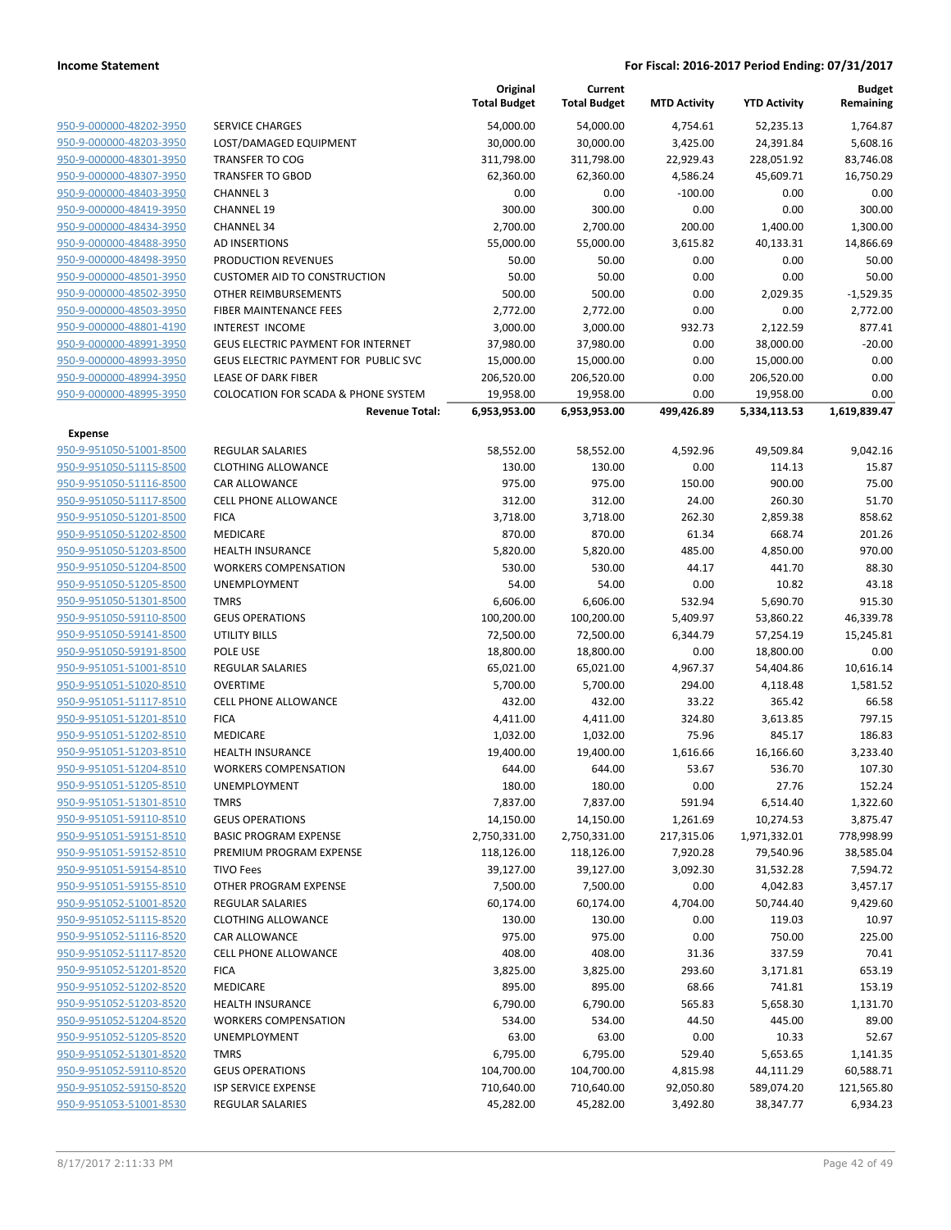|                         |                                           | Original<br><b>Total Budget</b> | Current<br><b>Total Budget</b> | <b>MTD Activity</b> | <b>YTD Activity</b> | <b>Budget</b><br>Remaining |
|-------------------------|-------------------------------------------|---------------------------------|--------------------------------|---------------------|---------------------|----------------------------|
| 950-9-000000-48202-3950 | <b>SERVICE CHARGES</b>                    | 54,000.00                       | 54,000.00                      | 4,754.61            | 52,235.13           | 1,764.87                   |
| 950-9-000000-48203-3950 | LOST/DAMAGED EQUIPMENT                    | 30,000.00                       | 30,000.00                      | 3,425.00            | 24,391.84           | 5,608.16                   |
| 950-9-000000-48301-3950 | <b>TRANSFER TO COG</b>                    | 311,798.00                      | 311,798.00                     | 22,929.43           | 228,051.92          | 83,746.08                  |
| 950-9-000000-48307-3950 | <b>TRANSFER TO GBOD</b>                   | 62,360.00                       | 62,360.00                      | 4,586.24            | 45,609.71           | 16,750.29                  |
| 950-9-000000-48403-3950 | <b>CHANNEL 3</b>                          | 0.00                            | 0.00                           | $-100.00$           | 0.00                | 0.00                       |
| 950-9-000000-48419-3950 | <b>CHANNEL 19</b>                         | 300.00                          | 300.00                         | 0.00                | 0.00                | 300.00                     |
| 950-9-000000-48434-3950 | <b>CHANNEL 34</b>                         | 2,700.00                        | 2,700.00                       | 200.00              | 1,400.00            | 1,300.00                   |
| 950-9-000000-48488-3950 | AD INSERTIONS                             | 55,000.00                       | 55,000.00                      | 3,615.82            | 40,133.31           | 14,866.69                  |
| 950-9-000000-48498-3950 | PRODUCTION REVENUES                       | 50.00                           | 50.00                          | 0.00                | 0.00                | 50.00                      |
| 950-9-000000-48501-3950 | <b>CUSTOMER AID TO CONSTRUCTION</b>       | 50.00                           | 50.00                          | 0.00                | 0.00                | 50.00                      |
| 950-9-000000-48502-3950 | OTHER REIMBURSEMENTS                      | 500.00                          | 500.00                         | 0.00                | 2,029.35            | $-1,529.35$                |
| 950-9-000000-48503-3950 | FIBER MAINTENANCE FEES                    | 2,772.00                        | 2,772.00                       | 0.00                | 0.00                | 2,772.00                   |
| 950-9-000000-48801-4190 | <b>INTEREST INCOME</b>                    | 3,000.00                        | 3,000.00                       | 932.73              | 2,122.59            | 877.41                     |
| 950-9-000000-48991-3950 | <b>GEUS ELECTRIC PAYMENT FOR INTERNET</b> | 37,980.00                       | 37,980.00                      | 0.00                | 38,000.00           | $-20.00$                   |
| 950-9-000000-48993-3950 | GEUS ELECTRIC PAYMENT FOR PUBLIC SVC      | 15,000.00                       | 15,000.00                      | 0.00                | 15,000.00           | 0.00                       |
| 950-9-000000-48994-3950 | <b>LEASE OF DARK FIBER</b>                | 206,520.00                      | 206,520.00                     | 0.00                | 206,520.00          | 0.00                       |
| 950-9-000000-48995-3950 | COLOCATION FOR SCADA & PHONE SYSTEM       | 19,958.00                       | 19,958.00                      | 0.00                | 19,958.00           | 0.00                       |
|                         | <b>Revenue Total:</b>                     | 6,953,953.00                    | 6,953,953.00                   | 499,426.89          | 5,334,113.53        | 1,619,839.47               |
| <b>Expense</b>          |                                           |                                 |                                |                     |                     |                            |
| 950-9-951050-51001-8500 | <b>REGULAR SALARIES</b>                   | 58,552.00                       | 58,552.00                      | 4,592.96            | 49,509.84           | 9,042.16                   |
| 950-9-951050-51115-8500 | <b>CLOTHING ALLOWANCE</b>                 | 130.00                          | 130.00                         | 0.00                | 114.13              | 15.87                      |
| 950-9-951050-51116-8500 | <b>CAR ALLOWANCE</b>                      | 975.00                          | 975.00                         | 150.00              | 900.00              | 75.00                      |
| 950-9-951050-51117-8500 | <b>CELL PHONE ALLOWANCE</b>               | 312.00                          | 312.00                         | 24.00               | 260.30              | 51.70                      |
| 950-9-951050-51201-8500 | <b>FICA</b>                               | 3,718.00                        | 3,718.00                       | 262.30              | 2,859.38            | 858.62                     |
| 950-9-951050-51202-8500 | MEDICARE                                  | 870.00                          | 870.00                         | 61.34               | 668.74              | 201.26                     |
| 950-9-951050-51203-8500 | <b>HEALTH INSURANCE</b>                   | 5,820.00                        | 5,820.00                       | 485.00              | 4,850.00            | 970.00                     |
| 950-9-951050-51204-8500 | <b>WORKERS COMPENSATION</b>               | 530.00                          | 530.00                         | 44.17               | 441.70              | 88.30                      |
| 950-9-951050-51205-8500 | UNEMPLOYMENT                              | 54.00                           | 54.00                          | 0.00                | 10.82               | 43.18                      |
| 950-9-951050-51301-8500 | <b>TMRS</b>                               | 6,606.00                        | 6,606.00                       | 532.94              | 5,690.70            | 915.30                     |
| 950-9-951050-59110-8500 | <b>GEUS OPERATIONS</b>                    | 100,200.00                      | 100,200.00                     | 5,409.97            | 53,860.22           | 46,339.78                  |
| 950-9-951050-59141-8500 | <b>UTILITY BILLS</b>                      | 72,500.00                       | 72,500.00                      | 6,344.79            | 57,254.19           | 15,245.81                  |
| 950-9-951050-59191-8500 | POLE USE                                  | 18,800.00                       | 18,800.00                      | 0.00                | 18,800.00           | 0.00                       |
| 950-9-951051-51001-8510 | REGULAR SALARIES                          | 65,021.00                       | 65,021.00                      | 4,967.37            | 54,404.86           | 10,616.14                  |
| 950-9-951051-51020-8510 | <b>OVERTIME</b>                           | 5,700.00                        | 5,700.00                       | 294.00              | 4,118.48            | 1,581.52                   |
| 950-9-951051-51117-8510 | CELL PHONE ALLOWANCE                      | 432.00                          | 432.00                         | 33.22               | 365.42              | 66.58                      |
| 950-9-951051-51201-8510 | <b>FICA</b>                               | 4,411.00                        | 4,411.00                       | 324.80              | 3,613.85            | 797.15                     |
| 950-9-951051-51202-8510 | MEDICARE                                  | 1,032.00                        | 1,032.00                       | 75.96               | 845.17              | 186.83                     |
| 950-9-951051-51203-8510 | <b>HEALTH INSURANCE</b>                   | 19,400.00                       | 19,400.00                      | 1,616.66            | 16,166.60           | 3,233.40                   |
| 950-9-951051-51204-8510 | <b>WORKERS COMPENSATION</b>               | 644.00                          | 644.00                         | 53.67               | 536.70              | 107.30                     |
| 950-9-951051-51205-8510 | UNEMPLOYMENT                              | 180.00                          | 180.00                         | 0.00                | 27.76               | 152.24                     |
| 950-9-951051-51301-8510 | <b>TMRS</b>                               | 7,837.00                        | 7,837.00                       | 591.94              | 6,514.40            | 1,322.60                   |
| 950-9-951051-59110-8510 | <b>GEUS OPERATIONS</b>                    | 14,150.00                       | 14,150.00                      | 1,261.69            | 10,274.53           | 3,875.47                   |
| 950-9-951051-59151-8510 | <b>BASIC PROGRAM EXPENSE</b>              | 2,750,331.00                    | 2,750,331.00                   | 217,315.06          | 1,971,332.01        | 778,998.99                 |
| 950-9-951051-59152-8510 | PREMIUM PROGRAM EXPENSE                   | 118,126.00                      | 118,126.00                     | 7,920.28            | 79,540.96           | 38,585.04                  |
| 950-9-951051-59154-8510 | <b>TIVO Fees</b>                          | 39,127.00                       | 39,127.00                      | 3,092.30            | 31,532.28           | 7,594.72                   |
| 950-9-951051-59155-8510 | OTHER PROGRAM EXPENSE                     | 7,500.00                        | 7,500.00                       | 0.00                | 4,042.83            | 3,457.17                   |
| 950-9-951052-51001-8520 | <b>REGULAR SALARIES</b>                   | 60,174.00                       | 60,174.00                      | 4,704.00            | 50,744.40           | 9,429.60                   |
| 950-9-951052-51115-8520 | <b>CLOTHING ALLOWANCE</b>                 | 130.00                          | 130.00                         | 0.00                | 119.03              | 10.97                      |
| 950-9-951052-51116-8520 | CAR ALLOWANCE                             | 975.00                          | 975.00                         | 0.00                | 750.00              | 225.00                     |
| 950-9-951052-51117-8520 | CELL PHONE ALLOWANCE                      | 408.00                          | 408.00                         | 31.36               | 337.59              | 70.41                      |
| 950-9-951052-51201-8520 | <b>FICA</b>                               | 3,825.00                        | 3,825.00                       | 293.60              | 3,171.81            | 653.19                     |
| 950-9-951052-51202-8520 | MEDICARE                                  | 895.00                          | 895.00                         | 68.66               | 741.81              | 153.19                     |
| 950-9-951052-51203-8520 | <b>HEALTH INSURANCE</b>                   | 6,790.00                        | 6,790.00                       | 565.83              | 5,658.30            | 1,131.70                   |
| 950-9-951052-51204-8520 | <b>WORKERS COMPENSATION</b>               | 534.00                          | 534.00                         | 44.50               | 445.00              | 89.00                      |
| 950-9-951052-51205-8520 | UNEMPLOYMENT                              | 63.00                           | 63.00                          | 0.00                | 10.33               | 52.67                      |
| 950-9-951052-51301-8520 | <b>TMRS</b>                               | 6,795.00                        | 6,795.00                       | 529.40              | 5,653.65            | 1,141.35                   |
| 950-9-951052-59110-8520 | <b>GEUS OPERATIONS</b>                    | 104,700.00                      | 104,700.00                     | 4,815.98            | 44,111.29           | 60,588.71                  |
| 950-9-951052-59150-8520 | ISP SERVICE EXPENSE                       | 710,640.00                      | 710,640.00                     | 92,050.80           | 589,074.20          | 121,565.80                 |
| 950-9-951053-51001-8530 | REGULAR SALARIES                          | 45,282.00                       | 45,282.00                      | 3,492.80            | 38,347.77           | 6,934.23                   |
|                         |                                           |                                 |                                |                     |                     |                            |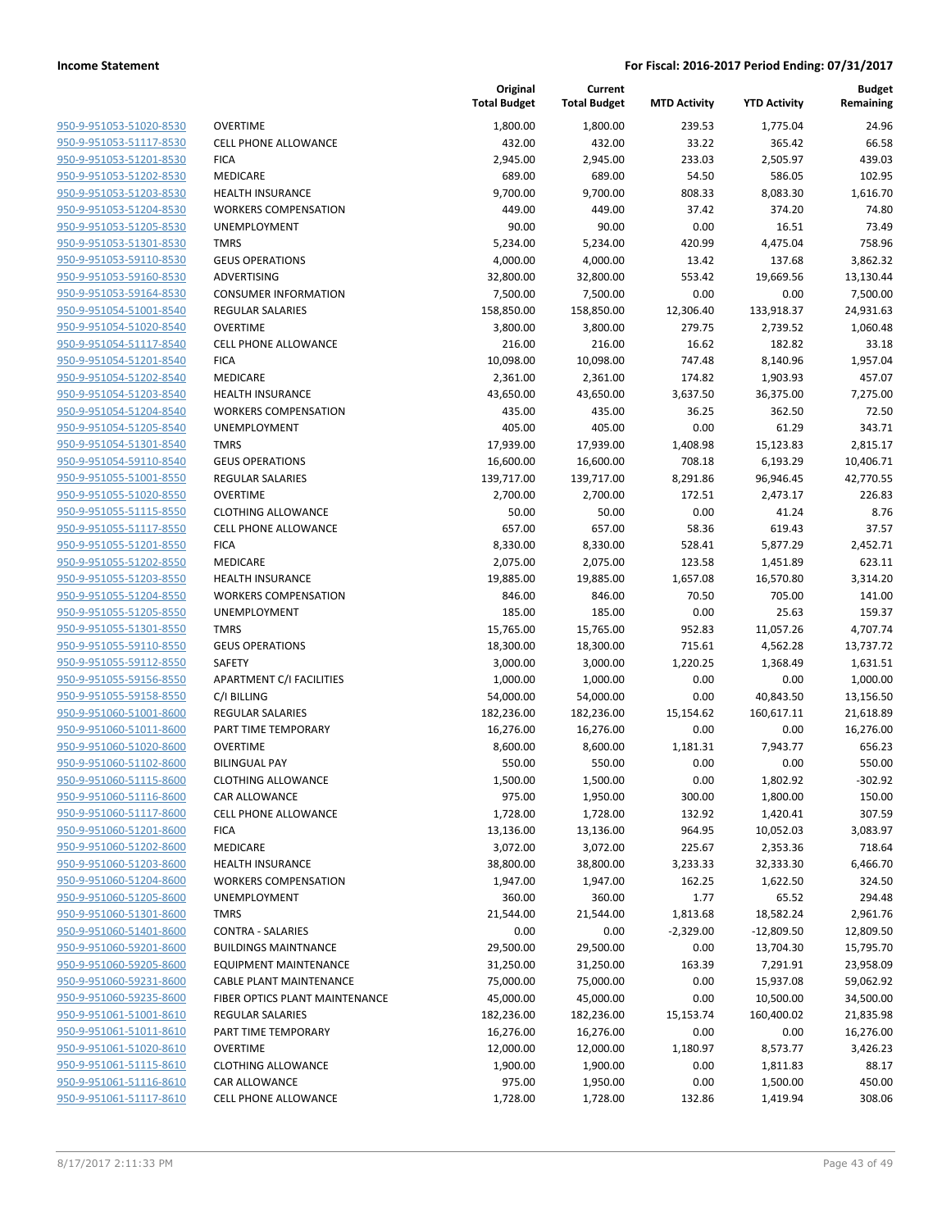**Current**

**Budget**

| 950-9-951053-51020-8530        | C |
|--------------------------------|---|
| 950-9-951053-51117-8530        | C |
| 950-9-951053-51201-8530        | F |
| 950-9-951053-51202-8530        | Λ |
| 950-9-951053-51203-8530        | ۲ |
| 950-9-951053-51204-8530        | ٧ |
| 950-9-951053-51205-8530        | ι |
|                                | Т |
| 950-9-951053-51301-8530        |   |
| 950-9-951053-59110-8530        | G |
| 950-9-951053-59160-8530        | А |
| 950-9-951053-59164-8530        | C |
| 950-9-951054-51001-8540        | R |
| 950-9-951054-51020-8540        | C |
| 950-9-951054-51117-8540        | C |
| 950-9-951054-51201-8540        | F |
| 950-9-951054-51202-8540        | Λ |
| 950-9-951054-51203-8540        | ۲ |
| 950-9-951054-51204-8540        | ٧ |
| 950-9-951054-51205-8540        | L |
| 950-9-951054-51301-8540        | T |
| 950-9-951054-59110-8540        | G |
| 950-9-951055-51001-8550        | R |
| 950-9-951055-51020-8550        | C |
| 950-9-951055-51115-8550        | C |
| 950-9-951055-51117-8550        | C |
| 950-9-951055-51201-8550        | F |
| 950-9-951055-51202-8550        | Ν |
| 950-9-951055-51203-8550        | ۲ |
| 950-9-951055-51204-8550        | ٧ |
| 950-9-951055-51205-8550        | L |
| 950-9-951055-51301-8550        | Т |
| 950-9-951055-59110-8550        | C |
| 950-9-951055-59112-8550        | S |
| 950-9-951055-59156-8550        | А |
| 950-9-951055-59158-8550        | C |
| 950-9-951060-51001-8600        | R |
| 950-9-951060-51011-8600        | P |
| 950-9-951060-51020-8600        | C |
| 950-9-951060-51102-8600        | В |
| 950-9-951060-51115-8600        | C |
| 950-9-951060-51116-8600        | C |
| 950-9-951060-51117-8600        | C |
| 950-9-951060-51201-8600        | F |
| 950-9-951060-51202-8600        | Λ |
|                                | ۲ |
| 950-9-951060-51203-8600        |   |
| 950-9-951060-51204-8600        | ٧ |
| 950-9-951060-51205-8600        |   |
| 950-9-951060-51301-8600        | Т |
| 950-9-951060-51401-8600        | C |
| 950-9-951060-59201-8600        | В |
| <u>950-9-951060-59205-8600</u> | E |
| 950-9-951060-59231-8600        | C |
| 950-9-951060-59235-8600        | F |
| 950-9-951061-51001-8610        | R |
| 950-9-951061-51011-8610        | P |
| <u>950-9-951061-51020-8610</u> | C |
| 950-9-951061-51115-8610        | C |
| 950-9-951061-51116-8610        | C |
| 950-9-951061-51117-8610        | C |
|                                |   |

|                                | Original<br><b>Total Budget</b> | Tot |
|--------------------------------|---------------------------------|-----|
| OVERTIME                       | 1,800.00                        |     |
| CELL PHONE ALLOWANCE           | 432.00                          |     |
| FICA                           | 2,945.00                        |     |
| MEDICARE                       | 689.00                          |     |
| <b>HEALTH INSURANCE</b>        | 9,700.00                        |     |
| WORKERS COMPENSATION           | 449.00                          |     |
| UNEMPLOYMENT                   | 90.00                           |     |
| <b>TMRS</b>                    | 5,234.00                        |     |
| <b>GEUS OPERATIONS</b>         | 4,000.00                        |     |
| ADVERTISING                    | 32,800.00                       |     |
| CONSUMER INFORMATION           | 7,500.00                        |     |
| REGULAR SALARIES               | 158,850.00                      | 1!  |
| OVERTIME                       | 3,800.00                        |     |
| CELL PHONE ALLOWANCE           | 216.00                          |     |
| FICA                           | 10,098.00                       |     |
| MEDICARE                       | 2,361.00                        |     |
| <b>HEALTH INSURANCE</b>        | 43,650.00                       |     |
| WORKERS COMPENSATION           | 435.00                          |     |
| UNEMPLOYMENT                   | 405.00                          |     |
| TMRS                           | 17,939.00                       |     |
| <b>GEUS OPERATIONS</b>         | 16,600.00                       |     |
| REGULAR SALARIES               | 139,717.00                      | 1:  |
| OVERTIME                       | 2,700.00                        |     |
| CLOTHING ALLOWANCE             | 50.00                           |     |
| CELL PHONE ALLOWANCE           | 657.00                          |     |
| FICA                           | 8,330.00                        |     |
| MEDICARE                       | 2,075.00                        |     |
| HEALTH INSURANCE               | 19,885.00                       |     |
| WORKERS COMPENSATION           | 846.00                          |     |
| UNEMPLOYMENT<br>TMRS           | 185.00<br>15,765.00             |     |
| <b>GEUS OPERATIONS</b>         | 18,300.00                       |     |
| SAFETY                         | 3,000.00                        |     |
| APARTMENT C/I FACILITIES       | 1,000.00                        |     |
| C/I BILLING                    | 54,000.00                       |     |
| REGULAR SALARIES               | 182,236.00                      | 18  |
| PART TIME TEMPORARY            | 16,276.00                       |     |
| OVERTIME                       | 8,600.00                        |     |
| BILINGUAL PAY                  | 550.00                          |     |
| CLOTHING ALLOWANCE             | 1,500.00                        |     |
| CAR ALLOWANCE                  | 975.00                          |     |
| CELL PHONE ALLOWANCE           | 1,728.00                        |     |
| FICA                           | 13,136.00                       |     |
| MEDICARE                       | 3,072.00                        |     |
| <b>HEALTH INSURANCE</b>        | 38,800.00                       |     |
| WORKERS COMPENSATION           | 1,947.00                        |     |
| UNEMPLOYMENT                   | 360.00                          |     |
| TMRS                           | 21,544.00                       |     |
| CONTRA - SALARIES              | 0.00                            |     |
| <b>BUILDINGS MAINTNANCE</b>    | 29,500.00                       |     |
| EQUIPMENT MAINTENANCE          | 31,250.00                       |     |
| CABLE PLANT MAINTENANCE        | 75,000.00                       |     |
| FIBER OPTICS PLANT MAINTENANCE | 45,000.00                       |     |
| REGULAR SALARIES               | 182,236.00                      | 18  |
| PART TIME TEMPORARY            | 16,276.00                       |     |
| OVERTIME                       | 12,000.00                       |     |
| CLOTHING ALLOWANCE             | 1,900.00                        |     |
| CAR ALLOWANCE                  | 975.00                          |     |
| CELL PHONE ALLOWANCE           | 1,728.00                        |     |

|                                                    |                                        | <b>Total Budget</b>   | <b>Total Budget</b>   | <b>MTD Activity</b> | <b>YTD Activity</b>  | Remaining         |
|----------------------------------------------------|----------------------------------------|-----------------------|-----------------------|---------------------|----------------------|-------------------|
| 950-9-951053-51020-8530                            | <b>OVERTIME</b>                        | 1,800.00              | 1.800.00              | 239.53              | 1,775.04             | 24.96             |
| 950-9-951053-51117-8530                            | <b>CELL PHONE ALLOWANCE</b>            | 432.00                | 432.00                | 33.22               | 365.42               | 66.58             |
| 950-9-951053-51201-8530                            | <b>FICA</b>                            | 2,945.00              | 2,945.00              | 233.03              | 2,505.97             | 439.03            |
| 950-9-951053-51202-8530                            | MEDICARE                               | 689.00                | 689.00                | 54.50               | 586.05               | 102.95            |
| 950-9-951053-51203-8530                            | <b>HEALTH INSURANCE</b>                | 9,700.00              | 9,700.00              | 808.33              | 8,083.30             | 1,616.70          |
| 950-9-951053-51204-8530                            | <b>WORKERS COMPENSATION</b>            | 449.00                | 449.00                | 37.42               | 374.20               | 74.80             |
| 950-9-951053-51205-8530                            | UNEMPLOYMENT                           | 90.00                 | 90.00                 | 0.00                | 16.51                | 73.49             |
| 950-9-951053-51301-8530                            | <b>TMRS</b>                            | 5,234.00              | 5,234.00              | 420.99              | 4,475.04             | 758.96            |
| 950-9-951053-59110-8530                            | <b>GEUS OPERATIONS</b>                 | 4,000.00              | 4,000.00              | 13.42               | 137.68               | 3,862.32          |
| 950-9-951053-59160-8530                            | <b>ADVERTISING</b>                     | 32,800.00             | 32,800.00             | 553.42              | 19,669.56            | 13,130.44         |
| 950-9-951053-59164-8530                            | <b>CONSUMER INFORMATION</b>            | 7,500.00              | 7,500.00              | 0.00                | 0.00                 | 7,500.00          |
| 950-9-951054-51001-8540                            | <b>REGULAR SALARIES</b>                | 158,850.00            | 158,850.00            | 12,306.40           | 133,918.37           | 24,931.63         |
| 950-9-951054-51020-8540                            | <b>OVERTIME</b>                        | 3,800.00              | 3,800.00              | 279.75              | 2,739.52             | 1,060.48          |
| 950-9-951054-51117-8540                            | <b>CELL PHONE ALLOWANCE</b>            | 216.00                | 216.00                | 16.62               | 182.82               | 33.18             |
| 950-9-951054-51201-8540                            | <b>FICA</b>                            | 10,098.00             | 10,098.00             | 747.48              | 8,140.96             | 1,957.04          |
| 950-9-951054-51202-8540                            | MEDICARE                               | 2,361.00              | 2,361.00              | 174.82              | 1,903.93             | 457.07            |
| 950-9-951054-51203-8540                            | <b>HEALTH INSURANCE</b>                | 43,650.00             | 43,650.00             | 3,637.50            | 36,375.00            | 7,275.00          |
| 950-9-951054-51204-8540                            | <b>WORKERS COMPENSATION</b>            | 435.00                | 435.00                | 36.25               | 362.50               | 72.50             |
| 950-9-951054-51205-8540                            | UNEMPLOYMENT                           | 405.00                | 405.00                | 0.00                | 61.29                | 343.71            |
| 950-9-951054-51301-8540                            | <b>TMRS</b>                            | 17,939.00             | 17,939.00             | 1,408.98            | 15,123.83            | 2,815.17          |
| 950-9-951054-59110-8540                            | <b>GEUS OPERATIONS</b>                 | 16,600.00             | 16,600.00             | 708.18              | 6,193.29             | 10,406.71         |
| 950-9-951055-51001-8550                            | <b>REGULAR SALARIES</b>                | 139,717.00            | 139,717.00            | 8,291.86            | 96,946.45            | 42,770.55         |
| 950-9-951055-51020-8550                            | <b>OVERTIME</b>                        | 2,700.00              | 2,700.00              | 172.51              | 2,473.17             | 226.83            |
| 950-9-951055-51115-8550                            | <b>CLOTHING ALLOWANCE</b>              | 50.00                 | 50.00                 | 0.00                | 41.24                | 8.76              |
| 950-9-951055-51117-8550                            | <b>CELL PHONE ALLOWANCE</b>            | 657.00                | 657.00                | 58.36               | 619.43               | 37.57             |
| 950-9-951055-51201-8550                            | <b>FICA</b>                            | 8,330.00              | 8,330.00              | 528.41              | 5,877.29             | 2,452.71          |
| 950-9-951055-51202-8550                            | MEDICARE                               | 2,075.00              | 2,075.00              | 123.58              | 1,451.89             | 623.11            |
| 950-9-951055-51203-8550                            | <b>HEALTH INSURANCE</b>                | 19,885.00             | 19,885.00             | 1,657.08            | 16,570.80            | 3,314.20          |
| 950-9-951055-51204-8550                            | <b>WORKERS COMPENSATION</b>            | 846.00                | 846.00                | 70.50               | 705.00               | 141.00            |
| 950-9-951055-51205-8550                            | UNEMPLOYMENT                           | 185.00                | 185.00                | 0.00                | 25.63                | 159.37            |
| 950-9-951055-51301-8550                            | <b>TMRS</b>                            | 15,765.00             | 15,765.00             | 952.83              | 11,057.26            | 4,707.74          |
| 950-9-951055-59110-8550                            | <b>GEUS OPERATIONS</b>                 | 18,300.00             | 18,300.00             | 715.61              | 4,562.28             | 13,737.72         |
| 950-9-951055-59112-8550                            | SAFETY                                 | 3,000.00              | 3,000.00              | 1,220.25            | 1,368.49             | 1,631.51          |
| 950-9-951055-59156-8550                            | APARTMENT C/I FACILITIES               | 1,000.00              | 1,000.00              | 0.00                | 0.00                 | 1,000.00          |
| 950-9-951055-59158-8550                            | C/I BILLING                            | 54,000.00             | 54,000.00             | 0.00                | 40,843.50            | 13,156.50         |
| 950-9-951060-51001-8600                            | REGULAR SALARIES                       | 182,236.00            | 182,236.00            | 15,154.62           | 160,617.11           | 21,618.89         |
| 950-9-951060-51011-8600                            | PART TIME TEMPORARY                    | 16,276.00             | 16,276.00             | 0.00                | 0.00                 | 16,276.00         |
| 950-9-951060-51020-8600                            | <b>OVERTIME</b>                        | 8,600.00              | 8,600.00              | 1,181.31            | 7,943.77             | 656.23            |
| 950-9-951060-51102-8600                            | <b>BILINGUAL PAY</b>                   | 550.00                | 550.00                | 0.00                | 0.00                 | 550.00            |
| 950-9-951060-51115-8600                            | <b>CLOTHING ALLOWANCE</b>              | 1,500.00              | 1,500.00              | 0.00                | 1,802.92             | $-302.92$         |
| 950-9-951060-51116-8600                            | CAR ALLOWANCE                          | 975.00                | 1,950.00              | 300.00              | 1,800.00             | 150.00            |
| 950-9-951060-51117-8600                            | <b>CELL PHONE ALLOWANCE</b>            | 1,728.00              | 1,728.00              | 132.92              | 1,420.41             | 307.59            |
| 950-9-951060-51201-8600                            | <b>FICA</b>                            | 13,136.00             | 13,136.00             | 964.95              | 10,052.03            | 3,083.97          |
| 950-9-951060-51202-8600                            | MEDICARE                               | 3,072.00              | 3,072.00              | 225.67              | 2,353.36             | 718.64            |
| 950-9-951060-51203-8600                            | <b>HEALTH INSURANCE</b>                | 38,800.00             | 38,800.00             | 3,233.33            | 32,333.30            | 6,466.70          |
| 950-9-951060-51204-8600                            | <b>WORKERS COMPENSATION</b>            | 1,947.00              | 1,947.00              | 162.25              | 1,622.50             | 324.50            |
| 950-9-951060-51205-8600                            | UNEMPLOYMENT                           | 360.00                | 360.00                | 1.77                | 65.52                | 294.48            |
| 950-9-951060-51301-8600<br>950-9-951060-51401-8600 | <b>TMRS</b>                            | 21,544.00             | 21,544.00             | 1,813.68            | 18,582.24            | 2,961.76          |
|                                                    | <b>CONTRA - SALARIES</b>               | 0.00                  | 0.00                  | $-2,329.00$         | $-12,809.50$         | 12,809.50         |
| 950-9-951060-59201-8600                            | <b>BUILDINGS MAINTNANCE</b>            | 29,500.00             | 29,500.00             | 0.00                | 13,704.30            | 15,795.70         |
| 950-9-951060-59205-8600                            | <b>EQUIPMENT MAINTENANCE</b>           | 31,250.00             | 31,250.00             | 163.39              | 7,291.91             | 23,958.09         |
| 950-9-951060-59231-8600                            | <b>CABLE PLANT MAINTENANCE</b>         | 75,000.00             | 75,000.00             | 0.00                | 15,937.08            | 59,062.92         |
| 950-9-951060-59235-8600<br>950-9-951061-51001-8610 | FIBER OPTICS PLANT MAINTENANCE         | 45,000.00             | 45,000.00             | 0.00                | 10,500.00            | 34,500.00         |
| 950-9-951061-51011-8610                            | <b>REGULAR SALARIES</b>                | 182,236.00            | 182,236.00            | 15,153.74           | 160,400.02           | 21,835.98         |
|                                                    | PART TIME TEMPORARY<br><b>OVERTIME</b> | 16,276.00             | 16,276.00             | 0.00                | 0.00                 | 16,276.00         |
| 950-9-951061-51020-8610<br>950-9-951061-51115-8610 | <b>CLOTHING ALLOWANCE</b>              | 12,000.00<br>1,900.00 | 12,000.00<br>1,900.00 | 1,180.97<br>0.00    | 8,573.77             | 3,426.23<br>88.17 |
| 950-9-951061-51116-8610                            | <b>CAR ALLOWANCE</b>                   | 975.00                | 1,950.00              | 0.00                | 1,811.83<br>1,500.00 | 450.00            |
| 950-9-951061-51117-8610                            |                                        |                       |                       |                     |                      | 308.06            |
|                                                    | <b>CELL PHONE ALLOWANCE</b>            | 1,728.00              | 1,728.00              | 132.86              | 1,419.94             |                   |
|                                                    |                                        |                       |                       |                     |                      |                   |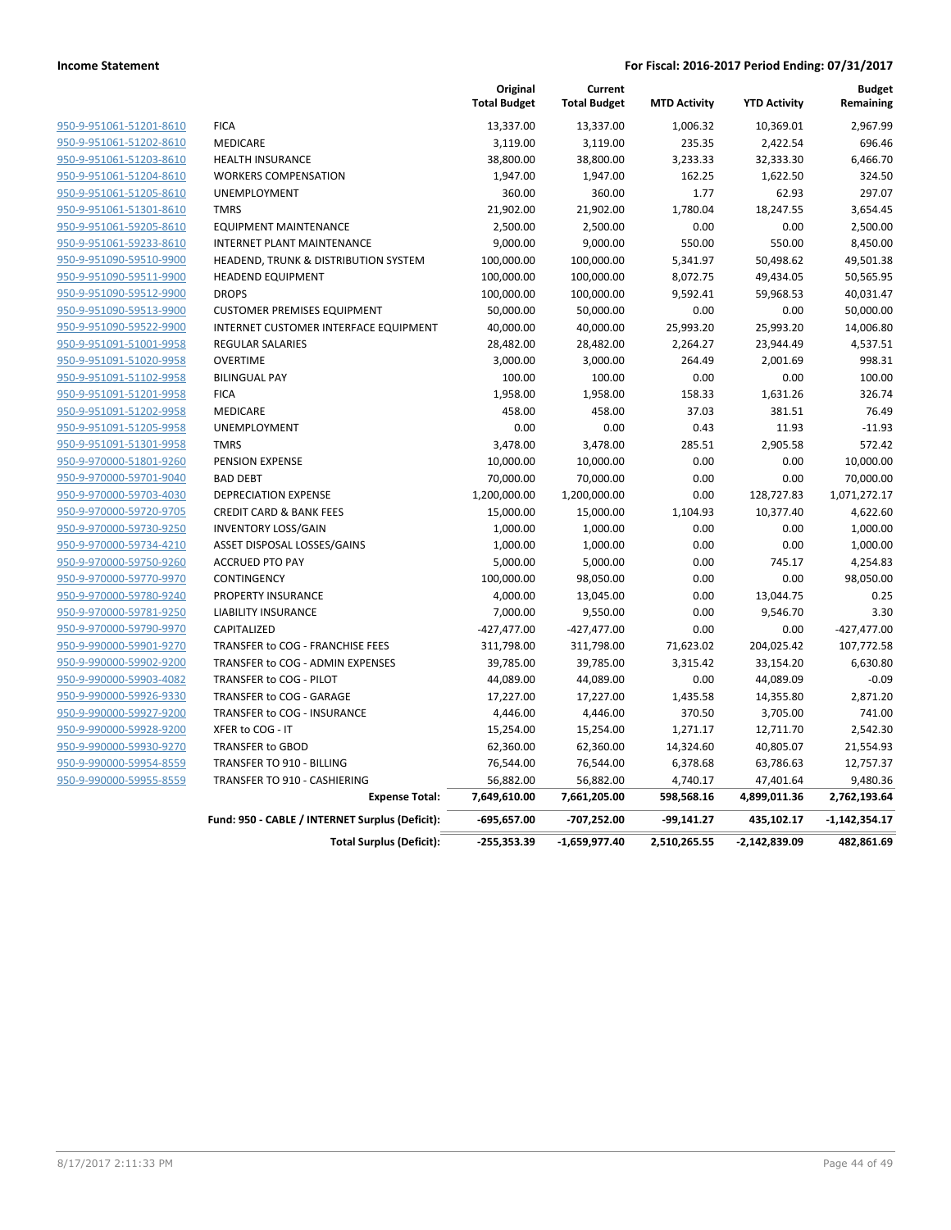|                         |                                                 | Original<br><b>Total Budget</b> | Current<br><b>Total Budget</b> | <b>MTD Activity</b> | <b>YTD Activity</b> | <b>Budget</b><br>Remaining |
|-------------------------|-------------------------------------------------|---------------------------------|--------------------------------|---------------------|---------------------|----------------------------|
| 950-9-951061-51201-8610 | <b>FICA</b>                                     | 13,337.00                       | 13,337.00                      | 1,006.32            | 10,369.01           | 2,967.99                   |
| 950-9-951061-51202-8610 | <b>MEDICARE</b>                                 | 3,119.00                        | 3,119.00                       | 235.35              | 2,422.54            | 696.46                     |
| 950-9-951061-51203-8610 | <b>HEALTH INSURANCE</b>                         | 38,800.00                       | 38,800.00                      | 3,233.33            | 32,333.30           | 6,466.70                   |
| 950-9-951061-51204-8610 | <b>WORKERS COMPENSATION</b>                     | 1,947.00                        | 1,947.00                       | 162.25              | 1,622.50            | 324.50                     |
| 950-9-951061-51205-8610 | <b>UNEMPLOYMENT</b>                             | 360.00                          | 360.00                         | 1.77                | 62.93               | 297.07                     |
| 950-9-951061-51301-8610 | <b>TMRS</b>                                     | 21,902.00                       | 21,902.00                      | 1,780.04            | 18,247.55           | 3,654.45                   |
| 950-9-951061-59205-8610 | <b>EQUIPMENT MAINTENANCE</b>                    | 2,500.00                        | 2,500.00                       | 0.00                | 0.00                | 2,500.00                   |
| 950-9-951061-59233-8610 | INTERNET PLANT MAINTENANCE                      | 9,000.00                        | 9,000.00                       | 550.00              | 550.00              | 8,450.00                   |
| 950-9-951090-59510-9900 | HEADEND, TRUNK & DISTRIBUTION SYSTEM            | 100,000.00                      | 100,000.00                     | 5,341.97            | 50,498.62           | 49,501.38                  |
| 950-9-951090-59511-9900 | <b>HEADEND EQUIPMENT</b>                        | 100,000.00                      | 100,000.00                     | 8,072.75            | 49,434.05           | 50,565.95                  |
| 950-9-951090-59512-9900 | <b>DROPS</b>                                    | 100,000.00                      | 100,000.00                     | 9,592.41            | 59,968.53           | 40,031.47                  |
| 950-9-951090-59513-9900 | <b>CUSTOMER PREMISES EQUIPMENT</b>              | 50,000.00                       | 50,000.00                      | 0.00                | 0.00                | 50,000.00                  |
| 950-9-951090-59522-9900 | INTERNET CUSTOMER INTERFACE EQUIPMENT           | 40,000.00                       | 40,000.00                      | 25,993.20           | 25,993.20           | 14,006.80                  |
| 950-9-951091-51001-9958 | <b>REGULAR SALARIES</b>                         | 28,482.00                       | 28,482.00                      | 2,264.27            | 23,944.49           | 4,537.51                   |
| 950-9-951091-51020-9958 | <b>OVERTIME</b>                                 | 3,000.00                        | 3,000.00                       | 264.49              | 2,001.69            | 998.31                     |
| 950-9-951091-51102-9958 | <b>BILINGUAL PAY</b>                            | 100.00                          | 100.00                         | 0.00                | 0.00                | 100.00                     |
| 950-9-951091-51201-9958 | <b>FICA</b>                                     | 1,958.00                        | 1,958.00                       | 158.33              | 1,631.26            | 326.74                     |
| 950-9-951091-51202-9958 | MEDICARE                                        | 458.00                          | 458.00                         | 37.03               | 381.51              | 76.49                      |
| 950-9-951091-51205-9958 | UNEMPLOYMENT                                    | 0.00                            | 0.00                           | 0.43                | 11.93               | $-11.93$                   |
| 950-9-951091-51301-9958 | <b>TMRS</b>                                     | 3,478.00                        | 3,478.00                       | 285.51              | 2,905.58            | 572.42                     |
| 950-9-970000-51801-9260 | PENSION EXPENSE                                 | 10,000.00                       | 10,000.00                      | 0.00                | 0.00                | 10,000.00                  |
| 950-9-970000-59701-9040 | <b>BAD DEBT</b>                                 | 70,000.00                       | 70,000.00                      | 0.00                | 0.00                | 70,000.00                  |
| 950-9-970000-59703-4030 | <b>DEPRECIATION EXPENSE</b>                     | 1,200,000.00                    | 1,200,000.00                   | 0.00                | 128,727.83          | 1,071,272.17               |
| 950-9-970000-59720-9705 | <b>CREDIT CARD &amp; BANK FEES</b>              | 15,000.00                       | 15,000.00                      | 1,104.93            | 10,377.40           | 4,622.60                   |
| 950-9-970000-59730-9250 | <b>INVENTORY LOSS/GAIN</b>                      | 1,000.00                        | 1,000.00                       | 0.00                | 0.00                | 1,000.00                   |
| 950-9-970000-59734-4210 | ASSET DISPOSAL LOSSES/GAINS                     | 1,000.00                        | 1,000.00                       | 0.00                | 0.00                | 1,000.00                   |
| 950-9-970000-59750-9260 | <b>ACCRUED PTO PAY</b>                          | 5,000.00                        | 5,000.00                       | 0.00                | 745.17              | 4,254.83                   |
| 950-9-970000-59770-9970 | CONTINGENCY                                     | 100,000.00                      | 98,050.00                      | 0.00                | 0.00                | 98,050.00                  |
| 950-9-970000-59780-9240 | PROPERTY INSURANCE                              | 4,000.00                        | 13,045.00                      | 0.00                | 13,044.75           | 0.25                       |
| 950-9-970000-59781-9250 | <b>LIABILITY INSURANCE</b>                      | 7,000.00                        | 9,550.00                       | 0.00                | 9,546.70            | 3.30                       |
| 950-9-970000-59790-9970 | CAPITALIZED                                     | $-427,477.00$                   | $-427,477.00$                  | 0.00                | 0.00                | $-427,477.00$              |
| 950-9-990000-59901-9270 | TRANSFER to COG - FRANCHISE FEES                | 311,798.00                      | 311,798.00                     | 71,623.02           | 204,025.42          | 107,772.58                 |
| 950-9-990000-59902-9200 | TRANSFER to COG - ADMIN EXPENSES                | 39,785.00                       | 39,785.00                      | 3,315.42            | 33,154.20           | 6,630.80                   |
| 950-9-990000-59903-4082 | TRANSFER to COG - PILOT                         | 44,089.00                       | 44,089.00                      | 0.00                | 44,089.09           | $-0.09$                    |
| 950-9-990000-59926-9330 | TRANSFER to COG - GARAGE                        | 17,227.00                       | 17,227.00                      | 1,435.58            | 14,355.80           | 2,871.20                   |
| 950-9-990000-59927-9200 | TRANSFER to COG - INSURANCE                     | 4,446.00                        | 4,446.00                       | 370.50              | 3,705.00            | 741.00                     |
| 950-9-990000-59928-9200 | XFER to COG - IT                                | 15,254.00                       | 15,254.00                      | 1,271.17            | 12,711.70           | 2,542.30                   |
| 950-9-990000-59930-9270 | <b>TRANSFER to GBOD</b>                         | 62,360.00                       | 62,360.00                      | 14,324.60           | 40,805.07           | 21,554.93                  |
| 950-9-990000-59954-8559 | TRANSFER TO 910 - BILLING                       | 76,544.00                       | 76,544.00                      | 6,378.68            | 63,786.63           | 12,757.37                  |
| 950-9-990000-59955-8559 | TRANSFER TO 910 - CASHIERING                    | 56,882.00                       | 56,882.00                      | 4,740.17            | 47,401.64           | 9,480.36                   |
|                         | <b>Expense Total:</b>                           | 7,649,610.00                    | 7,661,205.00                   | 598,568.16          | 4,899,011.36        | 2,762,193.64               |
|                         | Fund: 950 - CABLE / INTERNET Surplus (Deficit): | $-695,657.00$                   | -707,252.00                    | $-99,141.27$        | 435,102.17          | $-1,142,354.17$            |
|                         | <b>Total Surplus (Deficit):</b>                 | $-255,353.39$                   | -1,659,977.40                  | 2,510,265.55        | $-2,142,839.09$     | 482,861.69                 |
|                         |                                                 |                                 |                                |                     |                     |                            |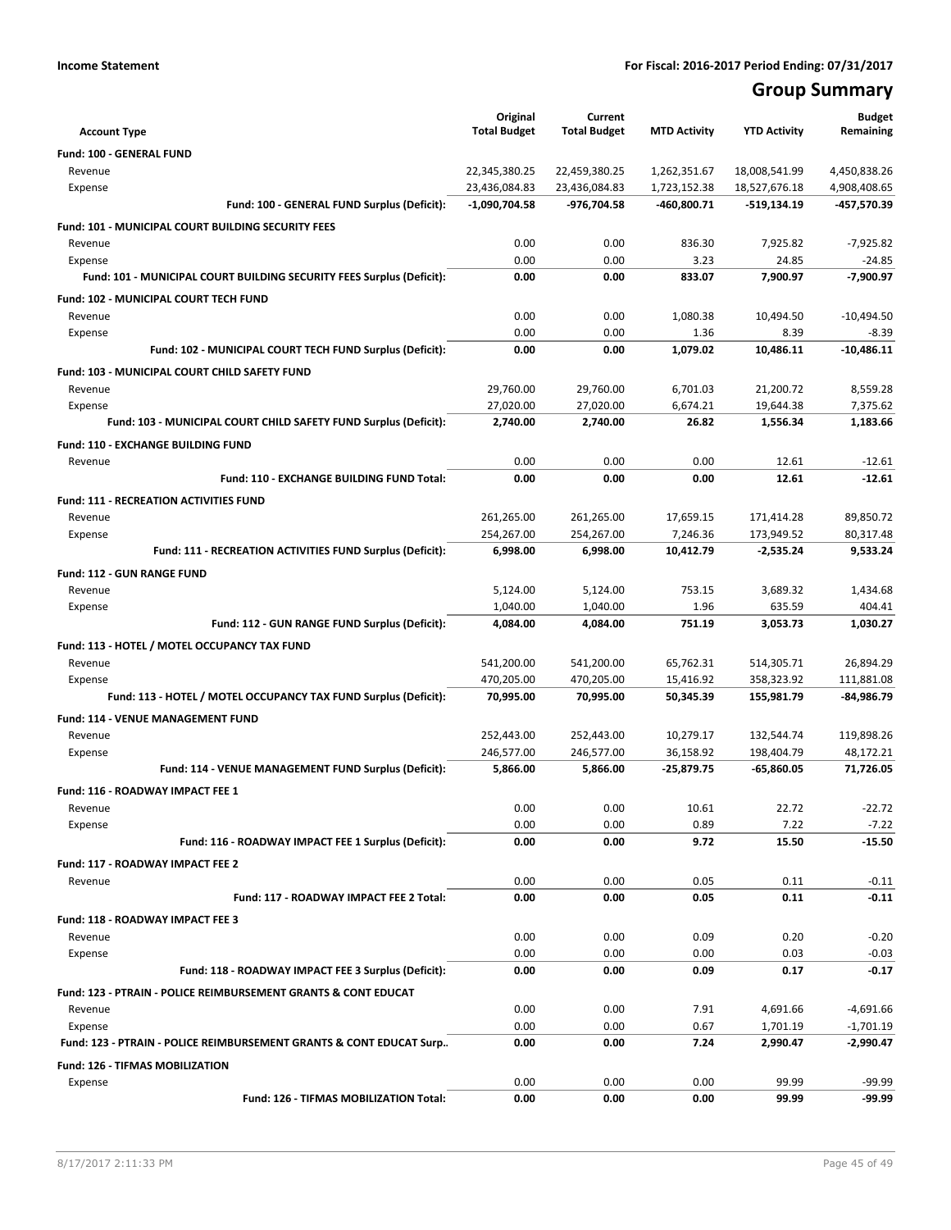# **Group Summary**

| <b>Account Type</b>                                                       | Original<br><b>Total Budget</b> | Current<br><b>Total Budget</b> | <b>MTD Activity</b> | <b>YTD Activity</b> | <b>Budget</b><br>Remaining |
|---------------------------------------------------------------------------|---------------------------------|--------------------------------|---------------------|---------------------|----------------------------|
| Fund: 100 - GENERAL FUND                                                  |                                 |                                |                     |                     |                            |
| Revenue                                                                   | 22,345,380.25                   | 22,459,380.25                  | 1,262,351.67        | 18,008,541.99       | 4,450,838.26               |
| Expense                                                                   | 23,436,084.83                   | 23,436,084.83                  | 1,723,152.38        | 18,527,676.18       | 4,908,408.65               |
| Fund: 100 - GENERAL FUND Surplus (Deficit):                               | $-1,090,704.58$                 | -976,704.58                    | -460,800.71         | -519,134.19         | -457,570.39                |
| Fund: 101 - MUNICIPAL COURT BUILDING SECURITY FEES                        |                                 |                                |                     |                     |                            |
| Revenue                                                                   | 0.00                            | 0.00                           | 836.30              | 7,925.82            | $-7,925.82$                |
| Expense                                                                   | 0.00                            | 0.00                           | 3.23                | 24.85               | -24.85                     |
| Fund: 101 - MUNICIPAL COURT BUILDING SECURITY FEES Surplus (Deficit):     | 0.00                            | 0.00                           | 833.07              | 7,900.97            | $-7,900.97$                |
| Fund: 102 - MUNICIPAL COURT TECH FUND                                     |                                 |                                |                     |                     |                            |
| Revenue                                                                   | 0.00                            | 0.00                           | 1.080.38            | 10,494.50           | $-10,494.50$               |
| Expense                                                                   | 0.00                            | 0.00                           | 1.36                | 8.39                | $-8.39$                    |
| Fund: 102 - MUNICIPAL COURT TECH FUND Surplus (Deficit):                  | 0.00                            | 0.00                           | 1,079.02            | 10,486.11           | $-10,486.11$               |
| <b>Fund: 103 - MUNICIPAL COURT CHILD SAFETY FUND</b>                      |                                 |                                |                     |                     |                            |
| Revenue                                                                   | 29,760.00                       | 29,760.00                      | 6,701.03            | 21,200.72           | 8,559.28                   |
| Expense                                                                   | 27,020.00                       | 27,020.00                      | 6,674.21            | 19,644.38           | 7,375.62                   |
| Fund: 103 - MUNICIPAL COURT CHILD SAFETY FUND Surplus (Deficit):          | 2,740.00                        | 2,740.00                       | 26.82               | 1,556.34            | 1,183.66                   |
| Fund: 110 - EXCHANGE BUILDING FUND                                        |                                 |                                |                     |                     |                            |
| Revenue                                                                   | 0.00                            | 0.00                           | 0.00                | 12.61               | $-12.61$                   |
| Fund: 110 - EXCHANGE BUILDING FUND Total:                                 | 0.00                            | 0.00                           | 0.00                | 12.61               | $-12.61$                   |
| <b>Fund: 111 - RECREATION ACTIVITIES FUND</b>                             |                                 |                                |                     |                     |                            |
| Revenue                                                                   | 261,265.00                      | 261,265.00                     | 17,659.15           | 171,414.28          | 89,850.72                  |
| Expense                                                                   | 254,267.00                      | 254,267.00                     | 7,246.36            | 173,949.52          | 80,317.48                  |
| Fund: 111 - RECREATION ACTIVITIES FUND Surplus (Deficit):                 | 6,998.00                        | 6,998.00                       | 10,412.79           | $-2,535.24$         | 9,533.24                   |
| <b>Fund: 112 - GUN RANGE FUND</b>                                         |                                 |                                |                     |                     |                            |
| Revenue                                                                   | 5,124.00                        | 5,124.00                       | 753.15              | 3,689.32            | 1,434.68                   |
| Expense                                                                   | 1,040.00                        | 1,040.00                       | 1.96                | 635.59              | 404.41                     |
| Fund: 112 - GUN RANGE FUND Surplus (Deficit):                             | 4,084.00                        | 4,084.00                       | 751.19              | 3,053.73            | 1,030.27                   |
| Fund: 113 - HOTEL / MOTEL OCCUPANCY TAX FUND                              |                                 |                                |                     |                     |                            |
| Revenue                                                                   | 541,200.00                      | 541,200.00                     | 65,762.31           | 514,305.71          | 26,894.29                  |
| Expense                                                                   | 470,205.00                      | 470,205.00                     | 15,416.92           | 358,323.92          | 111,881.08                 |
| Fund: 113 - HOTEL / MOTEL OCCUPANCY TAX FUND Surplus (Deficit):           | 70,995.00                       | 70,995.00                      | 50,345.39           | 155,981.79          | -84,986.79                 |
| <b>Fund: 114 - VENUE MANAGEMENT FUND</b>                                  |                                 |                                |                     |                     |                            |
| Revenue                                                                   | 252,443.00                      | 252,443.00                     | 10,279.17           | 132,544.74          | 119,898.26                 |
| Expense                                                                   | 246,577.00                      | 246,577.00                     | 36,158.92           | 198,404.79          | 48,172.21                  |
| Fund: 114 - VENUE MANAGEMENT FUND Surplus (Deficit):                      | 5,866.00                        | 5,866.00                       | $-25,879.75$        | $-65,860.05$        | 71,726.05                  |
|                                                                           |                                 |                                |                     |                     |                            |
| Fund: 116 - ROADWAY IMPACT FEE 1<br>Revenue                               | 0.00                            | 0.00                           | 10.61               | 22.72               | $-22.72$                   |
| Expense                                                                   | 0.00                            | 0.00                           | 0.89                | 7.22                | $-7.22$                    |
| Fund: 116 - ROADWAY IMPACT FEE 1 Surplus (Deficit):                       | 0.00                            | 0.00                           | 9.72                | 15.50               | $-15.50$                   |
|                                                                           |                                 |                                |                     |                     |                            |
| Fund: 117 - ROADWAY IMPACT FEE 2<br>Revenue                               | 0.00                            | 0.00                           | 0.05                | 0.11                | $-0.11$                    |
| Fund: 117 - ROADWAY IMPACT FEE 2 Total:                                   | 0.00                            | 0.00                           | 0.05                | 0.11                | $-0.11$                    |
|                                                                           |                                 |                                |                     |                     |                            |
| Fund: 118 - ROADWAY IMPACT FEE 3                                          |                                 |                                |                     |                     |                            |
| Revenue                                                                   | 0.00<br>0.00                    | 0.00<br>0.00                   | 0.09<br>0.00        | 0.20<br>0.03        | $-0.20$<br>$-0.03$         |
| Expense<br>Fund: 118 - ROADWAY IMPACT FEE 3 Surplus (Deficit):            | 0.00                            | 0.00                           | 0.09                | 0.17                | -0.17                      |
|                                                                           |                                 |                                |                     |                     |                            |
| <b>Fund: 123 - PTRAIN - POLICE REIMBURSEMENT GRANTS &amp; CONT EDUCAT</b> |                                 |                                |                     |                     |                            |
| Revenue                                                                   | 0.00                            | 0.00                           | 7.91                | 4,691.66            | $-4,691.66$                |
| Expense                                                                   | 0.00                            | 0.00                           | 0.67                | 1,701.19            | $-1,701.19$                |
| Fund: 123 - PTRAIN - POLICE REIMBURSEMENT GRANTS & CONT EDUCAT Surp       | 0.00                            | 0.00                           | 7.24                | 2,990.47            | $-2,990.47$                |
| Fund: 126 - TIFMAS MOBILIZATION                                           |                                 |                                |                     |                     |                            |
| Expense                                                                   | 0.00                            | 0.00                           | 0.00                | 99.99               | $-99.99$                   |
| Fund: 126 - TIFMAS MOBILIZATION Total:                                    | 0.00                            | 0.00                           | 0.00                | 99.99               | $-99.99$                   |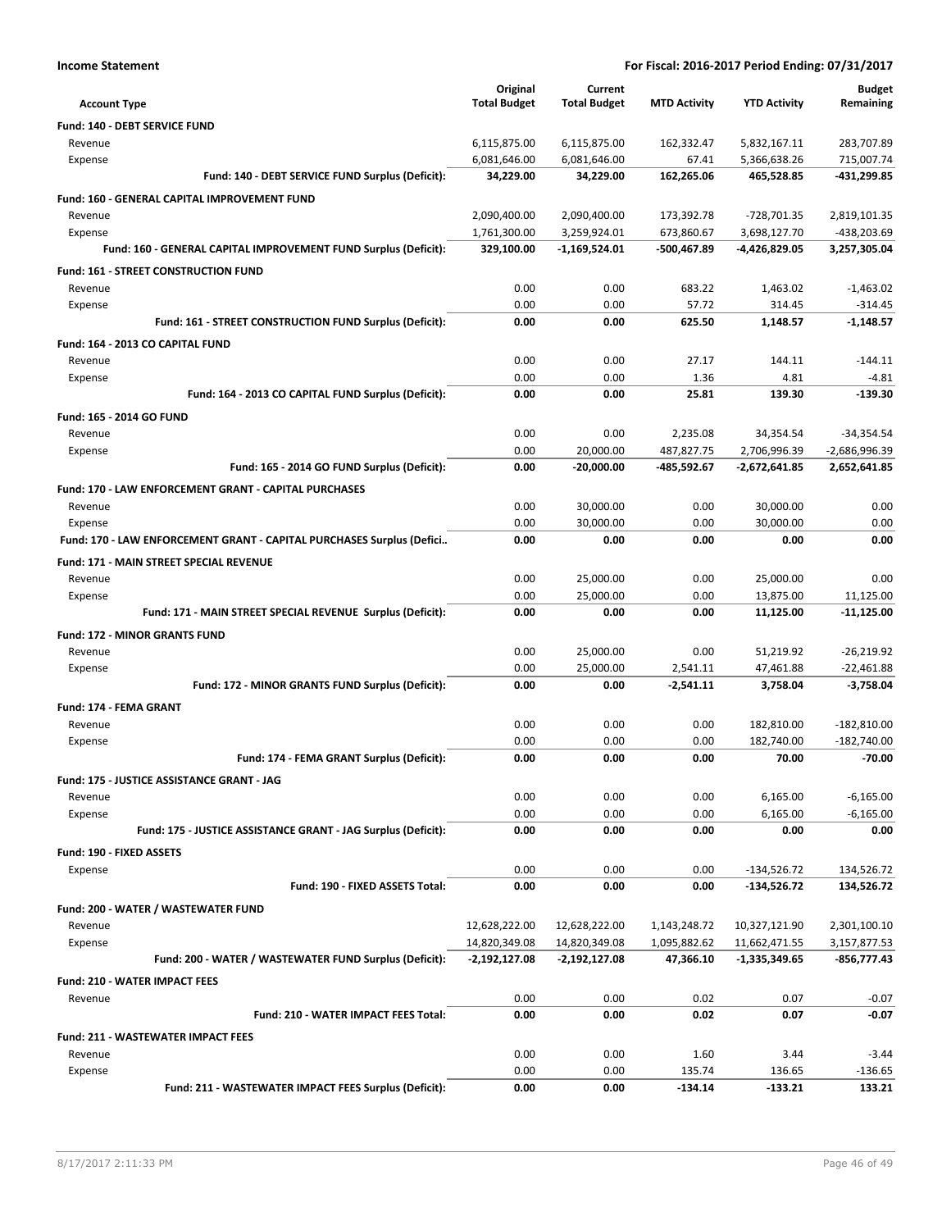| <b>Income Statement</b>                                               | For Fiscal: 2016-2017 Period Ending: 07/31/2017 |                     |                     |                     |                          |
|-----------------------------------------------------------------------|-------------------------------------------------|---------------------|---------------------|---------------------|--------------------------|
|                                                                       | Original                                        | Current             |                     |                     | <b>Budget</b>            |
| <b>Account Type</b>                                                   | <b>Total Budget</b>                             | <b>Total Budget</b> | <b>MTD Activity</b> | <b>YTD Activity</b> | Remaining                |
| Fund: 140 - DEBT SERVICE FUND                                         |                                                 |                     |                     |                     |                          |
| Revenue                                                               | 6,115,875.00                                    | 6,115,875.00        | 162,332.47          | 5,832,167.11        | 283,707.89               |
| Expense                                                               | 6,081,646.00                                    | 6,081,646.00        | 67.41               | 5,366,638.26        | 715,007.74               |
| Fund: 140 - DEBT SERVICE FUND Surplus (Deficit):                      | 34,229.00                                       | 34,229.00           | 162,265.06          | 465,528.85          | -431,299.85              |
| Fund: 160 - GENERAL CAPITAL IMPROVEMENT FUND                          |                                                 |                     |                     |                     |                          |
| Revenue                                                               | 2,090,400.00                                    | 2,090,400.00        | 173,392.78          | -728,701.35         | 2,819,101.35             |
| Expense                                                               | 1,761,300.00                                    | 3,259,924.01        | 673,860.67          | 3,698,127.70        | -438,203.69              |
| Fund: 160 - GENERAL CAPITAL IMPROVEMENT FUND Surplus (Deficit):       | 329,100.00                                      | $-1,169,524.01$     | -500,467.89         | -4,426,829.05       | 3,257,305.04             |
| Fund: 161 - STREET CONSTRUCTION FUND                                  |                                                 |                     |                     |                     |                          |
| Revenue                                                               | 0.00<br>0.00                                    | 0.00<br>0.00        | 683.22<br>57.72     | 1,463.02<br>314.45  | $-1,463.02$              |
| Expense<br>Fund: 161 - STREET CONSTRUCTION FUND Surplus (Deficit):    | 0.00                                            | 0.00                | 625.50              | 1,148.57            | $-314.45$<br>$-1,148.57$ |
|                                                                       |                                                 |                     |                     |                     |                          |
| Fund: 164 - 2013 CO CAPITAL FUND                                      | 0.00                                            | 0.00                | 27.17               | 144.11              | $-144.11$                |
| Revenue<br>Expense                                                    | 0.00                                            | 0.00                | 1.36                | 4.81                | $-4.81$                  |
| Fund: 164 - 2013 CO CAPITAL FUND Surplus (Deficit):                   | 0.00                                            | 0.00                | 25.81               | 139.30              | $-139.30$                |
| <b>Fund: 165 - 2014 GO FUND</b>                                       |                                                 |                     |                     |                     |                          |
| Revenue                                                               | 0.00                                            | 0.00                | 2,235.08            | 34,354.54           | $-34,354.54$             |
| Expense                                                               | 0.00                                            | 20,000.00           | 487,827.75          | 2,706,996.39        | $-2,686,996.39$          |
| Fund: 165 - 2014 GO FUND Surplus (Deficit):                           | 0.00                                            | $-20,000.00$        | -485,592.67         | $-2,672,641.85$     | 2,652,641.85             |
| Fund: 170 - LAW ENFORCEMENT GRANT - CAPITAL PURCHASES                 |                                                 |                     |                     |                     |                          |
| Revenue                                                               | 0.00                                            | 30,000.00           | 0.00                | 30,000.00           | 0.00                     |
| Expense                                                               | 0.00                                            | 30,000.00           | 0.00                | 30,000.00           | 0.00                     |
| Fund: 170 - LAW ENFORCEMENT GRANT - CAPITAL PURCHASES Surplus (Defici | 0.00                                            | 0.00                | 0.00                | 0.00                | 0.00                     |
| Fund: 171 - MAIN STREET SPECIAL REVENUE                               |                                                 |                     |                     |                     |                          |
| Revenue                                                               | 0.00                                            | 25,000.00           | 0.00                | 25,000.00           | 0.00                     |
| Expense                                                               | 0.00                                            | 25,000.00           | 0.00                | 13,875.00           | 11,125.00                |
| Fund: 171 - MAIN STREET SPECIAL REVENUE Surplus (Deficit):            | 0.00                                            | 0.00                | 0.00                | 11,125.00           | $-11,125.00$             |
| Fund: 172 - MINOR GRANTS FUND                                         |                                                 |                     |                     |                     |                          |
| Revenue                                                               | 0.00                                            | 25,000.00           | 0.00                | 51,219.92           | $-26,219.92$             |
| Expense                                                               | 0.00                                            | 25,000.00           | 2,541.11            | 47,461.88           | $-22,461.88$             |
| Fund: 172 - MINOR GRANTS FUND Surplus (Deficit):                      | 0.00                                            | 0.00                | $-2,541.11$         | 3,758.04            | $-3,758.04$              |
| Fund: 174 - FEMA GRANT                                                |                                                 |                     |                     |                     |                          |
| Revenue                                                               | 0.00                                            | 0.00                | 0.00                | 182,810.00          | $-182,810.00$            |
| Expense                                                               | 0.00                                            | 0.00                | 0.00                | 182.740.00          | $-182,740.00$            |
| Fund: 174 - FEMA GRANT Surplus (Deficit):                             | 0.00                                            | 0.00                | 0.00                | 70.00               | $-70.00$                 |
| Fund: 175 - JUSTICE ASSISTANCE GRANT - JAG                            |                                                 |                     |                     |                     |                          |
| Revenue                                                               | 0.00                                            | 0.00                | 0.00                | 6,165.00            | $-6,165.00$              |
| Expense                                                               | 0.00                                            | 0.00                | 0.00                | 6,165.00            | $-6,165.00$              |
| Fund: 175 - JUSTICE ASSISTANCE GRANT - JAG Surplus (Deficit):         | 0.00                                            | 0.00                | 0.00                | 0.00                | 0.00                     |
| Fund: 190 - FIXED ASSETS                                              |                                                 |                     |                     |                     |                          |
| Expense                                                               | 0.00                                            | 0.00                | 0.00                | $-134,526.72$       | 134,526.72               |
| Fund: 190 - FIXED ASSETS Total:                                       | 0.00                                            | 0.00                | 0.00                | $-134,526.72$       | 134,526.72               |
| Fund: 200 - WATER / WASTEWATER FUND                                   |                                                 |                     |                     |                     |                          |
| Revenue                                                               | 12,628,222.00                                   | 12,628,222.00       | 1,143,248.72        | 10,327,121.90       | 2,301,100.10             |
| Expense                                                               | 14,820,349.08                                   | 14,820,349.08       | 1,095,882.62        | 11,662,471.55       | 3,157,877.53             |
| Fund: 200 - WATER / WASTEWATER FUND Surplus (Deficit):                | $-2,192,127.08$                                 | -2,192,127.08       | 47,366.10           | -1,335,349.65       | -856,777.43              |
| <b>Fund: 210 - WATER IMPACT FEES</b>                                  |                                                 |                     |                     |                     |                          |
| Revenue                                                               | 0.00                                            | 0.00                | 0.02                | 0.07                | $-0.07$                  |
| Fund: 210 - WATER IMPACT FEES Total:                                  | 0.00                                            | 0.00                | 0.02                | 0.07                | $-0.07$                  |
| <b>Fund: 211 - WASTEWATER IMPACT FEES</b>                             |                                                 |                     |                     |                     |                          |
| Revenue                                                               | 0.00<br>0.00                                    | 0.00<br>0.00        | 1.60<br>135.74      | 3.44<br>136.65      | $-3.44$<br>$-136.65$     |
| Expense<br>Fund: 211 - WASTEWATER IMPACT FEES Surplus (Deficit):      | 0.00                                            | 0.00                | $-134.14$           | $-133.21$           | 133.21                   |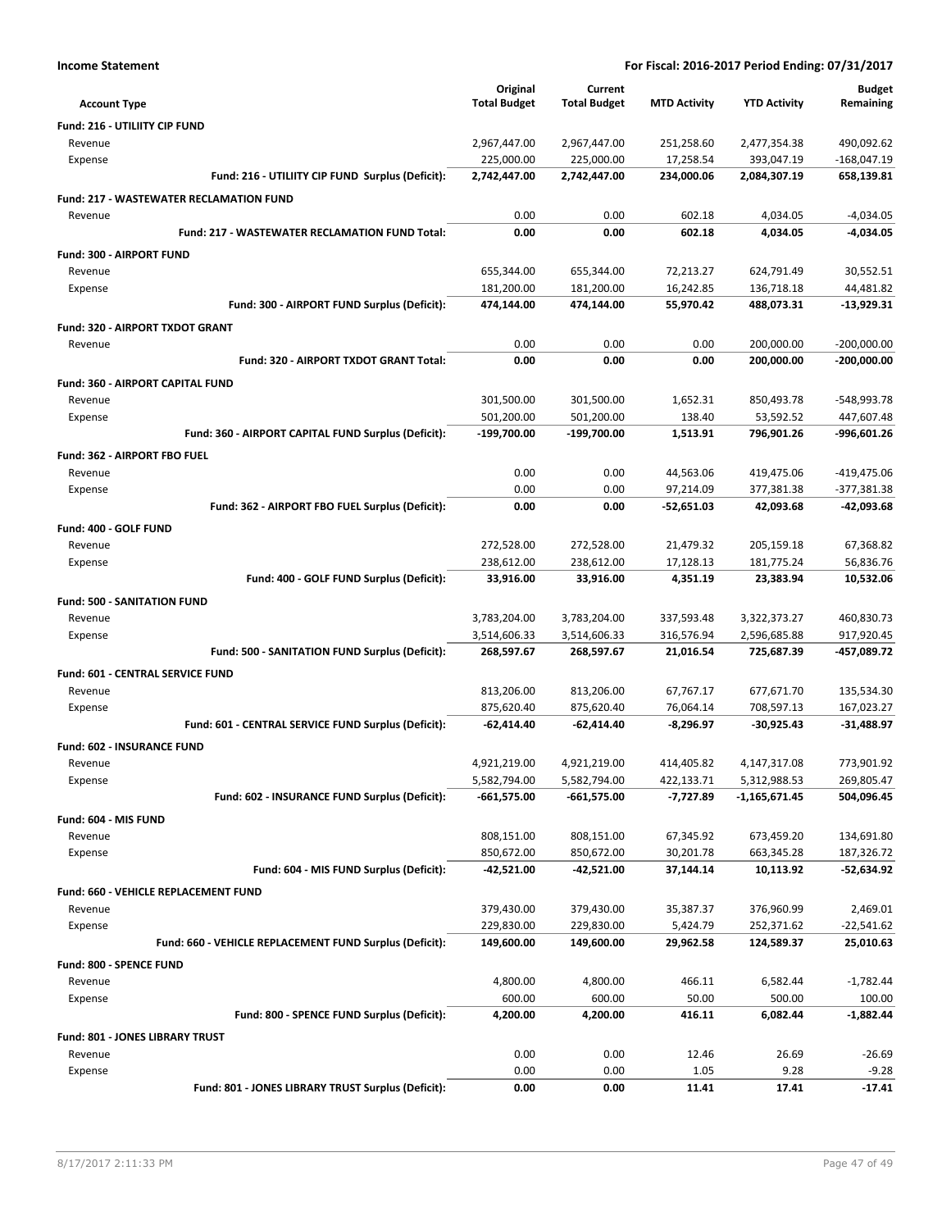| <b>Income Statement</b>                                 |                          |                          |                        | For Fiscal: 2016-2017 Period Ending: 07/31/2017 |                        |
|---------------------------------------------------------|--------------------------|--------------------------|------------------------|-------------------------------------------------|------------------------|
|                                                         | Original                 | Current                  |                        |                                                 | <b>Budget</b>          |
| <b>Account Type</b>                                     | <b>Total Budget</b>      | <b>Total Budget</b>      | <b>MTD Activity</b>    | <b>YTD Activity</b>                             | Remaining              |
| Fund: 216 - UTILIITY CIP FUND                           |                          |                          |                        |                                                 |                        |
| Revenue                                                 | 2,967,447.00             | 2,967,447.00             | 251,258.60             | 2,477,354.38                                    | 490,092.62             |
| Expense                                                 | 225,000.00               | 225,000.00               | 17,258.54              | 393,047.19                                      | $-168,047.19$          |
| Fund: 216 - UTILIITY CIP FUND Surplus (Deficit):        | 2,742,447.00             | 2,742,447.00             | 234,000.06             | 2,084,307.19                                    | 658,139.81             |
| <b>Fund: 217 - WASTEWATER RECLAMATION FUND</b>          |                          |                          |                        |                                                 |                        |
| Revenue                                                 | 0.00                     | 0.00                     | 602.18                 | 4,034.05                                        | $-4,034.05$            |
| <b>Fund: 217 - WASTEWATER RECLAMATION FUND Total:</b>   | 0.00                     | 0.00                     | 602.18                 | 4,034.05                                        | -4,034.05              |
| Fund: 300 - AIRPORT FUND                                |                          |                          |                        |                                                 |                        |
| Revenue                                                 | 655,344.00               | 655,344.00               | 72,213.27              | 624,791.49                                      | 30,552.51              |
| Expense                                                 | 181,200.00               | 181,200.00               | 16,242.85              | 136,718.18                                      | 44,481.82              |
| Fund: 300 - AIRPORT FUND Surplus (Deficit):             | 474,144.00               | 474,144.00               | 55,970.42              | 488,073.31                                      | $-13,929.31$           |
| Fund: 320 - AIRPORT TXDOT GRANT                         |                          |                          |                        |                                                 |                        |
| Revenue                                                 | 0.00                     | 0.00                     | 0.00                   | 200,000.00                                      | $-200,000.00$          |
| Fund: 320 - AIRPORT TXDOT GRANT Total:                  | 0.00                     | 0.00                     | 0.00                   | 200,000.00                                      | $-200,000.00$          |
| Fund: 360 - AIRPORT CAPITAL FUND                        |                          |                          |                        |                                                 |                        |
| Revenue                                                 | 301,500.00               | 301,500.00               | 1,652.31               | 850,493.78                                      | -548,993.78            |
| Expense                                                 | 501,200.00               | 501,200.00               | 138.40                 | 53,592.52                                       | 447,607.48             |
| Fund: 360 - AIRPORT CAPITAL FUND Surplus (Deficit):     | -199,700.00              | $-199,700.00$            | 1,513.91               | 796,901.26                                      | -996,601.26            |
| Fund: 362 - AIRPORT FBO FUEL                            |                          |                          |                        |                                                 |                        |
| Revenue                                                 | 0.00                     | 0.00                     | 44,563.06              | 419,475.06                                      | -419,475.06            |
| Expense                                                 | 0.00                     | 0.00                     | 97,214.09              | 377,381.38                                      | $-377,381.38$          |
| Fund: 362 - AIRPORT FBO FUEL Surplus (Deficit):         | 0.00                     | 0.00                     | $-52,651.03$           | 42,093.68                                       | -42,093.68             |
|                                                         |                          |                          |                        |                                                 |                        |
| Fund: 400 - GOLF FUND                                   |                          |                          |                        |                                                 |                        |
| Revenue                                                 | 272,528.00<br>238,612.00 | 272,528.00<br>238,612.00 | 21,479.32<br>17,128.13 | 205,159.18<br>181,775.24                        | 67,368.82<br>56,836.76 |
| Expense<br>Fund: 400 - GOLF FUND Surplus (Deficit):     | 33,916.00                | 33,916.00                | 4,351.19               | 23,383.94                                       | 10,532.06              |
|                                                         |                          |                          |                        |                                                 |                        |
| <b>Fund: 500 - SANITATION FUND</b>                      |                          |                          |                        |                                                 |                        |
| Revenue                                                 | 3,783,204.00             | 3,783,204.00             | 337,593.48             | 3,322,373.27                                    | 460,830.73             |
| Expense                                                 | 3,514,606.33             | 3,514,606.33             | 316,576.94             | 2,596,685.88                                    | 917,920.45             |
| Fund: 500 - SANITATION FUND Surplus (Deficit):          | 268,597.67               | 268,597.67               | 21,016.54              | 725,687.39                                      | -457,089.72            |
| Fund: 601 - CENTRAL SERVICE FUND                        |                          |                          |                        |                                                 |                        |
| Revenue                                                 | 813,206.00               | 813,206.00               | 67,767.17              | 677,671.70                                      | 135,534.30             |
| Expense                                                 | 875,620.40               | 875,620.40               | 76,064.14              | 708,597.13                                      | 167,023.27             |
| Fund: 601 - CENTRAL SERVICE FUND Surplus (Deficit):     | $-62,414.40$             | $-62,414.40$             | $-8,296.97$            | -30,925.43                                      | $-31,488.97$           |
| Fund: 602 - INSURANCE FUND                              |                          |                          |                        |                                                 |                        |
| Revenue                                                 | 4,921,219.00             | 4,921,219.00             | 414,405.82             | 4,147,317.08                                    | 773,901.92             |
| Expense                                                 | 5,582,794.00             | 5,582,794.00             | 422,133.71             | 5,312,988.53                                    | 269,805.47             |
| Fund: 602 - INSURANCE FUND Surplus (Deficit):           | $-661,575.00$            | $-661,575.00$            | -7,727.89              | $-1,165,671.45$                                 | 504,096.45             |
| Fund: 604 - MIS FUND                                    |                          |                          |                        |                                                 |                        |
| Revenue                                                 | 808,151.00               | 808,151.00               | 67,345.92              | 673,459.20                                      | 134,691.80             |
| Expense                                                 | 850,672.00               | 850,672.00               | 30,201.78              | 663,345.28                                      | 187,326.72             |
| Fund: 604 - MIS FUND Surplus (Deficit):                 | $-42,521.00$             | -42,521.00               | 37,144.14              | 10,113.92                                       | -52,634.92             |
| Fund: 660 - VEHICLE REPLACEMENT FUND                    |                          |                          |                        |                                                 |                        |
| Revenue                                                 | 379,430.00               | 379,430.00               | 35,387.37              | 376,960.99                                      | 2,469.01               |
| Expense                                                 | 229,830.00               | 229,830.00               | 5,424.79               | 252,371.62                                      | $-22,541.62$           |
| Fund: 660 - VEHICLE REPLACEMENT FUND Surplus (Deficit): | 149,600.00               | 149,600.00               | 29,962.58              | 124,589.37                                      | 25,010.63              |
| Fund: 800 - SPENCE FUND                                 |                          |                          |                        |                                                 |                        |
| Revenue                                                 | 4,800.00                 | 4,800.00                 | 466.11                 | 6,582.44                                        | $-1,782.44$            |
| Expense                                                 | 600.00                   | 600.00                   | 50.00                  | 500.00                                          | 100.00                 |
| Fund: 800 - SPENCE FUND Surplus (Deficit):              | 4,200.00                 | 4,200.00                 | 416.11                 | 6,082.44                                        | -1,882.44              |
| Fund: 801 - JONES LIBRARY TRUST                         |                          |                          |                        |                                                 |                        |
| Revenue                                                 | 0.00                     | 0.00                     | 12.46                  | 26.69                                           | $-26.69$               |
| Expense                                                 | 0.00                     | 0.00                     | 1.05                   | 9.28                                            | $-9.28$                |
| Fund: 801 - JONES LIBRARY TRUST Surplus (Deficit):      | 0.00                     | 0.00                     | 11.41                  | 17.41                                           | $-17.41$               |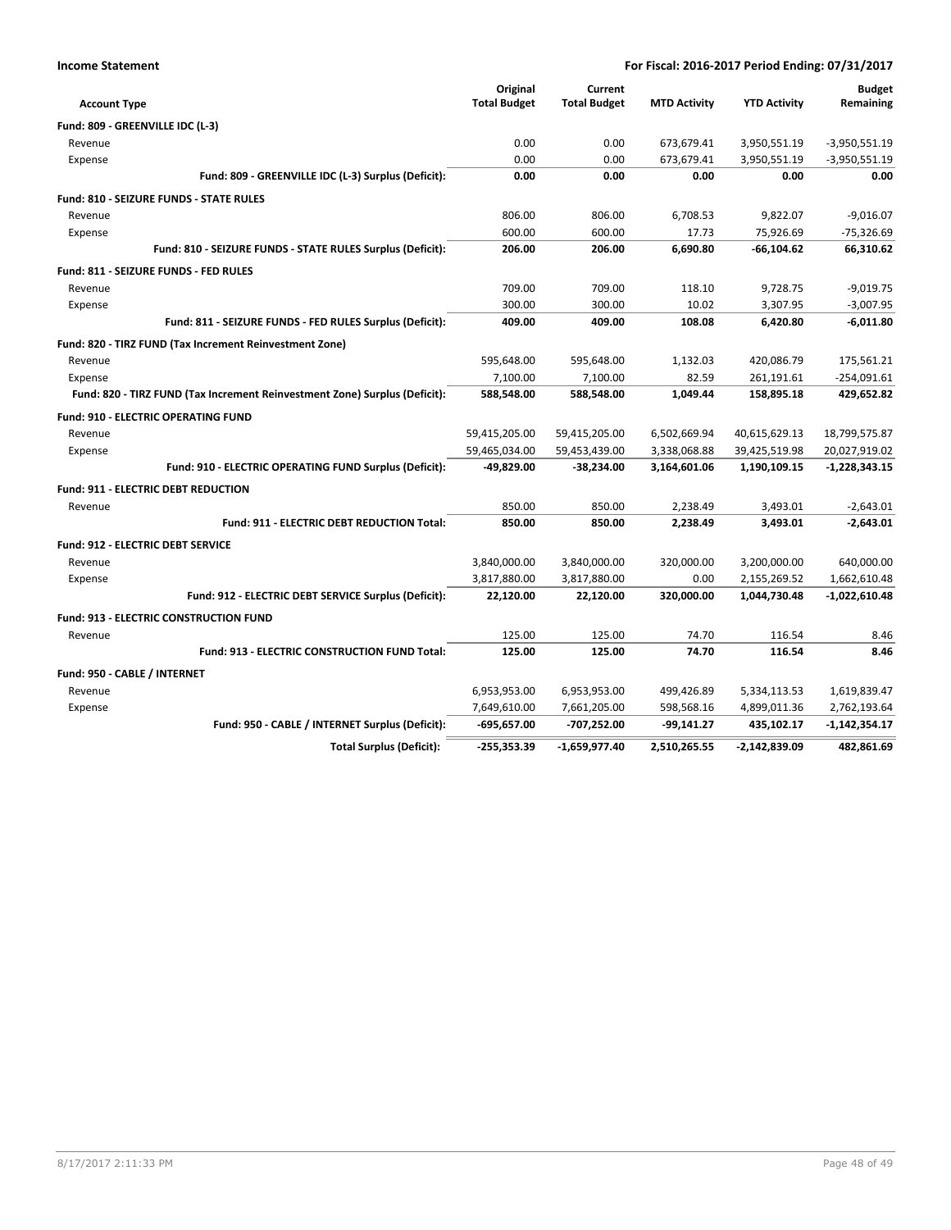| <b>Income Statement</b> | For Fiscal: 2016-2017 Period Ending: 07/31/2017 |
|-------------------------|-------------------------------------------------|
|                         |                                                 |

| <b>Account Type</b>                                                        | Original<br><b>Total Budget</b> | Current<br><b>Total Budget</b> | <b>MTD Activity</b> | <b>YTD Activity</b> | <b>Budget</b><br>Remaining |
|----------------------------------------------------------------------------|---------------------------------|--------------------------------|---------------------|---------------------|----------------------------|
| Fund: 809 - GREENVILLE IDC (L-3)                                           |                                 |                                |                     |                     |                            |
| Revenue                                                                    | 0.00                            | 0.00                           | 673,679.41          | 3,950,551.19        | $-3,950,551.19$            |
| Expense                                                                    | 0.00                            | 0.00                           | 673,679.41          | 3,950,551.19        | $-3,950,551.19$            |
| Fund: 809 - GREENVILLE IDC (L-3) Surplus (Deficit):                        | 0.00                            | 0.00                           | 0.00                | 0.00                | 0.00                       |
| <b>Fund: 810 - SEIZURE FUNDS - STATE RULES</b>                             |                                 |                                |                     |                     |                            |
| Revenue                                                                    | 806.00                          | 806.00                         | 6.708.53            | 9.822.07            | $-9.016.07$                |
| Expense                                                                    | 600.00                          | 600.00                         | 17.73               | 75,926.69           | $-75,326.69$               |
| Fund: 810 - SEIZURE FUNDS - STATE RULES Surplus (Deficit):                 | 206.00                          | 206.00                         | 6,690.80            | $-66, 104.62$       | 66,310.62                  |
| Fund: 811 - SEIZURE FUNDS - FED RULES                                      |                                 |                                |                     |                     |                            |
| Revenue                                                                    | 709.00                          | 709.00                         | 118.10              | 9,728.75            | $-9,019.75$                |
| Expense                                                                    | 300.00                          | 300.00                         | 10.02               | 3,307.95            | $-3,007.95$                |
| Fund: 811 - SEIZURE FUNDS - FED RULES Surplus (Deficit):                   | 409.00                          | 409.00                         | 108.08              | 6,420.80            | $-6,011.80$                |
| Fund: 820 - TIRZ FUND (Tax Increment Reinvestment Zone)                    |                                 |                                |                     |                     |                            |
| Revenue                                                                    | 595,648.00                      | 595,648.00                     | 1,132.03            | 420,086.79          | 175,561.21                 |
| Expense                                                                    | 7,100.00                        | 7,100.00                       | 82.59               | 261,191.61          | $-254,091.61$              |
| Fund: 820 - TIRZ FUND (Tax Increment Reinvestment Zone) Surplus (Deficit): | 588,548.00                      | 588,548.00                     | 1,049.44            | 158,895.18          | 429,652.82                 |
| <b>Fund: 910 - ELECTRIC OPERATING FUND</b>                                 |                                 |                                |                     |                     |                            |
| Revenue                                                                    | 59,415,205.00                   | 59,415,205.00                  | 6,502,669.94        | 40,615,629.13       | 18,799,575.87              |
| Expense                                                                    | 59,465,034.00                   | 59,453,439.00                  | 3,338,068.88        | 39,425,519.98       | 20,027,919.02              |
| Fund: 910 - ELECTRIC OPERATING FUND Surplus (Deficit):                     | -49,829.00                      | $-38,234.00$                   | 3,164,601.06        | 1,190,109.15        | $-1,228,343.15$            |
| <b>Fund: 911 - ELECTRIC DEBT REDUCTION</b>                                 |                                 |                                |                     |                     |                            |
| Revenue                                                                    | 850.00                          | 850.00                         | 2,238.49            | 3,493.01            | $-2,643.01$                |
| <b>Fund: 911 - ELECTRIC DEBT REDUCTION Total:</b>                          | 850.00                          | 850.00                         | 2,238.49            | 3,493.01            | $-2,643.01$                |
| <b>Fund: 912 - ELECTRIC DEBT SERVICE</b>                                   |                                 |                                |                     |                     |                            |
| Revenue                                                                    | 3,840,000.00                    | 3,840,000.00                   | 320,000.00          | 3,200,000.00        | 640,000.00                 |
| Expense                                                                    | 3,817,880.00                    | 3,817,880.00                   | 0.00                | 2,155,269.52        | 1,662,610.48               |
| Fund: 912 - ELECTRIC DEBT SERVICE Surplus (Deficit):                       | 22,120.00                       | 22,120.00                      | 320,000.00          | 1,044,730.48        | $-1,022,610.48$            |
| <b>Fund: 913 - ELECTRIC CONSTRUCTION FUND</b>                              |                                 |                                |                     |                     |                            |
| Revenue                                                                    | 125.00                          | 125.00                         | 74.70               | 116.54              | 8.46                       |
| Fund: 913 - ELECTRIC CONSTRUCTION FUND Total:                              | 125.00                          | 125.00                         | 74.70               | 116.54              | 8.46                       |
| Fund: 950 - CABLE / INTERNET                                               |                                 |                                |                     |                     |                            |
| Revenue                                                                    | 6,953,953.00                    | 6,953,953.00                   | 499,426.89          | 5,334,113.53        | 1,619,839.47               |
| Expense                                                                    | 7,649,610.00                    | 7,661,205.00                   | 598,568.16          | 4,899,011.36        | 2,762,193.64               |
| Fund: 950 - CABLE / INTERNET Surplus (Deficit):                            | $-695,657.00$                   | -707,252.00                    | $-99,141.27$        | 435,102.17          | $-1,142,354.17$            |
| <b>Total Surplus (Deficit):</b>                                            | $-255,353.39$                   | -1,659,977.40                  | 2,510,265.55        | $-2,142,839.09$     | 482,861.69                 |